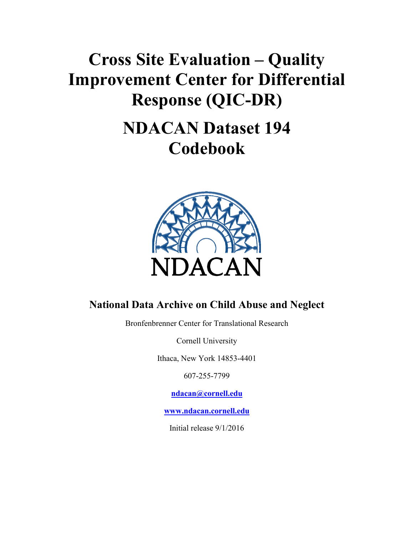# **Cross Site Evaluation – Quality Improvement Center for Differential Response (QIC-DR)**

# **NDACAN Dataset 194 Codebook**



#### **National Data Archive on Child Abuse and Neglect**

Bronfenbrenner Center for Translational Research

Cornell University

Ithaca, New York 14853-4401

607-255-7799

**[ndacan@cornell.ed](mailto:ndacan@cornell.edu)u**

**[www.ndacan.cornell.ed](http://www.ndacan.cornell.edu/)u**

Initial release 9/1/2016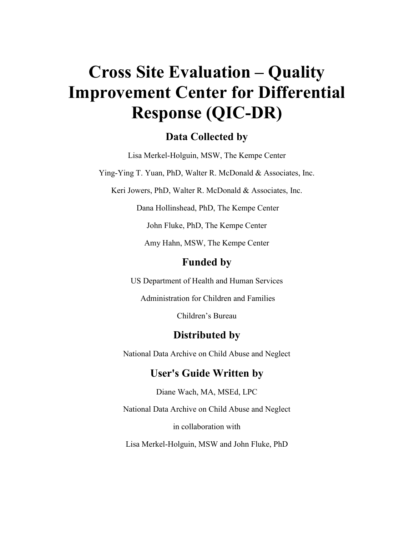# **Cross Site Evaluation – Quality Improvement Center for Differential Response (QIC-DR)**

#### **Data Collected by**

Lisa Merkel-Holguin, MSW, The Kempe Center

Ying-Ying T. Yuan, PhD, Walter R. McDonald & Associates, Inc.

Keri Jowers, PhD, Walter R. McDonald & Associates, Inc.

Dana Hollinshead, PhD, The Kempe Center

John Fluke, PhD, The Kempe Center

Amy Hahn, MSW, The Kempe Center

#### **Funded by**

US Department of Health and Human Services

Administration for Children and Families

Children's Bureau

#### **Distributed by**

National Data Archive on Child Abuse and Neglect

#### **User's Guide Written by**

Diane Wach, MA, MSEd, LPC

National Data Archive on Child Abuse and Neglect

in collaboration with

Lisa Merkel-Holguin, MSW and John Fluke, PhD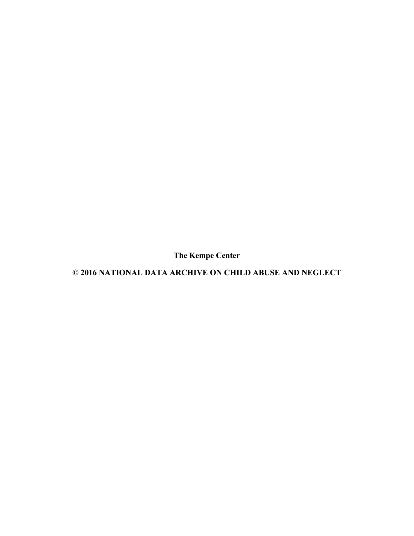**The Kempe Center**

**© 2016 NATIONAL DATA ARCHIVE ON CHILD ABUSE AND NEGLECT**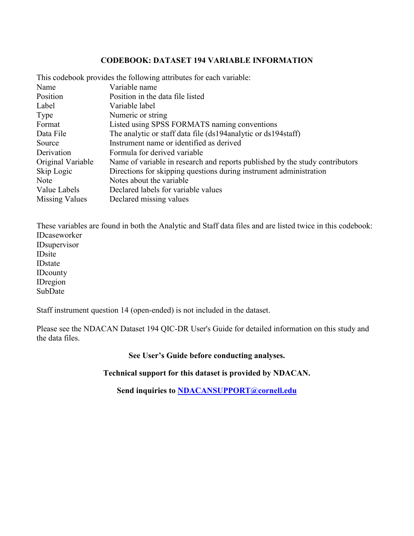#### **CODEBOOK: DATASET 194 VARIABLE INFORMATION**

|                   | This codebook provides the following attributes for each variable:           |
|-------------------|------------------------------------------------------------------------------|
| Name              | Variable name                                                                |
| Position          | Position in the data file listed                                             |
| Label             | Variable label                                                               |
| Type              | Numeric or string                                                            |
| Format            | Listed using SPSS FORMATS naming conventions                                 |
| Data File         | The analytic or staff data file (ds194 analytic or ds194 staff)              |
| Source            | Instrument name or identified as derived                                     |
| Derivation        | Formula for derived variable                                                 |
| Original Variable | Name of variable in research and reports published by the study contributors |
| Skip Logic        | Directions for skipping questions during instrument administration           |
| <b>Note</b>       | Notes about the variable.                                                    |
| Value Labels      | Declared labels for variable values                                          |
| Missing Values    | Declared missing values                                                      |

These variables are found in both the Analytic and Staff data files and are listed twice in this codebook: IDcaseworker IDsupervisor IDsite IDstate IDcounty IDregion SubDate

Staff instrument question 14 (open-ended) is not included in the dataset.

Please see the NDACAN Dataset 194 QIC-DR User's Guide for detailed information on this study and the data files.

#### **See User's Guide before conducting analyses.**

**Technical support for this dataset is provided by NDACAN.**

**Send inquiries to [NDACANSUPPORT@cornell.e](mailto:NDACANSUPPORT@cornell.edu)du**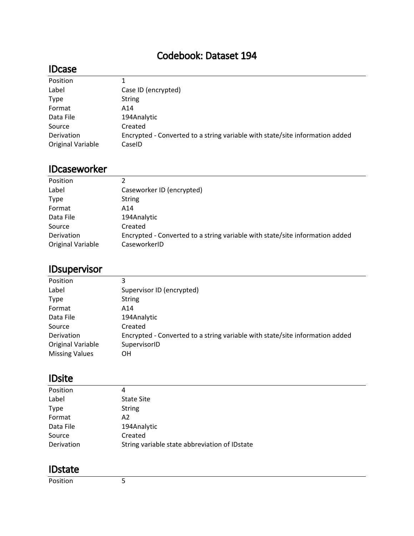#### Codebook: Dataset 194

#### IDcase

| Position                 | 1.                                                                           |
|--------------------------|------------------------------------------------------------------------------|
| Label                    | Case ID (encrypted)                                                          |
| <b>Type</b>              | <b>String</b>                                                                |
| Format                   | A14                                                                          |
| Data File                | 194Analytic                                                                  |
| Source                   | Created                                                                      |
| Derivation               | Encrypted - Converted to a string variable with state/site information added |
| <b>Original Variable</b> | CaseID                                                                       |

#### IDcaseworker

| Position                        | 2                                                                                            |
|---------------------------------|----------------------------------------------------------------------------------------------|
| Label                           | Caseworker ID (encrypted)                                                                    |
| <b>Type</b>                     | String                                                                                       |
| Format                          | A14                                                                                          |
| Data File                       | 194Analytic                                                                                  |
| Source                          | Created                                                                                      |
| Derivation<br>Original Variable | Encrypted - Converted to a string variable with state/site information added<br>CaseworkerID |
|                                 |                                                                                              |

### IDsupervisor

| Position              | 3                                                                            |
|-----------------------|------------------------------------------------------------------------------|
| Label                 | Supervisor ID (encrypted)                                                    |
| <b>Type</b>           | <b>String</b>                                                                |
| Format                | A14                                                                          |
| Data File             | 194Analytic                                                                  |
| Source                | Created                                                                      |
| Derivation            | Encrypted - Converted to a string variable with state/site information added |
| Original Variable     | SupervisorID                                                                 |
| <b>Missing Values</b> | ΟH                                                                           |

#### IDsite

| Position    | 4                                              |
|-------------|------------------------------------------------|
| Label       | <b>State Site</b>                              |
| <b>Type</b> | <b>String</b>                                  |
| Format      | A2                                             |
| Data File   | 194Analytic                                    |
| Source      | Created                                        |
| Derivation  | String variable state abbreviation of ID state |

#### IDstate

Position 5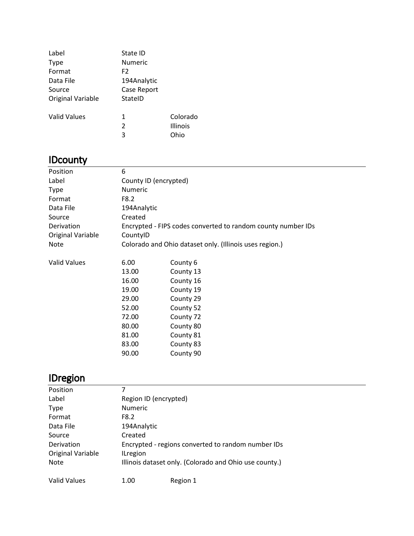| Label               | State ID       |                 |
|---------------------|----------------|-----------------|
| Type                | <b>Numeric</b> |                 |
| Format              | F <sub>2</sub> |                 |
| Data File           | 194Analytic    |                 |
| Source              | Case Report    |                 |
| Original Variable   | StateID        |                 |
| <b>Valid Values</b> | 1              | Colorado        |
|                     | 2              | <b>Illinois</b> |
|                     | 3              | Ohio            |
|                     |                |                 |

### **IDcounty**

| Position            | 6                                                            |           |  |  |
|---------------------|--------------------------------------------------------------|-----------|--|--|
| Label               | County ID (encrypted)                                        |           |  |  |
| <b>Type</b>         | <b>Numeric</b>                                               |           |  |  |
| Format              | F8.2                                                         |           |  |  |
| Data File           | 194Analytic                                                  |           |  |  |
| Source              | Created                                                      |           |  |  |
| Derivation          | Encrypted - FIPS codes converted to random county number IDs |           |  |  |
| Original Variable   | CountylD                                                     |           |  |  |
| <b>Note</b>         | Colorado and Ohio dataset only. (Illinois uses region.)      |           |  |  |
|                     |                                                              |           |  |  |
| <b>Valid Values</b> | 6.00                                                         | County 6  |  |  |
|                     | 13.00                                                        | County 13 |  |  |
|                     | 16.00                                                        | County 16 |  |  |
|                     | 19.00                                                        | County 19 |  |  |
|                     | 29.00                                                        | County 29 |  |  |
|                     | 52.00                                                        | County 52 |  |  |
|                     | 72.00                                                        | County 72 |  |  |
|                     | 80.00                                                        | County 80 |  |  |
|                     | 81.00                                                        | County 81 |  |  |
|                     | 83.00                                                        | County 83 |  |  |
|                     | 90.00                                                        | County 90 |  |  |

# IDregion

| Position            |                                                    |                                                        |  |  |  |
|---------------------|----------------------------------------------------|--------------------------------------------------------|--|--|--|
| Label               | Region ID (encrypted)                              |                                                        |  |  |  |
| <b>Type</b>         | <b>Numeric</b>                                     |                                                        |  |  |  |
| Format              | F8.2                                               |                                                        |  |  |  |
| Data File           | 194Analytic                                        |                                                        |  |  |  |
| Source              | Created                                            |                                                        |  |  |  |
| Derivation          | Encrypted - regions converted to random number IDs |                                                        |  |  |  |
| Original Variable   | <b>ILregion</b>                                    |                                                        |  |  |  |
| <b>Note</b>         |                                                    | Illinois dataset only. (Colorado and Ohio use county.) |  |  |  |
| <b>Valid Values</b> | 1.00                                               | Region 1                                               |  |  |  |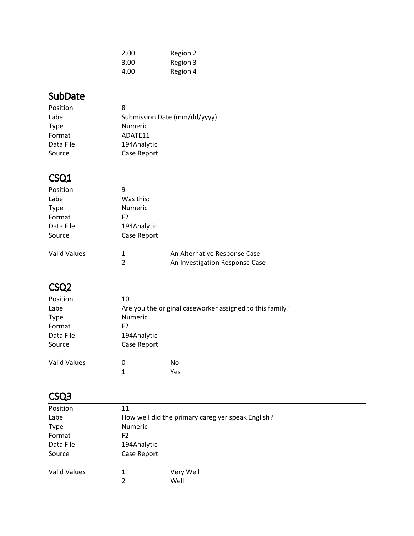| 2.00 | Region 2 |
|------|----------|
| 3.00 | Region 3 |
| 4.00 | Region 4 |

#### SubDate

| Position    | 8                            |
|-------------|------------------------------|
| Label       | Submission Date (mm/dd/yyyy) |
| <b>Type</b> | <b>Numeric</b>               |
| Format      | ADATF11                      |
| Data File   | 194Analytic                  |
| Source      | Case Report                  |

# CSQ1

| Position            | 9                   |                                                                |  |
|---------------------|---------------------|----------------------------------------------------------------|--|
| Label               | Was this:           |                                                                |  |
| <b>Type</b>         | <b>Numeric</b>      |                                                                |  |
| Format              | F2                  |                                                                |  |
| Data File           | 194Analytic         |                                                                |  |
| Source              | Case Report         |                                                                |  |
| <b>Valid Values</b> | 1<br>$\overline{2}$ | An Alternative Response Case<br>An Investigation Response Case |  |
|                     |                     |                                                                |  |

### CSQ2

| Position            | 10             |                                                          |  |  |  |
|---------------------|----------------|----------------------------------------------------------|--|--|--|
| Label               |                | Are you the original caseworker assigned to this family? |  |  |  |
| <b>Type</b>         |                | Numeric                                                  |  |  |  |
| Format              | F <sub>2</sub> |                                                          |  |  |  |
| Data File           |                | 194Analytic                                              |  |  |  |
| Source              |                | Case Report                                              |  |  |  |
| <b>Valid Values</b> | 0              | No                                                       |  |  |  |
|                     | 1              | Yes                                                      |  |  |  |
|                     |                |                                                          |  |  |  |

### CSQ3

| Position            | 11                                                |           |  |
|---------------------|---------------------------------------------------|-----------|--|
| Label               | How well did the primary caregiver speak English? |           |  |
| <b>Type</b>         | Numeric                                           |           |  |
| Format              | F <sub>2</sub>                                    |           |  |
| Data File           | 194Analytic                                       |           |  |
| Source              | Case Report                                       |           |  |
| <b>Valid Values</b> |                                                   | Very Well |  |
|                     | 2                                                 | Well      |  |
|                     |                                                   |           |  |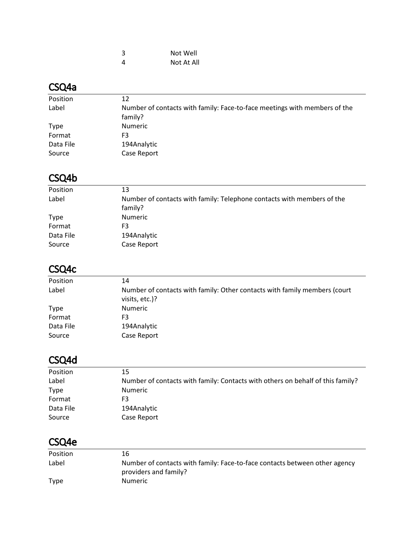| 3 | Not Well   |
|---|------------|
| 4 | Not At All |

### CSQ4a

| Position    | 12                                                                        |
|-------------|---------------------------------------------------------------------------|
| Label       | Number of contacts with family: Face-to-face meetings with members of the |
|             | family?                                                                   |
| <b>Type</b> | Numeric                                                                   |
| Format      | F3                                                                        |
| Data File   | 194Analytic                                                               |
| Source      | Case Report                                                               |
|             |                                                                           |

# CSQ4b

| Position    | 13                                                                     |
|-------------|------------------------------------------------------------------------|
| Label       | Number of contacts with family: Telephone contacts with members of the |
|             | family?                                                                |
| <b>Type</b> | <b>Numeric</b>                                                         |
| Format      | F3                                                                     |
| Data File   | 194Analytic                                                            |
| Source      | Case Report                                                            |

# CSQ4c

| Position    | 14                                                                                          |
|-------------|---------------------------------------------------------------------------------------------|
| Label       | Number of contacts with family: Other contacts with family members (court<br>visits, etc.)? |
| <b>Type</b> | Numeric                                                                                     |
| Format      | F3                                                                                          |
| Data File   | 194Analytic                                                                                 |
| Source      | Case Report                                                                                 |

# CSQ4d

| Position    | 15                                                                             |
|-------------|--------------------------------------------------------------------------------|
| Label       | Number of contacts with family: Contacts with others on behalf of this family? |
| <b>Type</b> | Numeric                                                                        |
| Format      | F3                                                                             |
| Data File   | 194Analytic                                                                    |
| Source      | Case Report                                                                    |
|             |                                                                                |

# CSQ4e

| 16                                                                                                  |
|-----------------------------------------------------------------------------------------------------|
| Number of contacts with family: Face-to-face contacts between other agency<br>providers and family? |
| <b>Numeric</b>                                                                                      |
|                                                                                                     |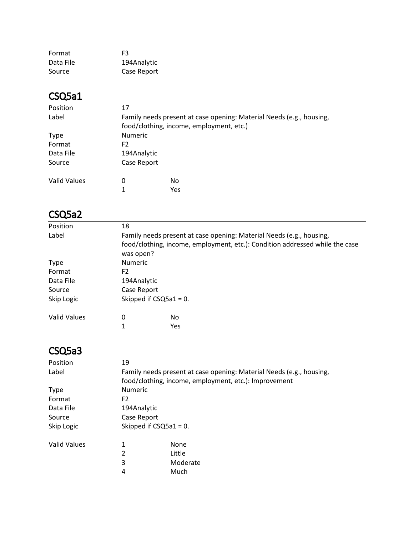| Format    | FЗ          |
|-----------|-------------|
| Data File | 194Analytic |
| Source    | Case Report |

### CSQ5a1

| Position            | 17                                                                   |     |  |  |
|---------------------|----------------------------------------------------------------------|-----|--|--|
| Label               | Family needs present at case opening: Material Needs (e.g., housing, |     |  |  |
|                     | food/clothing, income, employment, etc.)                             |     |  |  |
| <b>Type</b>         | <b>Numeric</b>                                                       |     |  |  |
| Format              | F <sub>2</sub>                                                       |     |  |  |
| Data File           | 194Analytic                                                          |     |  |  |
| Source              | Case Report                                                          |     |  |  |
| <b>Valid Values</b> | 0                                                                    | No. |  |  |
|                     | 1                                                                    | Yes |  |  |

# CSQ5a2

| Position            | 18                                                                   |                                                                              |  |  |
|---------------------|----------------------------------------------------------------------|------------------------------------------------------------------------------|--|--|
| Label               | Family needs present at case opening: Material Needs (e.g., housing, |                                                                              |  |  |
|                     |                                                                      | food/clothing, income, employment, etc.): Condition addressed while the case |  |  |
|                     | was open?                                                            |                                                                              |  |  |
| <b>Type</b>         | <b>Numeric</b>                                                       |                                                                              |  |  |
| Format              | F <sub>2</sub>                                                       |                                                                              |  |  |
| Data File           | 194Analytic                                                          |                                                                              |  |  |
| Source              | Case Report                                                          |                                                                              |  |  |
| Skip Logic          | Skipped if $CSQ5a1 = 0$ .                                            |                                                                              |  |  |
| <b>Valid Values</b> | 0                                                                    | No                                                                           |  |  |
|                     | 1                                                                    | Yes                                                                          |  |  |
|                     |                                                                      |                                                                              |  |  |

### CSQ5a3

| Position            | 19                                                                   |          |  |  |
|---------------------|----------------------------------------------------------------------|----------|--|--|
| Label               | Family needs present at case opening: Material Needs (e.g., housing, |          |  |  |
|                     | food/clothing, income, employment, etc.): Improvement                |          |  |  |
| <b>Type</b>         | <b>Numeric</b>                                                       |          |  |  |
| Format              | F <sub>2</sub>                                                       |          |  |  |
| Data File           | 194Analytic                                                          |          |  |  |
| Source              | Case Report                                                          |          |  |  |
| Skip Logic          | Skipped if $CSQ5a1 = 0$ .                                            |          |  |  |
| <b>Valid Values</b> | 1                                                                    | None     |  |  |
|                     | 2                                                                    | Little   |  |  |
|                     | 3                                                                    | Moderate |  |  |
|                     | 4                                                                    | Much     |  |  |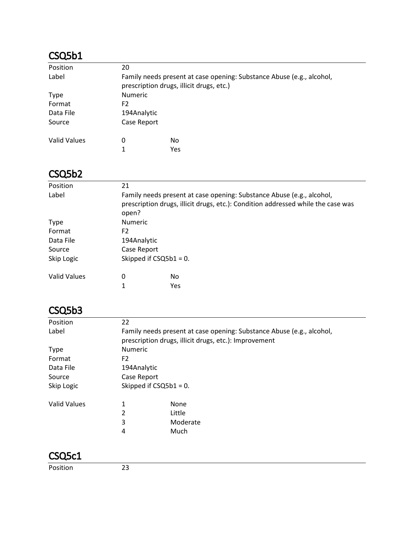### CSQ5b1

| Position     | 20                                                                                                                |     |  |  |
|--------------|-------------------------------------------------------------------------------------------------------------------|-----|--|--|
| Label        | Family needs present at case opening: Substance Abuse (e.g., alcohol,<br>prescription drugs, illicit drugs, etc.) |     |  |  |
| <b>Type</b>  | <b>Numeric</b>                                                                                                    |     |  |  |
| Format       | F2                                                                                                                |     |  |  |
| Data File    | 194Analytic                                                                                                       |     |  |  |
| Source       | Case Report                                                                                                       |     |  |  |
| Valid Values | 0                                                                                                                 | No. |  |  |
|              | 1                                                                                                                 | Yes |  |  |

#### CSQ5b2

| Position            | 21                                                                                                                                                                 |                  |  |
|---------------------|--------------------------------------------------------------------------------------------------------------------------------------------------------------------|------------------|--|
| Label               | Family needs present at case opening: Substance Abuse (e.g., alcohol,<br>prescription drugs, illicit drugs, etc.): Condition addressed while the case was<br>open? |                  |  |
| <b>Type</b>         | Numeric                                                                                                                                                            |                  |  |
| Format              | F <sub>2</sub>                                                                                                                                                     |                  |  |
| Data File           | 194Analytic                                                                                                                                                        |                  |  |
| Source              | Case Report                                                                                                                                                        |                  |  |
| Skip Logic          | Skipped if $CSQ5b1 = 0$ .                                                                                                                                          |                  |  |
| <b>Valid Values</b> | 0<br>1                                                                                                                                                             | No<br><b>Yes</b> |  |
|                     |                                                                                                                                                                    |                  |  |

#### CSQ5b3

| Position            | 22                                                                    |                                                       |  |
|---------------------|-----------------------------------------------------------------------|-------------------------------------------------------|--|
| Label               | Family needs present at case opening: Substance Abuse (e.g., alcohol, |                                                       |  |
|                     |                                                                       | prescription drugs, illicit drugs, etc.): Improvement |  |
| <b>Type</b>         | <b>Numeric</b>                                                        |                                                       |  |
| Format              | F <sub>2</sub>                                                        |                                                       |  |
| Data File           | 194Analytic                                                           |                                                       |  |
| Source              | Case Report                                                           |                                                       |  |
| Skip Logic          | Skipped if $CSQ5b1 = 0$ .                                             |                                                       |  |
| <b>Valid Values</b> | 1                                                                     | None                                                  |  |
|                     | 2                                                                     | Little                                                |  |
|                     | 3                                                                     | Moderate                                              |  |
|                     | 4                                                                     | Much                                                  |  |
|                     |                                                                       |                                                       |  |
|                     |                                                                       |                                                       |  |

Position 23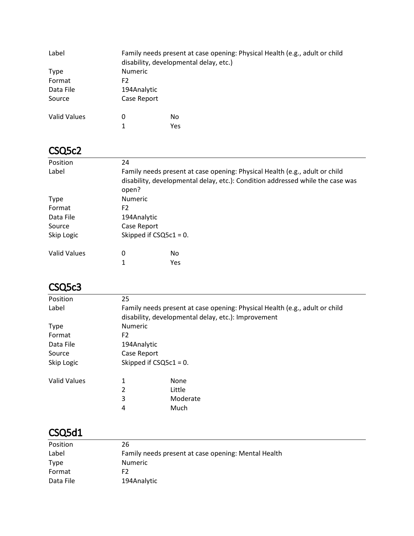| Label        |                | Family needs present at case opening: Physical Health (e.g., adult or child<br>disability, developmental delay, etc.) |  |
|--------------|----------------|-----------------------------------------------------------------------------------------------------------------------|--|
| Type         | <b>Numeric</b> |                                                                                                                       |  |
| Format       | F2.            |                                                                                                                       |  |
| Data File    | 194Analytic    |                                                                                                                       |  |
| Source       | Case Report    |                                                                                                                       |  |
| Valid Values | 0              | No                                                                                                                    |  |
|              |                | Yes                                                                                                                   |  |

### CSQ5c2

| Position     | 24                        |                                                                                                                                                               |  |
|--------------|---------------------------|---------------------------------------------------------------------------------------------------------------------------------------------------------------|--|
| Label        | open?                     | Family needs present at case opening: Physical Health (e.g., adult or child<br>disability, developmental delay, etc.): Condition addressed while the case was |  |
| <b>Type</b>  | <b>Numeric</b>            |                                                                                                                                                               |  |
| Format       | F <sub>2</sub>            |                                                                                                                                                               |  |
| Data File    | 194Analytic               |                                                                                                                                                               |  |
| Source       | Case Report               |                                                                                                                                                               |  |
| Skip Logic   | Skipped if $CSQ5c1 = 0$ . |                                                                                                                                                               |  |
| Valid Values | 0                         | No                                                                                                                                                            |  |
|              | 1                         | Yes                                                                                                                                                           |  |

#### CSQ5c3

| Position            | 25                                                                          |                                                     |  |
|---------------------|-----------------------------------------------------------------------------|-----------------------------------------------------|--|
| Label               | Family needs present at case opening: Physical Health (e.g., adult or child |                                                     |  |
|                     |                                                                             | disability, developmental delay, etc.): Improvement |  |
| <b>Type</b>         | <b>Numeric</b>                                                              |                                                     |  |
| Format              | F2                                                                          |                                                     |  |
| Data File           | 194Analytic                                                                 |                                                     |  |
| Source              | Case Report                                                                 |                                                     |  |
| Skip Logic          | Skipped if $CSQ5c1 = 0$ .                                                   |                                                     |  |
| <b>Valid Values</b> |                                                                             | None                                                |  |
|                     | 2                                                                           | Little                                              |  |
|                     | 3                                                                           | Moderate                                            |  |
|                     | 4                                                                           | Much                                                |  |

### CSQ5d1

| Position  | 26                                                  |
|-----------|-----------------------------------------------------|
| Label     | Family needs present at case opening: Mental Health |
| Type      | <b>Numeric</b>                                      |
| Format    | F2                                                  |
| Data File | 194Analytic                                         |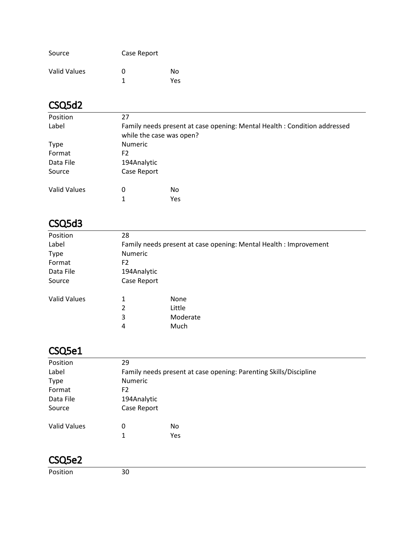| Source       | Case Report |      |
|--------------|-------------|------|
| Valid Values | O           | Nο   |
|              |             | Yes. |

# CSQ5d2

| Position            | 27                                                                                                   |     |  |
|---------------------|------------------------------------------------------------------------------------------------------|-----|--|
| Label               | Family needs present at case opening: Mental Health: Condition addressed<br>while the case was open? |     |  |
| <b>Type</b>         | <b>Numeric</b>                                                                                       |     |  |
| Format              | F2                                                                                                   |     |  |
| Data File           | 194Analytic                                                                                          |     |  |
| Source              | Case Report                                                                                          |     |  |
| <b>Valid Values</b> | 0                                                                                                    | No. |  |
|                     |                                                                                                      | Yes |  |

#### CSQ5d3

| Position            | 28                                                                |          |  |
|---------------------|-------------------------------------------------------------------|----------|--|
| Label               | Family needs present at case opening: Mental Health : Improvement |          |  |
| <b>Type</b>         | <b>Numeric</b>                                                    |          |  |
| Format              | F <sub>2</sub>                                                    |          |  |
| Data File           | 194Analytic                                                       |          |  |
| Source              | Case Report                                                       |          |  |
| <b>Valid Values</b> | 1                                                                 | None     |  |
|                     | 2                                                                 | Little   |  |
|                     | 3                                                                 | Moderate |  |
|                     | 4                                                                 | Much     |  |

### CSQ5e1

| Position            | 29                                                                |     |  |
|---------------------|-------------------------------------------------------------------|-----|--|
| Label               | Family needs present at case opening: Parenting Skills/Discipline |     |  |
| <b>Type</b>         | <b>Numeric</b>                                                    |     |  |
| Format              | F <sub>2</sub>                                                    |     |  |
| Data File           | 194Analytic                                                       |     |  |
| Source              | Case Report                                                       |     |  |
| <b>Valid Values</b> | 0                                                                 | No  |  |
|                     | 1                                                                 | Yes |  |

#### CSQ5e2

Position 30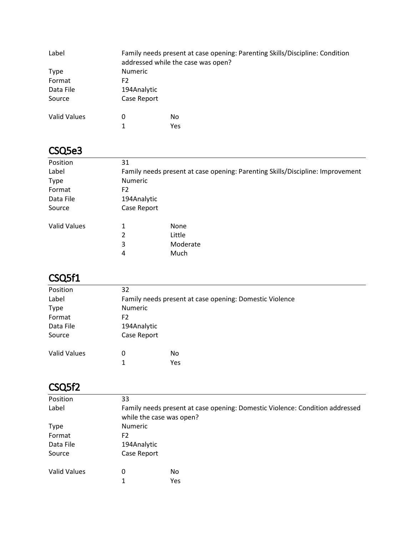| Label               |             | Family needs present at case opening: Parenting Skills/Discipline: Condition<br>addressed while the case was open? |  |
|---------------------|-------------|--------------------------------------------------------------------------------------------------------------------|--|
| <b>Type</b>         | Numeric     |                                                                                                                    |  |
| Format              | F2          |                                                                                                                    |  |
| Data File           | 194Analytic |                                                                                                                    |  |
| Source              | Case Report |                                                                                                                    |  |
| <b>Valid Values</b> | 0           | No.                                                                                                                |  |
|                     | 1           | Yes                                                                                                                |  |

#### CSQ5e3

| Position            | 31             |                                                                                |
|---------------------|----------------|--------------------------------------------------------------------------------|
| Label               |                | Family needs present at case opening: Parenting Skills/Discipline: Improvement |
| <b>Type</b>         | <b>Numeric</b> |                                                                                |
| Format              | F2             |                                                                                |
| Data File           | 194Analytic    |                                                                                |
| Source              | Case Report    |                                                                                |
| <b>Valid Values</b> | 1              | None                                                                           |
|                     | 2              | Little                                                                         |
|                     | 3              | Moderate                                                                       |
|                     | 4              | Much                                                                           |

# CSQ5f1

| Position            | 32                                                      |     |  |
|---------------------|---------------------------------------------------------|-----|--|
| Label               | Family needs present at case opening: Domestic Violence |     |  |
| <b>Type</b>         | Numeric                                                 |     |  |
| Format              | F2                                                      |     |  |
| Data File           | 194Analytic                                             |     |  |
| Source              | Case Report                                             |     |  |
| <b>Valid Values</b> | 0                                                       | No  |  |
|                     | 1                                                       | Yes |  |

#### CSQ5f2

| Position            | 33                                                                                                       |     |  |
|---------------------|----------------------------------------------------------------------------------------------------------|-----|--|
| Label               | Family needs present at case opening: Domestic Violence: Condition addressed<br>while the case was open? |     |  |
| <b>Type</b>         | <b>Numeric</b>                                                                                           |     |  |
| Format              | F2                                                                                                       |     |  |
| Data File           | 194Analytic                                                                                              |     |  |
| Source              | Case Report                                                                                              |     |  |
| <b>Valid Values</b> | 0                                                                                                        | No  |  |
|                     | 1                                                                                                        | Yes |  |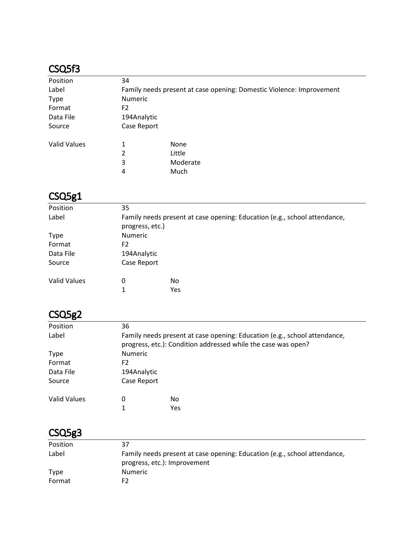#### CSQ5f3

| Position            | 34                                                                   |             |  |
|---------------------|----------------------------------------------------------------------|-------------|--|
| Label               | Family needs present at case opening: Domestic Violence: Improvement |             |  |
| <b>Type</b>         | <b>Numeric</b>                                                       |             |  |
| Format              | F2                                                                   |             |  |
| Data File           | 194Analytic                                                          |             |  |
| Source              | Case Report                                                          |             |  |
| <b>Valid Values</b> | 1                                                                    | <b>None</b> |  |
|                     | 2                                                                    | Little      |  |
|                     | 3                                                                    | Moderate    |  |
|                     | 4                                                                    | Much        |  |

# CSQ5g1

| Position            | 35                                                                                           |           |  |
|---------------------|----------------------------------------------------------------------------------------------|-----------|--|
| Label               | Family needs present at case opening: Education (e.g., school attendance,<br>progress, etc.) |           |  |
| <b>Type</b>         | <b>Numeric</b>                                                                               |           |  |
| Format              | F2                                                                                           |           |  |
| Data File           | 194Analytic                                                                                  |           |  |
| Source              | Case Report                                                                                  |           |  |
| <b>Valid Values</b> | 0<br>1                                                                                       | No<br>Yes |  |

# CSQ5g2

| Position     | 36                                                                                                                                         |     |  |
|--------------|--------------------------------------------------------------------------------------------------------------------------------------------|-----|--|
| Label        | Family needs present at case opening: Education (e.g., school attendance,<br>progress, etc.): Condition addressed while the case was open? |     |  |
| <b>Type</b>  | <b>Numeric</b>                                                                                                                             |     |  |
| Format       | F2                                                                                                                                         |     |  |
| Data File    | 194Analytic                                                                                                                                |     |  |
| Source       | Case Report                                                                                                                                |     |  |
| Valid Values | 0                                                                                                                                          | No. |  |
|              |                                                                                                                                            | Yes |  |

# CSQ5g3

| Position    | 37                                                                        |
|-------------|---------------------------------------------------------------------------|
| Label       | Family needs present at case opening: Education (e.g., school attendance, |
|             | progress, etc.): Improvement                                              |
| <b>Type</b> | <b>Numeric</b>                                                            |
| Format      | F2                                                                        |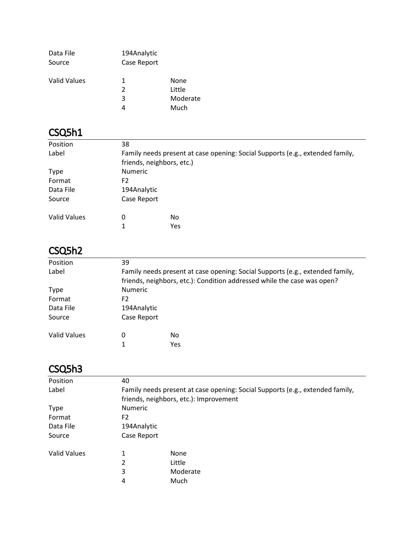| Data File           | 194Analytic   |          |
|---------------------|---------------|----------|
| Source              | Case Report   |          |
| <b>Valid Values</b> | 1.            | None     |
|                     | $\mathcal{P}$ | Little   |
|                     | 3             | Moderate |
|                     |               | Much     |

# CSQ5h1

| Position            | 38                                                                            |                           |  |
|---------------------|-------------------------------------------------------------------------------|---------------------------|--|
| Label               | Family needs present at case opening: Social Supports (e.g., extended family, |                           |  |
|                     |                                                                               | friends, neighbors, etc.) |  |
| <b>Type</b>         | <b>Numeric</b>                                                                |                           |  |
| Format              | F <sub>2</sub>                                                                |                           |  |
| Data File           | 194Analytic                                                                   |                           |  |
| Source              | Case Report                                                                   |                           |  |
| <b>Valid Values</b> | 0                                                                             | No                        |  |
|                     | 1                                                                             | Yes                       |  |

# CSQ5h2

| Position     | 39                                                                                                                                                       |     |  |
|--------------|----------------------------------------------------------------------------------------------------------------------------------------------------------|-----|--|
| Label        | Family needs present at case opening: Social Supports (e.g., extended family,<br>friends, neighbors, etc.): Condition addressed while the case was open? |     |  |
| <b>Type</b>  | <b>Numeric</b>                                                                                                                                           |     |  |
| Format       | F2                                                                                                                                                       |     |  |
| Data File    | 194Analytic                                                                                                                                              |     |  |
| Source       | Case Report                                                                                                                                              |     |  |
| Valid Values | 0                                                                                                                                                        | No. |  |
|              |                                                                                                                                                          | Yes |  |

### CSQ5h3

| Position     | 40                                                                            |                                        |  |
|--------------|-------------------------------------------------------------------------------|----------------------------------------|--|
| Label        | Family needs present at case opening: Social Supports (e.g., extended family, |                                        |  |
|              |                                                                               | friends, neighbors, etc.): Improvement |  |
| <b>Type</b>  | <b>Numeric</b>                                                                |                                        |  |
| Format       | F <sub>2</sub>                                                                |                                        |  |
| Data File    | 194Analytic                                                                   |                                        |  |
| Source       | Case Report                                                                   |                                        |  |
| Valid Values | 1                                                                             | None                                   |  |
|              | 2                                                                             | Little                                 |  |
|              | 3                                                                             | Moderate                               |  |
|              | 4                                                                             | Much                                   |  |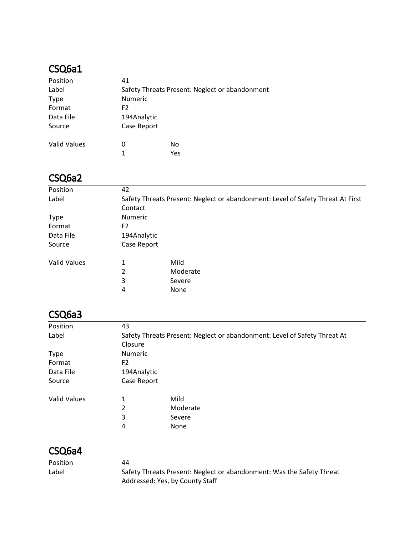| Position            | 41             |                                                |
|---------------------|----------------|------------------------------------------------|
| Label               |                | Safety Threats Present: Neglect or abandonment |
| <b>Type</b>         | <b>Numeric</b> |                                                |
| Format              | F <sub>2</sub> |                                                |
| Data File           | 194Analytic    |                                                |
| Source              | Case Report    |                                                |
| <b>Valid Values</b> | 0              | No                                             |
|                     | 1              | Yes                                            |

# CSQ6a2

| Position            | 42             |                                                                                 |  |
|---------------------|----------------|---------------------------------------------------------------------------------|--|
| Label               |                | Safety Threats Present: Neglect or abandonment: Level of Safety Threat At First |  |
|                     | Contact        |                                                                                 |  |
| <b>Type</b>         | <b>Numeric</b> |                                                                                 |  |
| Format              | F <sub>2</sub> |                                                                                 |  |
| Data File           | 194Analytic    |                                                                                 |  |
| Source              | Case Report    |                                                                                 |  |
| <b>Valid Values</b> | 1              | Mild                                                                            |  |
|                     | 2              | Moderate                                                                        |  |
|                     | 3              | Severe                                                                          |  |
|                     | 4              | None                                                                            |  |

#### CSQ6a3

| Position            | 43                                                                        |          |  |
|---------------------|---------------------------------------------------------------------------|----------|--|
| Label               | Safety Threats Present: Neglect or abandonment: Level of Safety Threat At |          |  |
|                     | Closure                                                                   |          |  |
| <b>Type</b>         | <b>Numeric</b>                                                            |          |  |
| Format              | F2                                                                        |          |  |
| Data File           | 194Analytic                                                               |          |  |
| Source              | Case Report                                                               |          |  |
| <b>Valid Values</b> | 1                                                                         | Mild     |  |
|                     | 2                                                                         | Moderate |  |
|                     | 3                                                                         | Severe   |  |
|                     | 4                                                                         | None     |  |

#### CSQ6a4

| <b>Position</b> | 44                                                                    |
|-----------------|-----------------------------------------------------------------------|
| Label           | Safety Threats Present: Neglect or abandonment: Was the Safety Threat |
|                 | Addressed: Yes, by County Staff                                       |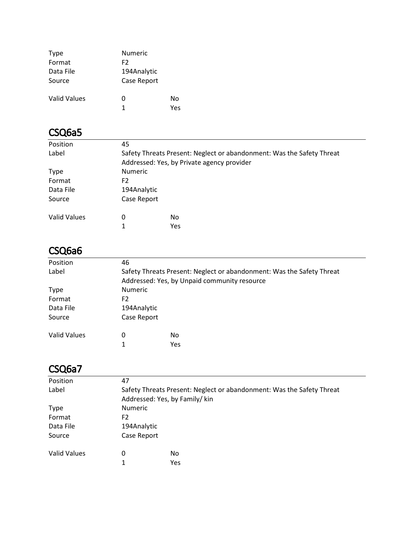| <b>Type</b>  | <b>Numeric</b> |     |
|--------------|----------------|-----|
| Format       | F2             |     |
| Data File    | 194Analytic    |     |
| Source       | Case Report    |     |
| Valid Values | O              | No  |
|              | 1              | Υρς |

| Position            | 45                                                                    |                                            |  |
|---------------------|-----------------------------------------------------------------------|--------------------------------------------|--|
| Label               | Safety Threats Present: Neglect or abandonment: Was the Safety Threat |                                            |  |
|                     |                                                                       | Addressed: Yes, by Private agency provider |  |
| <b>Type</b>         | <b>Numeric</b>                                                        |                                            |  |
| Format              | F2                                                                    |                                            |  |
| Data File           | 194Analytic                                                           |                                            |  |
| Source              | Case Report                                                           |                                            |  |
| <b>Valid Values</b> | 0                                                                     | No                                         |  |
|                     | 1                                                                     | Yes                                        |  |

### CSQ6a6

| Position            | 46                                                                                                                    |           |  |
|---------------------|-----------------------------------------------------------------------------------------------------------------------|-----------|--|
| Label               | Safety Threats Present: Neglect or abandonment: Was the Safety Threat<br>Addressed: Yes, by Unpaid community resource |           |  |
| <b>Type</b>         | <b>Numeric</b>                                                                                                        |           |  |
| Format              | F2                                                                                                                    |           |  |
| Data File           | 194Analytic                                                                                                           |           |  |
| Source              | Case Report                                                                                                           |           |  |
| <b>Valid Values</b> | 0                                                                                                                     | No<br>Yes |  |

### CSQ6a7

| Position            | 47                                                                                                      |            |  |
|---------------------|---------------------------------------------------------------------------------------------------------|------------|--|
| Label               | Safety Threats Present: Neglect or abandonment: Was the Safety Threat<br>Addressed: Yes, by Family/ kin |            |  |
| <b>Type</b>         | <b>Numeric</b>                                                                                          |            |  |
| Format              | F2                                                                                                      |            |  |
| Data File           | 194Analytic                                                                                             |            |  |
| Source              | Case Report                                                                                             |            |  |
| <b>Valid Values</b> | 0                                                                                                       | No         |  |
|                     |                                                                                                         | <b>Yes</b> |  |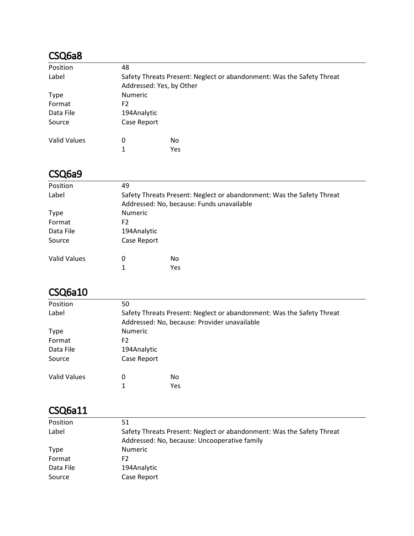| Position            | 48          |                                                                       |  |  |
|---------------------|-------------|-----------------------------------------------------------------------|--|--|
| Label               |             | Safety Threats Present: Neglect or abandonment: Was the Safety Threat |  |  |
|                     |             | Addressed: Yes, by Other                                              |  |  |
| <b>Type</b>         |             | <b>Numeric</b>                                                        |  |  |
| Format              | F2          |                                                                       |  |  |
| Data File           | 194Analytic |                                                                       |  |  |
| Source              | Case Report |                                                                       |  |  |
| <b>Valid Values</b> | 0           | No                                                                    |  |  |
|                     | 1           | Yes                                                                   |  |  |

#### CSQ6a9

| Position            | 49                                                                    |                                           |  |  |
|---------------------|-----------------------------------------------------------------------|-------------------------------------------|--|--|
| Label               | Safety Threats Present: Neglect or abandonment: Was the Safety Threat |                                           |  |  |
|                     |                                                                       | Addressed: No, because: Funds unavailable |  |  |
| <b>Type</b>         |                                                                       | <b>Numeric</b>                            |  |  |
| Format              | F <sub>2</sub>                                                        |                                           |  |  |
| Data File           |                                                                       | 194Analytic                               |  |  |
| Source              | Case Report                                                           |                                           |  |  |
| <b>Valid Values</b> | 0                                                                     | No                                        |  |  |
|                     |                                                                       | Yes                                       |  |  |
|                     |                                                                       |                                           |  |  |

#### CSQ6a10

| Position            | 50          |                                                                       |  |  |
|---------------------|-------------|-----------------------------------------------------------------------|--|--|
| Label               |             | Safety Threats Present: Neglect or abandonment: Was the Safety Threat |  |  |
|                     |             | Addressed: No, because: Provider unavailable                          |  |  |
| <b>Type</b>         |             | <b>Numeric</b>                                                        |  |  |
| Format              | F2          |                                                                       |  |  |
| Data File           | 194Analytic |                                                                       |  |  |
| Source              | Case Report |                                                                       |  |  |
| <b>Valid Values</b> | 0           | No.                                                                   |  |  |
|                     |             | Yes                                                                   |  |  |
|                     |             |                                                                       |  |  |

#### CSQ6a11

| Position    | 51                                                                    |
|-------------|-----------------------------------------------------------------------|
| Label       | Safety Threats Present: Neglect or abandonment: Was the Safety Threat |
|             | Addressed: No, because: Uncooperative family                          |
| <b>Type</b> | <b>Numeric</b>                                                        |
| Format      | F2                                                                    |
| Data File   | 194Analytic                                                           |
| Source      | Case Report                                                           |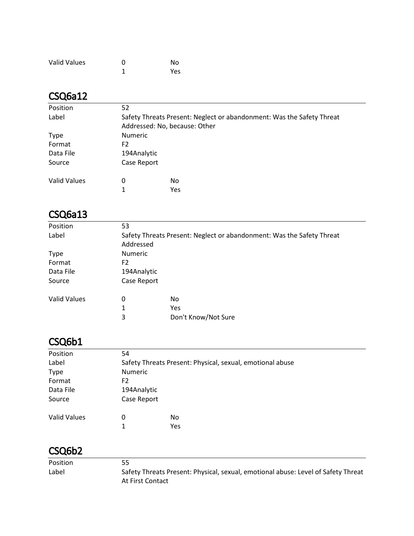| <b>Valid Values</b> | O | No  |
|---------------------|---|-----|
|                     |   | Yes |

| Position            | 52                                                                                                     |     |  |
|---------------------|--------------------------------------------------------------------------------------------------------|-----|--|
| Label               | Safety Threats Present: Neglect or abandonment: Was the Safety Threat<br>Addressed: No, because: Other |     |  |
| <b>Type</b>         | <b>Numeric</b>                                                                                         |     |  |
| Format              | F2                                                                                                     |     |  |
| Data File           | 194Analytic                                                                                            |     |  |
| Source              | Case Report                                                                                            |     |  |
| <b>Valid Values</b> | 0                                                                                                      | No  |  |
|                     | 1                                                                                                      | Yes |  |

#### CSQ6a13

| Position            | 53                                                                                 |                     |
|---------------------|------------------------------------------------------------------------------------|---------------------|
| Label               | Safety Threats Present: Neglect or abandonment: Was the Safety Threat<br>Addressed |                     |
| <b>Type</b>         | <b>Numeric</b>                                                                     |                     |
| Format              | F2                                                                                 |                     |
| Data File           | 194Analytic                                                                        |                     |
| Source              | Case Report                                                                        |                     |
| <b>Valid Values</b> | 0                                                                                  | No                  |
|                     | 1                                                                                  | Yes                 |
|                     | 3                                                                                  | Don't Know/Not Sure |

### CSQ6b1

| Position            | 54                                                        |     |  |
|---------------------|-----------------------------------------------------------|-----|--|
| Label               | Safety Threats Present: Physical, sexual, emotional abuse |     |  |
| <b>Type</b>         | Numeric                                                   |     |  |
| Format              | F2                                                        |     |  |
| Data File           | 194Analytic                                               |     |  |
| Source              | Case Report                                               |     |  |
| <b>Valid Values</b> | 0                                                         | No  |  |
|                     | 1                                                         | Yes |  |

| <b>Position</b> | 55                                                                                |
|-----------------|-----------------------------------------------------------------------------------|
| Label           | Safety Threats Present: Physical, sexual, emotional abuse: Level of Safety Threat |
|                 | At First Contact                                                                  |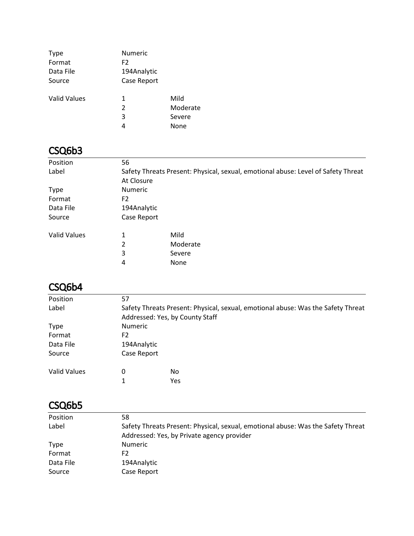| <b>Type</b><br>Format<br>Data File<br>Source | <b>Numeric</b><br>F <sub>2</sub><br>194Analytic<br>Case Report |                                    |
|----------------------------------------------|----------------------------------------------------------------|------------------------------------|
| <b>Valid Values</b>                          | 1<br>2<br>3                                                    | Mild<br>Moderate<br>Severe<br>None |

| Position            | 56             |                                                                                   |  |  |
|---------------------|----------------|-----------------------------------------------------------------------------------|--|--|
| Label               |                | Safety Threats Present: Physical, sexual, emotional abuse: Level of Safety Threat |  |  |
|                     | At Closure     |                                                                                   |  |  |
| <b>Type</b>         | <b>Numeric</b> |                                                                                   |  |  |
| Format              | F <sub>2</sub> |                                                                                   |  |  |
| Data File           |                | 194Analytic                                                                       |  |  |
| Source              | Case Report    |                                                                                   |  |  |
| <b>Valid Values</b> | 1              | Mild                                                                              |  |  |
|                     | 2              | Moderate                                                                          |  |  |
|                     | 3              | Severe                                                                            |  |  |
|                     | 4              | None                                                                              |  |  |

#### CSQ6b4

| Position            | 57                                                                               |                                 |  |
|---------------------|----------------------------------------------------------------------------------|---------------------------------|--|
| Label               | Safety Threats Present: Physical, sexual, emotional abuse: Was the Safety Threat |                                 |  |
|                     |                                                                                  | Addressed: Yes, by County Staff |  |
| <b>Type</b>         | <b>Numeric</b>                                                                   |                                 |  |
| Format              | F2                                                                               |                                 |  |
| Data File           | 194Analytic                                                                      |                                 |  |
| Source              | Case Report                                                                      |                                 |  |
| <b>Valid Values</b> | 0                                                                                | No                              |  |
|                     |                                                                                  | Yes                             |  |

| Position    | 58                                                                               |
|-------------|----------------------------------------------------------------------------------|
| Label       | Safety Threats Present: Physical, sexual, emotional abuse: Was the Safety Threat |
|             | Addressed: Yes, by Private agency provider                                       |
| <b>Type</b> | <b>Numeric</b>                                                                   |
| Format      | F2                                                                               |
| Data File   | 194Analytic                                                                      |
| Source      | Case Report                                                                      |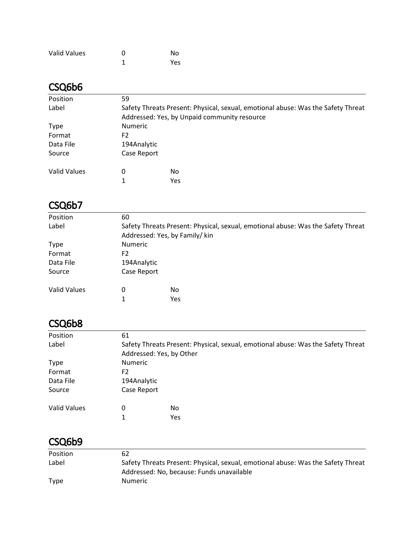| <b>Valid Values</b> | O | No  |
|---------------------|---|-----|
|                     |   | Yes |

| Position     | 59             |                                                                                  |  |  |
|--------------|----------------|----------------------------------------------------------------------------------|--|--|
| Label        |                | Safety Threats Present: Physical, sexual, emotional abuse: Was the Safety Threat |  |  |
|              |                | Addressed: Yes, by Unpaid community resource                                     |  |  |
| <b>Type</b>  | <b>Numeric</b> |                                                                                  |  |  |
| Format       | F2             |                                                                                  |  |  |
| Data File    |                | 194Analytic                                                                      |  |  |
| Source       | Case Report    |                                                                                  |  |  |
| Valid Values | 0              | No                                                                               |  |  |
|              | 1              | Yes                                                                              |  |  |

### CSQ6b7

| Position            | 60                                                                               |                               |  |
|---------------------|----------------------------------------------------------------------------------|-------------------------------|--|
| Label               | Safety Threats Present: Physical, sexual, emotional abuse: Was the Safety Threat |                               |  |
|                     |                                                                                  | Addressed: Yes, by Family/kin |  |
| <b>Type</b>         | <b>Numeric</b>                                                                   |                               |  |
| Format              | F2                                                                               |                               |  |
| Data File           | 194Analytic                                                                      |                               |  |
| Source              | Case Report                                                                      |                               |  |
| <b>Valid Values</b> | 0                                                                                | No                            |  |
|                     |                                                                                  | Yes                           |  |

#### CSQ6b8

| Position            | 61                       |                                                                                  |  |
|---------------------|--------------------------|----------------------------------------------------------------------------------|--|
| Label               |                          | Safety Threats Present: Physical, sexual, emotional abuse: Was the Safety Threat |  |
|                     | Addressed: Yes, by Other |                                                                                  |  |
| <b>Type</b>         | <b>Numeric</b>           |                                                                                  |  |
| Format              | F2                       |                                                                                  |  |
| Data File           | 194Analytic              |                                                                                  |  |
| Source              | Case Report              |                                                                                  |  |
| <b>Valid Values</b> | 0                        | No                                                                               |  |
|                     | 1                        | Yes                                                                              |  |

| Position    | 62                                                                                                                            |
|-------------|-------------------------------------------------------------------------------------------------------------------------------|
| Label       | Safety Threats Present: Physical, sexual, emotional abuse: Was the Safety Threat<br>Addressed: No, because: Funds unavailable |
| <b>Type</b> | <b>Numeric</b>                                                                                                                |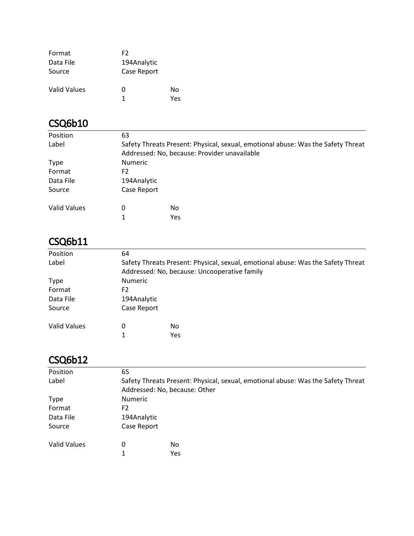| Format       | F2          |     |
|--------------|-------------|-----|
| Data File    | 194Analytic |     |
| Source       | Case Report |     |
| Valid Values | O           | Nο  |
|              | 1           | Yes |

| Position            | 63             |                                                                                  |  |
|---------------------|----------------|----------------------------------------------------------------------------------|--|
| Label               |                | Safety Threats Present: Physical, sexual, emotional abuse: Was the Safety Threat |  |
|                     |                | Addressed: No, because: Provider unavailable                                     |  |
| <b>Type</b>         | <b>Numeric</b> |                                                                                  |  |
| Format              | F <sub>2</sub> |                                                                                  |  |
| Data File           | 194Analytic    |                                                                                  |  |
| Source              | Case Report    |                                                                                  |  |
| <b>Valid Values</b> | 0              | No                                                                               |  |
|                     | 1              | Yes                                                                              |  |

## CSQ6b11

| Position     | 64             |                                                                                  |  |  |
|--------------|----------------|----------------------------------------------------------------------------------|--|--|
| Label        |                | Safety Threats Present: Physical, sexual, emotional abuse: Was the Safety Threat |  |  |
|              |                | Addressed: No, because: Uncooperative family                                     |  |  |
| <b>Type</b>  | <b>Numeric</b> |                                                                                  |  |  |
| Format       | F2             |                                                                                  |  |  |
| Data File    | 194Analytic    |                                                                                  |  |  |
| Source       | Case Report    |                                                                                  |  |  |
| Valid Values | $\Omega$       | No                                                                               |  |  |
|              |                | Yes                                                                              |  |  |

| Position            | 65             |                                                                                                                   |  |  |
|---------------------|----------------|-------------------------------------------------------------------------------------------------------------------|--|--|
| Label               |                | Safety Threats Present: Physical, sexual, emotional abuse: Was the Safety Threat<br>Addressed: No, because: Other |  |  |
| <b>Type</b>         |                | <b>Numeric</b>                                                                                                    |  |  |
| Format              | F <sub>2</sub> |                                                                                                                   |  |  |
| Data File           | 194Analytic    |                                                                                                                   |  |  |
| Source              | Case Report    |                                                                                                                   |  |  |
| <b>Valid Values</b> | 0              | No                                                                                                                |  |  |
|                     | 1              | Yes                                                                                                               |  |  |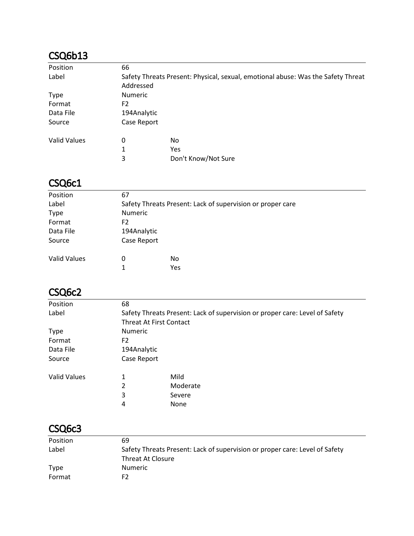| Position            | 66             |                                                                                  |  |
|---------------------|----------------|----------------------------------------------------------------------------------|--|
| Label               |                | Safety Threats Present: Physical, sexual, emotional abuse: Was the Safety Threat |  |
|                     | Addressed      |                                                                                  |  |
| <b>Type</b>         | <b>Numeric</b> |                                                                                  |  |
| Format              | F2             |                                                                                  |  |
| Data File           | 194Analytic    |                                                                                  |  |
| Source              | Case Report    |                                                                                  |  |
| <b>Valid Values</b> | 0              | No                                                                               |  |
|                     | 1              | Yes                                                                              |  |
|                     | 3              | Don't Know/Not Sure                                                              |  |

### CSQ6c1

| Position            | 67                                                         |     |  |
|---------------------|------------------------------------------------------------|-----|--|
| Label               | Safety Threats Present: Lack of supervision or proper care |     |  |
| <b>Type</b>         | <b>Numeric</b>                                             |     |  |
| Format              | F2                                                         |     |  |
| Data File           | 194Analytic                                                |     |  |
| Source              | Case Report                                                |     |  |
| <b>Valid Values</b> | 0                                                          | No. |  |
|                     | 1                                                          | Yes |  |

#### CSQ6c2

| Position     | 68                             |                                                                             |
|--------------|--------------------------------|-----------------------------------------------------------------------------|
| Label        |                                | Safety Threats Present: Lack of supervision or proper care: Level of Safety |
|              | <b>Threat At First Contact</b> |                                                                             |
| <b>Type</b>  | <b>Numeric</b>                 |                                                                             |
| Format       | F2                             |                                                                             |
| Data File    | 194Analytic                    |                                                                             |
| Source       | Case Report                    |                                                                             |
| Valid Values | 1                              | Mild                                                                        |
|              | 2                              | Moderate                                                                    |
|              | 3                              | Severe                                                                      |
|              | 4                              | None                                                                        |

#### CSQ6c3

| Position | 69                                                                          |
|----------|-----------------------------------------------------------------------------|
| Label    | Safety Threats Present: Lack of supervision or proper care: Level of Safety |
|          | Threat At Closure                                                           |
| Type     | Numeric                                                                     |
| Format   | F2                                                                          |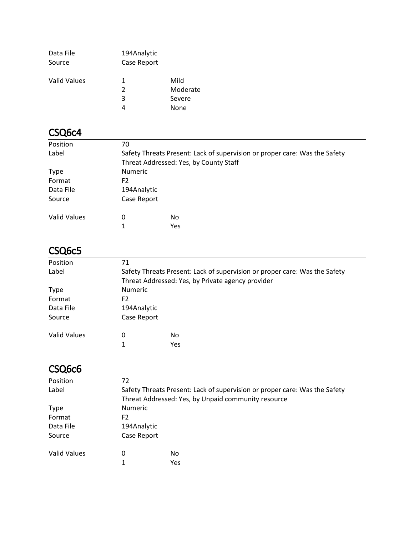| Data File<br>Source | 194Analytic<br>Case Report |          |
|---------------------|----------------------------|----------|
|                     |                            |          |
| <b>Valid Values</b> | 1                          | Mild     |
|                     | $\mathcal{P}$              | Moderate |
|                     | 3                          | Severe   |
|                     |                            | None     |

#### CSQ6c4

| Position            | 70          |                                                                            |  |  |
|---------------------|-------------|----------------------------------------------------------------------------|--|--|
| Label               |             | Safety Threats Present: Lack of supervision or proper care: Was the Safety |  |  |
|                     |             | Threat Addressed: Yes, by County Staff                                     |  |  |
| <b>Type</b>         |             | <b>Numeric</b>                                                             |  |  |
| Format              | F2          |                                                                            |  |  |
| Data File           | 194Analytic |                                                                            |  |  |
| Source              | Case Report |                                                                            |  |  |
| <b>Valid Values</b> | 0           | No                                                                         |  |  |
|                     | 1           | Yes                                                                        |  |  |

#### CSQ6c5

| Position            | 71                                                                         |                                                   |  |
|---------------------|----------------------------------------------------------------------------|---------------------------------------------------|--|
| Label               | Safety Threats Present: Lack of supervision or proper care: Was the Safety |                                                   |  |
|                     |                                                                            | Threat Addressed: Yes, by Private agency provider |  |
| <b>Type</b>         | <b>Numeric</b>                                                             |                                                   |  |
| Format              | F2                                                                         |                                                   |  |
| Data File           | 194Analytic                                                                |                                                   |  |
| Source              | Case Report                                                                |                                                   |  |
| <b>Valid Values</b> | 0                                                                          | No                                                |  |
|                     | 1                                                                          | Yes                                               |  |

### CSQ6c6

| Position            | 72                                                                         |                                                     |  |
|---------------------|----------------------------------------------------------------------------|-----------------------------------------------------|--|
| Label               | Safety Threats Present: Lack of supervision or proper care: Was the Safety |                                                     |  |
|                     |                                                                            | Threat Addressed: Yes, by Unpaid community resource |  |
| <b>Type</b>         | <b>Numeric</b>                                                             |                                                     |  |
| Format              | F2                                                                         |                                                     |  |
| Data File           | 194Analytic                                                                |                                                     |  |
| Source              | Case Report                                                                |                                                     |  |
| <b>Valid Values</b> | 0                                                                          | No                                                  |  |
|                     |                                                                            | Yes                                                 |  |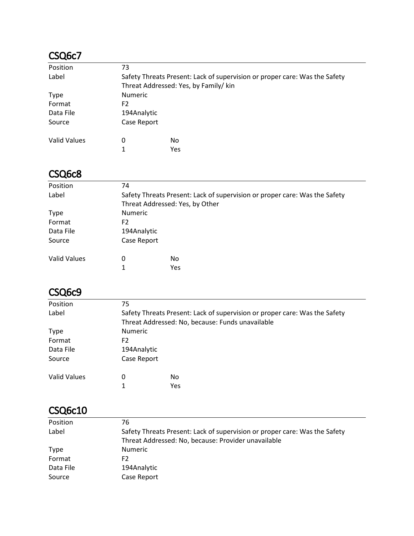#### CSQ6c7

| Position            | 73                                                                         |                                       |  |  |
|---------------------|----------------------------------------------------------------------------|---------------------------------------|--|--|
| Label               | Safety Threats Present: Lack of supervision or proper care: Was the Safety |                                       |  |  |
|                     |                                                                            | Threat Addressed: Yes, by Family/ kin |  |  |
| <b>Type</b>         | <b>Numeric</b>                                                             |                                       |  |  |
| Format              | F2                                                                         |                                       |  |  |
| Data File           | 194Analytic                                                                |                                       |  |  |
| Source              | Case Report                                                                |                                       |  |  |
| <b>Valid Values</b> | 0                                                                          | No                                    |  |  |
|                     | 1                                                                          | Yes                                   |  |  |

#### CSQ6c8

| Position            | 74                                                                         |                                 |  |
|---------------------|----------------------------------------------------------------------------|---------------------------------|--|
| Label               | Safety Threats Present: Lack of supervision or proper care: Was the Safety |                                 |  |
|                     |                                                                            | Threat Addressed: Yes, by Other |  |
| <b>Type</b>         | <b>Numeric</b>                                                             |                                 |  |
| Format              | F <sub>2</sub>                                                             |                                 |  |
| Data File           | 194Analytic                                                                |                                 |  |
| Source              | Case Report                                                                |                                 |  |
| <b>Valid Values</b> | 0                                                                          | No                              |  |
|                     | 1                                                                          | <b>Yes</b>                      |  |
|                     |                                                                            |                                 |  |

#### CSQ6c9

| Position            | 75                                                                         |                                                  |  |
|---------------------|----------------------------------------------------------------------------|--------------------------------------------------|--|
| Label               | Safety Threats Present: Lack of supervision or proper care: Was the Safety |                                                  |  |
|                     |                                                                            | Threat Addressed: No, because: Funds unavailable |  |
| <b>Type</b>         | <b>Numeric</b>                                                             |                                                  |  |
| Format              | F2                                                                         |                                                  |  |
| Data File           | 194Analytic                                                                |                                                  |  |
| Source              | Case Report                                                                |                                                  |  |
| <b>Valid Values</b> | 0                                                                          | No                                               |  |
|                     | 1                                                                          | <b>Yes</b>                                       |  |
|                     |                                                                            |                                                  |  |

#### CSQ6c10

| Position  | 76                                                                         |
|-----------|----------------------------------------------------------------------------|
| Label     | Safety Threats Present: Lack of supervision or proper care: Was the Safety |
|           | Threat Addressed: No, because: Provider unavailable                        |
| Type      | <b>Numeric</b>                                                             |
| Format    | F2                                                                         |
| Data File | 194Analytic                                                                |
| Source    | Case Report                                                                |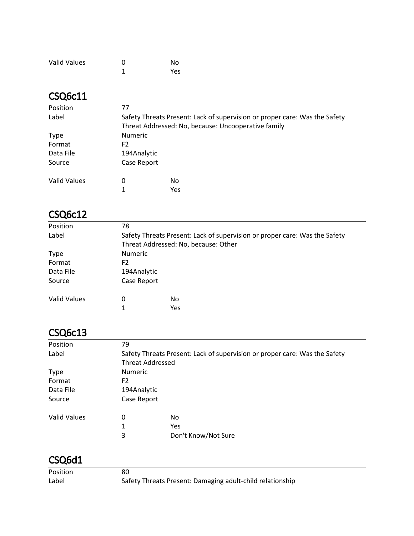| <b>Valid Values</b> | ŋ | No  |
|---------------------|---|-----|
|                     |   | Yes |

#### CSQ6c11

| Position            | 77                                                                         |     |  |  |
|---------------------|----------------------------------------------------------------------------|-----|--|--|
| Label               | Safety Threats Present: Lack of supervision or proper care: Was the Safety |     |  |  |
|                     | Threat Addressed: No, because: Uncooperative family                        |     |  |  |
| <b>Type</b>         | <b>Numeric</b>                                                             |     |  |  |
| Format              | F <sub>2</sub>                                                             |     |  |  |
| Data File           | 194Analytic                                                                |     |  |  |
| Source              | Case Report                                                                |     |  |  |
| <b>Valid Values</b> | 0                                                                          | No  |  |  |
|                     | 1                                                                          | Yes |  |  |
|                     |                                                                            |     |  |  |

#### CSQ6c12

| Position            | 78                                                                                                                 |     |  |
|---------------------|--------------------------------------------------------------------------------------------------------------------|-----|--|
| Label               | Safety Threats Present: Lack of supervision or proper care: Was the Safety<br>Threat Addressed: No, because: Other |     |  |
| <b>Type</b>         | <b>Numeric</b>                                                                                                     |     |  |
| Format              | F2                                                                                                                 |     |  |
| Data File           | 194Analytic                                                                                                        |     |  |
| Source              | Case Report                                                                                                        |     |  |
| <b>Valid Values</b> | 0                                                                                                                  | No  |  |
|                     | 1                                                                                                                  | Yes |  |
|                     |                                                                                                                    |     |  |

#### CSQ6c13

| Position            | 79                                                                                                    |                     |  |
|---------------------|-------------------------------------------------------------------------------------------------------|---------------------|--|
| Label               | Safety Threats Present: Lack of supervision or proper care: Was the Safety<br><b>Threat Addressed</b> |                     |  |
| <b>Type</b>         | <b>Numeric</b>                                                                                        |                     |  |
| Format              | F2                                                                                                    |                     |  |
| Data File           | 194Analytic                                                                                           |                     |  |
| Source              | Case Report                                                                                           |                     |  |
| <b>Valid Values</b> | 0                                                                                                     | No                  |  |
|                     | 1                                                                                                     | <b>Yes</b>          |  |
|                     | 3                                                                                                     | Don't Know/Not Sure |  |

| Position | 80                                                        |
|----------|-----------------------------------------------------------|
| Label    | Safety Threats Present: Damaging adult-child relationship |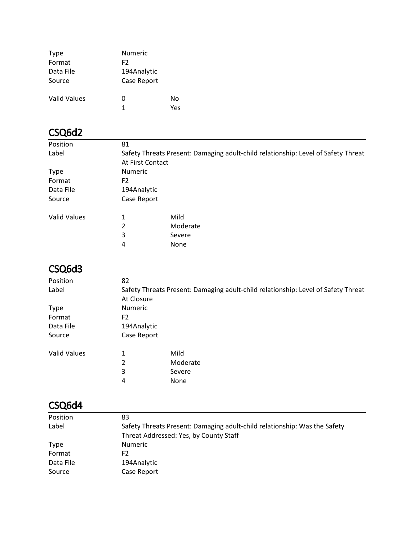| <b>Type</b>  | <b>Numeric</b> |     |
|--------------|----------------|-----|
| Format       | F2             |     |
| Data File    | 194Analytic    |     |
| Source       | Case Report    |     |
| Valid Values | O              | No  |
|              | 1              | Υρς |

| Position            | 81                                                                                |          |  |
|---------------------|-----------------------------------------------------------------------------------|----------|--|
| Label               | Safety Threats Present: Damaging adult-child relationship: Level of Safety Threat |          |  |
|                     | At First Contact                                                                  |          |  |
| <b>Type</b>         | <b>Numeric</b>                                                                    |          |  |
| Format              | F <sub>2</sub>                                                                    |          |  |
| Data File           | 194Analytic                                                                       |          |  |
| Source              | Case Report                                                                       |          |  |
| <b>Valid Values</b> | 1                                                                                 | Mild     |  |
|                     | 2                                                                                 | Moderate |  |
|                     | 3                                                                                 | Severe   |  |
|                     | 4                                                                                 | None     |  |
|                     |                                                                                   |          |  |

### CSQ6d3

| Position     | 82                                                                                |          |  |
|--------------|-----------------------------------------------------------------------------------|----------|--|
| Label        | Safety Threats Present: Damaging adult-child relationship: Level of Safety Threat |          |  |
|              | At Closure                                                                        |          |  |
| <b>Type</b>  | <b>Numeric</b>                                                                    |          |  |
| Format       | F <sub>2</sub>                                                                    |          |  |
| Data File    | 194Analytic                                                                       |          |  |
| Source       | Case Report                                                                       |          |  |
| Valid Values | 1                                                                                 | Mild     |  |
|              | 2                                                                                 | Moderate |  |
|              | 3                                                                                 | Severe   |  |
|              | 4                                                                                 | None     |  |

| Position    | 83                                                                        |
|-------------|---------------------------------------------------------------------------|
| Label       | Safety Threats Present: Damaging adult-child relationship: Was the Safety |
|             | Threat Addressed: Yes, by County Staff                                    |
| <b>Type</b> | <b>Numeric</b>                                                            |
| Format      | F2                                                                        |
| Data File   | 194Analytic                                                               |
| Source      | Case Report                                                               |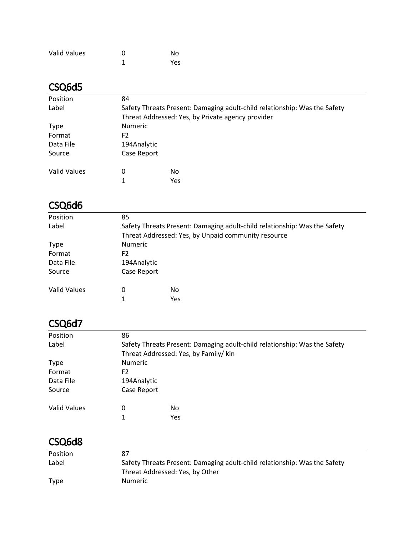| <b>Valid Values</b> | O | No  |
|---------------------|---|-----|
|                     |   | Yes |

| Position     | 84             |                                                                           |  |  |  |
|--------------|----------------|---------------------------------------------------------------------------|--|--|--|
| Label        |                | Safety Threats Present: Damaging adult-child relationship: Was the Safety |  |  |  |
|              |                | Threat Addressed: Yes, by Private agency provider                         |  |  |  |
| <b>Type</b>  | <b>Numeric</b> |                                                                           |  |  |  |
| Format       | F2             |                                                                           |  |  |  |
| Data File    | 194Analytic    |                                                                           |  |  |  |
| Source       | Case Report    |                                                                           |  |  |  |
| Valid Values | 0              | No.                                                                       |  |  |  |
|              | 1              | Yes                                                                       |  |  |  |

### CSQ6d6

| Position            | 85                                                                        |                                                     |  |
|---------------------|---------------------------------------------------------------------------|-----------------------------------------------------|--|
| Label               | Safety Threats Present: Damaging adult-child relationship: Was the Safety |                                                     |  |
|                     |                                                                           | Threat Addressed: Yes, by Unpaid community resource |  |
| <b>Type</b>         | <b>Numeric</b>                                                            |                                                     |  |
| Format              | F2                                                                        |                                                     |  |
| Data File           | 194Analytic                                                               |                                                     |  |
| Source              | Case Report                                                               |                                                     |  |
| <b>Valid Values</b> | 0                                                                         | No                                                  |  |
|                     | 1                                                                         | Yes                                                 |  |

#### CSQ6d7

| Position            | 86                                                                        |                                       |  |
|---------------------|---------------------------------------------------------------------------|---------------------------------------|--|
| Label               | Safety Threats Present: Damaging adult-child relationship: Was the Safety |                                       |  |
|                     |                                                                           | Threat Addressed: Yes, by Family/ kin |  |
| <b>Type</b>         | <b>Numeric</b>                                                            |                                       |  |
| Format              | F2                                                                        |                                       |  |
| Data File           | 194Analytic                                                               |                                       |  |
| Source              | Case Report                                                               |                                       |  |
| <b>Valid Values</b> | 0                                                                         | No.                                   |  |
|                     |                                                                           | Yes                                   |  |

| Position    | 87                                                                        |
|-------------|---------------------------------------------------------------------------|
| Label       | Safety Threats Present: Damaging adult-child relationship: Was the Safety |
|             | Threat Addressed: Yes, by Other                                           |
| <b>Type</b> | <b>Numeric</b>                                                            |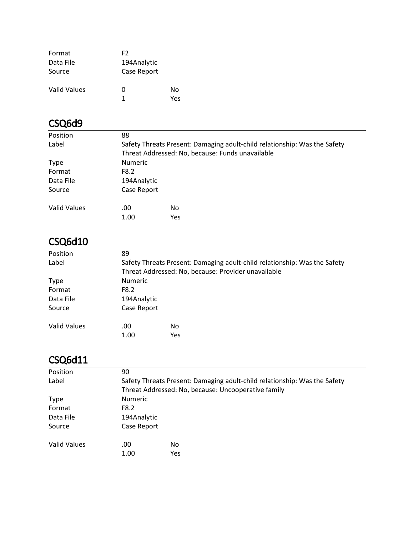| Format              | F2          |     |
|---------------------|-------------|-----|
| Data File           | 194Analytic |     |
| Source              | Case Report |     |
| <b>Valid Values</b> | O           | Nο  |
|                     | 1           | Yes |

| Position     | 88             |                                                                           |  |  |
|--------------|----------------|---------------------------------------------------------------------------|--|--|
| Label        |                | Safety Threats Present: Damaging adult-child relationship: Was the Safety |  |  |
|              |                | Threat Addressed: No, because: Funds unavailable                          |  |  |
| <b>Type</b>  | <b>Numeric</b> |                                                                           |  |  |
| Format       | F8.2           |                                                                           |  |  |
| Data File    | 194Analytic    |                                                                           |  |  |
| Source       | Case Report    |                                                                           |  |  |
| Valid Values | .00            | No.                                                                       |  |  |
|              | 1.00           | Yes                                                                       |  |  |
|              |                |                                                                           |  |  |

# CSQ6d10

| Position     | 89                                                                        |                                                     |  |
|--------------|---------------------------------------------------------------------------|-----------------------------------------------------|--|
| Label        | Safety Threats Present: Damaging adult-child relationship: Was the Safety |                                                     |  |
|              |                                                                           | Threat Addressed: No, because: Provider unavailable |  |
| <b>Type</b>  | <b>Numeric</b>                                                            |                                                     |  |
| Format       | F8.2                                                                      |                                                     |  |
| Data File    | 194Analytic                                                               |                                                     |  |
| Source       | Case Report                                                               |                                                     |  |
| Valid Values | .00                                                                       | No.                                                 |  |
|              | 1.00                                                                      | Yes                                                 |  |

| Position     | 90             |                                                                           |  |  |  |
|--------------|----------------|---------------------------------------------------------------------------|--|--|--|
| Label        |                | Safety Threats Present: Damaging adult-child relationship: Was the Safety |  |  |  |
|              |                | Threat Addressed: No, because: Uncooperative family                       |  |  |  |
| <b>Type</b>  | <b>Numeric</b> |                                                                           |  |  |  |
| Format       | F8.2           |                                                                           |  |  |  |
| Data File    | 194Analytic    |                                                                           |  |  |  |
| Source       | Case Report    |                                                                           |  |  |  |
| Valid Values | .00            | No.                                                                       |  |  |  |
|              | 1.00           | Yes                                                                       |  |  |  |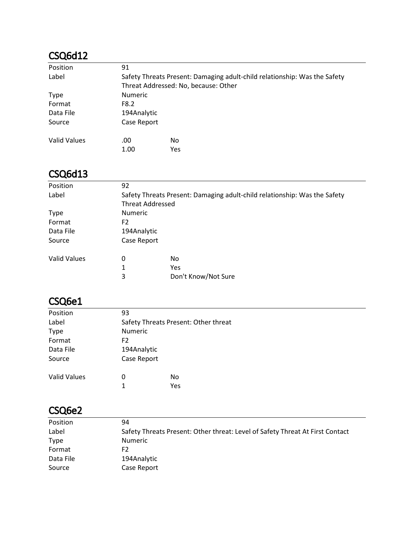| Position            | 91             |                                                                           |  |  |
|---------------------|----------------|---------------------------------------------------------------------------|--|--|
| Label               |                | Safety Threats Present: Damaging adult-child relationship: Was the Safety |  |  |
|                     |                | Threat Addressed: No, because: Other                                      |  |  |
| <b>Type</b>         | <b>Numeric</b> |                                                                           |  |  |
| Format              | F8.2           |                                                                           |  |  |
| Data File           | 194Analytic    |                                                                           |  |  |
| Source              | Case Report    |                                                                           |  |  |
| <b>Valid Values</b> | .00            | No                                                                        |  |  |
|                     | 1.00           | <b>Yes</b>                                                                |  |  |

#### CSQ6d13

| Position            | 92             |                                                                           |  |  |
|---------------------|----------------|---------------------------------------------------------------------------|--|--|
| Label               |                | Safety Threats Present: Damaging adult-child relationship: Was the Safety |  |  |
|                     |                | <b>Threat Addressed</b>                                                   |  |  |
| <b>Type</b>         | <b>Numeric</b> |                                                                           |  |  |
| Format              | F <sub>2</sub> |                                                                           |  |  |
| Data File           | 194Analytic    |                                                                           |  |  |
| Source              | Case Report    |                                                                           |  |  |
| <b>Valid Values</b> | 0              | No                                                                        |  |  |
|                     | 1              | Yes                                                                       |  |  |
|                     | 3              | Don't Know/Not Sure                                                       |  |  |
|                     |                |                                                                           |  |  |

### CSQ6e1

| Position            | 93                                   |     |  |  |  |
|---------------------|--------------------------------------|-----|--|--|--|
| Label               | Safety Threats Present: Other threat |     |  |  |  |
| <b>Type</b>         | Numeric                              |     |  |  |  |
| Format              | F2                                   |     |  |  |  |
| Data File           | 194Analytic                          |     |  |  |  |
| Source              | Case Report                          |     |  |  |  |
| <b>Valid Values</b> | 0                                    | No  |  |  |  |
|                     | 1                                    | Yes |  |  |  |
|                     |                                      |     |  |  |  |

### CSQ6e2

| Safety Threats Present: Other threat: Level of Safety Threat At First Contact |
|-------------------------------------------------------------------------------|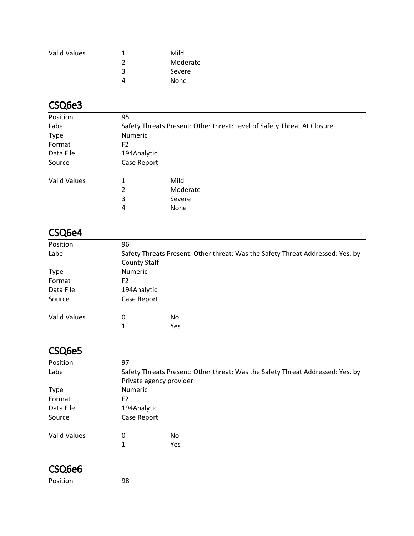| <b>Valid Values</b> |   | Mild     |
|---------------------|---|----------|
|                     |   | Moderate |
|                     | ξ | Severe   |
|                     |   | None     |

### CSQ6e3

| Position            | 95             |                                                                         |
|---------------------|----------------|-------------------------------------------------------------------------|
| Label               |                | Safety Threats Present: Other threat: Level of Safety Threat At Closure |
| <b>Type</b>         | <b>Numeric</b> |                                                                         |
| Format              | F2             |                                                                         |
| Data File           | 194Analytic    |                                                                         |
| Source              | Case Report    |                                                                         |
| <b>Valid Values</b> | 1              | Mild                                                                    |
|                     | 2              | Moderate                                                                |
|                     | 3              | Severe                                                                  |
|                     | 4              | None                                                                    |

# CSQ6e4

| Position            | 96                                                                             |     |  |  |
|---------------------|--------------------------------------------------------------------------------|-----|--|--|
| Label               | Safety Threats Present: Other threat: Was the Safety Threat Addressed: Yes, by |     |  |  |
|                     | <b>County Staff</b>                                                            |     |  |  |
| <b>Type</b>         | <b>Numeric</b>                                                                 |     |  |  |
| Format              | F <sub>2</sub>                                                                 |     |  |  |
| Data File           | 194Analytic                                                                    |     |  |  |
| Source              | Case Report                                                                    |     |  |  |
|                     |                                                                                |     |  |  |
| <b>Valid Values</b> | 0                                                                              | No  |  |  |
|                     | 1                                                                              | Yes |  |  |
|                     |                                                                                |     |  |  |

### CSQ6e5

| Position            | 97                                                                             |     |  |  |
|---------------------|--------------------------------------------------------------------------------|-----|--|--|
| Label               | Safety Threats Present: Other threat: Was the Safety Threat Addressed: Yes, by |     |  |  |
|                     | Private agency provider                                                        |     |  |  |
| <b>Type</b>         | <b>Numeric</b>                                                                 |     |  |  |
| Format              | F2                                                                             |     |  |  |
| Data File           | 194Analytic                                                                    |     |  |  |
| Source              | Case Report                                                                    |     |  |  |
| <b>Valid Values</b> | 0                                                                              | No. |  |  |
|                     | 1                                                                              | Yes |  |  |

#### CSQ6e6

Position 98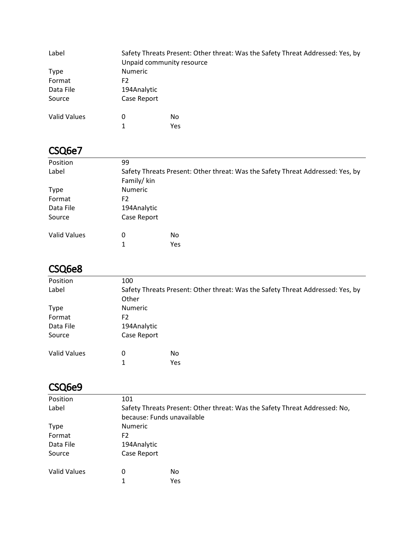| Label               | Unpaid community resource | Safety Threats Present: Other threat: Was the Safety Threat Addressed: Yes, by |
|---------------------|---------------------------|--------------------------------------------------------------------------------|
| Type                | <b>Numeric</b>            |                                                                                |
| Format              | F <sub>2</sub>            |                                                                                |
| Data File           | 194Analytic               |                                                                                |
| Source              | Case Report               |                                                                                |
| <b>Valid Values</b> | 0                         | No.                                                                            |
|                     |                           | Yes                                                                            |

#### CSQ6e7

| Position            | 99                                                                             |     |  |
|---------------------|--------------------------------------------------------------------------------|-----|--|
| Label               | Safety Threats Present: Other threat: Was the Safety Threat Addressed: Yes, by |     |  |
|                     | Family/kin                                                                     |     |  |
| <b>Type</b>         | <b>Numeric</b>                                                                 |     |  |
| Format              | F2                                                                             |     |  |
| Data File           | 194Analytic                                                                    |     |  |
| Source              | Case Report                                                                    |     |  |
| <b>Valid Values</b> | 0                                                                              | No  |  |
|                     |                                                                                | Yes |  |

#### CSQ6e8

| Position            | 100                                                                            |     |  |
|---------------------|--------------------------------------------------------------------------------|-----|--|
| Label               | Safety Threats Present: Other threat: Was the Safety Threat Addressed: Yes, by |     |  |
|                     | Other                                                                          |     |  |
| <b>Type</b>         | <b>Numeric</b>                                                                 |     |  |
| Format              | F <sub>2</sub>                                                                 |     |  |
| Data File           | 194Analytic                                                                    |     |  |
| Source              | Case Report                                                                    |     |  |
| <b>Valid Values</b> | 0                                                                              | No  |  |
|                     |                                                                                | Yes |  |

#### CSQ6e9

| Position            | 101                                                                        |     |  |  |
|---------------------|----------------------------------------------------------------------------|-----|--|--|
| Label               | Safety Threats Present: Other threat: Was the Safety Threat Addressed: No, |     |  |  |
|                     | because: Funds unavailable                                                 |     |  |  |
| <b>Type</b>         | <b>Numeric</b>                                                             |     |  |  |
| Format              | F <sub>2</sub>                                                             |     |  |  |
| Data File           | 194Analytic                                                                |     |  |  |
| Source              | Case Report                                                                |     |  |  |
| <b>Valid Values</b> | 0                                                                          | No  |  |  |
|                     |                                                                            | Yes |  |  |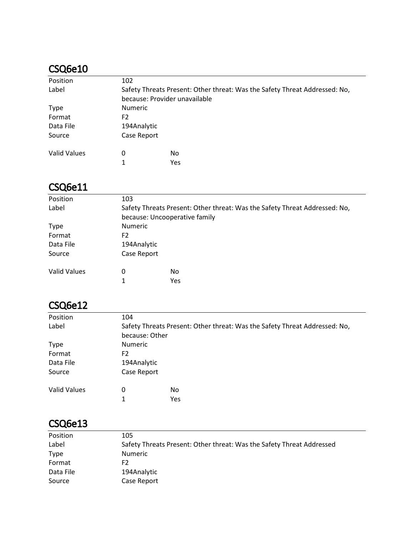#### CSQ6e10

| Position            | 102                                                                        |     |  |  |
|---------------------|----------------------------------------------------------------------------|-----|--|--|
| Label               | Safety Threats Present: Other threat: Was the Safety Threat Addressed: No, |     |  |  |
|                     | because: Provider unavailable                                              |     |  |  |
| <b>Type</b>         | <b>Numeric</b>                                                             |     |  |  |
| Format              | F2                                                                         |     |  |  |
| Data File           | 194Analytic                                                                |     |  |  |
| Source              | Case Report                                                                |     |  |  |
| <b>Valid Values</b> | 0                                                                          | No  |  |  |
|                     | 1                                                                          | Yes |  |  |

#### CSQ6e11

| Position            | 103                                                                        |     |  |  |
|---------------------|----------------------------------------------------------------------------|-----|--|--|
| Label               | Safety Threats Present: Other threat: Was the Safety Threat Addressed: No, |     |  |  |
|                     | because: Uncooperative family                                              |     |  |  |
| <b>Type</b>         | <b>Numeric</b>                                                             |     |  |  |
| Format              | F <sub>2</sub>                                                             |     |  |  |
| Data File           | 194Analytic                                                                |     |  |  |
| Source              | Case Report                                                                |     |  |  |
| <b>Valid Values</b> | 0                                                                          | No  |  |  |
|                     |                                                                            | Yes |  |  |

# CSQ6e12

| Position            | 104            |                                                                            |  |
|---------------------|----------------|----------------------------------------------------------------------------|--|
| Label               |                | Safety Threats Present: Other threat: Was the Safety Threat Addressed: No, |  |
|                     | because: Other |                                                                            |  |
| <b>Type</b>         | <b>Numeric</b> |                                                                            |  |
| Format              | F2             |                                                                            |  |
| Data File           | 194Analytic    |                                                                            |  |
| Source              | Case Report    |                                                                            |  |
| <b>Valid Values</b> | 0              | No                                                                         |  |
|                     | 1              | Yes                                                                        |  |

#### CSQ6e13

| Position    | 105                                                                   |
|-------------|-----------------------------------------------------------------------|
| Label       | Safety Threats Present: Other threat: Was the Safety Threat Addressed |
| <b>Type</b> | <b>Numeric</b>                                                        |
| Format      | F2                                                                    |
| Data File   | 194Analytic                                                           |
| Source      | Case Report                                                           |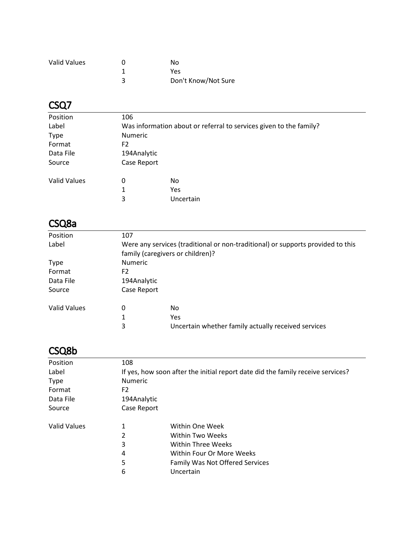| <b>Valid Values</b> | Nο                  |
|---------------------|---------------------|
|                     | Yes                 |
|                     | Don't Know/Not Sure |

# CSQ7

| Position            | 106                                                                |           |  |
|---------------------|--------------------------------------------------------------------|-----------|--|
| Label               | Was information about or referral to services given to the family? |           |  |
| <b>Type</b>         | <b>Numeric</b>                                                     |           |  |
| Format              | F2                                                                 |           |  |
| Data File           | 194Analytic                                                        |           |  |
| Source              | Case Report                                                        |           |  |
| <b>Valid Values</b> | 0                                                                  | <b>No</b> |  |
|                     | 1                                                                  | Yes       |  |
|                     | 3                                                                  | Uncertain |  |
|                     |                                                                    |           |  |

#### CSQ8a

| Position            | 107            |                                                                                 |  |
|---------------------|----------------|---------------------------------------------------------------------------------|--|
| Label               |                | Were any services (traditional or non-traditional) or supports provided to this |  |
|                     |                | family (caregivers or children)?                                                |  |
| <b>Type</b>         | <b>Numeric</b> |                                                                                 |  |
| Format              | F2             |                                                                                 |  |
| Data File           | 194Analytic    |                                                                                 |  |
| Source              | Case Report    |                                                                                 |  |
| <b>Valid Values</b> | 0              | No                                                                              |  |
|                     | 1              | Yes                                                                             |  |
|                     | 3              | Uncertain whether family actually received services                             |  |

### CSQ8b

| If yes, how soon after the initial report date did the family receive services? |  |  |
|---------------------------------------------------------------------------------|--|--|
| <b>Numeric</b>                                                                  |  |  |
| F2                                                                              |  |  |
|                                                                                 |  |  |
|                                                                                 |  |  |
|                                                                                 |  |  |
|                                                                                 |  |  |
|                                                                                 |  |  |
|                                                                                 |  |  |
|                                                                                 |  |  |
|                                                                                 |  |  |
|                                                                                 |  |  |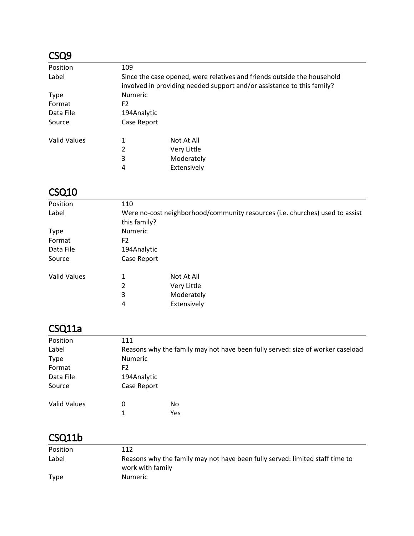### CSQ9

| Position            | 109                                                                     |                                                                        |  |
|---------------------|-------------------------------------------------------------------------|------------------------------------------------------------------------|--|
| Label               | Since the case opened, were relatives and friends outside the household |                                                                        |  |
|                     |                                                                         | involved in providing needed support and/or assistance to this family? |  |
| <b>Type</b>         | <b>Numeric</b>                                                          |                                                                        |  |
| Format              | F2                                                                      |                                                                        |  |
| Data File           | 194Analytic                                                             |                                                                        |  |
| Source              | Case Report                                                             |                                                                        |  |
| <b>Valid Values</b> | 1                                                                       | Not At All                                                             |  |
|                     | 2                                                                       | Very Little                                                            |  |
|                     | 3                                                                       | Moderately                                                             |  |
|                     | 4                                                                       | Extensively                                                            |  |

#### CSQ10

| Position            | 110         |                                                                                              |  |  |
|---------------------|-------------|----------------------------------------------------------------------------------------------|--|--|
| Label               |             | Were no-cost neighborhood/community resources (i.e. churches) used to assist<br>this family? |  |  |
| <b>Type</b>         | Numeric     |                                                                                              |  |  |
| Format              | F2          |                                                                                              |  |  |
| Data File           | 194Analytic |                                                                                              |  |  |
| Source              | Case Report |                                                                                              |  |  |
| <b>Valid Values</b> | 1           | Not At All                                                                                   |  |  |
|                     | 2           | Very Little                                                                                  |  |  |
|                     | 3           | Moderately                                                                                   |  |  |
|                     | 4           | Extensively                                                                                  |  |  |

# CSQ11a

| Position            | 111                                                                            |     |  |
|---------------------|--------------------------------------------------------------------------------|-----|--|
| Label               | Reasons why the family may not have been fully served: size of worker caseload |     |  |
| <b>Type</b>         | <b>Numeric</b>                                                                 |     |  |
| Format              | F2                                                                             |     |  |
| Data File           | 194Analytic                                                                    |     |  |
| Source              | Case Report                                                                    |     |  |
| <b>Valid Values</b> | 0                                                                              | No  |  |
|                     |                                                                                | Yes |  |

# CSQ11b

| Position | 112                                                                                              |
|----------|--------------------------------------------------------------------------------------------------|
| Label    | Reasons why the family may not have been fully served: limited staff time to<br>work with family |
| Type     | <b>Numeric</b>                                                                                   |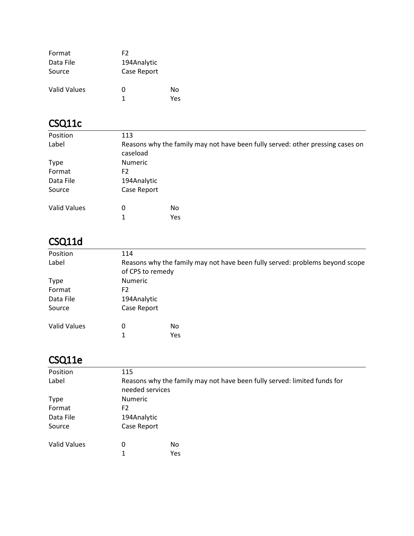| Format              | F2          |     |
|---------------------|-------------|-----|
| Data File           | 194Analytic |     |
| Source              | Case Report |     |
| <b>Valid Values</b> | O           | Nο  |
|                     | 1           | Yes |

# CSQ11c

| Position            | 113            |                                                                                |  |  |
|---------------------|----------------|--------------------------------------------------------------------------------|--|--|
| Label               | caseload       | Reasons why the family may not have been fully served: other pressing cases on |  |  |
| <b>Type</b>         | <b>Numeric</b> |                                                                                |  |  |
| Format              | F <sub>2</sub> |                                                                                |  |  |
| Data File           | 194Analytic    |                                                                                |  |  |
| Source              | Case Report    |                                                                                |  |  |
| <b>Valid Values</b> | 0<br>1         | No.<br>Yes                                                                     |  |  |
|                     |                |                                                                                |  |  |

# CSQ11d

| Position            | 114                                                                                              |     |  |  |  |
|---------------------|--------------------------------------------------------------------------------------------------|-----|--|--|--|
| Label               | Reasons why the family may not have been fully served: problems beyond scope<br>of CPS to remedy |     |  |  |  |
| <b>Type</b>         | Numeric                                                                                          |     |  |  |  |
| Format              | F2                                                                                               |     |  |  |  |
| Data File           | 194Analytic                                                                                      |     |  |  |  |
| Source              | Case Report                                                                                      |     |  |  |  |
| <b>Valid Values</b> | 0                                                                                                | No  |  |  |  |
|                     | 1                                                                                                | Yes |  |  |  |

# CSQ11e

| Position            | 115                                                                                         |     |  |  |  |  |
|---------------------|---------------------------------------------------------------------------------------------|-----|--|--|--|--|
| Label               | Reasons why the family may not have been fully served: limited funds for<br>needed services |     |  |  |  |  |
| <b>Type</b>         | <b>Numeric</b>                                                                              |     |  |  |  |  |
| Format              | F <sub>2</sub>                                                                              |     |  |  |  |  |
| Data File           | 194Analytic                                                                                 |     |  |  |  |  |
| Source              | Case Report                                                                                 |     |  |  |  |  |
| <b>Valid Values</b> | 0                                                                                           | No  |  |  |  |  |
|                     | 1                                                                                           | Yes |  |  |  |  |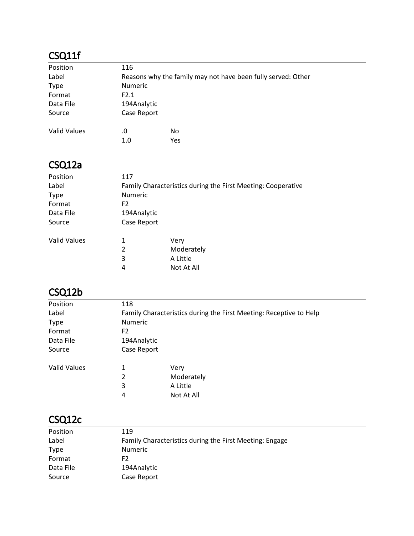# CSQ11f

| Position            | 116            |                                                              |
|---------------------|----------------|--------------------------------------------------------------|
| Label               |                | Reasons why the family may not have been fully served: Other |
| <b>Type</b>         | <b>Numeric</b> |                                                              |
| Format              | F2.1           |                                                              |
| Data File           | 194Analytic    |                                                              |
| Source              | Case Report    |                                                              |
| <b>Valid Values</b> | .0             | No.                                                          |
|                     | 1.0            | Yes                                                          |

# CSQ12a

| Position            | 117            |                                                              |
|---------------------|----------------|--------------------------------------------------------------|
| Label               |                | Family Characteristics during the First Meeting: Cooperative |
| <b>Type</b>         | Numeric        |                                                              |
| Format              | F2             |                                                              |
| Data File           | 194Analytic    |                                                              |
| Source              | Case Report    |                                                              |
| <b>Valid Values</b> | 1              | Very                                                         |
|                     | $\overline{2}$ | Moderately                                                   |
|                     | 3              | A Little                                                     |
|                     | 4              | Not At All                                                   |
|                     |                |                                                              |

# CSQ12b

| Position            | 118            |                                                                    |
|---------------------|----------------|--------------------------------------------------------------------|
| Label               |                | Family Characteristics during the First Meeting: Receptive to Help |
| <b>Type</b>         | <b>Numeric</b> |                                                                    |
| Format              | F2             |                                                                    |
| Data File           | 194Analytic    |                                                                    |
| Source              | Case Report    |                                                                    |
| <b>Valid Values</b> | 1              | Very                                                               |
|                     | 2              | Moderately                                                         |
|                     | 3              | A Little                                                           |
|                     | 4              | Not At All                                                         |
|                     |                |                                                                    |

## CSQ12c

| Position    | 119                                                     |
|-------------|---------------------------------------------------------|
| Label       | Family Characteristics during the First Meeting: Engage |
| <b>Type</b> | <b>Numeric</b>                                          |
| Format      | F2                                                      |
| Data File   | 194Analytic                                             |
| Source      | Case Report                                             |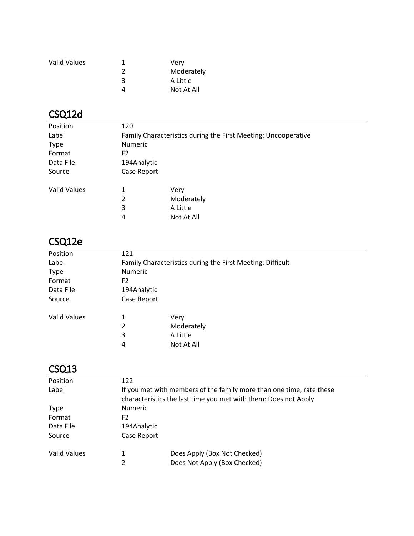| <b>Valid Values</b> |   | Very       |
|---------------------|---|------------|
|                     |   | Moderately |
|                     | 3 | A Little   |
|                     |   | Not At All |

# CSQ12d

| Position            | 120         |                                                                |
|---------------------|-------------|----------------------------------------------------------------|
| Label               |             | Family Characteristics during the First Meeting: Uncooperative |
| <b>Type</b>         | Numeric     |                                                                |
| Format              | F2          |                                                                |
| Data File           | 194Analytic |                                                                |
| Source              | Case Report |                                                                |
| <b>Valid Values</b> | 1           | Very                                                           |
|                     | 2           | Moderately                                                     |
|                     | 3           | A Little                                                       |
|                     | 4           | Not At All                                                     |
|                     |             |                                                                |

# CSQ12e

| Position            | 121            |                                                            |
|---------------------|----------------|------------------------------------------------------------|
| Label               |                | Family Characteristics during the First Meeting: Difficult |
| <b>Type</b>         | <b>Numeric</b> |                                                            |
| Format              | F <sub>2</sub> |                                                            |
| Data File           | 194Analytic    |                                                            |
| Source              | Case Report    |                                                            |
| <b>Valid Values</b> | 1              | Very                                                       |
|                     | 2              | Moderately                                                 |
|                     | 3              | A Little                                                   |
|                     | 4              | Not At All                                                 |
|                     |                |                                                            |

# CSQ13

| 122            |                                                                      |
|----------------|----------------------------------------------------------------------|
|                | If you met with members of the family more than one time, rate these |
|                | characteristics the last time you met with them: Does not Apply      |
| <b>Numeric</b> |                                                                      |
| F <sub>2</sub> |                                                                      |
| 194Analytic    |                                                                      |
| Case Report    |                                                                      |
|                | Does Apply (Box Not Checked)                                         |
| 2              | Does Not Apply (Box Checked)                                         |
|                |                                                                      |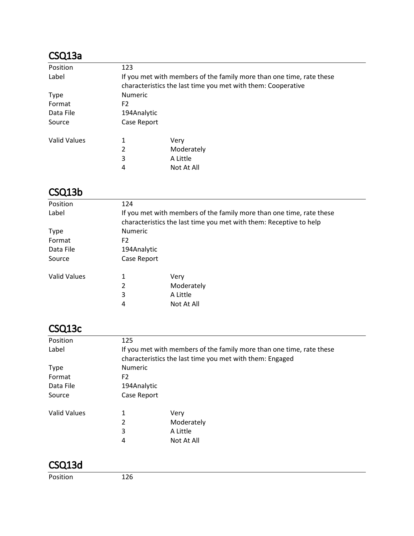# CSQ13a

| Position            | 123            |                                                                      |
|---------------------|----------------|----------------------------------------------------------------------|
| Label               |                | If you met with members of the family more than one time, rate these |
|                     |                | characteristics the last time you met with them: Cooperative         |
| Type                | <b>Numeric</b> |                                                                      |
| Format              | F <sub>2</sub> |                                                                      |
| Data File           | 194Analytic    |                                                                      |
| Source              | Case Report    |                                                                      |
| <b>Valid Values</b> | 1              | Very                                                                 |
|                     | 2              | Moderately                                                           |
|                     | 3              | A Little                                                             |
|                     | 4              | Not At All                                                           |

## CSQ13b

| Position            | 124            |                                                                                                                                            |
|---------------------|----------------|--------------------------------------------------------------------------------------------------------------------------------------------|
| Label               |                | If you met with members of the family more than one time, rate these<br>characteristics the last time you met with them: Receptive to help |
| <b>Type</b>         | Numeric        |                                                                                                                                            |
| Format              | F <sub>2</sub> |                                                                                                                                            |
| Data File           | 194Analytic    |                                                                                                                                            |
| Source              | Case Report    |                                                                                                                                            |
| <b>Valid Values</b> | 1              | Very                                                                                                                                       |
|                     | $\overline{2}$ | Moderately                                                                                                                                 |
|                     | 3              | A Little                                                                                                                                   |
|                     | 4              | Not At All                                                                                                                                 |
|                     |                |                                                                                                                                            |

# CSQ13c

| Position            | 125            |                                                                                                                                  |
|---------------------|----------------|----------------------------------------------------------------------------------------------------------------------------------|
| Label               |                | If you met with members of the family more than one time, rate these<br>characteristics the last time you met with them: Engaged |
| <b>Type</b>         | Numeric        |                                                                                                                                  |
| Format              | F <sub>2</sub> |                                                                                                                                  |
| Data File           | 194Analytic    |                                                                                                                                  |
| Source              | Case Report    |                                                                                                                                  |
| <b>Valid Values</b> | 1              | Very                                                                                                                             |
|                     | 2              | Moderately                                                                                                                       |
|                     | 3              | A Little                                                                                                                         |
|                     | 4              | Not At All                                                                                                                       |

## CSQ13d

Position 126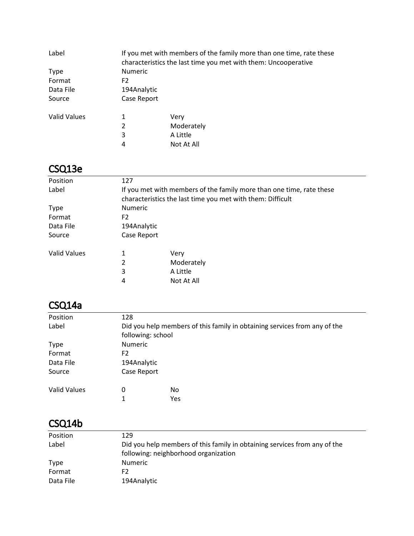| Label               |                | If you met with members of the family more than one time, rate these<br>characteristics the last time you met with them: Uncooperative |
|---------------------|----------------|----------------------------------------------------------------------------------------------------------------------------------------|
| <b>Type</b>         | <b>Numeric</b> |                                                                                                                                        |
| Format              | F <sub>2</sub> |                                                                                                                                        |
| Data File           | 194Analytic    |                                                                                                                                        |
| Source              | Case Report    |                                                                                                                                        |
| <b>Valid Values</b> | 1              | Very                                                                                                                                   |
|                     | 2              | Moderately                                                                                                                             |
|                     | 3              | A Little                                                                                                                               |
|                     | 4              | Not At All                                                                                                                             |

# CSQ13e

| Position            | 127                                                                                                                                |            |  |
|---------------------|------------------------------------------------------------------------------------------------------------------------------------|------------|--|
| Label               | If you met with members of the family more than one time, rate these<br>characteristics the last time you met with them: Difficult |            |  |
| <b>Type</b>         | <b>Numeric</b>                                                                                                                     |            |  |
| Format              | F2                                                                                                                                 |            |  |
| Data File           | 194Analytic                                                                                                                        |            |  |
| Source              | Case Report                                                                                                                        |            |  |
| <b>Valid Values</b> | 1                                                                                                                                  | Very       |  |
|                     | 2                                                                                                                                  | Moderately |  |
|                     | 3                                                                                                                                  | A Little   |  |
|                     | 4                                                                                                                                  | Not At All |  |

# CSQ14a

| Position            | 128               |                                                                           |  |
|---------------------|-------------------|---------------------------------------------------------------------------|--|
| Label               |                   | Did you help members of this family in obtaining services from any of the |  |
|                     | following: school |                                                                           |  |
| <b>Type</b>         | <b>Numeric</b>    |                                                                           |  |
| Format              | F2                |                                                                           |  |
| Data File           | 194Analytic       |                                                                           |  |
| Source              | Case Report       |                                                                           |  |
| <b>Valid Values</b> | 0                 | No.                                                                       |  |
|                     | 1                 | Yes                                                                       |  |

#### CSQ14b

| Position    | 129                                                                       |
|-------------|---------------------------------------------------------------------------|
| Label       | Did you help members of this family in obtaining services from any of the |
|             | following: neighborhood organization                                      |
| <b>Type</b> | <b>Numeric</b>                                                            |
| Format      | F2                                                                        |
| Data File   | 194Analytic                                                               |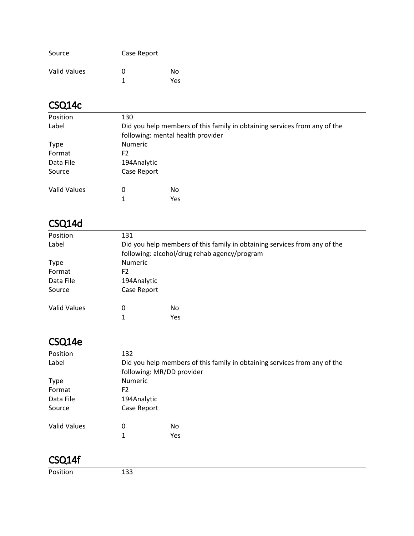| Source       | Case Report |      |
|--------------|-------------|------|
| Valid Values | O           | Nο   |
|              |             | Yes. |

# CSQ14c

| Position            | 130            |                                                                                                                |  |
|---------------------|----------------|----------------------------------------------------------------------------------------------------------------|--|
| Label               |                | Did you help members of this family in obtaining services from any of the<br>following: mental health provider |  |
| <b>Type</b>         | <b>Numeric</b> |                                                                                                                |  |
| Format              | F2             |                                                                                                                |  |
| Data File           | 194Analytic    |                                                                                                                |  |
| Source              | Case Report    |                                                                                                                |  |
| <b>Valid Values</b> | 0              | No.                                                                                                            |  |
|                     |                | Yes                                                                                                            |  |

## CSQ14d

| Position     | 131            |                                                                                                                           |  |
|--------------|----------------|---------------------------------------------------------------------------------------------------------------------------|--|
| Label        |                | Did you help members of this family in obtaining services from any of the<br>following: alcohol/drug rehab agency/program |  |
| <b>Type</b>  | <b>Numeric</b> |                                                                                                                           |  |
| Format       | F <sub>2</sub> |                                                                                                                           |  |
| Data File    | 194Analytic    |                                                                                                                           |  |
| Source       | Case Report    |                                                                                                                           |  |
| Valid Values | 0              | No.                                                                                                                       |  |
|              | 1              | Yes                                                                                                                       |  |

# CSQ14e

| Position            | 132                                                                                                    |                |  |  |
|---------------------|--------------------------------------------------------------------------------------------------------|----------------|--|--|
| Label               | Did you help members of this family in obtaining services from any of the<br>following: MR/DD provider |                |  |  |
| <b>Type</b>         |                                                                                                        | <b>Numeric</b> |  |  |
| Format              | F <sub>2</sub>                                                                                         |                |  |  |
| Data File           | 194Analytic                                                                                            |                |  |  |
| Source              | Case Report                                                                                            |                |  |  |
| <b>Valid Values</b> | 0                                                                                                      | No             |  |  |
|                     | 1                                                                                                      | Yes            |  |  |
|                     |                                                                                                        |                |  |  |

#### CSQ14f

Position 133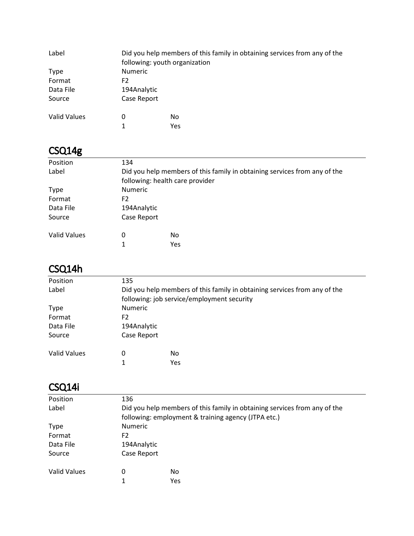| Label               | following: youth organization | Did you help members of this family in obtaining services from any of the |  |
|---------------------|-------------------------------|---------------------------------------------------------------------------|--|
| Type                | <b>Numeric</b>                |                                                                           |  |
| Format              | F <sub>2</sub>                |                                                                           |  |
| Data File           | 194Analytic                   |                                                                           |  |
| Source              | Case Report                   |                                                                           |  |
| <b>Valid Values</b> | 0                             | No                                                                        |  |
|                     | 1                             | Yes                                                                       |  |

# CSQ14g

| Position            | 134                             |                                                                           |  |
|---------------------|---------------------------------|---------------------------------------------------------------------------|--|
| Label               |                                 | Did you help members of this family in obtaining services from any of the |  |
|                     | following: health care provider |                                                                           |  |
| <b>Type</b>         | <b>Numeric</b>                  |                                                                           |  |
| Format              | F2                              |                                                                           |  |
| Data File           | 194Analytic                     |                                                                           |  |
| Source              | Case Report                     |                                                                           |  |
| <b>Valid Values</b> | 0                               | No                                                                        |  |
|                     | 1                               | Yes                                                                       |  |

# CSQ14h

| Position     | 135         |                                                                           |  |  |
|--------------|-------------|---------------------------------------------------------------------------|--|--|
| Label        |             | Did you help members of this family in obtaining services from any of the |  |  |
|              |             | following: job service/employment security                                |  |  |
| <b>Type</b>  |             | <b>Numeric</b>                                                            |  |  |
| Format       | F2          |                                                                           |  |  |
| Data File    | 194Analytic |                                                                           |  |  |
| Source       | Case Report |                                                                           |  |  |
| Valid Values | 0           | No                                                                        |  |  |
|              | 1           | Yes                                                                       |  |  |

# CSQ14i

| Position            | 136            |                                                                           |  |
|---------------------|----------------|---------------------------------------------------------------------------|--|
| Label               |                | Did you help members of this family in obtaining services from any of the |  |
|                     |                | following: employment & training agency (JTPA etc.)                       |  |
| <b>Type</b>         | <b>Numeric</b> |                                                                           |  |
| Format              | F <sub>2</sub> |                                                                           |  |
| Data File           | 194Analytic    |                                                                           |  |
| Source              | Case Report    |                                                                           |  |
| <b>Valid Values</b> | 0              | No                                                                        |  |
|                     |                | Yes                                                                       |  |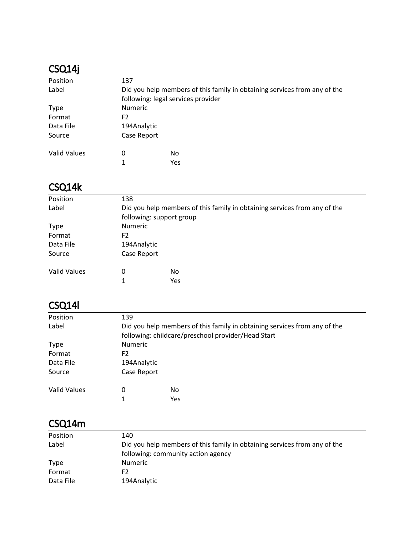## CSQ14j

| Position            | 137            |                                                                           |  |
|---------------------|----------------|---------------------------------------------------------------------------|--|
| Label               |                | Did you help members of this family in obtaining services from any of the |  |
|                     |                | following: legal services provider                                        |  |
| <b>Type</b>         | <b>Numeric</b> |                                                                           |  |
| Format              | F2             |                                                                           |  |
| Data File           | 194Analytic    |                                                                           |  |
| Source              | Case Report    |                                                                           |  |
| <b>Valid Values</b> | 0              | No                                                                        |  |
|                     | 1              | Yes                                                                       |  |

## CSQ14k

| Position            | 138            |                                                                           |  |  |
|---------------------|----------------|---------------------------------------------------------------------------|--|--|
| Label               |                | Did you help members of this family in obtaining services from any of the |  |  |
|                     |                | following: support group                                                  |  |  |
| <b>Type</b>         |                | <b>Numeric</b>                                                            |  |  |
| Format              | F <sub>2</sub> |                                                                           |  |  |
| Data File           | 194Analytic    |                                                                           |  |  |
| Source              | Case Report    |                                                                           |  |  |
| <b>Valid Values</b> | 0              | No.                                                                       |  |  |
|                     | 1              | Yes                                                                       |  |  |
|                     |                |                                                                           |  |  |

# CSQ14l

| Position     | 139            |                                                                                                                                 |  |
|--------------|----------------|---------------------------------------------------------------------------------------------------------------------------------|--|
| Label        |                | Did you help members of this family in obtaining services from any of the<br>following: childcare/preschool provider/Head Start |  |
| <b>Type</b>  | <b>Numeric</b> |                                                                                                                                 |  |
| Format       | F2             |                                                                                                                                 |  |
| Data File    | 194Analytic    |                                                                                                                                 |  |
| Source       | Case Report    |                                                                                                                                 |  |
| Valid Values | 0              | No                                                                                                                              |  |
|              | 1              | Yes                                                                                                                             |  |

#### CSQ14m

| Position    | 140                                                                       |
|-------------|---------------------------------------------------------------------------|
| Label       | Did you help members of this family in obtaining services from any of the |
|             | following: community action agency                                        |
| <b>Type</b> | <b>Numeric</b>                                                            |
| Format      | F2                                                                        |
| Data File   | 194Analytic                                                               |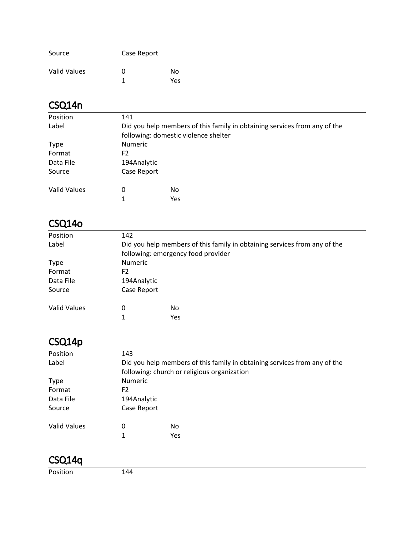| Source       | Case Report |     |
|--------------|-------------|-----|
| Valid Values | O           | N٥  |
|              |             | Yes |

# CSQ14n

| Position            | 141            |                                                                                                                   |  |
|---------------------|----------------|-------------------------------------------------------------------------------------------------------------------|--|
| Label               |                | Did you help members of this family in obtaining services from any of the<br>following: domestic violence shelter |  |
| <b>Type</b>         | <b>Numeric</b> |                                                                                                                   |  |
| Format              | F2             |                                                                                                                   |  |
| Data File           | 194Analytic    |                                                                                                                   |  |
| Source              | Case Report    |                                                                                                                   |  |
| <b>Valid Values</b> | 0              | No.                                                                                                               |  |
|                     | 1              | Yes                                                                                                               |  |

## CSQ14o

| Position            | 142            |                                                                           |  |
|---------------------|----------------|---------------------------------------------------------------------------|--|
| Label               |                | Did you help members of this family in obtaining services from any of the |  |
|                     |                | following: emergency food provider                                        |  |
| <b>Type</b>         | <b>Numeric</b> |                                                                           |  |
| Format              | F2             |                                                                           |  |
| Data File           | 194Analytic    |                                                                           |  |
| Source              | Case Report    |                                                                           |  |
| <b>Valid Values</b> | 0              | No                                                                        |  |
|                     | 1              | Yes                                                                       |  |

# CSQ14p

| Position            | 143            |                                                                           |  |  |
|---------------------|----------------|---------------------------------------------------------------------------|--|--|
| Label               |                | Did you help members of this family in obtaining services from any of the |  |  |
|                     |                | following: church or religious organization                               |  |  |
| <b>Type</b>         |                | <b>Numeric</b>                                                            |  |  |
| Format              | F <sub>2</sub> |                                                                           |  |  |
| Data File           | 194Analytic    |                                                                           |  |  |
| Source              | Case Report    |                                                                           |  |  |
|                     |                |                                                                           |  |  |
| <b>Valid Values</b> | 0              | No                                                                        |  |  |
|                     | 1              | Yes                                                                       |  |  |
|                     |                |                                                                           |  |  |

## CSQ14q

Position 144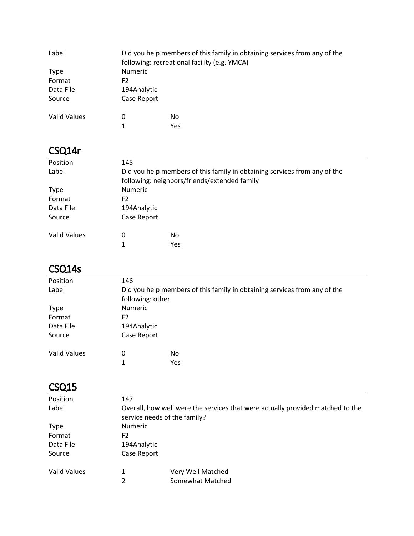| Label        |                | Did you help members of this family in obtaining services from any of the<br>following: recreational facility (e.g. YMCA) |  |
|--------------|----------------|---------------------------------------------------------------------------------------------------------------------------|--|
| Type         | <b>Numeric</b> |                                                                                                                           |  |
| Format       | F <sub>2</sub> |                                                                                                                           |  |
| Data File    | 194Analytic    |                                                                                                                           |  |
| Source       | Case Report    |                                                                                                                           |  |
| Valid Values | 0              | No                                                                                                                        |  |
|              | 1              | Yes                                                                                                                       |  |

### CSQ14r

| Position     | 145            |                                                                           |  |
|--------------|----------------|---------------------------------------------------------------------------|--|
| Label        |                | Did you help members of this family in obtaining services from any of the |  |
|              |                | following: neighbors/friends/extended family                              |  |
| Type         | <b>Numeric</b> |                                                                           |  |
| Format       | F2             |                                                                           |  |
| Data File    | 194Analytic    |                                                                           |  |
| Source       | Case Report    |                                                                           |  |
| Valid Values | 0              | No                                                                        |  |
|              | 1              | <b>Yes</b>                                                                |  |

# CSQ14s

| Position            | 146              |                                                                           |  |
|---------------------|------------------|---------------------------------------------------------------------------|--|
| Label               |                  | Did you help members of this family in obtaining services from any of the |  |
|                     | following: other |                                                                           |  |
| <b>Type</b>         | <b>Numeric</b>   |                                                                           |  |
| Format              | F2               |                                                                           |  |
| Data File           | 194Analytic      |                                                                           |  |
| Source              | Case Report      |                                                                           |  |
| <b>Valid Values</b> | 0                | No                                                                        |  |
|                     | 1                | Yes                                                                       |  |

## CSQ15

| Position            | 147                          |                                                                                |
|---------------------|------------------------------|--------------------------------------------------------------------------------|
| Label               | service needs of the family? | Overall, how well were the services that were actually provided matched to the |
| <b>Type</b>         | <b>Numeric</b>               |                                                                                |
| Format              | F2                           |                                                                                |
| Data File           | 194Analytic                  |                                                                                |
| Source              | Case Report                  |                                                                                |
| <b>Valid Values</b> |                              | Very Well Matched                                                              |
|                     | 2                            | Somewhat Matched                                                               |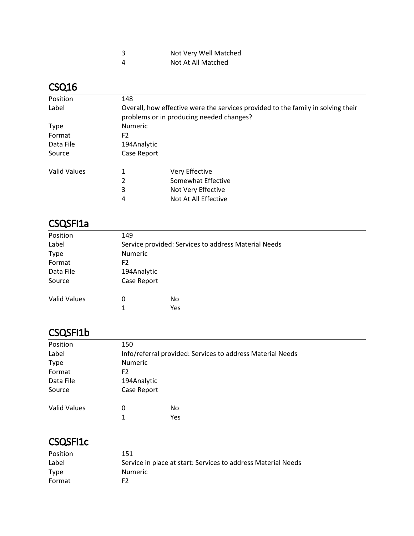| 3 | Not Very Well Matched |
|---|-----------------------|
| Δ | Not At All Matched    |

## CSQ16

| Position     | 148                                                                                                                          |                      |  |
|--------------|------------------------------------------------------------------------------------------------------------------------------|----------------------|--|
| Label        | Overall, how effective were the services provided to the family in solving their<br>problems or in producing needed changes? |                      |  |
| <b>Type</b>  | <b>Numeric</b>                                                                                                               |                      |  |
| Format       | F2                                                                                                                           |                      |  |
| Data File    | 194Analytic                                                                                                                  |                      |  |
| Source       | Case Report                                                                                                                  |                      |  |
| Valid Values | 1                                                                                                                            | Very Effective       |  |
|              | 2                                                                                                                            | Somewhat Effective   |  |
|              | 3                                                                                                                            | Not Very Effective   |  |
|              | 4                                                                                                                            | Not At All Effective |  |

#### CSQSFI1a

| 149                                                  |  |  |
|------------------------------------------------------|--|--|
| Service provided: Services to address Material Needs |  |  |
| <b>Numeric</b>                                       |  |  |
| F <sub>2</sub>                                       |  |  |
| 194Analytic                                          |  |  |
| Case Report                                          |  |  |
| 0<br>No                                              |  |  |
| Yes<br>1                                             |  |  |
|                                                      |  |  |

#### CSQSFI1b

| Position            | 150                                                        |     |  |
|---------------------|------------------------------------------------------------|-----|--|
| Label               | Info/referral provided: Services to address Material Needs |     |  |
| <b>Type</b>         | <b>Numeric</b>                                             |     |  |
| Format              | F2                                                         |     |  |
| Data File           | 194Analytic                                                |     |  |
| Source              | Case Report                                                |     |  |
| <b>Valid Values</b> | 0                                                          | No  |  |
|                     | 1                                                          | Yes |  |

#### CSQSFI1c

| Position    | 151                                                           |
|-------------|---------------------------------------------------------------|
| Label       | Service in place at start: Services to address Material Needs |
| <b>Type</b> | <b>Numeric</b>                                                |
| Format      | F <sub>2</sub>                                                |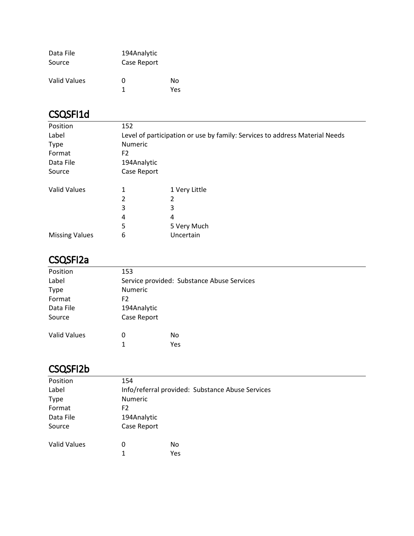| Data File    | 194Analytic |      |
|--------------|-------------|------|
| Source       | Case Report |      |
| Valid Values | O           | N٥   |
|              | 1           | Yes. |

# CSQSFI1d

| Position              | 152                                                                         |               |  |
|-----------------------|-----------------------------------------------------------------------------|---------------|--|
| Label                 | Level of participation or use by family: Services to address Material Needs |               |  |
| <b>Type</b>           | <b>Numeric</b>                                                              |               |  |
| Format                | F <sub>2</sub>                                                              |               |  |
| Data File             | 194Analytic                                                                 |               |  |
| Source                | Case Report                                                                 |               |  |
| <b>Valid Values</b>   | 1                                                                           | 1 Very Little |  |
|                       | 2                                                                           | 2             |  |
|                       | 3                                                                           | 3             |  |
|                       | 4                                                                           | 4             |  |
|                       | 5                                                                           | 5 Very Much   |  |
| <b>Missing Values</b> | 6                                                                           | Uncertain     |  |

## CSQSFI2a

| Position            | 153                                        |                |  |  |
|---------------------|--------------------------------------------|----------------|--|--|
| Label               | Service provided: Substance Abuse Services |                |  |  |
| <b>Type</b>         |                                            | <b>Numeric</b> |  |  |
| Format              | F <sub>2</sub>                             |                |  |  |
| Data File           | 194Analytic                                |                |  |  |
| Source              | Case Report                                |                |  |  |
| <b>Valid Values</b> | 0                                          | No             |  |  |
|                     |                                            | Yes            |  |  |
|                     |                                            |                |  |  |

# CSQSFI2b

| Position            | 154         |                                                  |  |  |
|---------------------|-------------|--------------------------------------------------|--|--|
| Label               |             | Info/referral provided: Substance Abuse Services |  |  |
| <b>Type</b>         |             | Numeric                                          |  |  |
| Format              | F2          |                                                  |  |  |
| Data File           | 194Analytic |                                                  |  |  |
| Source              | Case Report |                                                  |  |  |
| <b>Valid Values</b> | 0           | No                                               |  |  |
|                     | 1           | Yes                                              |  |  |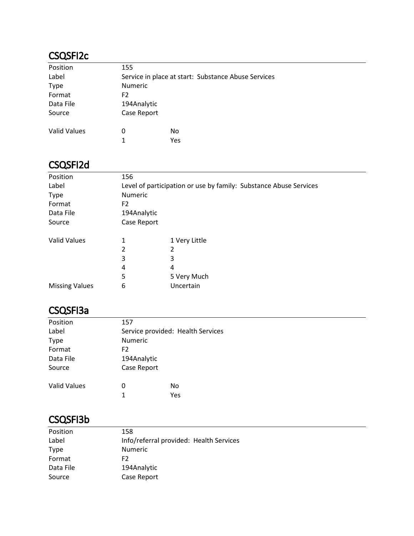#### CSQSFI2c

| Position            | 155                                                 |     |  |
|---------------------|-----------------------------------------------------|-----|--|
| Label               | Service in place at start: Substance Abuse Services |     |  |
| <b>Type</b>         | <b>Numeric</b>                                      |     |  |
| Format              | F <sub>2</sub>                                      |     |  |
| Data File           | 194Analytic                                         |     |  |
| Source              | Case Report                                         |     |  |
| <b>Valid Values</b> | 0                                                   | No  |  |
|                     | 1                                                   | Yes |  |

#### CSQSFI2d

| 156                                                               |               |  |
|-------------------------------------------------------------------|---------------|--|
| Level of participation or use by family: Substance Abuse Services |               |  |
| Numeric                                                           |               |  |
| F <sub>2</sub>                                                    |               |  |
| 194Analytic                                                       |               |  |
| Case Report                                                       |               |  |
| 1                                                                 | 1 Very Little |  |
| 2                                                                 | 2             |  |
| 3                                                                 | 3             |  |
| 4                                                                 | 4             |  |
| 5                                                                 | 5 Very Much   |  |
| 6                                                                 | Uncertain     |  |
|                                                                   |               |  |

#### CSQSFI3a

| Position            | 157            |                                   |
|---------------------|----------------|-----------------------------------|
| Label               |                | Service provided: Health Services |
| <b>Type</b>         | <b>Numeric</b> |                                   |
| Format              | F <sub>2</sub> |                                   |
| Data File           | 194Analytic    |                                   |
| Source              | Case Report    |                                   |
| <b>Valid Values</b> | 0              | No                                |
|                     | 1              | Yes                               |
|                     |                |                                   |

# CSQSFI3b

| Position  | 158                                     |
|-----------|-----------------------------------------|
| Label     | Info/referral provided: Health Services |
| Type      | <b>Numeric</b>                          |
| Format    | F2                                      |
| Data File | 194Analytic                             |
| Source    | Case Report                             |
|           |                                         |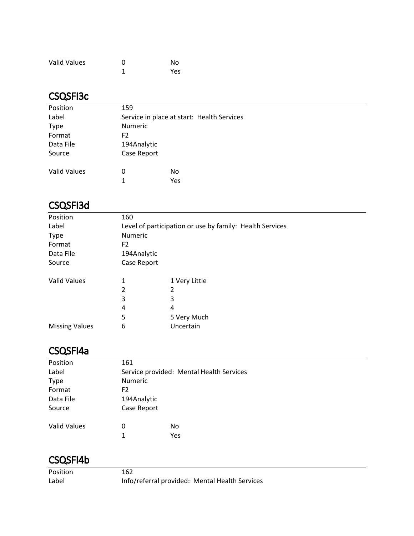| <b>Valid Values</b> | ∩ | No  |
|---------------------|---|-----|
|                     |   | Yes |

#### CSQSFI3c

| Position            | 159                                        |     |  |  |
|---------------------|--------------------------------------------|-----|--|--|
| Label               | Service in place at start: Health Services |     |  |  |
| <b>Type</b>         | Numeric                                    |     |  |  |
| Format              | F2                                         |     |  |  |
| Data File           | 194Analytic                                |     |  |  |
| Source              | Case Report                                |     |  |  |
| <b>Valid Values</b> | 0                                          | No  |  |  |
|                     | 1                                          | Yes |  |  |

## CSQSFI3d

| Position              | 160                                                      |               |  |
|-----------------------|----------------------------------------------------------|---------------|--|
| Label                 | Level of participation or use by family: Health Services |               |  |
| <b>Type</b>           | <b>Numeric</b>                                           |               |  |
| Format                | F <sub>2</sub>                                           |               |  |
| Data File             | 194Analytic                                              |               |  |
| Source                | Case Report                                              |               |  |
| <b>Valid Values</b>   | 1                                                        | 1 Very Little |  |
|                       | $\overline{2}$                                           | 2             |  |
|                       | 3                                                        | 3             |  |
|                       | 4                                                        | 4             |  |
|                       | 5                                                        | 5 Very Much   |  |
| <b>Missing Values</b> | 6                                                        | Uncertain     |  |

#### CSQSFI4a

| Position            | 161                                      |     |  |
|---------------------|------------------------------------------|-----|--|
| Label               | Service provided: Mental Health Services |     |  |
| <b>Type</b>         | Numeric                                  |     |  |
| Format              | F <sub>2</sub>                           |     |  |
| Data File           | 194Analytic                              |     |  |
| Source              | Case Report                              |     |  |
| <b>Valid Values</b> | 0                                        | No  |  |
|                     | 1                                        | Yes |  |

#### CSQSFI4b

Position 162

Label Info/referral provided: Mental Health Services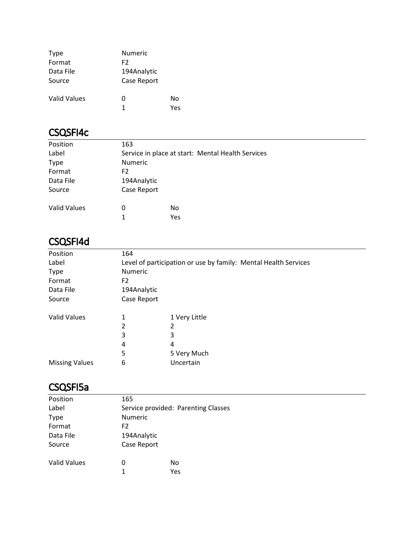| <b>Type</b>         | <b>Numeric</b> |     |
|---------------------|----------------|-----|
| Format              | F2             |     |
| Data File           | 194Analytic    |     |
| Source              | Case Report    |     |
| <b>Valid Values</b> | 0              | No  |
|                     | 1              | Yes |

#### CSQSFI4c

| Position            | 163            |     |                                                   |
|---------------------|----------------|-----|---------------------------------------------------|
| Label               |                |     | Service in place at start: Mental Health Services |
| <b>Type</b>         | <b>Numeric</b> |     |                                                   |
| Format              | F <sub>2</sub> |     |                                                   |
| Data File           | 194Analytic    |     |                                                   |
| Source              | Case Report    |     |                                                   |
| <b>Valid Values</b> | 0              | No  |                                                   |
|                     | 1              | Yes |                                                   |

## CSQSFI4d

| Position              | 164                                                             |               |  |
|-----------------------|-----------------------------------------------------------------|---------------|--|
| Label                 | Level of participation or use by family: Mental Health Services |               |  |
| <b>Type</b>           | Numeric                                                         |               |  |
| Format                | F <sub>2</sub>                                                  |               |  |
| Data File             | 194Analytic                                                     |               |  |
| Source                | Case Report                                                     |               |  |
| <b>Valid Values</b>   | 1                                                               | 1 Very Little |  |
|                       | 2                                                               | 2             |  |
|                       | 3                                                               | 3             |  |
|                       | 4                                                               | 4             |  |
|                       | 5                                                               | 5 Very Much   |  |
| <b>Missing Values</b> | 6                                                               | Uncertain     |  |

#### CSQSFI5a

| Position            | 165            |                                     |  |
|---------------------|----------------|-------------------------------------|--|
| Label               |                | Service provided: Parenting Classes |  |
| <b>Type</b>         | <b>Numeric</b> |                                     |  |
| Format              | F <sub>2</sub> |                                     |  |
| Data File           | 194Analytic    |                                     |  |
| Source              | Case Report    |                                     |  |
| <b>Valid Values</b> | O              | No                                  |  |
|                     | 1              | Yes                                 |  |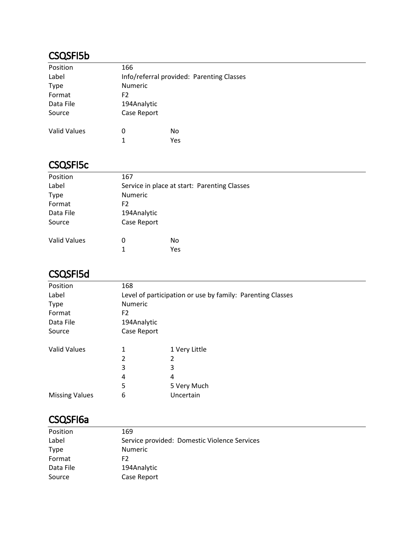#### CSQSFI5b

| Position            | 166            |                                           |
|---------------------|----------------|-------------------------------------------|
| Label               |                | Info/referral provided: Parenting Classes |
| <b>Type</b>         | <b>Numeric</b> |                                           |
| Format              | F <sub>2</sub> |                                           |
| Data File           | 194Analytic    |                                           |
| Source              | Case Report    |                                           |
| <b>Valid Values</b> | 0              | No                                        |
|                     |                |                                           |
|                     | 1              | Yes                                       |

#### CSQSFI5c

| Position            | 167            |                                              |
|---------------------|----------------|----------------------------------------------|
| Label               |                | Service in place at start: Parenting Classes |
| <b>Type</b>         | <b>Numeric</b> |                                              |
| Format              | F <sub>2</sub> |                                              |
| Data File           | 194Analytic    |                                              |
| Source              | Case Report    |                                              |
| <b>Valid Values</b> | O              | No.                                          |
|                     | 1              | Yes                                          |

## CSQSFI5d

| Position              | 168                                                        |               |  |  |
|-----------------------|------------------------------------------------------------|---------------|--|--|
| Label                 | Level of participation or use by family: Parenting Classes |               |  |  |
| Type                  | Numeric                                                    |               |  |  |
| Format                | F <sub>2</sub>                                             |               |  |  |
| Data File             | 194Analytic                                                |               |  |  |
| Source                | Case Report                                                |               |  |  |
| <b>Valid Values</b>   | 1                                                          | 1 Very Little |  |  |
|                       | 2                                                          | 2             |  |  |
|                       | 3                                                          | 3             |  |  |
|                       | 4                                                          | 4             |  |  |
|                       | 5                                                          | 5 Very Much   |  |  |
| <b>Missing Values</b> | 6                                                          | Uncertain     |  |  |
|                       |                                                            |               |  |  |

## CSQSFI6a

| 169                                          |
|----------------------------------------------|
| Service provided: Domestic Violence Services |
| <b>Numeric</b>                               |
| F2.                                          |
| 194Analytic                                  |
| Case Report                                  |
|                                              |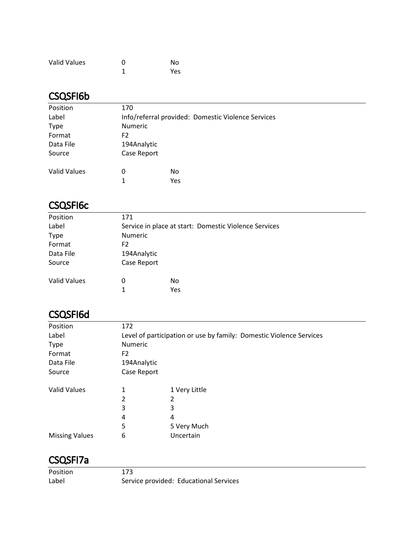| <b>Valid Values</b> | ŋ | No  |
|---------------------|---|-----|
|                     |   | Yes |

#### CSQSFI6b

| Position            | 170         |                                                    |  |  |
|---------------------|-------------|----------------------------------------------------|--|--|
| Label               |             | Info/referral provided: Domestic Violence Services |  |  |
| <b>Type</b>         |             | <b>Numeric</b>                                     |  |  |
| Format              | F2          |                                                    |  |  |
| Data File           | 194Analytic |                                                    |  |  |
| Source              | Case Report |                                                    |  |  |
| <b>Valid Values</b> | 0           | No                                                 |  |  |
|                     | 1           | Yes                                                |  |  |
|                     |             |                                                    |  |  |

## CSQSFI6c

| Position            | 171                                                   |            |  |
|---------------------|-------------------------------------------------------|------------|--|
| Label               | Service in place at start: Domestic Violence Services |            |  |
| <b>Type</b>         | <b>Numeric</b>                                        |            |  |
| Format              | F2                                                    |            |  |
| Data File           | 194Analytic                                           |            |  |
| Source              | Case Report                                           |            |  |
| <b>Valid Values</b> | 0<br>1                                                | No.<br>Yes |  |

#### CSQSFI6d

| Position              | 172            |                                                                     |
|-----------------------|----------------|---------------------------------------------------------------------|
| Label                 |                | Level of participation or use by family: Domestic Violence Services |
| <b>Type</b>           | Numeric        |                                                                     |
| Format                | F <sub>2</sub> |                                                                     |
| Data File             | 194Analytic    |                                                                     |
| Source                | Case Report    |                                                                     |
| <b>Valid Values</b>   | 1              | 1 Very Little                                                       |
|                       | 2              | 2                                                                   |
|                       | 3              | 3                                                                   |
|                       | 4              | 4                                                                   |
|                       | 5              | 5 Very Much                                                         |
| <b>Missing Values</b> | 6              | Uncertain                                                           |

#### CSQSFI7a

Position 173 Label Service provided: Educational Services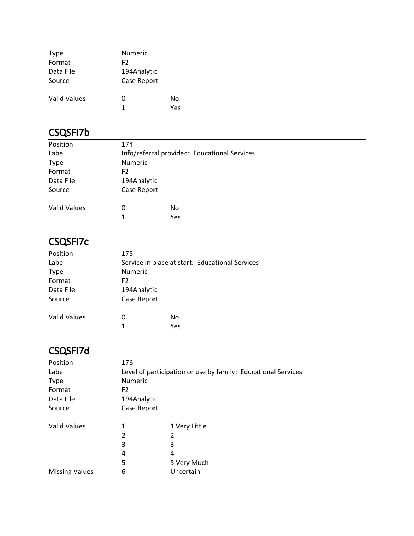| <b>Type</b>         | Numeric     |     |
|---------------------|-------------|-----|
| Format              | F2          |     |
| Data File           | 194Analytic |     |
| Source              | Case Report |     |
| <b>Valid Values</b> | 0           | No  |
|                     | 1           | Yes |

#### CSQSFI7b

| Position            | 174            |     |                                              |
|---------------------|----------------|-----|----------------------------------------------|
| Label               |                |     | Info/referral provided: Educational Services |
| <b>Type</b>         | <b>Numeric</b> |     |                                              |
| Format              | F <sub>2</sub> |     |                                              |
| Data File           | 194Analytic    |     |                                              |
| Source              | Case Report    |     |                                              |
| <b>Valid Values</b> | 0              | No  |                                              |
|                     | 1              | Yes |                                              |

## CSQSFI7c

| Position            | 175                                             |            |  |
|---------------------|-------------------------------------------------|------------|--|
| Label               | Service in place at start: Educational Services |            |  |
| <b>Type</b>         | Numeric                                         |            |  |
| Format              | F <sub>2</sub>                                  |            |  |
| Data File           | 194Analytic                                     |            |  |
| Source              | Case Report                                     |            |  |
| <b>Valid Values</b> | 0                                               | No         |  |
|                     | 1                                               | <b>Yes</b> |  |
|                     |                                                 |            |  |

## CSQSFI7d

| Position              | 176                                                           |               |  |
|-----------------------|---------------------------------------------------------------|---------------|--|
| Label                 | Level of participation or use by family: Educational Services |               |  |
| <b>Type</b>           | Numeric                                                       |               |  |
| Format                | F <sub>2</sub>                                                |               |  |
| Data File             | 194Analytic                                                   |               |  |
| Source                | Case Report                                                   |               |  |
| <b>Valid Values</b>   | 1                                                             | 1 Very Little |  |
|                       | 2                                                             | 2             |  |
|                       | 3                                                             | 3             |  |
|                       | 4                                                             | 4             |  |
|                       | 5                                                             | 5 Very Much   |  |
| <b>Missing Values</b> | 6                                                             | Uncertain     |  |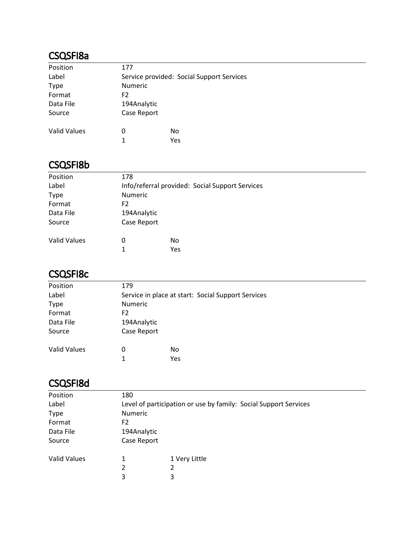#### CSQSFI8a

| Position            | 177            |                                           |
|---------------------|----------------|-------------------------------------------|
| Label               |                | Service provided: Social Support Services |
| <b>Type</b>         | <b>Numeric</b> |                                           |
| Format              | F <sub>2</sub> |                                           |
| Data File           | 194Analytic    |                                           |
| Source              | Case Report    |                                           |
| <b>Valid Values</b> | 0              | No.                                       |
|                     | 1              | Yes                                       |

#### CSQSFI8b

| Position     | 178            |     |                                                 |
|--------------|----------------|-----|-------------------------------------------------|
| Label        |                |     | Info/referral provided: Social Support Services |
| <b>Type</b>  | <b>Numeric</b> |     |                                                 |
| Format       | F <sub>2</sub> |     |                                                 |
| Data File    | 194Analytic    |     |                                                 |
| Source       | Case Report    |     |                                                 |
|              |                |     |                                                 |
| Valid Values | 0              | No  |                                                 |
|              | 1              | Yes |                                                 |

#### CSQSFI8c

| Position            | 179                                                |     |  |
|---------------------|----------------------------------------------------|-----|--|
| Label               | Service in place at start: Social Support Services |     |  |
| <b>Type</b>         | Numeric                                            |     |  |
| Format              | F2                                                 |     |  |
| Data File           | 194Analytic                                        |     |  |
| Source              | Case Report                                        |     |  |
| <b>Valid Values</b> | 0                                                  | No  |  |
|                     | 1                                                  | Yes |  |

## CSQSFI8d

| Position            | 180                                                              |               |  |
|---------------------|------------------------------------------------------------------|---------------|--|
| Label               | Level of participation or use by family: Social Support Services |               |  |
| <b>Type</b>         | <b>Numeric</b>                                                   |               |  |
| Format              | F <sub>2</sub>                                                   |               |  |
| Data File           | 194Analytic                                                      |               |  |
| Source              | Case Report                                                      |               |  |
| <b>Valid Values</b> | 1                                                                | 1 Very Little |  |
|                     | 2                                                                | 2             |  |
|                     | 3                                                                | 3             |  |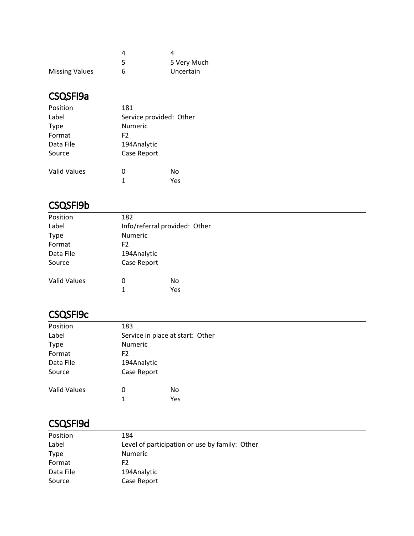|                       | 5 Very Much |
|-----------------------|-------------|
| <b>Missing Values</b> | Uncertain   |

#### CSQSFI9a

| Position            | 181            |                         |  |
|---------------------|----------------|-------------------------|--|
| Label               |                | Service provided: Other |  |
| Type                | <b>Numeric</b> |                         |  |
| Format              | F <sub>2</sub> |                         |  |
| Data File           | 194Analytic    |                         |  |
| Source              | Case Report    |                         |  |
| <b>Valid Values</b> | 0              | No                      |  |
|                     | 1              | Yes                     |  |
|                     |                |                         |  |

#### CSQSFI9b

| Position            | 182                           |           |
|---------------------|-------------------------------|-----------|
| Label               | Info/referral provided: Other |           |
| <b>Type</b>         | Numeric                       |           |
| Format              | F2                            |           |
| Data File           | 194Analytic                   |           |
| Source              | Case Report                   |           |
| <b>Valid Values</b> | 0<br>1                        | No<br>Yes |

#### CSQSFI9c

| Position            | 183                              |     |  |  |  |
|---------------------|----------------------------------|-----|--|--|--|
| Label               | Service in place at start: Other |     |  |  |  |
| <b>Type</b>         | Numeric                          |     |  |  |  |
| Format              | F <sub>2</sub>                   |     |  |  |  |
| Data File           | 194Analytic                      |     |  |  |  |
| Source              | Case Report                      |     |  |  |  |
| <b>Valid Values</b> | 0                                | No  |  |  |  |
|                     | 1                                | Yes |  |  |  |

#### CSQSFI9d

| Position    | 184                                            |
|-------------|------------------------------------------------|
| Label       | Level of participation or use by family: Other |
| <b>Type</b> | <b>Numeric</b>                                 |
| Format      | F2.                                            |
| Data File   | 194Analytic                                    |
| Source      | Case Report                                    |
|             |                                                |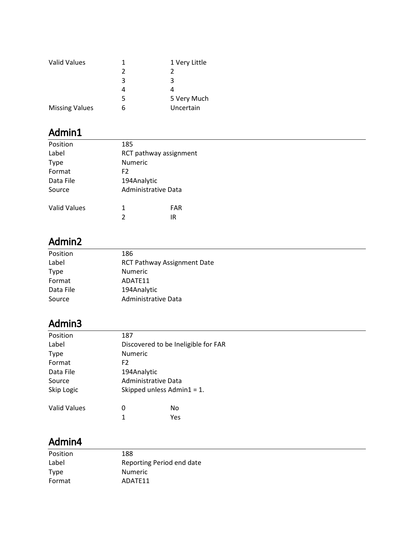| 1 | 1 Very Little |
|---|---------------|
| 2 |               |
| 3 | З             |
|   |               |
| 5 | 5 Very Much   |
| h | Uncertain     |
|   |               |

| Position     | 185                    |                     |
|--------------|------------------------|---------------------|
| Label        | RCT pathway assignment |                     |
| <b>Type</b>  | <b>Numeric</b>         |                     |
| Format       | F <sub>2</sub>         |                     |
| Data File    | 194Analytic            |                     |
| Source       |                        | Administrative Data |
| Valid Values | 1                      | <b>FAR</b>          |
|              | 2                      | IR                  |
|              |                        |                     |

# Admin2

| Position    | 186                                |
|-------------|------------------------------------|
| Label       | <b>RCT Pathway Assignment Date</b> |
| <b>Type</b> | Numeric                            |
| Format      | ADATE11                            |
| Data File   | 194Analytic                        |
| Source      | Administrative Data                |
|             |                                    |

# Admin3

| 187                                 |
|-------------------------------------|
| Discovered to be Ineligible for FAR |
| <b>Numeric</b>                      |
| F <sub>2</sub>                      |
| 194Analytic                         |
| Administrative Data                 |
| Skipped unless Admin $1 = 1$ .      |
| No<br>O                             |
| 1<br>Yes                            |
|                                     |

| Position | 188                       |
|----------|---------------------------|
| Label    | Reporting Period end date |
| Type     | <b>Numeric</b>            |
| Format   | ADATF11                   |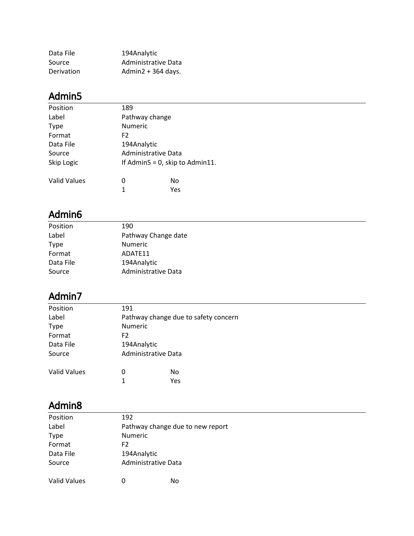| Data File  | 194Analytic          |
|------------|----------------------|
| Source     | Administrative Data  |
| Derivation | Admin2 + $364$ days. |

| Position            | 189                             |
|---------------------|---------------------------------|
| Label               | Pathway change                  |
| <b>Type</b>         | <b>Numeric</b>                  |
| Format              | F2                              |
| Data File           | 194Analytic                     |
| Source              | Administrative Data             |
| Skip Logic          | If Admin5 = 0, skip to Admin11. |
| <b>Valid Values</b> | 0<br>No                         |
|                     | 1<br>Yes                        |

## Admin6

| Position    | 190                 |  |
|-------------|---------------------|--|
| Label       | Pathway Change date |  |
| <b>Type</b> | Numeric             |  |
| Format      | ADATE11             |  |
| Data File   | 194Analytic         |  |
| Source      | Administrative Data |  |
|             |                     |  |

## Admin7

| 191                 |                                      |
|---------------------|--------------------------------------|
|                     | Pathway change due to safety concern |
| <b>Numeric</b>      |                                      |
| F2                  |                                      |
| 194Analytic         |                                      |
| Administrative Data |                                      |
| 0                   | <b>No</b>                            |
| 1                   | Yes                                  |
|                     |                                      |

| Position            | 192                              |                     |  |
|---------------------|----------------------------------|---------------------|--|
| Label               | Pathway change due to new report |                     |  |
| <b>Type</b>         | <b>Numeric</b>                   |                     |  |
| Format              | F <sub>2</sub>                   |                     |  |
| Data File           | 194Analytic                      |                     |  |
| Source              |                                  | Administrative Data |  |
| <b>Valid Values</b> | 0                                | No                  |  |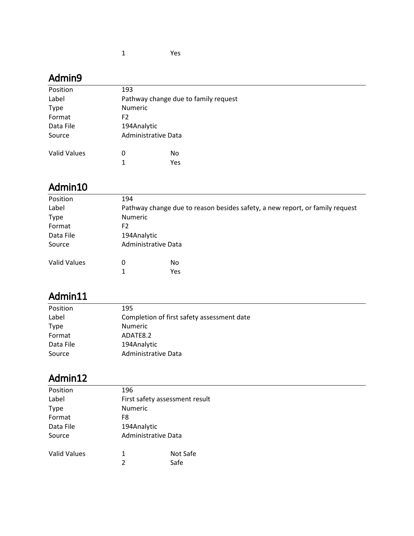| Position            | 193                                  |     |  |
|---------------------|--------------------------------------|-----|--|
| Label               | Pathway change due to family request |     |  |
| <b>Type</b>         | <b>Numeric</b>                       |     |  |
| Format              | F <sub>2</sub>                       |     |  |
| Data File           | 194Analytic                          |     |  |
| Source              | Administrative Data                  |     |  |
|                     |                                      |     |  |
| <b>Valid Values</b> | 0                                    | No  |  |
|                     | 1                                    | Yes |  |
|                     |                                      |     |  |

# Admin10

| Position            | 194         |                     |                                                                              |
|---------------------|-------------|---------------------|------------------------------------------------------------------------------|
| Label               |             |                     | Pathway change due to reason besides safety, a new report, or family request |
| <b>Type</b>         | Numeric     |                     |                                                                              |
| Format              | F2          |                     |                                                                              |
| Data File           | 194Analytic |                     |                                                                              |
| Source              |             | Administrative Data |                                                                              |
| <b>Valid Values</b> | 0           | No                  |                                                                              |
|                     |             | Yes                 |                                                                              |

## Admin11

| Position    | 195                                        |
|-------------|--------------------------------------------|
| Label       | Completion of first safety assessment date |
| <b>Type</b> | <b>Numeric</b>                             |
| Format      | ADATE8.2                                   |
| Data File   | 194Analytic                                |
| Source      | Administrative Data                        |

| Position            | 196                            |          |
|---------------------|--------------------------------|----------|
| Label               | First safety assessment result |          |
| <b>Type</b>         | <b>Numeric</b>                 |          |
| Format              | F8                             |          |
| Data File           | 194Analytic                    |          |
| Source              | Administrative Data            |          |
| <b>Valid Values</b> | 1                              | Not Safe |
|                     | 2                              | Safe     |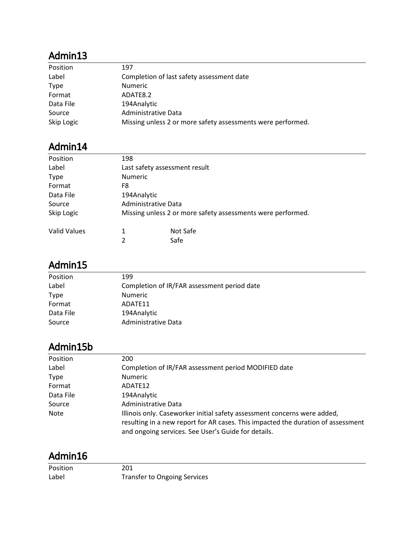| Position    | 197                                                         |
|-------------|-------------------------------------------------------------|
| Label       | Completion of last safety assessment date                   |
| <b>Type</b> | <b>Numeric</b>                                              |
| Format      | ADATE8.2                                                    |
| Data File   | 194Analytic                                                 |
| Source      | Administrative Data                                         |
| Skip Logic  | Missing unless 2 or more safety assessments were performed. |

# Admin14

| Position            | 198                           |                                                             |
|---------------------|-------------------------------|-------------------------------------------------------------|
| Label               | Last safety assessment result |                                                             |
| <b>Type</b>         | <b>Numeric</b>                |                                                             |
| Format              | F8                            |                                                             |
| Data File           | 194Analytic                   |                                                             |
| Source              | Administrative Data           |                                                             |
| Skip Logic          |                               | Missing unless 2 or more safety assessments were performed. |
| <b>Valid Values</b> | 1                             | Not Safe                                                    |
|                     | 2                             | Safe                                                        |

#### Admin15

| 199                                         |
|---------------------------------------------|
| Completion of IR/FAR assessment period date |
| <b>Numeric</b>                              |
| ADATE11                                     |
| 194Analytic                                 |
| Administrative Data                         |
|                                             |

## Admin15b

| Position    | 200                                                                              |
|-------------|----------------------------------------------------------------------------------|
| Label       | Completion of IR/FAR assessment period MODIFIED date                             |
| <b>Type</b> | <b>Numeric</b>                                                                   |
| Format      | ADATE12                                                                          |
| Data File   | 194Analytic                                                                      |
| Source      | Administrative Data                                                              |
| Note        | Illinois only. Caseworker initial safety assessment concerns were added,         |
|             | resulting in a new report for AR cases. This impacted the duration of assessment |
|             | and ongoing services. See User's Guide for details.                              |

| Position | 201                                 |
|----------|-------------------------------------|
| Label    | <b>Transfer to Ongoing Services</b> |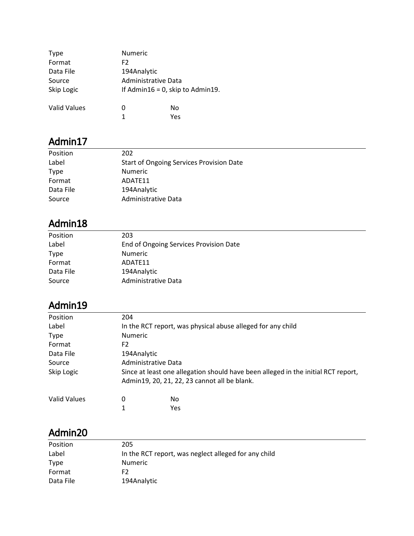| <b>Type</b>         | <b>Numeric</b> |                                     |  |
|---------------------|----------------|-------------------------------------|--|
| Format              | F <sub>2</sub> |                                     |  |
| Data File           | 194Analytic    |                                     |  |
| Source              |                | Administrative Data                 |  |
| Skip Logic          |                | If Admin16 = $0$ , skip to Admin19. |  |
| <b>Valid Values</b> | 0              | No                                  |  |
|                     | 1              | Yes                                 |  |

| Position  | 202                                             |
|-----------|-------------------------------------------------|
| Label     | <b>Start of Ongoing Services Provision Date</b> |
| Type      | <b>Numeric</b>                                  |
| Format    | ADATF11                                         |
| Data File | 194Analytic                                     |
| Source    | Administrative Data                             |

# Admin18

| Position    | 203                                    |
|-------------|----------------------------------------|
| Label       | End of Ongoing Services Provision Date |
| <b>Type</b> | <b>Numeric</b>                         |
| Format      | ADATF11                                |
| Data File   | 194Analytic                            |
| Source      | Administrative Data                    |

# Admin19

| Position     | 204                 |                                                                                   |
|--------------|---------------------|-----------------------------------------------------------------------------------|
| Label        |                     | In the RCT report, was physical abuse alleged for any child                       |
| <b>Type</b>  | <b>Numeric</b>      |                                                                                   |
| Format       | F <sub>2</sub>      |                                                                                   |
| Data File    | 194Analytic         |                                                                                   |
| Source       | Administrative Data |                                                                                   |
| Skip Logic   |                     | Since at least one allegation should have been alleged in the initial RCT report, |
|              |                     | Admin19, 20, 21, 22, 23 cannot all be blank.                                      |
| Valid Values | 0                   | No.                                                                               |
|              | 1                   | Yes                                                                               |

L.

<u>—</u>

| Position    | 205                                                  |
|-------------|------------------------------------------------------|
| Label       | In the RCT report, was neglect alleged for any child |
| <b>Type</b> | <b>Numeric</b>                                       |
| Format      | F2                                                   |
| Data File   | 194Analytic                                          |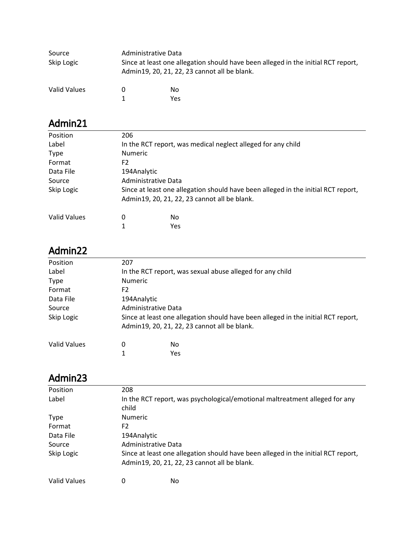| Source<br>Skip Logic | Administrative Data<br>Since at least one allegation should have been alleged in the initial RCT report,<br>Admin19, 20, 21, 22, 23 cannot all be blank. |            |
|----------------------|----------------------------------------------------------------------------------------------------------------------------------------------------------|------------|
| Valid Values         | 0                                                                                                                                                        | No.<br>Yes |

| Position     | 206                 |                                                                                   |
|--------------|---------------------|-----------------------------------------------------------------------------------|
| Label        |                     | In the RCT report, was medical neglect alleged for any child                      |
| <b>Type</b>  | <b>Numeric</b>      |                                                                                   |
| Format       | F2                  |                                                                                   |
| Data File    | 194Analytic         |                                                                                   |
| Source       | Administrative Data |                                                                                   |
| Skip Logic   |                     | Since at least one allegation should have been alleged in the initial RCT report, |
|              |                     | Admin19, 20, 21, 22, 23 cannot all be blank.                                      |
| Valid Values | 0                   | No.                                                                               |
|              | 1                   | Yes                                                                               |
|              |                     |                                                                                   |

## Admin22

| Position     | 207                                                                               |                                                           |  |
|--------------|-----------------------------------------------------------------------------------|-----------------------------------------------------------|--|
| Label        |                                                                                   | In the RCT report, was sexual abuse alleged for any child |  |
| <b>Type</b>  | <b>Numeric</b>                                                                    |                                                           |  |
| Format       | F2                                                                                |                                                           |  |
| Data File    | 194Analytic                                                                       |                                                           |  |
| Source       | Administrative Data                                                               |                                                           |  |
| Skip Logic   | Since at least one allegation should have been alleged in the initial RCT report, |                                                           |  |
|              |                                                                                   | Admin19, 20, 21, 22, 23 cannot all be blank.              |  |
| Valid Values | 0                                                                                 | No                                                        |  |
|              | 1                                                                                 | Yes                                                       |  |

| Position     | 208                 |                                                                                   |  |
|--------------|---------------------|-----------------------------------------------------------------------------------|--|
| Label        |                     | In the RCT report, was psychological/emotional maltreatment alleged for any       |  |
|              | child               |                                                                                   |  |
| <b>Type</b>  | <b>Numeric</b>      |                                                                                   |  |
| Format       | F2                  |                                                                                   |  |
| Data File    | 194Analytic         |                                                                                   |  |
| Source       | Administrative Data |                                                                                   |  |
| Skip Logic   |                     | Since at least one allegation should have been alleged in the initial RCT report, |  |
|              |                     | Admin19, 20, 21, 22, 23 cannot all be blank.                                      |  |
| Valid Values |                     | No.                                                                               |  |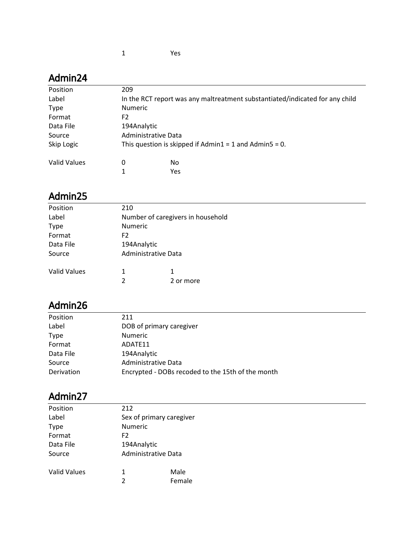| Position            | 209                 |                                                                              |
|---------------------|---------------------|------------------------------------------------------------------------------|
| Label               |                     | In the RCT report was any maltreatment substantiated/indicated for any child |
| <b>Type</b>         | <b>Numeric</b>      |                                                                              |
| Format              | F2                  |                                                                              |
| Data File           | 194Analytic         |                                                                              |
| Source              | Administrative Data |                                                                              |
| Skip Logic          |                     | This question is skipped if $Admin1 = 1$ and $Admin5 = 0$ .                  |
| <b>Valid Values</b> | 0                   | No                                                                           |
|                     |                     | Yes                                                                          |

### Admin25

| Position            | 210                               |                     |  |
|---------------------|-----------------------------------|---------------------|--|
| Label               | Number of caregivers in household |                     |  |
| <b>Type</b>         | Numeric                           |                     |  |
| Format              | F <sub>2</sub>                    |                     |  |
| Data File           | 194Analytic                       |                     |  |
| Source              |                                   | Administrative Data |  |
| <b>Valid Values</b> | 1                                 | 1                   |  |
|                     | 2                                 | 2 or more           |  |

# Admin26

| Position    | 211                                               |
|-------------|---------------------------------------------------|
| Label       | DOB of primary caregiver                          |
| <b>Type</b> | <b>Numeric</b>                                    |
| Format      | ADATF11                                           |
| Data File   | 194Analytic                                       |
| Source      | Administrative Data                               |
| Derivation  | Encrypted - DOBs recoded to the 15th of the month |

| Position            | 212                      |        |
|---------------------|--------------------------|--------|
| Label               | Sex of primary caregiver |        |
| <b>Type</b>         | Numeric                  |        |
| Format              | F2                       |        |
| Data File           | 194Analytic              |        |
| Source              | Administrative Data      |        |
| <b>Valid Values</b> | 1                        | Male   |
|                     | $\overline{2}$           | Female |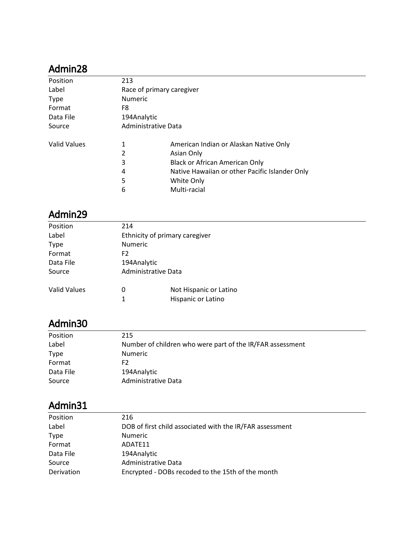| Position            | 213            |                                                |  |  |
|---------------------|----------------|------------------------------------------------|--|--|
| Label               |                | Race of primary caregiver                      |  |  |
| <b>Type</b>         | <b>Numeric</b> |                                                |  |  |
| Format              | F8             |                                                |  |  |
| Data File           | 194Analytic    |                                                |  |  |
| Source              |                | Administrative Data                            |  |  |
| <b>Valid Values</b> | 1              | American Indian or Alaskan Native Only         |  |  |
|                     | 2              | Asian Only                                     |  |  |
|                     | 3              | Black or African American Only                 |  |  |
|                     | 4              | Native Hawaiian or other Pacific Islander Only |  |  |
|                     | 5              | White Only                                     |  |  |
|                     | 6              | Multi-racial                                   |  |  |

#### Admin29

| Position            | 214            |                                |  |  |
|---------------------|----------------|--------------------------------|--|--|
| Label               |                | Ethnicity of primary caregiver |  |  |
| <b>Type</b>         | <b>Numeric</b> |                                |  |  |
| Format              | F2             |                                |  |  |
| Data File           |                | 194Analytic                    |  |  |
| Source              |                | Administrative Data            |  |  |
| <b>Valid Values</b> | 0              | Not Hispanic or Latino         |  |  |
|                     | $\mathbf{1}$   | Hispanic or Latino             |  |  |
|                     |                |                                |  |  |

# Admin30

| Position    | 215                                                       |
|-------------|-----------------------------------------------------------|
| Label       | Number of children who were part of the IR/FAR assessment |
| <b>Type</b> | <b>Numeric</b>                                            |
| Format      | F2                                                        |
| Data File   | 194Analytic                                               |
| Source      | Administrative Data                                       |

| Position    | 216                                                      |
|-------------|----------------------------------------------------------|
| Label       | DOB of first child associated with the IR/FAR assessment |
| <b>Type</b> | <b>Numeric</b>                                           |
| Format      | ADATF11                                                  |
| Data File   | 194Analytic                                              |
| Source      | Administrative Data                                      |
| Derivation  | Encrypted - DOBs recoded to the 15th of the month        |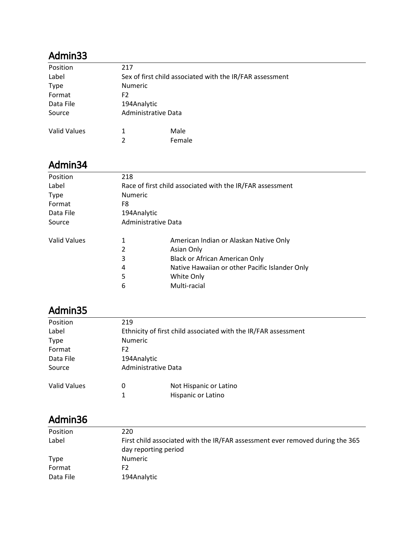| Position            | 217                                                      |        |  |
|---------------------|----------------------------------------------------------|--------|--|
| Label               | Sex of first child associated with the IR/FAR assessment |        |  |
| <b>Type</b>         | <b>Numeric</b>                                           |        |  |
| Format              | F2                                                       |        |  |
| Data File           | 194Analytic                                              |        |  |
| Source              | Administrative Data                                      |        |  |
| <b>Valid Values</b> | 1                                                        | Male   |  |
|                     | 2                                                        | Female |  |

#### Admin34

| Position            | 218 |                                                           |  |  |
|---------------------|-----|-----------------------------------------------------------|--|--|
| Label               |     | Race of first child associated with the IR/FAR assessment |  |  |
| <b>Type</b>         |     | <b>Numeric</b>                                            |  |  |
| Format              | F8  |                                                           |  |  |
| Data File           |     | 194Analytic                                               |  |  |
| Source              |     | Administrative Data                                       |  |  |
| <b>Valid Values</b> | 1   | American Indian or Alaskan Native Only                    |  |  |
|                     | 2   | Asian Only                                                |  |  |
|                     | 3   | Black or African American Only                            |  |  |
|                     | 4   | Native Hawaiian or other Pacific Islander Only            |  |  |
|                     | 5   | White Only                                                |  |  |
|                     | 6   | Multi-racial                                              |  |  |
|                     |     |                                                           |  |  |

# Admin35

| Position            | 219 |                                                                |  |  |
|---------------------|-----|----------------------------------------------------------------|--|--|
| Label               |     | Ethnicity of first child associated with the IR/FAR assessment |  |  |
| <b>Type</b>         |     | <b>Numeric</b>                                                 |  |  |
| Format              | F2  |                                                                |  |  |
| Data File           |     | 194Analytic                                                    |  |  |
| Source              |     | Administrative Data                                            |  |  |
| <b>Valid Values</b> | 0   | Not Hispanic or Latino                                         |  |  |
|                     | 1   | Hispanic or Latino                                             |  |  |
|                     |     |                                                                |  |  |

| Position    | 220                                                                                                   |
|-------------|-------------------------------------------------------------------------------------------------------|
| Label       | First child associated with the IR/FAR assessment ever removed during the 365<br>day reporting period |
| <b>Type</b> | Numeric                                                                                               |
| Format      | F2                                                                                                    |
| Data File   | 194Analytic                                                                                           |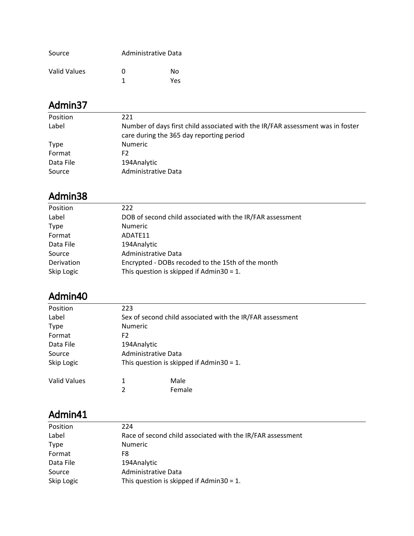| Source       |   | Administrative Data |
|--------------|---|---------------------|
| Valid Values | O | N٥                  |
|              |   | Yes                 |

| Position    | 221                                                                                                                        |
|-------------|----------------------------------------------------------------------------------------------------------------------------|
| Label       | Number of days first child associated with the IR/FAR assessment was in foster<br>care during the 365 day reporting period |
| <b>Type</b> | <b>Numeric</b>                                                                                                             |
| Format      | F2                                                                                                                         |
| Data File   | 194Analytic                                                                                                                |
| Source      | Administrative Data                                                                                                        |

# Admin38

| 222                                                       |
|-----------------------------------------------------------|
|                                                           |
| DOB of second child associated with the IR/FAR assessment |
| <b>Numeric</b>                                            |
| ADATE11                                                   |
| 194Analytic                                               |
| Administrative Data                                       |
| Encrypted - DOBs recoded to the 15th of the month         |
| This question is skipped if Admin30 = $1$ .               |
|                                                           |

#### Admin40

| Position            | 223            |                                                           |  |
|---------------------|----------------|-----------------------------------------------------------|--|
| Label               |                | Sex of second child associated with the IR/FAR assessment |  |
| <b>Type</b>         | <b>Numeric</b> |                                                           |  |
| Format              | F <sub>2</sub> |                                                           |  |
| Data File           |                | 194Analytic                                               |  |
| Source              |                | Administrative Data                                       |  |
| Skip Logic          |                | This question is skipped if Admin30 = 1.                  |  |
| <b>Valid Values</b> | 1              | Male                                                      |  |
|                     | 2              | Female                                                    |  |

| Position    | 224                                                        |
|-------------|------------------------------------------------------------|
| Label       | Race of second child associated with the IR/FAR assessment |
| <b>Type</b> | <b>Numeric</b>                                             |
| Format      | F8                                                         |
| Data File   | 194Analytic                                                |
| Source      | Administrative Data                                        |
| Skip Logic  | This question is skipped if Admin30 = 1.                   |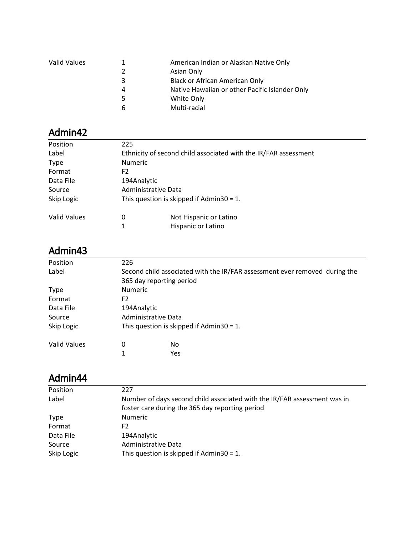| Valid Values |   | American Indian or Alaskan Native Only         |
|--------------|---|------------------------------------------------|
|              |   | Asian Only                                     |
|              | ર | <b>Black or African American Only</b>          |
|              | 4 | Native Hawaiian or other Pacific Islander Only |
|              |   | White Only                                     |
|              | 6 | Multi-racial                                   |
|              |   |                                                |

| Position     | 225                                      |                                                                 |
|--------------|------------------------------------------|-----------------------------------------------------------------|
| Label        |                                          | Ethnicity of second child associated with the IR/FAR assessment |
| <b>Type</b>  | <b>Numeric</b>                           |                                                                 |
| Format       | F2                                       |                                                                 |
| Data File    | 194Analytic                              |                                                                 |
| Source       | Administrative Data                      |                                                                 |
| Skip Logic   | This question is skipped if Admin30 = 1. |                                                                 |
| Valid Values | 0                                        | Not Hispanic or Latino                                          |
|              | 1                                        | Hispanic or Latino                                              |

#### Admin43

| Position            | 226            |                                                                            |  |
|---------------------|----------------|----------------------------------------------------------------------------|--|
| Label               |                | Second child associated with the IR/FAR assessment ever removed during the |  |
|                     |                | 365 day reporting period                                                   |  |
| <b>Type</b>         | <b>Numeric</b> |                                                                            |  |
| Format              | F <sub>2</sub> |                                                                            |  |
| Data File           |                | 194Analytic                                                                |  |
| Source              |                | Administrative Data                                                        |  |
| Skip Logic          |                | This question is skipped if Admin30 = 1.                                   |  |
| <b>Valid Values</b> | 0              | No                                                                         |  |
|                     | 1              | <b>Yes</b>                                                                 |  |

| Position    | 227                                                                      |
|-------------|--------------------------------------------------------------------------|
| Label       | Number of days second child associated with the IR/FAR assessment was in |
|             | foster care during the 365 day reporting period                          |
| <b>Type</b> | <b>Numeric</b>                                                           |
| Format      | F2                                                                       |
| Data File   | 194Analytic                                                              |
| Source      | Administrative Data                                                      |
| Skip Logic  | This question is skipped if Admin30 = 1.                                 |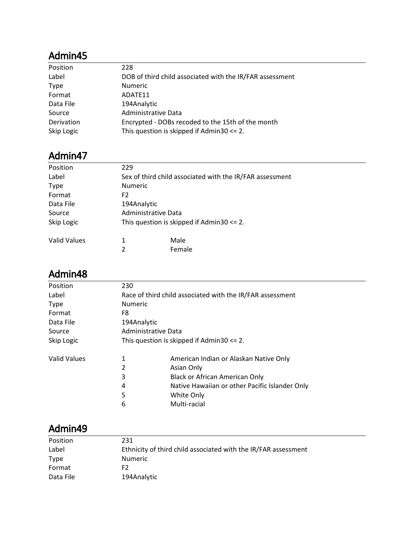| Position    | 228                                                      |
|-------------|----------------------------------------------------------|
| Label       | DOB of third child associated with the IR/FAR assessment |
| <b>Type</b> | <b>Numeric</b>                                           |
| Format      | ADATE11                                                  |
| Data File   | 194Analytic                                              |
| Source      | Administrative Data                                      |
| Derivation  | Encrypted - DOBs recoded to the 15th of the month        |
| Skip Logic  | This question is skipped if $Admin30 \le 2$ .            |

# Admin47

| Position     | 229            |                                                          |
|--------------|----------------|----------------------------------------------------------|
| Label        |                | Sex of third child associated with the IR/FAR assessment |
| <b>Type</b>  | <b>Numeric</b> |                                                          |
| Format       | F <sub>2</sub> |                                                          |
| Data File    | 194Analytic    |                                                          |
| Source       |                | Administrative Data                                      |
| Skip Logic   |                | This question is skipped if $Admin30 \le 2$ .            |
| Valid Values | 1              | Male                                                     |
|              | 2              | Female                                                   |

#### Admin48

| Position            | 230                                           |                                                           |  |  |
|---------------------|-----------------------------------------------|-----------------------------------------------------------|--|--|
| Label               |                                               | Race of third child associated with the IR/FAR assessment |  |  |
| <b>Type</b>         | <b>Numeric</b>                                |                                                           |  |  |
| Format              | F8                                            |                                                           |  |  |
| Data File           | 194Analytic                                   |                                                           |  |  |
| Source              |                                               | Administrative Data                                       |  |  |
| Skip Logic          | This question is skipped if $Admin30 \le 2$ . |                                                           |  |  |
| <b>Valid Values</b> | 1                                             | American Indian or Alaskan Native Only                    |  |  |
|                     | 2                                             | Asian Only                                                |  |  |
|                     | 3                                             | <b>Black or African American Only</b>                     |  |  |
|                     | 4                                             | Native Hawaiian or other Pacific Islander Only            |  |  |
|                     | 5                                             | White Only                                                |  |  |
|                     | 6                                             | Multi-racial                                              |  |  |
|                     |                                               |                                                           |  |  |

| Position  | 231                                                            |
|-----------|----------------------------------------------------------------|
| Label     | Ethnicity of third child associated with the IR/FAR assessment |
| Type      | <b>Numeric</b>                                                 |
| Format    | F2.                                                            |
| Data File | 194Analytic                                                    |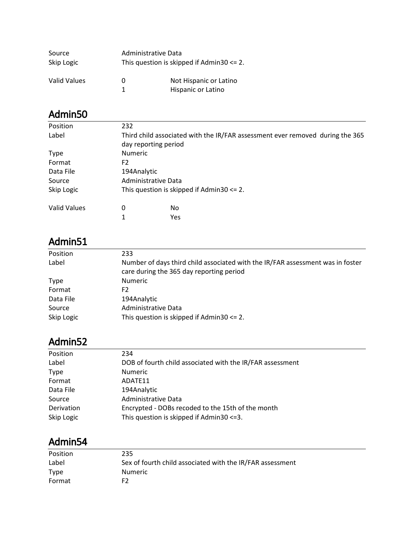| Source<br>Skip Logic |        | Administrative Data<br>This question is skipped if $Admin30 \le 2$ . |  |
|----------------------|--------|----------------------------------------------------------------------|--|
| Valid Values         | O<br>1 | Not Hispanic or Latino<br>Hispanic or Latino                         |  |

| Position            | 232            |                                                                               |  |  |
|---------------------|----------------|-------------------------------------------------------------------------------|--|--|
| Label               |                | Third child associated with the IR/FAR assessment ever removed during the 365 |  |  |
|                     |                | day reporting period                                                          |  |  |
| <b>Type</b>         | <b>Numeric</b> |                                                                               |  |  |
| Format              | F <sub>2</sub> |                                                                               |  |  |
| Data File           |                | 194Analytic                                                                   |  |  |
| Source              |                | Administrative Data                                                           |  |  |
| Skip Logic          |                | This question is skipped if $Admin30 \le 2$ .                                 |  |  |
| <b>Valid Values</b> | 0              | No                                                                            |  |  |
|                     | 1              | Yes                                                                           |  |  |

# Admin51

| Position    | 233                                                                                                                        |
|-------------|----------------------------------------------------------------------------------------------------------------------------|
| Label       | Number of days third child associated with the IR/FAR assessment was in foster<br>care during the 365 day reporting period |
| <b>Type</b> | <b>Numeric</b>                                                                                                             |
| Format      | F2                                                                                                                         |
| Data File   | 194Analytic                                                                                                                |
| Source      | Administrative Data                                                                                                        |
| Skip Logic  | This question is skipped if $Admin30 \le 2$ .                                                                              |

#### Admin52

| Position    | 234                                                       |
|-------------|-----------------------------------------------------------|
| Label       | DOB of fourth child associated with the IR/FAR assessment |
| <b>Type</b> | <b>Numeric</b>                                            |
| Format      | ADATE11                                                   |
| Data File   | 194Analytic                                               |
| Source      | Administrative Data                                       |
| Derivation  | Encrypted - DOBs recoded to the 15th of the month         |
| Skip Logic  | This question is skipped if Admin30 <= 3.                 |
|             |                                                           |

| Position    | 235                                                       |
|-------------|-----------------------------------------------------------|
| Label       | Sex of fourth child associated with the IR/FAR assessment |
| <b>Type</b> | <b>Numeric</b>                                            |
| Format      | F2                                                        |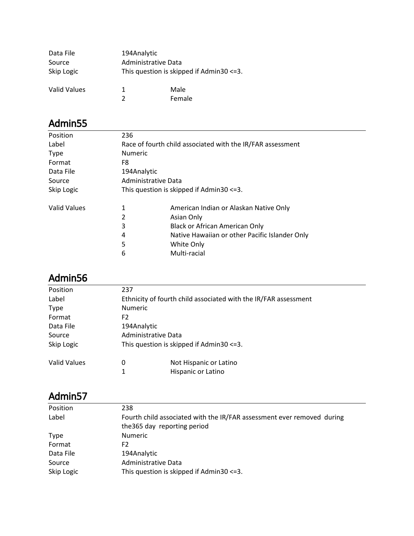| Data File<br>Source<br>Skip Logic | 194Analytic<br>Administrative Data | This question is skipped if Admin30 <= 3. |
|-----------------------------------|------------------------------------|-------------------------------------------|
| Valid Values                      | 1                                  | Male<br>Female                            |

| Position            | 236                                                        |                                                |  |
|---------------------|------------------------------------------------------------|------------------------------------------------|--|
| Label               | Race of fourth child associated with the IR/FAR assessment |                                                |  |
| <b>Type</b>         | <b>Numeric</b>                                             |                                                |  |
| Format              | F8                                                         |                                                |  |
| Data File           | 194Analytic                                                |                                                |  |
| Source              | Administrative Data                                        |                                                |  |
| Skip Logic          | This question is skipped if $Admin30 \leq 3$ .             |                                                |  |
| <b>Valid Values</b> | 1                                                          | American Indian or Alaskan Native Only         |  |
|                     | 2                                                          | Asian Only                                     |  |
|                     | 3                                                          | <b>Black or African American Only</b>          |  |
|                     | 4                                                          | Native Hawaiian or other Pacific Islander Only |  |
|                     | 5                                                          | White Only                                     |  |
|                     | 6                                                          | Multi-racial                                   |  |
|                     |                                                            |                                                |  |

## Admin56

| Position     | 237                                                             |  |
|--------------|-----------------------------------------------------------------|--|
| Label        | Ethnicity of fourth child associated with the IR/FAR assessment |  |
| <b>Type</b>  | <b>Numeric</b>                                                  |  |
| Format       | F <sub>2</sub>                                                  |  |
| Data File    | 194Analytic                                                     |  |
| Source       | Administrative Data                                             |  |
| Skip Logic   | This question is skipped if Admin30 <= 3.                       |  |
| Valid Values | Not Hispanic or Latino<br>0<br>Hispanic or Latino<br>1          |  |

| Position    | 238                                                                                                    |
|-------------|--------------------------------------------------------------------------------------------------------|
| Label       | Fourth child associated with the IR/FAR assessment ever removed during<br>the 365 day reporting period |
| <b>Type</b> | <b>Numeric</b>                                                                                         |
| Format      | F2                                                                                                     |
| Data File   | 194Analytic                                                                                            |
| Source      | Administrative Data                                                                                    |
| Skip Logic  | This question is skipped if Admin30 <= 3.                                                              |
|             |                                                                                                        |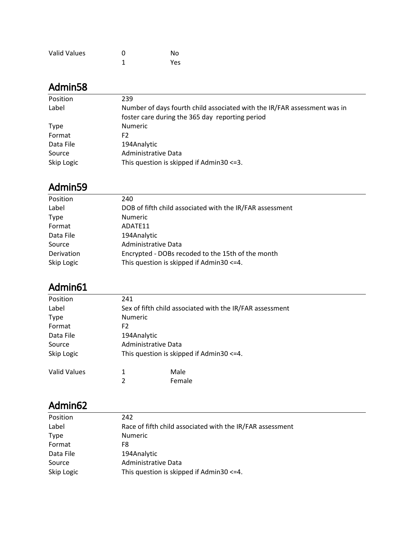| Valid Values | ŋ | No  |
|--------------|---|-----|
|              |   | Yes |

| Position    | 239                                                                      |
|-------------|--------------------------------------------------------------------------|
| Label       | Number of days fourth child associated with the IR/FAR assessment was in |
|             | foster care during the 365 day reporting period                          |
| <b>Type</b> | <b>Numeric</b>                                                           |
| Format      | F2                                                                       |
| Data File   | 194Analytic                                                              |
| Source      | Administrative Data                                                      |
| Skip Logic  | This question is skipped if Admin30 <= 3.                                |

#### Admin59

| Position    | 240                                                      |
|-------------|----------------------------------------------------------|
| Label       | DOB of fifth child associated with the IR/FAR assessment |
| <b>Type</b> | <b>Numeric</b>                                           |
| Format      | ADATE11                                                  |
| Data File   | 194Analytic                                              |
| Source      | Administrative Data                                      |
| Derivation  | Encrypted - DOBs recoded to the 15th of the month        |
| Skip Logic  | This question is skipped if Admin30 <= 4.                |
|             |                                                          |

## Admin61

| Position            | 241                                       |                                                          |  |  |
|---------------------|-------------------------------------------|----------------------------------------------------------|--|--|
| Label               |                                           | Sex of fifth child associated with the IR/FAR assessment |  |  |
| <b>Type</b>         |                                           | <b>Numeric</b>                                           |  |  |
| Format              | F2                                        |                                                          |  |  |
| Data File           | 194Analytic                               |                                                          |  |  |
| Source              | Administrative Data                       |                                                          |  |  |
| Skip Logic          | This question is skipped if Admin30 <= 4. |                                                          |  |  |
| <b>Valid Values</b> |                                           | Male                                                     |  |  |
|                     | 2                                         | Female                                                   |  |  |

| Position    | 242                                                       |
|-------------|-----------------------------------------------------------|
| Label       | Race of fifth child associated with the IR/FAR assessment |
| <b>Type</b> | <b>Numeric</b>                                            |
| Format      | F8.                                                       |
| Data File   | 194Analytic                                               |
| Source      | Administrative Data                                       |
| Skip Logic  | This question is skipped if Admin30 <= 4.                 |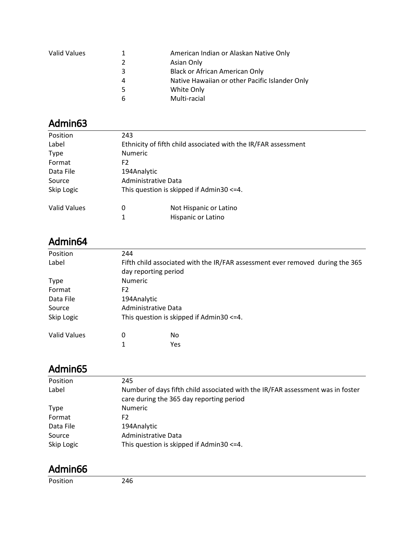| Valid Values |   | American Indian or Alaskan Native Only         |
|--------------|---|------------------------------------------------|
|              | 2 | Asian Only                                     |
|              | 3 | <b>Black or African American Only</b>          |
|              | Δ | Native Hawaiian or other Pacific Islander Only |
|              |   | White Only                                     |
|              | h | Multi-racial                                   |

| Position            | 243                                                            |  |
|---------------------|----------------------------------------------------------------|--|
| Label               | Ethnicity of fifth child associated with the IR/FAR assessment |  |
| <b>Type</b>         | <b>Numeric</b>                                                 |  |
| Format              | F2                                                             |  |
| Data File           | 194Analytic                                                    |  |
| Source              | Administrative Data                                            |  |
| Skip Logic          | This question is skipped if $Admin30 \leq 4$ .                 |  |
| <b>Valid Values</b> | Not Hispanic or Latino<br>0<br>Hispanic or Latino              |  |

# Admin64

| Position     | 244                  |                                                                               |
|--------------|----------------------|-------------------------------------------------------------------------------|
| Label        |                      | Fifth child associated with the IR/FAR assessment ever removed during the 365 |
|              | day reporting period |                                                                               |
| <b>Type</b>  | <b>Numeric</b>       |                                                                               |
| Format       | F <sub>2</sub>       |                                                                               |
| Data File    | 194Analytic          |                                                                               |
| Source       | Administrative Data  |                                                                               |
| Skip Logic   |                      | This question is skipped if $Admin30 \leq 4$ .                                |
| Valid Values | 0                    | No                                                                            |
|              | 1                    | Yes                                                                           |

# Admin65

| Position    | 245                                                                            |
|-------------|--------------------------------------------------------------------------------|
| Label       | Number of days fifth child associated with the IR/FAR assessment was in foster |
|             | care during the 365 day reporting period                                       |
| <b>Type</b> | <b>Numeric</b>                                                                 |
| Format      | F2                                                                             |
| Data File   | 194Analytic                                                                    |
| Source      | Administrative Data                                                            |
| Skip Logic  | This question is skipped if Admin30 <= 4.                                      |

#### Admin66

Position 246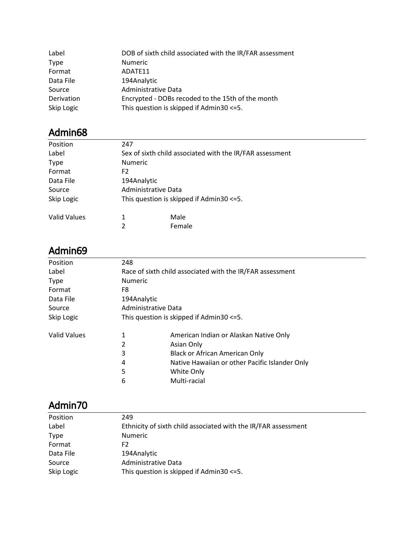| Label       | DOB of sixth child associated with the IR/FAR assessment |
|-------------|----------------------------------------------------------|
| <b>Type</b> | <b>Numeric</b>                                           |
| Format      | ADATE11                                                  |
| Data File   | 194Analytic                                              |
| Source      | Administrative Data                                      |
| Derivation  | Encrypted - DOBs recoded to the 15th of the month        |
| Skip Logic  | This question is skipped if $Admin30 \le 5$ .            |

| Position     | 247            |                                                          |
|--------------|----------------|----------------------------------------------------------|
| Label        |                | Sex of sixth child associated with the IR/FAR assessment |
| <b>Type</b>  | <b>Numeric</b> |                                                          |
| Format       | F <sub>2</sub> |                                                          |
| Data File    | 194Analytic    |                                                          |
| Source       |                | Administrative Data                                      |
| Skip Logic   |                | This question is skipped if $Admin30 \le 5$ .            |
| Valid Values | 1              | Male                                                     |
|              | $\overline{2}$ | Female                                                   |

#### Admin69

| 248            |                                                           |  |
|----------------|-----------------------------------------------------------|--|
|                | Race of sixth child associated with the IR/FAR assessment |  |
| <b>Numeric</b> |                                                           |  |
| F8             |                                                           |  |
|                | 194Analytic                                               |  |
|                | Administrative Data                                       |  |
|                | This question is skipped if $Admin30 \le 5$ .             |  |
| 1              | American Indian or Alaskan Native Only                    |  |
| 2              | Asian Only                                                |  |
| 3              | Black or African American Only                            |  |
| 4              | Native Hawaiian or other Pacific Islander Only            |  |
| 5              | White Only                                                |  |
| 6              | Multi-racial                                              |  |
|                |                                                           |  |

| Position    | 249                                                            |
|-------------|----------------------------------------------------------------|
| Label       | Ethnicity of sixth child associated with the IR/FAR assessment |
| <b>Type</b> | <b>Numeric</b>                                                 |
| Format      | F2.                                                            |
| Data File   | 194Analytic                                                    |
| Source      | Administrative Data                                            |
| Skip Logic  | This question is skipped if $Admin30 \le 5$ .                  |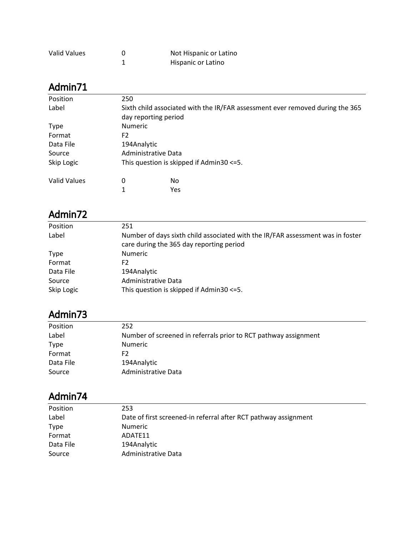| <b>Valid Values</b> | Not Hispanic or Latino |
|---------------------|------------------------|
|                     | Hispanic or Latino     |

| Position            | 250                                                                           |                      |  |  |
|---------------------|-------------------------------------------------------------------------------|----------------------|--|--|
| Label               | Sixth child associated with the IR/FAR assessment ever removed during the 365 |                      |  |  |
|                     |                                                                               | day reporting period |  |  |
| <b>Type</b>         | <b>Numeric</b>                                                                |                      |  |  |
| Format              | F <sub>2</sub>                                                                |                      |  |  |
| Data File           | 194Analytic                                                                   |                      |  |  |
| Source              | Administrative Data                                                           |                      |  |  |
| Skip Logic          | This question is skipped if $Admin30 \le 5$ .                                 |                      |  |  |
| <b>Valid Values</b> | 0                                                                             | No                   |  |  |
|                     |                                                                               | Yes                  |  |  |

#### Admin72

| Position    | 251                                                                                                                        |
|-------------|----------------------------------------------------------------------------------------------------------------------------|
| Label       | Number of days sixth child associated with the IR/FAR assessment was in foster<br>care during the 365 day reporting period |
| <b>Type</b> | <b>Numeric</b>                                                                                                             |
| Format      | F2                                                                                                                         |
| Data File   | 194Analytic                                                                                                                |
| Source      | Administrative Data                                                                                                        |
| Skip Logic  | This question is skipped if Admin30 <= 5.                                                                                  |

### Admin73

| Position  | 252                                                             |
|-----------|-----------------------------------------------------------------|
| Label     | Number of screened in referrals prior to RCT pathway assignment |
| Type      | <b>Numeric</b>                                                  |
| Format    | F2                                                              |
| Data File | 194Analytic                                                     |
| Source    | Administrative Data                                             |

| Position    | 253                                                             |
|-------------|-----------------------------------------------------------------|
| Label       | Date of first screened-in referral after RCT pathway assignment |
| <b>Type</b> | <b>Numeric</b>                                                  |
| Format      | ADATE11                                                         |
| Data File   | 194Analytic                                                     |
| Source      | Administrative Data                                             |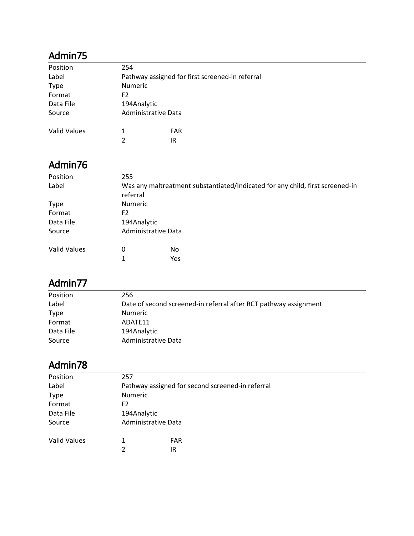| Position     | 254                                             |     |  |
|--------------|-------------------------------------------------|-----|--|
| Label        | Pathway assigned for first screened-in referral |     |  |
| <b>Type</b>  | <b>Numeric</b>                                  |     |  |
| Format       | F <sub>2</sub>                                  |     |  |
| Data File    | 194Analytic                                     |     |  |
| Source       | Administrative Data                             |     |  |
|              |                                                 |     |  |
| Valid Values | 1                                               | FAR |  |
|              | $\mathcal{P}$                                   | IR  |  |

#### Admin76

| 255                                                                           |          |  |  |
|-------------------------------------------------------------------------------|----------|--|--|
| Was any maltreatment substantiated/Indicated for any child, first screened-in |          |  |  |
|                                                                               |          |  |  |
| <b>Numeric</b>                                                                |          |  |  |
| F <sub>2</sub>                                                                |          |  |  |
| 194Analytic                                                                   |          |  |  |
| Administrative Data                                                           |          |  |  |
| 0                                                                             | No       |  |  |
| 1                                                                             | Yes      |  |  |
|                                                                               | referral |  |  |

#### Admin77

| Position    | 256                                                              |
|-------------|------------------------------------------------------------------|
| Label       | Date of second screened-in referral after RCT pathway assignment |
| <b>Type</b> | <b>Numeric</b>                                                   |
| Format      | ADATE11                                                          |
| Data File   | 194Analytic                                                      |
| Source      | Administrative Data                                              |

| Position            | 257                                              |                     |  |  |
|---------------------|--------------------------------------------------|---------------------|--|--|
| Label               | Pathway assigned for second screened-in referral |                     |  |  |
| <b>Type</b>         | <b>Numeric</b>                                   |                     |  |  |
| Format              | F2                                               |                     |  |  |
| Data File           | 194Analytic                                      |                     |  |  |
| Source              |                                                  | Administrative Data |  |  |
| <b>Valid Values</b> | 1                                                | <b>FAR</b>          |  |  |
|                     | $\mathcal{D}$                                    | IR                  |  |  |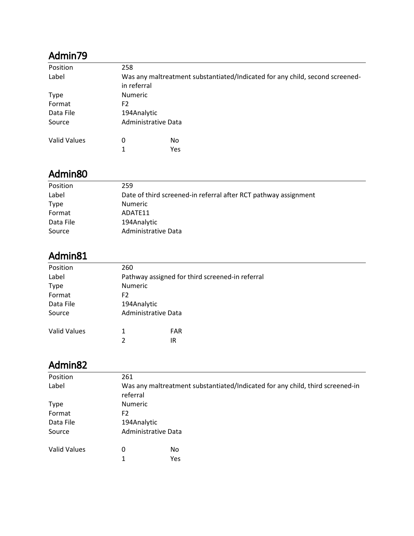| Position            | 258            |                                                                              |  |  |
|---------------------|----------------|------------------------------------------------------------------------------|--|--|
| Label               |                | Was any maltreatment substantiated/Indicated for any child, second screened- |  |  |
|                     | in referral    |                                                                              |  |  |
| <b>Type</b>         | <b>Numeric</b> |                                                                              |  |  |
| Format              | F2             |                                                                              |  |  |
| Data File           | 194Analytic    |                                                                              |  |  |
| Source              |                | Administrative Data                                                          |  |  |
| <b>Valid Values</b> | 0              | No                                                                           |  |  |
|                     | 1              | Yes                                                                          |  |  |

### Admin80

| Position    | 259                                                             |
|-------------|-----------------------------------------------------------------|
| Label       | Date of third screened-in referral after RCT pathway assignment |
| <b>Type</b> | <b>Numeric</b>                                                  |
| Format      | ADATE11                                                         |
| Data File   | 194Analytic                                                     |
| Source      | Administrative Data                                             |
|             |                                                                 |

### Admin81

| Position            | 260                                             |            |  |  |
|---------------------|-------------------------------------------------|------------|--|--|
| Label               | Pathway assigned for third screened-in referral |            |  |  |
| <b>Type</b>         | <b>Numeric</b>                                  |            |  |  |
| Format              | F2                                              |            |  |  |
| Data File           | 194Analytic                                     |            |  |  |
| Source              | Administrative Data                             |            |  |  |
| <b>Valid Values</b> |                                                 | <b>FAR</b> |  |  |
|                     | າ                                               | IR         |  |  |
|                     |                                                 |            |  |  |

| Position     | 261            |                                                                               |  |  |
|--------------|----------------|-------------------------------------------------------------------------------|--|--|
| Label        | referral       | Was any maltreatment substantiated/Indicated for any child, third screened-in |  |  |
| <b>Type</b>  | <b>Numeric</b> |                                                                               |  |  |
| Format       | F <sub>2</sub> |                                                                               |  |  |
| Data File    | 194Analytic    |                                                                               |  |  |
| Source       |                | Administrative Data                                                           |  |  |
| Valid Values | 0              | No                                                                            |  |  |
|              | 1              | Yes                                                                           |  |  |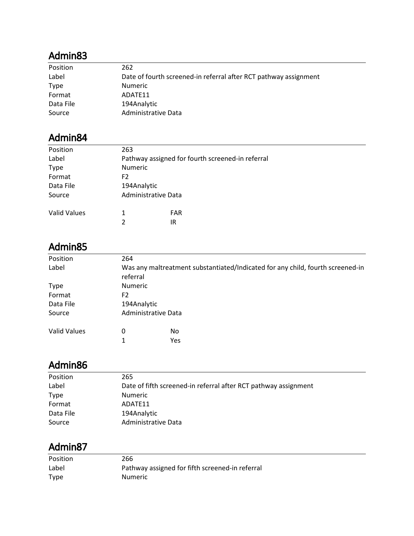| Position  | 262                                                              |
|-----------|------------------------------------------------------------------|
| Label     | Date of fourth screened-in referral after RCT pathway assignment |
| Type      | <b>Numeric</b>                                                   |
| Format    | ADATE11                                                          |
| Data File | 194Analytic                                                      |
| Source    | Administrative Data                                              |

#### Admin84

| Position            | 263                                              |            |  |
|---------------------|--------------------------------------------------|------------|--|
| Label               | Pathway assigned for fourth screened-in referral |            |  |
| <b>Type</b>         | <b>Numeric</b>                                   |            |  |
| Format              | F2                                               |            |  |
| Data File           | 194Analytic                                      |            |  |
| Source              | Administrative Data                              |            |  |
|                     |                                                  |            |  |
| <b>Valid Values</b> | 1                                                | <b>FAR</b> |  |
|                     | 2                                                | IR         |  |

#### Admin85

| Position            | 264                                                                                        |                     |  |  |
|---------------------|--------------------------------------------------------------------------------------------|---------------------|--|--|
| Label               | Was any maltreatment substantiated/Indicated for any child, fourth screened-in<br>referral |                     |  |  |
| <b>Type</b>         | <b>Numeric</b>                                                                             |                     |  |  |
| Format              | F2                                                                                         |                     |  |  |
| Data File           | 194Analytic                                                                                |                     |  |  |
| Source              |                                                                                            | Administrative Data |  |  |
| <b>Valid Values</b> | 0                                                                                          | No                  |  |  |
|                     | 1                                                                                          | Yes                 |  |  |

#### Admin86

| Position    | 265                                                             |
|-------------|-----------------------------------------------------------------|
| Label       | Date of fifth screened-in referral after RCT pathway assignment |
| <b>Type</b> | <b>Numeric</b>                                                  |
| Format      | ADATE11                                                         |
| Data File   | 194Analytic                                                     |
| Source      | Administrative Data                                             |

| Position    | 266                                             |
|-------------|-------------------------------------------------|
| Label       | Pathway assigned for fifth screened-in referral |
| <b>Type</b> | <b>Numeric</b>                                  |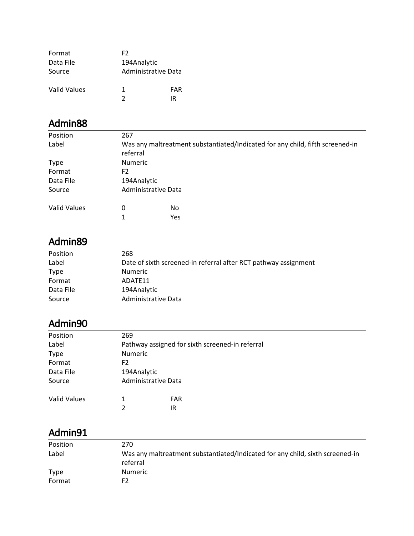| Format       | F2          |                     |
|--------------|-------------|---------------------|
| Data File    | 194Analytic |                     |
| Source       |             | Administrative Data |
| Valid Values | 1.          | FAR                 |
|              | 7           | IR                  |

| Position            | 267                                                                                       |     |  |
|---------------------|-------------------------------------------------------------------------------------------|-----|--|
| Label               | Was any maltreatment substantiated/Indicated for any child, fifth screened-in<br>referral |     |  |
| <b>Type</b>         | <b>Numeric</b>                                                                            |     |  |
| Format              | F <sub>2</sub>                                                                            |     |  |
| Data File           | 194Analytic                                                                               |     |  |
| Source              | Administrative Data                                                                       |     |  |
| <b>Valid Values</b> | 0                                                                                         | No. |  |
|                     | 1                                                                                         | Yes |  |

### Admin89

| Position    | 268                                                             |
|-------------|-----------------------------------------------------------------|
| Label       | Date of sixth screened-in referral after RCT pathway assignment |
| <b>Type</b> | <b>Numeric</b>                                                  |
| Format      | ADATE11                                                         |
| Data File   | 194Analytic                                                     |
| Source      | Administrative Data                                             |

#### Admin90

| Position            | 269                 |                                                 |
|---------------------|---------------------|-------------------------------------------------|
| Label               |                     | Pathway assigned for sixth screened-in referral |
| <b>Type</b>         | <b>Numeric</b>      |                                                 |
| Format              | F2                  |                                                 |
| Data File           | 194Analytic         |                                                 |
| Source              | Administrative Data |                                                 |
| <b>Valid Values</b> | 2                   | <b>FAR</b><br>IR                                |
|                     |                     |                                                 |

| Position    | 270                                                                                       |
|-------------|-------------------------------------------------------------------------------------------|
| Label       | Was any maltreatment substantiated/Indicated for any child, sixth screened-in<br>referral |
| <b>Type</b> | <b>Numeric</b>                                                                            |
| Format      | F2                                                                                        |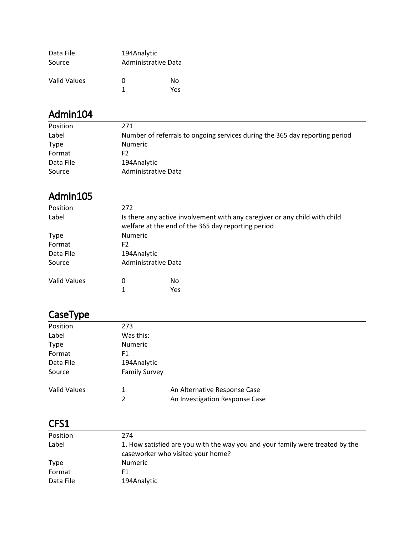| Data File    | 194Analytic         |           |
|--------------|---------------------|-----------|
| Source       | Administrative Data |           |
| Valid Values | O<br>1              | N٥<br>Yes |

| Position    | 271                                                                         |
|-------------|-----------------------------------------------------------------------------|
| Label       | Number of referrals to ongoing services during the 365 day reporting period |
| <b>Type</b> | <b>Numeric</b>                                                              |
| Format      | F2                                                                          |
| Data File   | 194Analytic                                                                 |
| Source      | Administrative Data                                                         |

#### Admin105

| Position            | 272            |                                                                                                                                  |  |
|---------------------|----------------|----------------------------------------------------------------------------------------------------------------------------------|--|
| Label               |                | Is there any active involvement with any caregiver or any child with child<br>welfare at the end of the 365 day reporting period |  |
| <b>Type</b>         | <b>Numeric</b> |                                                                                                                                  |  |
| Format              | F2             |                                                                                                                                  |  |
| Data File           | 194Analytic    |                                                                                                                                  |  |
| Source              |                | Administrative Data                                                                                                              |  |
| <b>Valid Values</b> | 0              | No                                                                                                                               |  |
|                     |                | Yes                                                                                                                              |  |

# CaseType

| Position            | 273                  |                                |  |
|---------------------|----------------------|--------------------------------|--|
| Label               | Was this:            |                                |  |
| <b>Type</b>         | Numeric              |                                |  |
| Format              | F1                   |                                |  |
| Data File           | 194Analytic          |                                |  |
| Source              | <b>Family Survey</b> |                                |  |
| <b>Valid Values</b> | 1                    | An Alternative Response Case   |  |
|                     | $\overline{2}$       | An Investigation Response Case |  |

| Position    | 274                                                                                                                |
|-------------|--------------------------------------------------------------------------------------------------------------------|
| Label       | 1. How satisfied are you with the way you and your family were treated by the<br>caseworker who visited your home? |
| <b>Type</b> | <b>Numeric</b>                                                                                                     |
| Format      | F1.                                                                                                                |
| Data File   | 194Analytic                                                                                                        |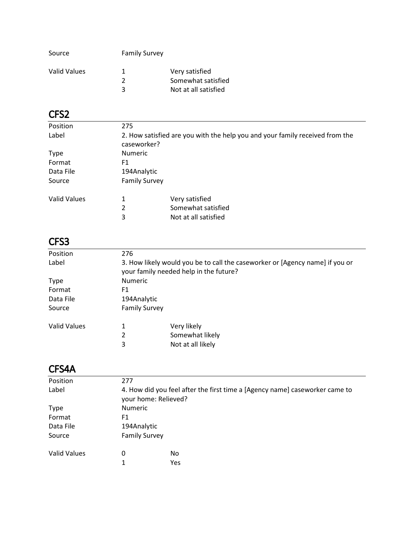| Source       | <b>Family Survey</b> |                                                              |
|--------------|----------------------|--------------------------------------------------------------|
| Valid Values | ົ                    | Very satisfied<br>Somewhat satisfied<br>Not at all satisfied |
|              |                      |                                                              |

| Position            | 275                  |                                                                              |  |
|---------------------|----------------------|------------------------------------------------------------------------------|--|
| Label               | caseworker?          | 2. How satisfied are you with the help you and your family received from the |  |
| <b>Type</b>         | <b>Numeric</b>       |                                                                              |  |
| Format              | F1                   |                                                                              |  |
| Data File           | 194Analytic          |                                                                              |  |
| Source              | <b>Family Survey</b> |                                                                              |  |
| <b>Valid Values</b> | 1                    | Very satisfied                                                               |  |
|                     | 2                    | Somewhat satisfied                                                           |  |
|                     | 3                    | Not at all satisfied                                                         |  |

# CFS3

| Position     | 276                  |                                                                                                                        |  |  |
|--------------|----------------------|------------------------------------------------------------------------------------------------------------------------|--|--|
| Label        |                      | 3. How likely would you be to call the caseworker or [Agency name] if you or<br>your family needed help in the future? |  |  |
| <b>Type</b>  | <b>Numeric</b>       |                                                                                                                        |  |  |
| Format       | F1                   |                                                                                                                        |  |  |
| Data File    |                      | 194Analytic                                                                                                            |  |  |
| Source       | <b>Family Survey</b> |                                                                                                                        |  |  |
| Valid Values | 1                    | Very likely                                                                                                            |  |  |
|              | 2                    | Somewhat likely                                                                                                        |  |  |
|              | 3                    | Not at all likely                                                                                                      |  |  |
|              |                      |                                                                                                                        |  |  |

### CFS4A

| Position            | 277                  |                                                                                                     |  |  |
|---------------------|----------------------|-----------------------------------------------------------------------------------------------------|--|--|
| Label               |                      | 4. How did you feel after the first time a [Agency name] caseworker came to<br>your home: Relieved? |  |  |
| <b>Type</b>         | <b>Numeric</b>       |                                                                                                     |  |  |
| Format              | F1                   |                                                                                                     |  |  |
| Data File           |                      | 194Analytic                                                                                         |  |  |
| Source              | <b>Family Survey</b> |                                                                                                     |  |  |
| <b>Valid Values</b> | 0                    | No                                                                                                  |  |  |
|                     |                      | Yes                                                                                                 |  |  |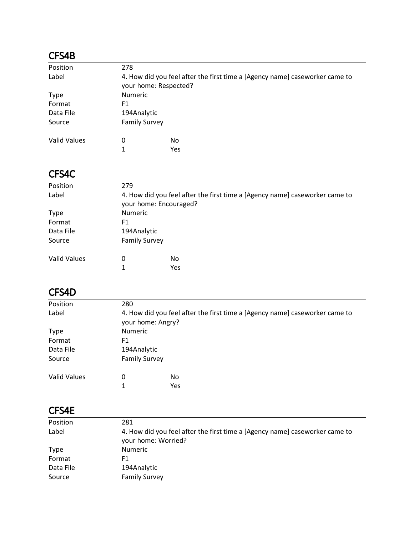#### CFS4B

| Position            | 278                  |                                                                                                      |  |
|---------------------|----------------------|------------------------------------------------------------------------------------------------------|--|
| Label               |                      | 4. How did you feel after the first time a [Agency name] caseworker came to<br>your home: Respected? |  |
| Type                | <b>Numeric</b>       |                                                                                                      |  |
| Format              | F1                   |                                                                                                      |  |
| Data File           | 194Analytic          |                                                                                                      |  |
| Source              | <b>Family Survey</b> |                                                                                                      |  |
| <b>Valid Values</b> | 0                    | No                                                                                                   |  |
|                     | 1                    | Yes                                                                                                  |  |

### CFS4C

| Position            | 279                    |                                                                             |  |
|---------------------|------------------------|-----------------------------------------------------------------------------|--|
| Label               | your home: Encouraged? | 4. How did you feel after the first time a [Agency name] caseworker came to |  |
| <b>Type</b>         | <b>Numeric</b>         |                                                                             |  |
| Format              | F1                     |                                                                             |  |
| Data File           | 194Analytic            |                                                                             |  |
| Source              | <b>Family Survey</b>   |                                                                             |  |
| <b>Valid Values</b> | 0                      | No                                                                          |  |
|                     | 1                      | Yes                                                                         |  |

### CFS4D

| Position            | 280                  |                                                                             |  |
|---------------------|----------------------|-----------------------------------------------------------------------------|--|
| Label               | your home: Angry?    | 4. How did you feel after the first time a [Agency name] caseworker came to |  |
| <b>Type</b>         | <b>Numeric</b>       |                                                                             |  |
| Format              | F1                   |                                                                             |  |
| Data File           | 194Analytic          |                                                                             |  |
| Source              | <b>Family Survey</b> |                                                                             |  |
| <b>Valid Values</b> | 0                    | No                                                                          |  |
|                     | 1                    | Yes                                                                         |  |
|                     |                      |                                                                             |  |

#### CFS4E

| Position    | 281                                                                                                |
|-------------|----------------------------------------------------------------------------------------------------|
| Label       | 4. How did you feel after the first time a [Agency name] caseworker came to<br>your home: Worried? |
| <b>Type</b> | <b>Numeric</b>                                                                                     |
| Format      | F1                                                                                                 |
| Data File   | 194Analytic                                                                                        |
| Source      | <b>Family Survey</b>                                                                               |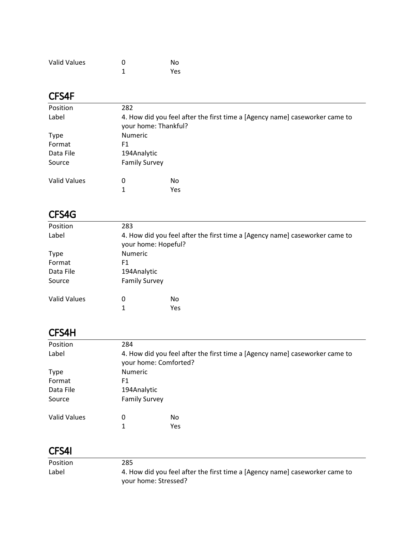| <b>Valid Values</b> | O | No  |
|---------------------|---|-----|
|                     |   | Yes |

### CFS4F

| Position            | 282                                                                                                 |     |  |
|---------------------|-----------------------------------------------------------------------------------------------------|-----|--|
| Label               | 4. How did you feel after the first time a [Agency name] caseworker came to<br>your home: Thankful? |     |  |
| <b>Type</b>         | <b>Numeric</b>                                                                                      |     |  |
| Format              | F1                                                                                                  |     |  |
| Data File           | 194Analytic                                                                                         |     |  |
| Source              | <b>Family Survey</b>                                                                                |     |  |
| <b>Valid Values</b> | 0                                                                                                   | No. |  |
|                     |                                                                                                     | Yes |  |

### CFS4G

| Position<br>283<br>Label<br>your home: Hopeful?<br><b>Numeric</b><br><b>Type</b><br>Format<br>F1<br>Data File<br>194Analytic<br><b>Family Survey</b><br>Source<br><b>Valid Values</b><br>0<br>No<br>Yes<br>1 |                                                                             |  |  |  |
|--------------------------------------------------------------------------------------------------------------------------------------------------------------------------------------------------------------|-----------------------------------------------------------------------------|--|--|--|
|                                                                                                                                                                                                              |                                                                             |  |  |  |
|                                                                                                                                                                                                              | 4. How did you feel after the first time a [Agency name] caseworker came to |  |  |  |
|                                                                                                                                                                                                              |                                                                             |  |  |  |
|                                                                                                                                                                                                              |                                                                             |  |  |  |
|                                                                                                                                                                                                              |                                                                             |  |  |  |
|                                                                                                                                                                                                              |                                                                             |  |  |  |
|                                                                                                                                                                                                              |                                                                             |  |  |  |
|                                                                                                                                                                                                              |                                                                             |  |  |  |

## CFS4H

| Position            | 284                                                                                                  |     |  |
|---------------------|------------------------------------------------------------------------------------------------------|-----|--|
| Label               | 4. How did you feel after the first time a [Agency name] caseworker came to<br>your home: Comforted? |     |  |
| <b>Type</b>         | <b>Numeric</b>                                                                                       |     |  |
| Format              | F1                                                                                                   |     |  |
| Data File           | 194Analytic                                                                                          |     |  |
| Source              | <b>Family Survey</b>                                                                                 |     |  |
| <b>Valid Values</b> | 0                                                                                                    | No. |  |
|                     | 1                                                                                                    | Yes |  |

### CFS4I

| <b>Position</b> | 285                                                                         |
|-----------------|-----------------------------------------------------------------------------|
| Label           | 4. How did you feel after the first time a [Agency name] caseworker came to |
|                 | your home: Stressed?                                                        |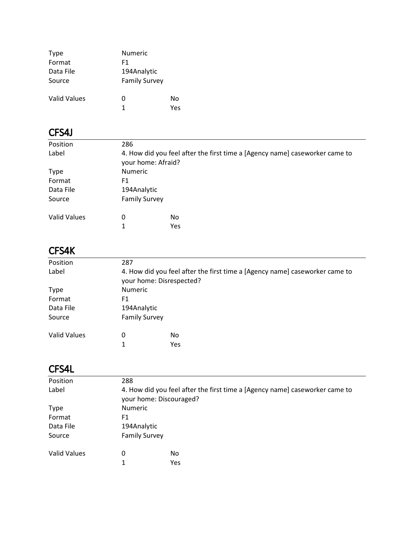| <b>Type</b>  | Numeric              |     |
|--------------|----------------------|-----|
| Format       | F1                   |     |
| Data File    | 194Analytic          |     |
| Source       | <b>Family Survey</b> |     |
| Valid Values | 0                    | No  |
|              | 1                    | Υρς |

# CFS4J

| Position            | 286                                                                                               |           |  |  |
|---------------------|---------------------------------------------------------------------------------------------------|-----------|--|--|
| Label               | 4. How did you feel after the first time a [Agency name] caseworker came to<br>your home: Afraid? |           |  |  |
| <b>Type</b>         | <b>Numeric</b>                                                                                    |           |  |  |
| Format              | F1                                                                                                |           |  |  |
| Data File           | 194Analytic                                                                                       |           |  |  |
| Source              | <b>Family Survey</b>                                                                              |           |  |  |
| <b>Valid Values</b> | 0<br>1                                                                                            | No<br>Yes |  |  |

# CFS4K

| Position            | 287                                                                                                     |           |  |
|---------------------|---------------------------------------------------------------------------------------------------------|-----------|--|
| Label               | 4. How did you feel after the first time a [Agency name] caseworker came to<br>your home: Disrespected? |           |  |
| <b>Type</b>         | <b>Numeric</b>                                                                                          |           |  |
| Format              | F1                                                                                                      |           |  |
| Data File           | 194Analytic                                                                                             |           |  |
| Source              | <b>Family Survey</b>                                                                                    |           |  |
| <b>Valid Values</b> | 0<br>1                                                                                                  | No<br>Yes |  |

# CFS4L

| Position            | 288                                                                                                    |           |  |
|---------------------|--------------------------------------------------------------------------------------------------------|-----------|--|
| Label               | 4. How did you feel after the first time a [Agency name] caseworker came to<br>your home: Discouraged? |           |  |
| <b>Type</b>         | <b>Numeric</b>                                                                                         |           |  |
| Format              | F1                                                                                                     |           |  |
| Data File           | 194Analytic                                                                                            |           |  |
| Source              | <b>Family Survey</b>                                                                                   |           |  |
| <b>Valid Values</b> | 0<br>1                                                                                                 | No<br>Yes |  |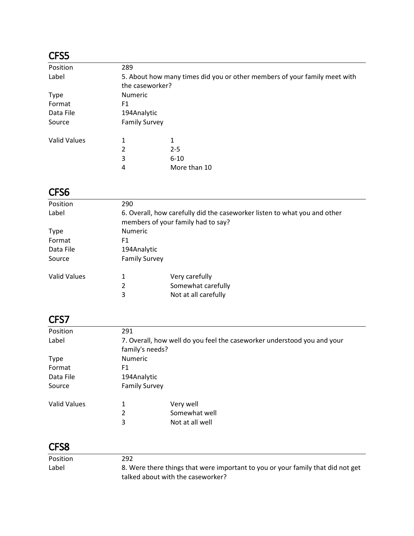| Position            | 289                  |                                                                           |  |
|---------------------|----------------------|---------------------------------------------------------------------------|--|
| Label               |                      | 5. About how many times did you or other members of your family meet with |  |
|                     | the caseworker?      |                                                                           |  |
| <b>Type</b>         | <b>Numeric</b>       |                                                                           |  |
| Format              | F1                   |                                                                           |  |
| Data File           | 194Analytic          |                                                                           |  |
| Source              | <b>Family Survey</b> |                                                                           |  |
| <b>Valid Values</b> | 1                    | 1                                                                         |  |
|                     | 2                    | $2 - 5$                                                                   |  |
|                     | 3                    | $6 - 10$                                                                  |  |
|                     | 4                    | More than 10                                                              |  |

# CFS6

| Position            | 290                                                                                                             |                      |  |  |
|---------------------|-----------------------------------------------------------------------------------------------------------------|----------------------|--|--|
| Label               | 6. Overall, how carefully did the caseworker listen to what you and other<br>members of your family had to say? |                      |  |  |
| <b>Type</b>         |                                                                                                                 | <b>Numeric</b>       |  |  |
| Format              | F1                                                                                                              |                      |  |  |
| Data File           | 194Analytic                                                                                                     |                      |  |  |
| Source              | <b>Family Survey</b>                                                                                            |                      |  |  |
| <b>Valid Values</b> | 1                                                                                                               | Very carefully       |  |  |
|                     | 2                                                                                                               | Somewhat carefully   |  |  |
|                     | 3                                                                                                               | Not at all carefully |  |  |
|                     |                                                                                                                 |                      |  |  |

## CFS7

| Position            | 291                  |                                                                         |  |  |
|---------------------|----------------------|-------------------------------------------------------------------------|--|--|
| Label               |                      | 7. Overall, how well do you feel the caseworker understood you and your |  |  |
|                     |                      | family's needs?                                                         |  |  |
| <b>Type</b>         | <b>Numeric</b>       |                                                                         |  |  |
| Format              | F1                   |                                                                         |  |  |
| Data File           | 194Analytic          |                                                                         |  |  |
| Source              | <b>Family Survey</b> |                                                                         |  |  |
| <b>Valid Values</b> | 1                    | Very well                                                               |  |  |
|                     | 2                    | Somewhat well                                                           |  |  |
|                     | 3                    | Not at all well                                                         |  |  |
|                     |                      |                                                                         |  |  |

| 8. Were there things that were important to you or your family that did not get |
|---------------------------------------------------------------------------------|
|                                                                                 |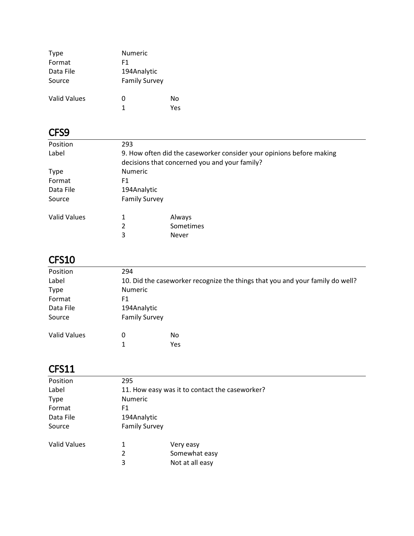| Type         | Numeric              |     |
|--------------|----------------------|-----|
| Format       | F1                   |     |
| Data File    | 194Analytic          |     |
| Source       | <b>Family Survey</b> |     |
| Valid Values | 0                    | N٥  |
|              | 1                    | Yes |

| Position            | 293                  |                                                                      |  |
|---------------------|----------------------|----------------------------------------------------------------------|--|
| Label               |                      | 9. How often did the caseworker consider your opinions before making |  |
|                     |                      | decisions that concerned you and your family?                        |  |
| <b>Type</b>         | <b>Numeric</b>       |                                                                      |  |
| Format              | F1                   |                                                                      |  |
| Data File           | 194Analytic          |                                                                      |  |
| Source              | <b>Family Survey</b> |                                                                      |  |
| <b>Valid Values</b> | 1                    | Always                                                               |  |
|                     | 2                    | Sometimes                                                            |  |
|                     | 3                    | Never                                                                |  |
|                     |                      |                                                                      |  |

# CFS10

| Position            | 294                  |                                                                               |  |  |
|---------------------|----------------------|-------------------------------------------------------------------------------|--|--|
| Label               |                      | 10. Did the caseworker recognize the things that you and your family do well? |  |  |
| <b>Type</b>         | <b>Numeric</b>       |                                                                               |  |  |
| Format              | F1                   |                                                                               |  |  |
| Data File           | 194Analytic          |                                                                               |  |  |
| Source              | <b>Family Survey</b> |                                                                               |  |  |
| <b>Valid Values</b> | 0                    | No                                                                            |  |  |
|                     |                      | Yes                                                                           |  |  |
|                     |                      |                                                                               |  |  |

| Position            | 295                  |                                                |  |
|---------------------|----------------------|------------------------------------------------|--|
| Label               |                      | 11. How easy was it to contact the caseworker? |  |
| <b>Type</b>         | <b>Numeric</b>       |                                                |  |
| Format              | F1                   |                                                |  |
| Data File           | 194Analytic          |                                                |  |
| Source              | <b>Family Survey</b> |                                                |  |
| <b>Valid Values</b> | 1                    | Very easy                                      |  |
|                     | 2                    | Somewhat easy                                  |  |
|                     | 3                    | Not at all easy                                |  |
|                     |                      |                                                |  |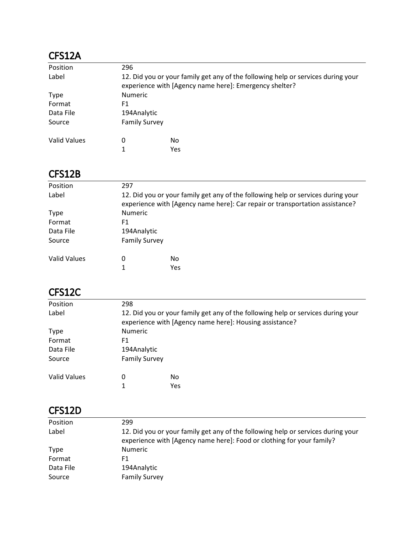### CFS12A

| Position     | 296                  |                                                                                                                                            |  |
|--------------|----------------------|--------------------------------------------------------------------------------------------------------------------------------------------|--|
| Label        |                      | 12. Did you or your family get any of the following help or services during your<br>experience with [Agency name here]: Emergency shelter? |  |
| Type         | <b>Numeric</b>       |                                                                                                                                            |  |
| Format       | F1                   |                                                                                                                                            |  |
| Data File    | 194Analytic          |                                                                                                                                            |  |
| Source       | <b>Family Survey</b> |                                                                                                                                            |  |
| Valid Values | 0                    | No.                                                                                                                                        |  |
|              |                      | Yes                                                                                                                                        |  |

### CFS12B

| Position     | 297                                                                                                                                                              |            |  |
|--------------|------------------------------------------------------------------------------------------------------------------------------------------------------------------|------------|--|
| Label        | 12. Did you or your family get any of the following help or services during your<br>experience with [Agency name here]: Car repair or transportation assistance? |            |  |
| <b>Type</b>  | <b>Numeric</b>                                                                                                                                                   |            |  |
| Format       | F1                                                                                                                                                               |            |  |
| Data File    | 194Analytic                                                                                                                                                      |            |  |
| Source       | <b>Family Survey</b>                                                                                                                                             |            |  |
| Valid Values | 0                                                                                                                                                                | No.<br>Yes |  |

### CFS12C

| Position            | 298                  |                                                                                                                                             |  |  |
|---------------------|----------------------|---------------------------------------------------------------------------------------------------------------------------------------------|--|--|
| Label               |                      | 12. Did you or your family get any of the following help or services during your<br>experience with [Agency name here]: Housing assistance? |  |  |
| <b>Type</b>         | <b>Numeric</b>       |                                                                                                                                             |  |  |
| Format              | F1                   |                                                                                                                                             |  |  |
| Data File           | 194Analytic          |                                                                                                                                             |  |  |
| Source              | <b>Family Survey</b> |                                                                                                                                             |  |  |
| <b>Valid Values</b> | 0                    | No                                                                                                                                          |  |  |
|                     |                      | Yes                                                                                                                                         |  |  |

### CFS12D

| Position  | 299                                                                                                                                                       |
|-----------|-----------------------------------------------------------------------------------------------------------------------------------------------------------|
| Label     | 12. Did you or your family get any of the following help or services during your<br>experience with [Agency name here]: Food or clothing for your family? |
| Type      | <b>Numeric</b>                                                                                                                                            |
| Format    | F1                                                                                                                                                        |
| Data File | 194Analytic                                                                                                                                               |
| Source    | <b>Family Survey</b>                                                                                                                                      |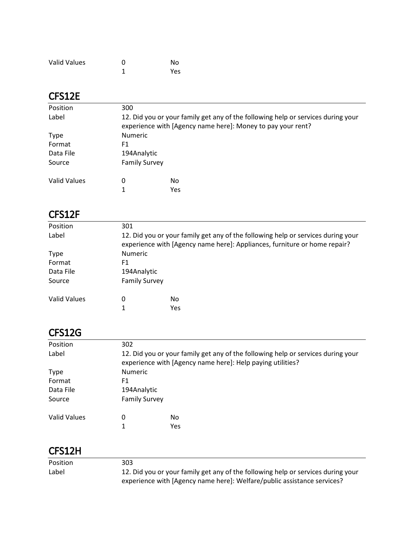| <b>Valid Values</b> | O | No  |
|---------------------|---|-----|
|                     |   | Yes |

#### CFS12E

| Position     | 300                                                                                                                                             |           |  |
|--------------|-------------------------------------------------------------------------------------------------------------------------------------------------|-----------|--|
| Label        | 12. Did you or your family get any of the following help or services during your<br>experience with [Agency name here]: Money to pay your rent? |           |  |
| <b>Type</b>  | <b>Numeric</b>                                                                                                                                  |           |  |
| Format       | F1                                                                                                                                              |           |  |
| Data File    | 194Analytic                                                                                                                                     |           |  |
| Source       | <b>Family Survey</b>                                                                                                                            |           |  |
| Valid Values | 0                                                                                                                                               | No<br>Yes |  |

#### CFS12F

| Position     | 301                                                                                                                                                           |     |  |
|--------------|---------------------------------------------------------------------------------------------------------------------------------------------------------------|-----|--|
| Label        | 12. Did you or your family get any of the following help or services during your<br>experience with [Agency name here]: Appliances, furniture or home repair? |     |  |
| <b>Type</b>  | <b>Numeric</b>                                                                                                                                                |     |  |
| Format       | F1                                                                                                                                                            |     |  |
| Data File    | 194Analytic                                                                                                                                                   |     |  |
| Source       | <b>Family Survey</b>                                                                                                                                          |     |  |
| Valid Values | 0                                                                                                                                                             | No  |  |
|              |                                                                                                                                                               | Yes |  |
|              |                                                                                                                                                               |     |  |

### CFS12G

| Position     | 302                  |                                                                                                                                                |  |
|--------------|----------------------|------------------------------------------------------------------------------------------------------------------------------------------------|--|
| Label        |                      | 12. Did you or your family get any of the following help or services during your<br>experience with [Agency name here]: Help paying utilities? |  |
| <b>Type</b>  | <b>Numeric</b>       |                                                                                                                                                |  |
| Format       | F1                   |                                                                                                                                                |  |
| Data File    | 194Analytic          |                                                                                                                                                |  |
| Source       | <b>Family Survey</b> |                                                                                                                                                |  |
| Valid Values | 0                    | No                                                                                                                                             |  |
|              |                      | Yes                                                                                                                                            |  |

### CFS12H

| <b>Position</b> | 303                                                                              |
|-----------------|----------------------------------------------------------------------------------|
| Label           | 12. Did you or your family get any of the following help or services during your |
|                 | experience with [Agency name here]: Welfare/public assistance services?          |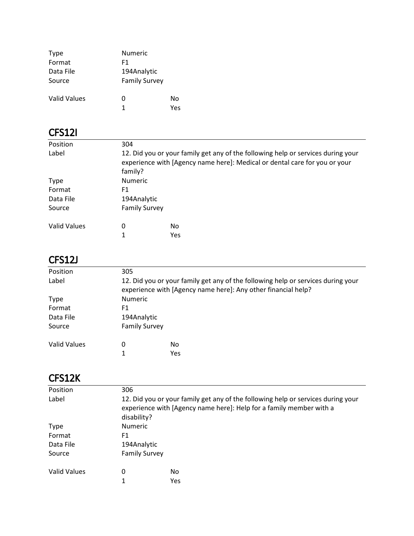| <b>Type</b>  | Numeric              |     |
|--------------|----------------------|-----|
| Format       | F1                   |     |
| Data File    | 194Analytic          |     |
| Source       | <b>Family Survey</b> |     |
| Valid Values | 0                    | No  |
|              | 1                    | Υρς |

### CFS12I

| Position            | 304                  |                                                                                                                                                                |  |  |
|---------------------|----------------------|----------------------------------------------------------------------------------------------------------------------------------------------------------------|--|--|
| Label               | family?              | 12. Did you or your family get any of the following help or services during your<br>experience with [Agency name here]: Medical or dental care for you or your |  |  |
| <b>Type</b>         | <b>Numeric</b>       |                                                                                                                                                                |  |  |
| Format              | F1                   |                                                                                                                                                                |  |  |
| Data File           | 194Analytic          |                                                                                                                                                                |  |  |
| Source              | <b>Family Survey</b> |                                                                                                                                                                |  |  |
| <b>Valid Values</b> | 0                    | No                                                                                                                                                             |  |  |
|                     |                      | <b>Yes</b>                                                                                                                                                     |  |  |
|                     |                      |                                                                                                                                                                |  |  |

## CFS12J

| Position            | 305            |                                                                                                                                                   |  |  |
|---------------------|----------------|---------------------------------------------------------------------------------------------------------------------------------------------------|--|--|
| Label               |                | 12. Did you or your family get any of the following help or services during your<br>experience with [Agency name here]: Any other financial help? |  |  |
| <b>Type</b>         | <b>Numeric</b> |                                                                                                                                                   |  |  |
| Format              | F1             |                                                                                                                                                   |  |  |
| Data File           |                | 194Analytic                                                                                                                                       |  |  |
| Source              |                | <b>Family Survey</b>                                                                                                                              |  |  |
| <b>Valid Values</b> | 0              | No<br>Yes                                                                                                                                         |  |  |
|                     |                |                                                                                                                                                   |  |  |

## CFS12K

| 306                                                                                                                                                                    |     |  |
|------------------------------------------------------------------------------------------------------------------------------------------------------------------------|-----|--|
|                                                                                                                                                                        |     |  |
| 12. Did you or your family get any of the following help or services during your<br>experience with [Agency name here]: Help for a family member with a<br>disability? |     |  |
| <b>Numeric</b>                                                                                                                                                         |     |  |
| F1                                                                                                                                                                     |     |  |
| 194Analytic                                                                                                                                                            |     |  |
| <b>Family Survey</b>                                                                                                                                                   |     |  |
| 0                                                                                                                                                                      | No. |  |
| 1                                                                                                                                                                      | Yes |  |
|                                                                                                                                                                        |     |  |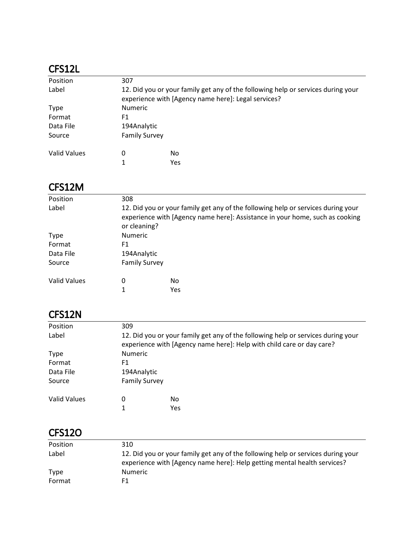#### CFS12L

| Position     | 307            |                                                                                                                                         |  |  |
|--------------|----------------|-----------------------------------------------------------------------------------------------------------------------------------------|--|--|
| Label        |                | 12. Did you or your family get any of the following help or services during your<br>experience with [Agency name here]: Legal services? |  |  |
| <b>Type</b>  | <b>Numeric</b> |                                                                                                                                         |  |  |
| Format       | F1             |                                                                                                                                         |  |  |
| Data File    |                | 194Analytic                                                                                                                             |  |  |
| Source       |                | <b>Family Survey</b>                                                                                                                    |  |  |
| Valid Values | 0              | No                                                                                                                                      |  |  |
|              |                | Yes                                                                                                                                     |  |  |

#### CFS12M

| Position     | 308                  |                                                                                                                                                                  |  |  |
|--------------|----------------------|------------------------------------------------------------------------------------------------------------------------------------------------------------------|--|--|
| Label        | or cleaning?         | 12. Did you or your family get any of the following help or services during your<br>experience with [Agency name here]: Assistance in your home, such as cooking |  |  |
| <b>Type</b>  | <b>Numeric</b>       |                                                                                                                                                                  |  |  |
| Format       | F1                   |                                                                                                                                                                  |  |  |
| Data File    | 194Analytic          |                                                                                                                                                                  |  |  |
| Source       | <b>Family Survey</b> |                                                                                                                                                                  |  |  |
| Valid Values | 0                    | No.<br><b>Yes</b>                                                                                                                                                |  |  |

### CFS12N

| Position            | 309                  |                                                                                                                                                           |  |  |  |
|---------------------|----------------------|-----------------------------------------------------------------------------------------------------------------------------------------------------------|--|--|--|
| Label               |                      | 12. Did you or your family get any of the following help or services during your<br>experience with [Agency name here]: Help with child care or day care? |  |  |  |
| <b>Type</b>         | <b>Numeric</b>       |                                                                                                                                                           |  |  |  |
| Format              | F1                   |                                                                                                                                                           |  |  |  |
| Data File           |                      | 194Analytic                                                                                                                                               |  |  |  |
| Source              | <b>Family Survey</b> |                                                                                                                                                           |  |  |  |
| <b>Valid Values</b> | 0                    | No                                                                                                                                                        |  |  |  |
|                     |                      | <b>Yes</b>                                                                                                                                                |  |  |  |

### CFS12O

| Position | 310                                                                                                                                                          |
|----------|--------------------------------------------------------------------------------------------------------------------------------------------------------------|
| Label    | 12. Did you or your family get any of the following help or services during your<br>experience with [Agency name here]: Help getting mental health services? |
| Type     | <b>Numeric</b>                                                                                                                                               |
| Format   | F1                                                                                                                                                           |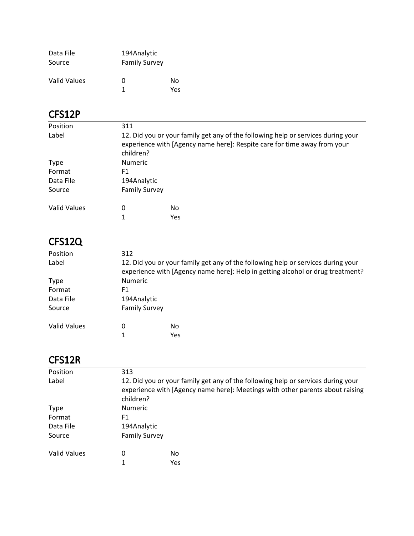| Data File    | 194Analytic          |     |
|--------------|----------------------|-----|
| Source       | <b>Family Survey</b> |     |
| Valid Values | O                    | N٥  |
|              | 1                    | Yes |

### CFS12P

| Position     | 311                                                                                                                                                                       |     |  |
|--------------|---------------------------------------------------------------------------------------------------------------------------------------------------------------------------|-----|--|
| Label        | 12. Did you or your family get any of the following help or services during your<br>experience with [Agency name here]: Respite care for time away from your<br>children? |     |  |
| <b>Type</b>  | <b>Numeric</b>                                                                                                                                                            |     |  |
| Format       | F1                                                                                                                                                                        |     |  |
| Data File    | 194Analytic                                                                                                                                                               |     |  |
| Source       | <b>Family Survey</b>                                                                                                                                                      |     |  |
| Valid Values | 0                                                                                                                                                                         | No. |  |
|              |                                                                                                                                                                           | Yes |  |

# CFS12Q

| Position     | 312                                                                                                                                                                |                  |  |
|--------------|--------------------------------------------------------------------------------------------------------------------------------------------------------------------|------------------|--|
| Label        | 12. Did you or your family get any of the following help or services during your<br>experience with [Agency name here]: Help in getting alcohol or drug treatment? |                  |  |
| <b>Type</b>  | <b>Numeric</b>                                                                                                                                                     |                  |  |
| Format       | F1                                                                                                                                                                 |                  |  |
| Data File    | 194Analytic                                                                                                                                                        |                  |  |
| Source       | <b>Family Survey</b>                                                                                                                                               |                  |  |
| Valid Values | 0                                                                                                                                                                  | No<br><b>Yes</b> |  |

#### CFS12R

| Position     | 313                                                                                                                                                                            |     |  |  |
|--------------|--------------------------------------------------------------------------------------------------------------------------------------------------------------------------------|-----|--|--|
| Label        | 12. Did you or your family get any of the following help or services during your<br>experience with [Agency name here]: Meetings with other parents about raising<br>children? |     |  |  |
| <b>Type</b>  | <b>Numeric</b>                                                                                                                                                                 |     |  |  |
| Format       | F1                                                                                                                                                                             |     |  |  |
| Data File    | 194Analytic                                                                                                                                                                    |     |  |  |
| Source       | <b>Family Survey</b>                                                                                                                                                           |     |  |  |
| Valid Values | 0                                                                                                                                                                              | No  |  |  |
|              | 1                                                                                                                                                                              | Yes |  |  |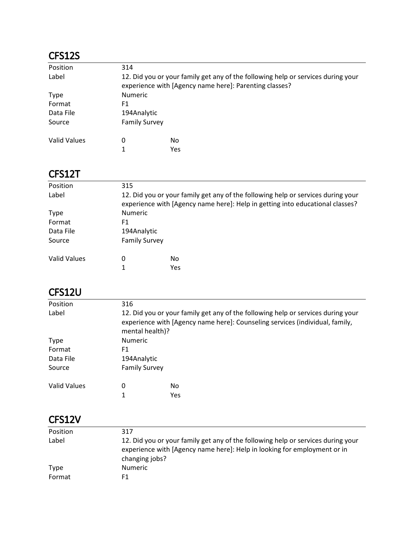### CFS12S

| Position     | 314                  |                                                                                                                                            |  |  |
|--------------|----------------------|--------------------------------------------------------------------------------------------------------------------------------------------|--|--|
| Label        |                      | 12. Did you or your family get any of the following help or services during your<br>experience with [Agency name here]: Parenting classes? |  |  |
| Type         |                      | <b>Numeric</b>                                                                                                                             |  |  |
| Format       | F1                   |                                                                                                                                            |  |  |
| Data File    |                      | 194Analytic                                                                                                                                |  |  |
| Source       | <b>Family Survey</b> |                                                                                                                                            |  |  |
| Valid Values | 0                    | No.                                                                                                                                        |  |  |
|              |                      | Yes                                                                                                                                        |  |  |

## CFS12T

| Position     | 315                                                                                                                                                               |     |  |
|--------------|-------------------------------------------------------------------------------------------------------------------------------------------------------------------|-----|--|
| Label        | 12. Did you or your family get any of the following help or services during your<br>experience with [Agency name here]: Help in getting into educational classes? |     |  |
| <b>Type</b>  | <b>Numeric</b>                                                                                                                                                    |     |  |
| Format       | F1                                                                                                                                                                |     |  |
| Data File    | 194Analytic                                                                                                                                                       |     |  |
| Source       | <b>Family Survey</b>                                                                                                                                              |     |  |
| Valid Values | 0                                                                                                                                                                 | No  |  |
|              |                                                                                                                                                                   | Yes |  |

### CFS12U

| Position            | 316                                                                                                                                                                                 |           |  |
|---------------------|-------------------------------------------------------------------------------------------------------------------------------------------------------------------------------------|-----------|--|
| Label               | 12. Did you or your family get any of the following help or services during your<br>experience with [Agency name here]: Counseling services (individual, family,<br>mental health)? |           |  |
| <b>Type</b>         | <b>Numeric</b>                                                                                                                                                                      |           |  |
| Format              | F1                                                                                                                                                                                  |           |  |
| Data File           | 194Analytic                                                                                                                                                                         |           |  |
| Source              | <b>Family Survey</b>                                                                                                                                                                |           |  |
| <b>Valid Values</b> | 0                                                                                                                                                                                   | No<br>Yes |  |

## CFS12V

| Position | 317                                                                                                                                                                            |
|----------|--------------------------------------------------------------------------------------------------------------------------------------------------------------------------------|
| Label    | 12. Did you or your family get any of the following help or services during your<br>experience with [Agency name here]: Help in looking for employment or in<br>changing jobs? |
| Type     | <b>Numeric</b>                                                                                                                                                                 |
| Format   | F1                                                                                                                                                                             |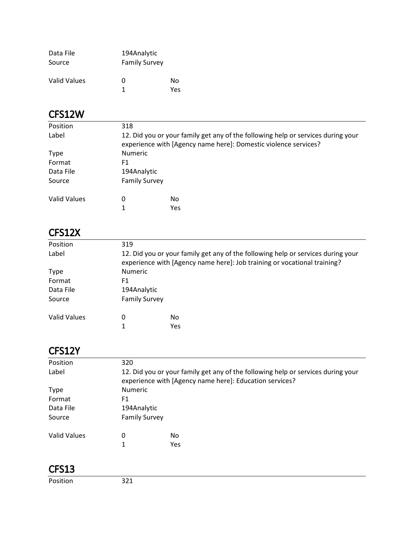| Data File    | 194Analytic          |     |
|--------------|----------------------|-----|
| Source       | <b>Family Survey</b> |     |
|              |                      |     |
| Valid Values | 0                    | Nο  |
|              | 1                    | Υρς |

### CFS12W

| Position            | 318                                                                                                                                                 |     |  |
|---------------------|-----------------------------------------------------------------------------------------------------------------------------------------------------|-----|--|
| Label               | 12. Did you or your family get any of the following help or services during your<br>experience with [Agency name here]: Domestic violence services? |     |  |
| <b>Type</b>         | <b>Numeric</b>                                                                                                                                      |     |  |
| Format              | F1                                                                                                                                                  |     |  |
| Data File           | 194Analytic                                                                                                                                         |     |  |
| Source              | <b>Family Survey</b>                                                                                                                                |     |  |
| <b>Valid Values</b> | 0                                                                                                                                                   | No  |  |
|                     |                                                                                                                                                     | Yes |  |

### CFS12X

| Position     | 319                                                                                                                                                          |     |  |
|--------------|--------------------------------------------------------------------------------------------------------------------------------------------------------------|-----|--|
| Label        | 12. Did you or your family get any of the following help or services during your<br>experience with [Agency name here]: Job training or vocational training? |     |  |
| <b>Type</b>  | <b>Numeric</b>                                                                                                                                               |     |  |
| Format       | F1                                                                                                                                                           |     |  |
| Data File    | 194Analytic                                                                                                                                                  |     |  |
| Source       | <b>Family Survey</b>                                                                                                                                         |     |  |
| Valid Values | 0                                                                                                                                                            | No  |  |
|              | 1                                                                                                                                                            | Yes |  |

### CFS12Y

| Position            | 320 |                                                                                                                                             |  |  |
|---------------------|-----|---------------------------------------------------------------------------------------------------------------------------------------------|--|--|
| Label               |     | 12. Did you or your family get any of the following help or services during your<br>experience with [Agency name here]: Education services? |  |  |
| <b>Type</b>         |     | <b>Numeric</b>                                                                                                                              |  |  |
| Format              | F1  |                                                                                                                                             |  |  |
| Data File           |     | 194Analytic                                                                                                                                 |  |  |
| Source              |     | <b>Family Survey</b>                                                                                                                        |  |  |
| <b>Valid Values</b> | 0   | No                                                                                                                                          |  |  |
|                     | 1   | Yes                                                                                                                                         |  |  |
|                     |     |                                                                                                                                             |  |  |

| Position |
|----------|
|----------|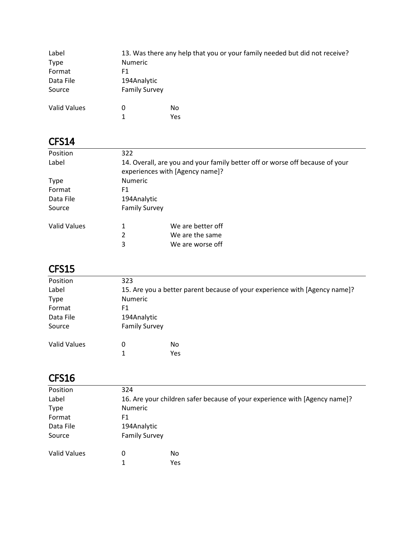| Label<br><b>Type</b><br>Format<br>Data File | 13. Was there any help that you or your family needed but did not receive?<br><b>Numeric</b><br>F1<br>194Analytic |            |  |
|---------------------------------------------|-------------------------------------------------------------------------------------------------------------------|------------|--|
|                                             |                                                                                                                   |            |  |
| Source                                      | <b>Family Survey</b>                                                                                              |            |  |
| <b>Valid Values</b>                         | 0<br>1                                                                                                            | No.<br>Yes |  |

| Position            | 322                                                                                                             |  |  |
|---------------------|-----------------------------------------------------------------------------------------------------------------|--|--|
| Label               | 14. Overall, are you and your family better off or worse off because of your<br>experiences with [Agency name]? |  |  |
| <b>Type</b>         | <b>Numeric</b>                                                                                                  |  |  |
| Format              | F1                                                                                                              |  |  |
| Data File           | 194Analytic                                                                                                     |  |  |
| Source              | <b>Family Survey</b>                                                                                            |  |  |
| <b>Valid Values</b> | We are better off<br>1                                                                                          |  |  |
|                     | 2<br>We are the same                                                                                            |  |  |
|                     | 3<br>We are worse off                                                                                           |  |  |

### CFS15

| Position            | 323                                                                        |     |  |
|---------------------|----------------------------------------------------------------------------|-----|--|
| Label               | 15. Are you a better parent because of your experience with [Agency name]? |     |  |
| <b>Type</b>         | Numeric                                                                    |     |  |
| Format              | F1                                                                         |     |  |
| Data File           | 194Analytic                                                                |     |  |
| Source              | <b>Family Survey</b>                                                       |     |  |
| <b>Valid Values</b> | 0                                                                          | No. |  |
|                     | 1                                                                          | Yes |  |

| Position            | 324                                                                        |     |  |  |
|---------------------|----------------------------------------------------------------------------|-----|--|--|
| Label               | 16. Are your children safer because of your experience with [Agency name]? |     |  |  |
| <b>Type</b>         | <b>Numeric</b>                                                             |     |  |  |
| Format              | F1                                                                         |     |  |  |
| Data File           | 194Analytic                                                                |     |  |  |
| Source              | <b>Family Survey</b>                                                       |     |  |  |
| <b>Valid Values</b> | 0                                                                          | No  |  |  |
|                     | 1                                                                          | Yes |  |  |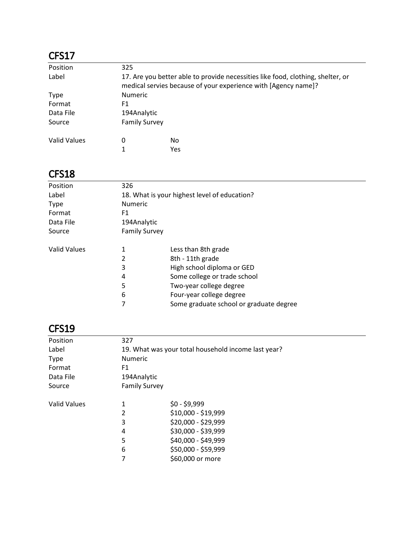| Position     | 325 |                                                                                                                                                   |  |  |
|--------------|-----|---------------------------------------------------------------------------------------------------------------------------------------------------|--|--|
| Label        |     | 17. Are you better able to provide necessities like food, clothing, shelter, or<br>medical servies because of your experience with [Agency name]? |  |  |
| <b>Type</b>  |     | <b>Numeric</b>                                                                                                                                    |  |  |
| Format       | F1  |                                                                                                                                                   |  |  |
| Data File    |     | 194Analytic                                                                                                                                       |  |  |
| Source       |     | <b>Family Survey</b>                                                                                                                              |  |  |
| Valid Values | 0   | No.                                                                                                                                               |  |  |
|              |     | Yes                                                                                                                                               |  |  |

#### CFS18

| Position            | 326            |                                              |  |  |
|---------------------|----------------|----------------------------------------------|--|--|
| Label               |                | 18. What is your highest level of education? |  |  |
| <b>Type</b>         | <b>Numeric</b> |                                              |  |  |
| Format              | F1             |                                              |  |  |
| Data File           |                | 194Analytic                                  |  |  |
| Source              |                | <b>Family Survey</b>                         |  |  |
| <b>Valid Values</b> | 1              | Less than 8th grade                          |  |  |
|                     | 2              | 8th - 11th grade                             |  |  |
|                     | 3              | High school diploma or GED                   |  |  |
|                     | 4              | Some college or trade school                 |  |  |
|                     | 5              | Two-year college degree                      |  |  |
|                     | 6              | Four-year college degree                     |  |  |
|                     | 7              | Some graduate school or graduate degree      |  |  |
|                     |                |                                              |  |  |

| Position            | 327     |                                                     |  |  |
|---------------------|---------|-----------------------------------------------------|--|--|
| Label               |         | 19. What was your total household income last year? |  |  |
| <b>Type</b>         | Numeric |                                                     |  |  |
| Format              | F1      |                                                     |  |  |
| Data File           |         | 194Analytic                                         |  |  |
| Source              |         | <b>Family Survey</b>                                |  |  |
| <b>Valid Values</b> | 1       | $$0 - $9,999$                                       |  |  |
|                     | 2       | \$10,000 - \$19,999                                 |  |  |
|                     | 3       | \$20,000 - \$29,999                                 |  |  |
|                     | 4       | \$30,000 - \$39,999                                 |  |  |
|                     | 5       | \$40,000 - \$49,999                                 |  |  |
|                     | 6       | \$50,000 - \$59,999                                 |  |  |
|                     | 7       | \$60,000 or more                                    |  |  |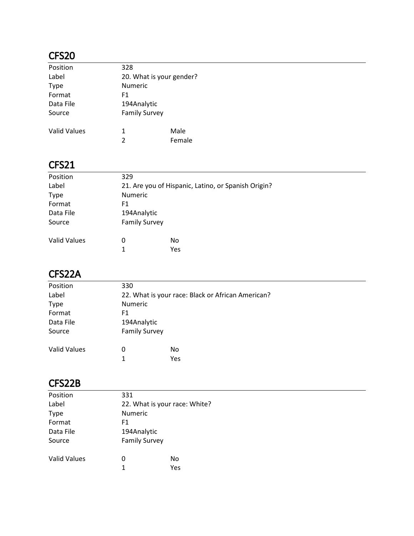| Position            | 328                      |        |  |
|---------------------|--------------------------|--------|--|
| Label               | 20. What is your gender? |        |  |
| <b>Type</b>         | <b>Numeric</b>           |        |  |
| Format              | F1                       |        |  |
| Data File           | 194Analytic              |        |  |
| Source              | <b>Family Survey</b>     |        |  |
| <b>Valid Values</b> | 1                        | Male   |  |
|                     | $\mathfrak{p}$           | Female |  |

## CFS21

| Position            | 329                                                 |                |  |  |
|---------------------|-----------------------------------------------------|----------------|--|--|
| Label               | 21. Are you of Hispanic, Latino, or Spanish Origin? |                |  |  |
| <b>Type</b>         |                                                     | <b>Numeric</b> |  |  |
| Format              | F1                                                  |                |  |  |
| Data File           | 194Analytic                                         |                |  |  |
| Source              | <b>Family Survey</b>                                |                |  |  |
| <b>Valid Values</b> |                                                     | No             |  |  |
|                     | 0                                                   |                |  |  |
|                     | 1                                                   | Yes            |  |  |

# CFS22A

| Position            | 330                  |                                                   |  |  |
|---------------------|----------------------|---------------------------------------------------|--|--|
| Label               |                      | 22. What is your race: Black or African American? |  |  |
| <b>Type</b>         |                      | Numeric                                           |  |  |
| Format              | F1                   |                                                   |  |  |
| Data File           | 194Analytic          |                                                   |  |  |
| Source              | <b>Family Survey</b> |                                                   |  |  |
| <b>Valid Values</b> | 0                    | No                                                |  |  |
|                     | 1                    | Yes                                               |  |  |

### CFS22B

| Position            | 331                           |     |  |
|---------------------|-------------------------------|-----|--|
| Label               | 22. What is your race: White? |     |  |
| <b>Type</b>         | <b>Numeric</b>                |     |  |
| Format              | F1                            |     |  |
| Data File           | 194Analytic                   |     |  |
| Source              | <b>Family Survey</b>          |     |  |
| <b>Valid Values</b> | 0                             | No  |  |
|                     | 1                             | Yes |  |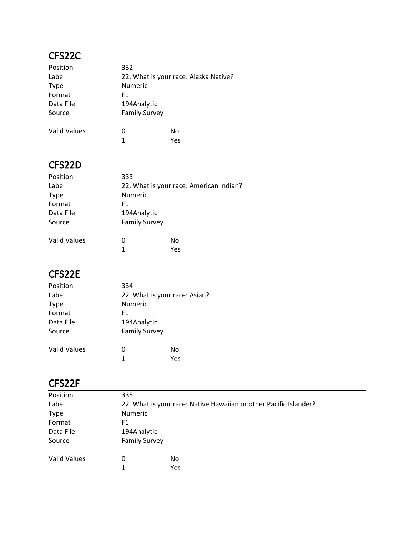### CFS22C

| Position            | 332                  |                                       |  |  |
|---------------------|----------------------|---------------------------------------|--|--|
| Label               |                      | 22. What is your race: Alaska Native? |  |  |
| <b>Type</b>         | <b>Numeric</b>       |                                       |  |  |
| Format              | F1                   |                                       |  |  |
| Data File           | 194Analytic          |                                       |  |  |
| Source              | <b>Family Survey</b> |                                       |  |  |
| <b>Valid Values</b> | 0                    | No                                    |  |  |
|                     | 1                    | Yes                                   |  |  |

#### CFS22D

| Position            | 333                                     |     |  |
|---------------------|-----------------------------------------|-----|--|
| Label               | 22. What is your race: American Indian? |     |  |
| <b>Type</b>         | <b>Numeric</b>                          |     |  |
| Format              | F1                                      |     |  |
| Data File           | 194Analytic                             |     |  |
| Source              | <b>Family Survey</b>                    |     |  |
| <b>Valid Values</b> | 0                                       | No  |  |
|                     | 1                                       | Yes |  |

#### CFS22E

| 22. What is your race: Asian? |     |                             |
|-------------------------------|-----|-----------------------------|
| Numeric                       |     |                             |
| F1                            |     |                             |
| 194Analytic                   |     |                             |
|                               |     |                             |
| 0<br>1                        | No  |                             |
|                               | 334 | <b>Family Survey</b><br>Yes |

#### CFS22F

| Position            | 335                                                               |     |  |
|---------------------|-------------------------------------------------------------------|-----|--|
| Label               | 22. What is your race: Native Hawaiian or other Pacific Islander? |     |  |
| <b>Type</b>         | Numeric                                                           |     |  |
| Format              | F1                                                                |     |  |
| Data File           | 194Analytic                                                       |     |  |
| Source              | <b>Family Survey</b>                                              |     |  |
| <b>Valid Values</b> | 0                                                                 | No  |  |
|                     | $\mathbf{1}$                                                      | Yes |  |
|                     |                                                                   |     |  |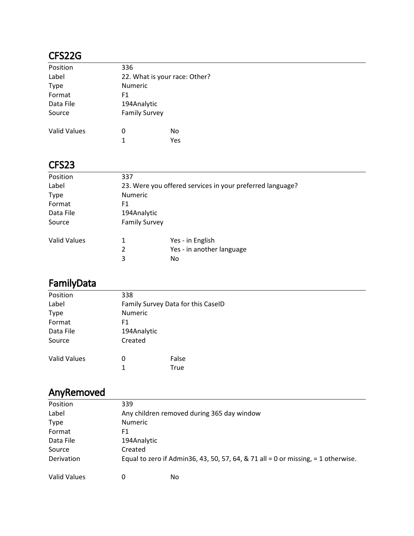### CFS22G

| Position            | 336                           |     |  |
|---------------------|-------------------------------|-----|--|
| Label               | 22. What is your race: Other? |     |  |
| <b>Type</b>         | <b>Numeric</b>                |     |  |
| Format              | F1                            |     |  |
| Data File           | 194Analytic                   |     |  |
| Source              | <b>Family Survey</b>          |     |  |
| <b>Valid Values</b> | 0                             | No  |  |
|                     | 1                             | Yes |  |

#### CFS23

| Position            | 337                                                       |                           |  |
|---------------------|-----------------------------------------------------------|---------------------------|--|
| Label               | 23. Were you offered services in your preferred language? |                           |  |
| <b>Type</b>         | <b>Numeric</b>                                            |                           |  |
| Format              | F1                                                        |                           |  |
| Data File           | 194Analytic                                               |                           |  |
| Source              | <b>Family Survey</b>                                      |                           |  |
| <b>Valid Values</b> | 1                                                         | Yes - in English          |  |
|                     | 2                                                         | Yes - in another language |  |
|                     | 3                                                         | No                        |  |

# FamilyData

| Position            | 338                                |       |  |  |  |  |
|---------------------|------------------------------------|-------|--|--|--|--|
| Label               | Family Survey Data for this CaselD |       |  |  |  |  |
| <b>Type</b>         | Numeric                            |       |  |  |  |  |
| Format              | F1                                 |       |  |  |  |  |
| Data File           | 194Analytic                        |       |  |  |  |  |
| Source              | Created                            |       |  |  |  |  |
| <b>Valid Values</b> | 0                                  | False |  |  |  |  |
|                     | 1                                  | True  |  |  |  |  |
|                     |                                    |       |  |  |  |  |

# AnyRemoved

| Position            | 339            |                                                                                    |  |
|---------------------|----------------|------------------------------------------------------------------------------------|--|
| Label               |                | Any children removed during 365 day window                                         |  |
| <b>Type</b>         | <b>Numeric</b> |                                                                                    |  |
| Format              | F1             |                                                                                    |  |
| Data File           | 194Analytic    |                                                                                    |  |
| Source              | Created        |                                                                                    |  |
| Derivation          |                | Equal to zero if Admin 36, 43, 50, 57, 64, & 71 all = 0 or missing, = 1 otherwise. |  |
| <b>Valid Values</b> | 0              | No.                                                                                |  |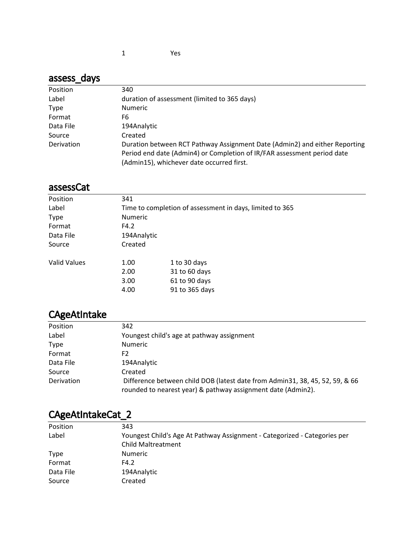## assess\_days

| Position    | 340                                                                        |
|-------------|----------------------------------------------------------------------------|
| Label       | duration of assessment (limited to 365 days)                               |
| <b>Type</b> | <b>Numeric</b>                                                             |
| Format      | F6                                                                         |
| Data File   | 194Analytic                                                                |
| Source      | Created                                                                    |
| Derivation  | Duration between RCT Pathway Assignment Date (Admin2) and either Reporting |
|             | Period end date (Admin4) or Completion of IR/FAR assessment period date    |
|             | (Admin15), whichever date occurred first.                                  |

#### assessCat

| Position            | 341                                                      |                |  |
|---------------------|----------------------------------------------------------|----------------|--|
| Label               | Time to completion of assessment in days, limited to 365 |                |  |
| <b>Type</b>         | <b>Numeric</b>                                           |                |  |
| Format              | F4.2                                                     |                |  |
| Data File           | 194Analytic                                              |                |  |
| Source              | Created                                                  |                |  |
| <b>Valid Values</b> | 1.00                                                     | 1 to 30 days   |  |
|                     | 2.00                                                     | 31 to 60 days  |  |
|                     | 3.00                                                     | 61 to 90 days  |  |
|                     | 4.00                                                     | 91 to 365 days |  |

# CAgeAtIntake

| Position    | 342                                                                                                                                          |
|-------------|----------------------------------------------------------------------------------------------------------------------------------------------|
| Label       | Youngest child's age at pathway assignment                                                                                                   |
| <b>Type</b> | <b>Numeric</b>                                                                                                                               |
| Format      | F2                                                                                                                                           |
| Data File   | 194Analytic                                                                                                                                  |
| Source      | Created                                                                                                                                      |
| Derivation  | Difference between child DOB (latest date from Admin31, 38, 45, 52, 59, & 66<br>rounded to nearest year) & pathway assignment date (Admin2). |

| - 11-       |                                                                           |
|-------------|---------------------------------------------------------------------------|
| Position    | 343                                                                       |
| Label       | Youngest Child's Age At Pathway Assignment - Categorized - Categories per |
|             | Child Maltreatment                                                        |
| <b>Type</b> | <b>Numeric</b>                                                            |
| Format      | F4.2                                                                      |
| Data File   | 194Analytic                                                               |
| Source      | Created                                                                   |
|             |                                                                           |

#### CAgeAtIntakeCat\_2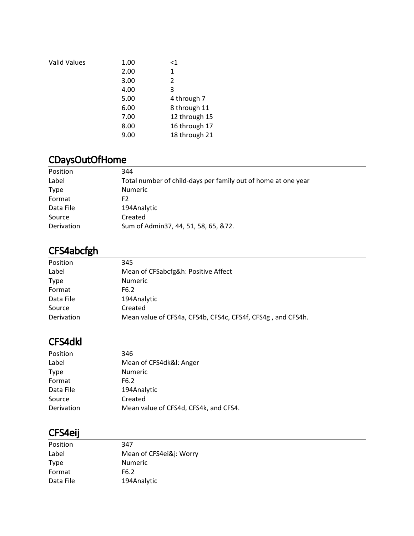| <b>Valid Values</b> | 1.00 | $<$ 1         |
|---------------------|------|---------------|
|                     | 2.00 | 1             |
|                     | 3.00 | 2             |
|                     | 4.00 | 3             |
|                     | 5.00 | 4 through 7   |
|                     | 6.00 | 8 through 11  |
|                     | 7.00 | 12 through 15 |
|                     | 8.00 | 16 through 17 |
|                     | 9.00 | 18 through 21 |
|                     |      |               |

## CDaysOutOfHome

| Position    | 344                                                           |
|-------------|---------------------------------------------------------------|
| Label       | Total number of child-days per family out of home at one year |
| <b>Type</b> | <b>Numeric</b>                                                |
| Format      | F2.                                                           |
| Data File   | 194Analytic                                                   |
| Source      | Created                                                       |
| Derivation  | Sum of Admin37, 44, 51, 58, 65, &72.                          |

### CFS4abcfgh

| Position          | 345                                                         |
|-------------------|-------------------------------------------------------------|
| Label             | Mean of CFSabcfg&h: Positive Affect                         |
| <b>Type</b>       | <b>Numeric</b>                                              |
| Format            | F6.2                                                        |
| Data File         | 194Analytic                                                 |
| Source            | Created                                                     |
| <b>Derivation</b> | Mean value of CFS4a, CFS4b, CFS4c, CFS4f, CFS4g, and CFS4h. |
|                   |                                                             |

#### CFS4dkl

| Position    | 346                                   |
|-------------|---------------------------------------|
| Label       | Mean of CFS4dk&I: Anger               |
| <b>Type</b> | <b>Numeric</b>                        |
| Format      | F6.2                                  |
| Data File   | 194Analytic                           |
| Source      | Created                               |
| Derivation  | Mean value of CFS4d, CFS4k, and CFS4. |

#### CFS4eij

| Position    | 347                     |
|-------------|-------------------------|
| Label       | Mean of CFS4ei&j: Worry |
| <b>Type</b> | <b>Numeric</b>          |
| Format      | F <sub>6</sub> .2       |
| Data File   | 194Analytic             |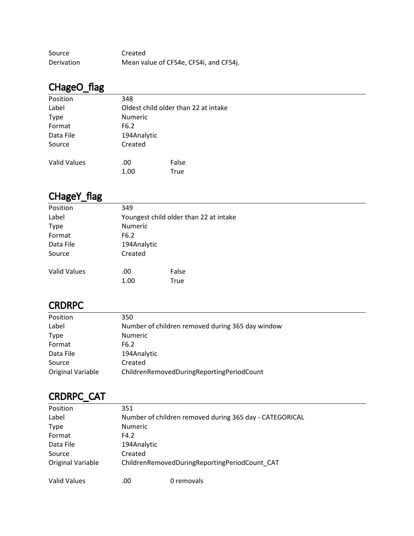| Source            | Created                                |
|-------------------|----------------------------------------|
| <b>Derivation</b> | Mean value of CFS4e, CFS4i, and CFS4j. |

# CHageO\_flag

| Position            | 348         |                                      |
|---------------------|-------------|--------------------------------------|
| Label               |             | Oldest child older than 22 at intake |
| <b>Type</b>         | Numeric     |                                      |
| Format              | F6.2        |                                      |
| Data File           | 194Analytic |                                      |
| Source              | Created     |                                      |
| <b>Valid Values</b> | .00         | False                                |
|                     | 1.00        | True                                 |

# CHageY\_flag

| Position            | 349                                    |       |  |  |
|---------------------|----------------------------------------|-------|--|--|
| Label               | Youngest child older than 22 at intake |       |  |  |
| <b>Type</b>         | <b>Numeric</b>                         |       |  |  |
| Format              | F6.2                                   |       |  |  |
| Data File           | 194Analytic                            |       |  |  |
| Source              | Created                                |       |  |  |
| <b>Valid Values</b> | .00                                    | False |  |  |
|                     | 1.00                                   | True  |  |  |

### **CRDRPC**

| Position          | 350                                              |
|-------------------|--------------------------------------------------|
| Label             | Number of children removed during 365 day window |
| <b>Type</b>       | <b>Numeric</b>                                   |
| Format            | F6.2                                             |
| Data File         | 194Analytic                                      |
| Source            | Created                                          |
| Original Variable | ChildrenRemovedDuringReportingPeriodCount        |

# CRDRPC\_CAT

| Position            | 351            |                                                         |  |  |
|---------------------|----------------|---------------------------------------------------------|--|--|
| Label               |                | Number of children removed during 365 day - CATEGORICAL |  |  |
| <b>Type</b>         | <b>Numeric</b> |                                                         |  |  |
| Format              | F4.2           |                                                         |  |  |
| Data File           |                | 194Analytic                                             |  |  |
| Source              | Created        |                                                         |  |  |
| Original Variable   |                | ChildrenRemovedDuringReportingPeriodCount CAT           |  |  |
| <b>Valid Values</b> | .00            | 0 removals                                              |  |  |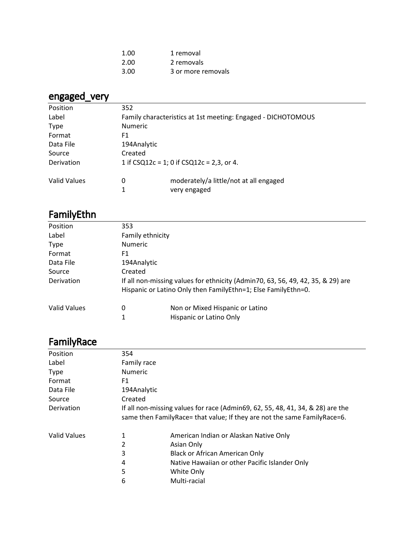| 1.00 | 1 removal          |
|------|--------------------|
| 2.00 | 2 removals         |
| 3.00 | 3 or more removals |

# engaged\_very

| Position     | 352                                                          |                                        |  |
|--------------|--------------------------------------------------------------|----------------------------------------|--|
| Label        | Family characteristics at 1st meeting: Engaged - DICHOTOMOUS |                                        |  |
| <b>Type</b>  | <b>Numeric</b>                                               |                                        |  |
| Format       | F1                                                           |                                        |  |
| Data File    | 194Analytic                                                  |                                        |  |
| Source       | Created                                                      |                                        |  |
| Derivation   | 1 if $CSQ12c = 1$ ; 0 if $CSQ12c = 2,3$ , or 4.              |                                        |  |
| Valid Values | 0                                                            | moderately/a little/not at all engaged |  |
|              | 1                                                            | very engaged                           |  |

# FamilyEthn

| Position     | 353     |                                                                                 |  |  |
|--------------|---------|---------------------------------------------------------------------------------|--|--|
| Label        |         | Family ethnicity                                                                |  |  |
| <b>Type</b>  |         | <b>Numeric</b>                                                                  |  |  |
| Format       | F1      |                                                                                 |  |  |
| Data File    |         | 194Analytic                                                                     |  |  |
| Source       | Created |                                                                                 |  |  |
| Derivation   |         | If all non-missing values for ethnicity (Admin70, 63, 56, 49, 42, 35, & 29) are |  |  |
|              |         | Hispanic or Latino Only then FamilyEthn=1; Else FamilyEthn=0.                   |  |  |
| Valid Values | 0       | Non or Mixed Hispanic or Latino                                                 |  |  |
|              |         | Hispanic or Latino Only                                                         |  |  |

# **FamilyRace**

| Position     | 354                                                                                                                                                        |                                                |  |
|--------------|------------------------------------------------------------------------------------------------------------------------------------------------------------|------------------------------------------------|--|
| Label        | Family race                                                                                                                                                |                                                |  |
| <b>Type</b>  | <b>Numeric</b>                                                                                                                                             |                                                |  |
| Format       | F1                                                                                                                                                         |                                                |  |
| Data File    | 194Analytic                                                                                                                                                |                                                |  |
| Source       | Created                                                                                                                                                    |                                                |  |
| Derivation   | If all non-missing values for race (Admin69, 62, 55, 48, 41, 34, & 28) are the<br>same then FamilyRace= that value; If they are not the same FamilyRace=6. |                                                |  |
| Valid Values | 1                                                                                                                                                          | American Indian or Alaskan Native Only         |  |
|              | 2                                                                                                                                                          | Asian Only                                     |  |
|              | 3                                                                                                                                                          | Black or African American Only                 |  |
|              | 4                                                                                                                                                          | Native Hawaiian or other Pacific Islander Only |  |
|              | 5                                                                                                                                                          | White Only                                     |  |
|              | 6                                                                                                                                                          | Multi-racial                                   |  |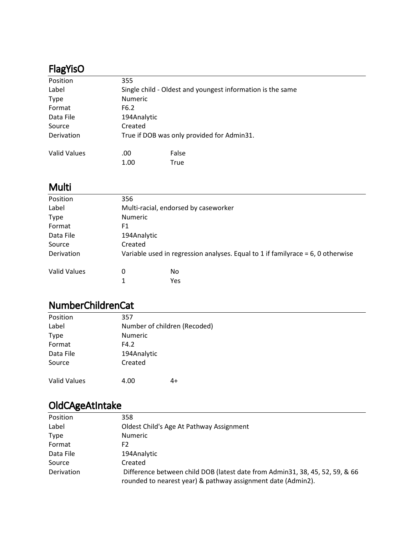# FlagYisO

| Position     | 355            |                                                            |
|--------------|----------------|------------------------------------------------------------|
| Label        |                | Single child - Oldest and youngest information is the same |
| <b>Type</b>  | <b>Numeric</b> |                                                            |
| Format       | F6.2           |                                                            |
| Data File    | 194Analytic    |                                                            |
| Source       | Created        |                                                            |
| Derivation   |                | True if DOB was only provided for Admin31.                 |
| Valid Values | .00            | False                                                      |
|              | 1.00           | True                                                       |

## Multi

| Position     | 356                                                                                |     |  |
|--------------|------------------------------------------------------------------------------------|-----|--|
| Label        | Multi-racial, endorsed by caseworker                                               |     |  |
| <b>Type</b>  | <b>Numeric</b>                                                                     |     |  |
| Format       | F1                                                                                 |     |  |
| Data File    | 194Analytic                                                                        |     |  |
| Source       | Created                                                                            |     |  |
| Derivation   | Variable used in regression analyses. Equal to 1 if familyrace = $6$ , 0 otherwise |     |  |
| Valid Values | 0                                                                                  | No  |  |
|              | 1                                                                                  | Yes |  |

### NumberChildrenCat

| Position     | 357                          |    |  |
|--------------|------------------------------|----|--|
| Label        | Number of children (Recoded) |    |  |
| <b>Type</b>  | Numeric                      |    |  |
| Format       | F4.2                         |    |  |
| Data File    | 194Analytic                  |    |  |
| Source       | Created                      |    |  |
| Valid Values | 4.00                         | 4+ |  |

# OldCAgeAtIntake

| Position    | 358                                                                                                                                          |
|-------------|----------------------------------------------------------------------------------------------------------------------------------------------|
| Label       | Oldest Child's Age At Pathway Assignment                                                                                                     |
| <b>Type</b> | <b>Numeric</b>                                                                                                                               |
| Format      | F2                                                                                                                                           |
| Data File   | 194Analytic                                                                                                                                  |
| Source      | Created                                                                                                                                      |
| Derivation  | Difference between child DOB (latest date from Admin31, 38, 45, 52, 59, & 66<br>rounded to nearest year) & pathway assignment date (Admin2). |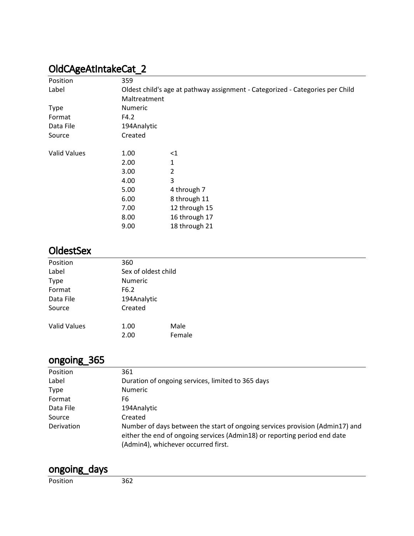# OldCAgeAtIntakeCat\_2

| Position            | 359            |                                                                               |  |  |
|---------------------|----------------|-------------------------------------------------------------------------------|--|--|
| Label               |                | Oldest child's age at pathway assignment - Categorized - Categories per Child |  |  |
|                     | Maltreatment   |                                                                               |  |  |
| <b>Type</b>         | <b>Numeric</b> |                                                                               |  |  |
| Format              | F4.2           |                                                                               |  |  |
| Data File           | 194Analytic    |                                                                               |  |  |
| Source              | Created        |                                                                               |  |  |
| <b>Valid Values</b> | 1.00           | $<$ 1                                                                         |  |  |
|                     | 2.00           | 1                                                                             |  |  |
|                     | 3.00           | $\overline{2}$                                                                |  |  |
|                     | 4.00           | 3                                                                             |  |  |
|                     | 5.00           | 4 through 7                                                                   |  |  |
|                     | 6.00           | 8 through 11                                                                  |  |  |
|                     | 7.00           | 12 through 15                                                                 |  |  |
|                     | 8.00           | 16 through 17                                                                 |  |  |
|                     | 9.00           | 18 through 21                                                                 |  |  |

#### **OldestSex**

| Position            | 360                 |        |  |  |
|---------------------|---------------------|--------|--|--|
| Label               | Sex of oldest child |        |  |  |
| <b>Type</b>         | Numeric             |        |  |  |
| Format              | F6.2                |        |  |  |
| Data File           | 194Analytic         |        |  |  |
| Source              | Created             |        |  |  |
| <b>Valid Values</b> | 1.00                | Male   |  |  |
|                     | 2.00                | Female |  |  |

## ongoing\_365

| Position    | 361                                                                                                                                                                                              |
|-------------|--------------------------------------------------------------------------------------------------------------------------------------------------------------------------------------------------|
| Label       | Duration of ongoing services, limited to 365 days                                                                                                                                                |
| <b>Type</b> | <b>Numeric</b>                                                                                                                                                                                   |
| Format      | F6                                                                                                                                                                                               |
| Data File   | 194Analytic                                                                                                                                                                                      |
| Source      | Created                                                                                                                                                                                          |
| Derivation  | Number of days between the start of ongoing services provision (Admin17) and<br>either the end of ongoing services (Admin18) or reporting period end date<br>(Admin4), whichever occurred first. |

### ongoing\_days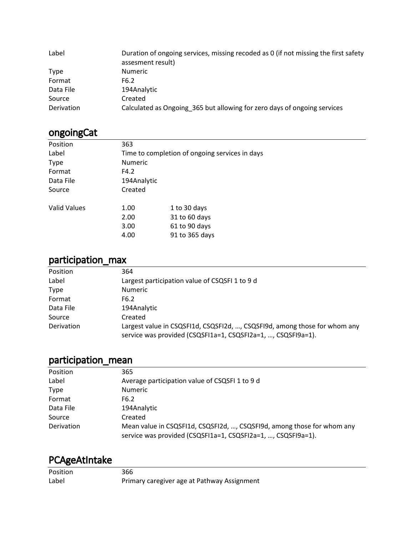| Label       | Duration of ongoing services, missing recoded as 0 (if not missing the first safety<br>assesment result) |
|-------------|----------------------------------------------------------------------------------------------------------|
| <b>Type</b> | <b>Numeric</b>                                                                                           |
| Format      | F6.2                                                                                                     |
| Data File   | 194Analytic                                                                                              |
| Source      | Created                                                                                                  |
| Derivation  | Calculated as Ongoing_365 but allowing for zero days of ongoing services                                 |

# ongoingCat

| Position     | 363            |                                                |
|--------------|----------------|------------------------------------------------|
| Label        |                | Time to completion of ongoing services in days |
| <b>Type</b>  | <b>Numeric</b> |                                                |
| Format       | F4.2           |                                                |
| Data File    | 194Analytic    |                                                |
| Source       | Created        |                                                |
| Valid Values | 1.00           | 1 to 30 days                                   |
|              | 2.00           | 31 to 60 days                                  |
|              | 3.00           | 61 to 90 days                                  |
|              | 4.00           | 91 to 365 days                                 |
|              |                |                                                |

# participation\_max

| Position    | 364                                                                                                                                       |
|-------------|-------------------------------------------------------------------------------------------------------------------------------------------|
| Label       | Largest participation value of CSQSFI 1 to 9 d                                                                                            |
| <b>Type</b> | <b>Numeric</b>                                                                                                                            |
| Format      | F6.2                                                                                                                                      |
| Data File   | 194Analytic                                                                                                                               |
| Source      | Created                                                                                                                                   |
| Derivation  | Largest value in CSQSFI1d, CSQSFI2d, , CSQSFI9d, among those for whom any<br>service was provided (CSQSFI1a=1, CSQSFI2a=1, , CSQSFI9a=1). |

## participation\_mean

| Position    | 365                                                                                                                                    |
|-------------|----------------------------------------------------------------------------------------------------------------------------------------|
| Label       | Average participation value of CSQSFI 1 to 9 d                                                                                         |
| <b>Type</b> | <b>Numeric</b>                                                                                                                         |
| Format      | F6.2                                                                                                                                   |
| Data File   | 194Analytic                                                                                                                            |
| Source      | Created                                                                                                                                |
| Derivation  | Mean value in CSQSFI1d, CSQSFI2d, , CSQSFI9d, among those for whom any<br>service was provided (CSQSFI1a=1, CSQSFI2a=1, , CSQSFI9a=1). |

# PCAgeAtIntake

| Position | 366                                         |
|----------|---------------------------------------------|
| Label    | Primary caregiver age at Pathway Assignment |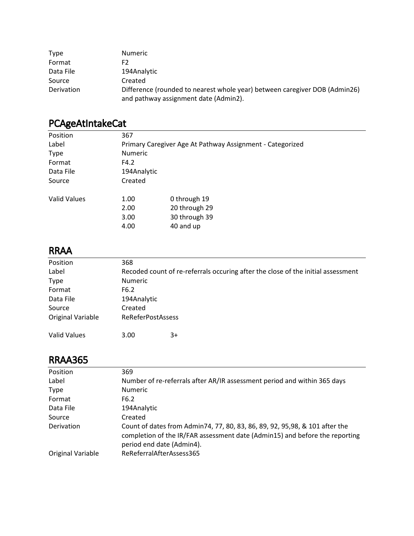| <b>Type</b> | <b>Numeric</b>                                                                                                      |
|-------------|---------------------------------------------------------------------------------------------------------------------|
| Format      | F2                                                                                                                  |
| Data File   | 194Analytic                                                                                                         |
| Source      | Created                                                                                                             |
| Derivation  | Difference (rounded to nearest whole year) between caregiver DOB (Admin26)<br>and pathway assignment date (Admin2). |

# PCAgeAtIntakeCat

| Position     | 367            |                                                           |  |  |
|--------------|----------------|-----------------------------------------------------------|--|--|
| Label        |                | Primary Caregiver Age At Pathway Assignment - Categorized |  |  |
| <b>Type</b>  | <b>Numeric</b> |                                                           |  |  |
| Format       | F4.2           |                                                           |  |  |
| Data File    |                | 194Analytic                                               |  |  |
| Source       | Created        |                                                           |  |  |
| Valid Values | 1.00           | 0 through 19                                              |  |  |
|              | 2.00           | 20 through 29                                             |  |  |
|              | 3.00           | 30 through 39                                             |  |  |
|              | 4.00           | 40 and up                                                 |  |  |
|              |                |                                                           |  |  |

#### RRAA

| Position            | 368                      |                                                                                  |  |
|---------------------|--------------------------|----------------------------------------------------------------------------------|--|
| Label               |                          | Recoded count of re-referrals occuring after the close of the initial assessment |  |
| <b>Type</b>         | <b>Numeric</b>           |                                                                                  |  |
| Format              | F6.2                     |                                                                                  |  |
| Data File           | 194Analytic              |                                                                                  |  |
| Source              | Created                  |                                                                                  |  |
| Original Variable   | <b>ReReferPostAssess</b> |                                                                                  |  |
|                     |                          |                                                                                  |  |
| <b>Valid Values</b> | 3.00                     | 3+                                                                               |  |

### RRAA365

| Position          | 369                                                                                                                                                                                      |
|-------------------|------------------------------------------------------------------------------------------------------------------------------------------------------------------------------------------|
| Label             | Number of re-referrals after AR/IR assessment period and within 365 days                                                                                                                 |
| <b>Type</b>       | <b>Numeric</b>                                                                                                                                                                           |
| Format            | F6.2                                                                                                                                                                                     |
| Data File         | 194Analytic                                                                                                                                                                              |
| Source            | Created                                                                                                                                                                                  |
| Derivation        | Count of dates from Admin74, 77, 80, 83, 86, 89, 92, 95, 98, & 101 after the<br>completion of the IR/FAR assessment date (Admin15) and before the reporting<br>period end date (Admin4). |
| Original Variable | ReReferralAfterAssess365                                                                                                                                                                 |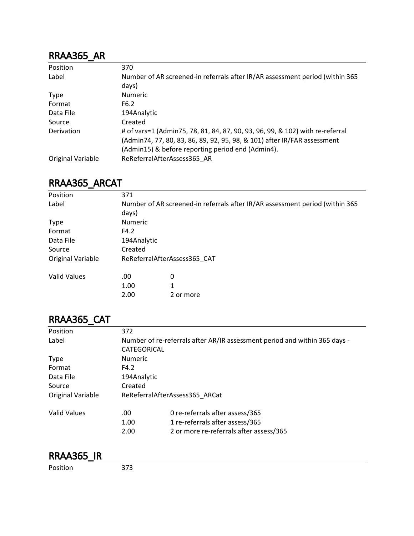#### RRAA365\_AR

| Position          | 370                                                                                   |
|-------------------|---------------------------------------------------------------------------------------|
| Label             | Number of AR screened-in referrals after IR/AR assessment period (within 365<br>days) |
| <b>Type</b>       | <b>Numeric</b>                                                                        |
| Format            | F6.2                                                                                  |
| Data File         | 194Analytic                                                                           |
| Source            | Created                                                                               |
| Derivation        | # of vars=1 (Admin75, 78, 81, 84, 87, 90, 93, 96, 99, & 102) with re-referral         |
|                   | (Admin74, 77, 80, 83, 86, 89, 92, 95, 98, & 101) after IR/FAR assessment              |
|                   | (Admin15) & before reporting period end (Admin4).                                     |
| Original Variable | ReReferralAfterAssess365 AR                                                           |

#### RRAA365\_ARCAT

| Position                 | 371                                                                          |           |  |  |
|--------------------------|------------------------------------------------------------------------------|-----------|--|--|
| Label                    | Number of AR screened-in referrals after IR/AR assessment period (within 365 |           |  |  |
|                          | days)                                                                        |           |  |  |
| <b>Type</b>              | <b>Numeric</b>                                                               |           |  |  |
| Format                   | F4.2                                                                         |           |  |  |
| Data File                | 194Analytic                                                                  |           |  |  |
| Source                   | Created                                                                      |           |  |  |
| <b>Original Variable</b> | ReReferralAfterAssess365 CAT                                                 |           |  |  |
| <b>Valid Values</b>      | .00                                                                          | 0         |  |  |
|                          | 1.00                                                                         | 1         |  |  |
|                          | 2.00                                                                         | 2 or more |  |  |

### RRAA365\_CAT

| Position            | 372                                                                        |                                         |  |  |
|---------------------|----------------------------------------------------------------------------|-----------------------------------------|--|--|
| Label               | Number of re-referrals after AR/IR assessment period and within 365 days - |                                         |  |  |
|                     | CATEGORICAL                                                                |                                         |  |  |
| <b>Type</b>         | <b>Numeric</b>                                                             |                                         |  |  |
| Format              | F4.2                                                                       |                                         |  |  |
| Data File           | 194Analytic                                                                |                                         |  |  |
| Source              | Created                                                                    |                                         |  |  |
| Original Variable   | ReReferralAfterAssess365 ARCat                                             |                                         |  |  |
| <b>Valid Values</b> | .00                                                                        | 0 re-referrals after assess/365         |  |  |
|                     | 1.00                                                                       | 1 re-referrals after assess/365         |  |  |
|                     | 2.00                                                                       | 2 or more re-referrals after assess/365 |  |  |
|                     |                                                                            |                                         |  |  |

#### RRAA365\_IR

Position 373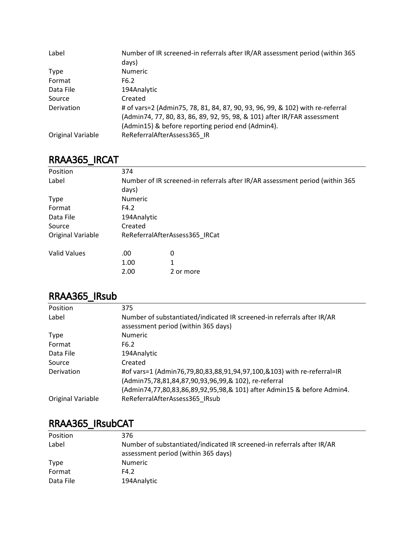| Label             | Number of IR screened-in referrals after IR/AR assessment period (within 365  |
|-------------------|-------------------------------------------------------------------------------|
|                   | days)                                                                         |
| <b>Type</b>       | <b>Numeric</b>                                                                |
| Format            | F6.2                                                                          |
| Data File         | 194Analytic                                                                   |
| Source            | Created                                                                       |
| Derivation        | # of vars=2 (Admin75, 78, 81, 84, 87, 90, 93, 96, 99, & 102) with re-referral |
|                   | (Admin74, 77, 80, 83, 86, 89, 92, 95, 98, & 101) after IR/FAR assessment      |
|                   | (Admin15) & before reporting period end (Admin4).                             |
| Original Variable | ReReferralAfterAssess365 IR                                                   |

### RRAA365\_IRCAT

| Position            | 374                                                                          |           |  |  |
|---------------------|------------------------------------------------------------------------------|-----------|--|--|
| Label               | Number of IR screened-in referrals after IR/AR assessment period (within 365 |           |  |  |
|                     | days)                                                                        |           |  |  |
| <b>Type</b>         | <b>Numeric</b>                                                               |           |  |  |
| Format              | F4.2                                                                         |           |  |  |
| Data File           | 194Analytic                                                                  |           |  |  |
| Source              | Created                                                                      |           |  |  |
| Original Variable   | ReReferralAfterAssess365 IRCat                                               |           |  |  |
| <b>Valid Values</b> | .00                                                                          | 0         |  |  |
|                     | 1.00                                                                         | 1         |  |  |
|                     | 2.00                                                                         | 2 or more |  |  |

#### RRAA365\_IRsub

| Position          | 375                                                                                                                            |
|-------------------|--------------------------------------------------------------------------------------------------------------------------------|
| Label             | Number of substantiated/indicated IR screened-in referrals after IR/AR<br>assessment period (within 365 days)                  |
| Type              | <b>Numeric</b>                                                                                                                 |
| Format            | F6.2                                                                                                                           |
| Data File         | 194Analytic                                                                                                                    |
| Source            | Created                                                                                                                        |
| Derivation        | #of vars=1 (Admin76,79,80,83,88,91,94,97,100,&103) with re-referral=IR<br>(Admin75,78,81,84,87,90,93,96,99,& 102), re-referral |
| Original Variable | (Admin74,77,80,83,86,89,92,95,98,& 101) after Admin15 & before Admin4.<br>ReReferralAfterAssess365 IRsub                       |
|                   |                                                                                                                                |

### RRAA365\_IRsubCAT

| Position    | 376                                                                                                           |
|-------------|---------------------------------------------------------------------------------------------------------------|
| Label       | Number of substantiated/indicated IR screened-in referrals after IR/AR<br>assessment period (within 365 days) |
| <b>Type</b> | <b>Numeric</b>                                                                                                |
| Format      | F4.2                                                                                                          |
| Data File   | 194Analytic                                                                                                   |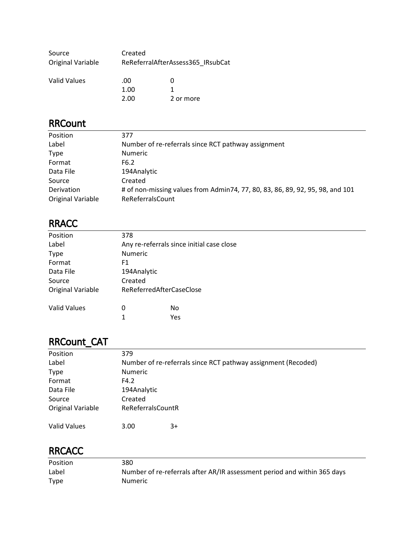| Source              | Created |                                   |  |
|---------------------|---------|-----------------------------------|--|
| Original Variable   |         | ReReferralAfterAssess365 IRsubCat |  |
| <b>Nalid Valuge</b> | nn      |                                   |  |

| Valid Values | $.00 \cdot$ |           |  |
|--------------|-------------|-----------|--|
|              | 1.00        |           |  |
|              | 2.00        | 2 or more |  |

### RRCount

| Position                        | 377                                                                                               |
|---------------------------------|---------------------------------------------------------------------------------------------------|
| Label                           | Number of re-referrals since RCT pathway assignment                                               |
| <b>Type</b>                     | <b>Numeric</b>                                                                                    |
| Format                          | F6.2                                                                                              |
| Data File                       | 194Analytic                                                                                       |
| Source                          | Created                                                                                           |
| Derivation<br>Original Variable | # of non-missing values from Admin74, 77, 80, 83, 86, 89, 92, 95, 98, and 101<br>ReReferralsCount |

#### RRACC

| Position            | 378                                       |     |  |
|---------------------|-------------------------------------------|-----|--|
| Label               | Any re-referrals since initial case close |     |  |
| <b>Type</b>         | <b>Numeric</b>                            |     |  |
| Format              | F1                                        |     |  |
| Data File           | 194Analytic                               |     |  |
| Source              | Created                                   |     |  |
| Original Variable   | ReReferredAfterCaseClose                  |     |  |
| <b>Valid Values</b> | 0                                         | No  |  |
|                     | 1                                         | Yes |  |

<u> 1980 - Johann Barnett, fransk politik (f. 1980)</u>

# RRCount\_CAT

| Position            | 379                                                           |
|---------------------|---------------------------------------------------------------|
| Label               | Number of re-referrals since RCT pathway assignment (Recoded) |
| <b>Type</b>         | Numeric                                                       |
| Format              | F4.2                                                          |
| Data File           | 194Analytic                                                   |
| Source              | Created                                                       |
| Original Variable   | ReReferralsCountR                                             |
| <b>Valid Values</b> | 3.00<br>3+                                                    |

#### **RRCACC**

| <b>Position</b> | 380                                                                      |
|-----------------|--------------------------------------------------------------------------|
| Label           | Number of re-referrals after AR/IR assessment period and within 365 days |
| <b>Type</b>     | Numeric                                                                  |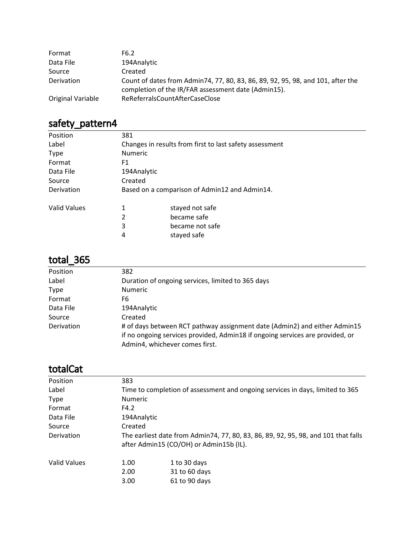| Format            | F6.2                                                                                                                                   |
|-------------------|----------------------------------------------------------------------------------------------------------------------------------------|
| Data File         | 194Analytic                                                                                                                            |
| Source            | Created                                                                                                                                |
| Derivation        | Count of dates from Admin74, 77, 80, 83, 86, 89, 92, 95, 98, and 101, after the<br>completion of the IR/FAR assessment date (Admin15). |
| Original Variable | ReReferralsCountAfterCaseClose                                                                                                         |

| safety_pattern4 |  |
|-----------------|--|
|-----------------|--|

| Position     | 381            |                                                         |
|--------------|----------------|---------------------------------------------------------|
| Label        |                | Changes in results from first to last safety assessment |
| <b>Type</b>  | <b>Numeric</b> |                                                         |
| Format       | F1             |                                                         |
| Data File    | 194Analytic    |                                                         |
| Source       | Created        |                                                         |
| Derivation   |                | Based on a comparison of Admin12 and Admin14.           |
| Valid Values | 1              | stayed not safe                                         |
|              | 2              | became safe                                             |
|              | 3              | became not safe                                         |
|              | 4              | stayed safe                                             |

# total\_365

| 382                                                                           |
|-------------------------------------------------------------------------------|
| Duration of ongoing services, limited to 365 days                             |
| <b>Numeric</b>                                                                |
| F6                                                                            |
| 194Analytic                                                                   |
| Created                                                                       |
| # of days between RCT pathway assignment date (Admin2) and either Admin15     |
| if no ongoing services provided, Admin18 if ongoing services are provided, or |
| Admin4, whichever comes first.                                                |
|                                                                               |

# totalCat

| Position<br>383<br>Label<br>Numeric<br><b>Type</b><br>Format<br>F4.2<br>Data File<br>194Analytic<br>Created<br>Source<br>Derivation<br>after Admin15 (CO/OH) or Admin15b (IL).<br><b>Valid Values</b><br>1.00<br>1 to 30 days<br>31 to 60 days<br>2.00<br>3.00 |                                                                                    |
|----------------------------------------------------------------------------------------------------------------------------------------------------------------------------------------------------------------------------------------------------------------|------------------------------------------------------------------------------------|
|                                                                                                                                                                                                                                                                |                                                                                    |
|                                                                                                                                                                                                                                                                | Time to completion of assessment and ongoing services in days, limited to 365      |
|                                                                                                                                                                                                                                                                |                                                                                    |
|                                                                                                                                                                                                                                                                |                                                                                    |
|                                                                                                                                                                                                                                                                |                                                                                    |
|                                                                                                                                                                                                                                                                |                                                                                    |
|                                                                                                                                                                                                                                                                | The earliest date from Admin74, 77, 80, 83, 86, 89, 92, 95, 98, and 101 that falls |
|                                                                                                                                                                                                                                                                |                                                                                    |
|                                                                                                                                                                                                                                                                |                                                                                    |
|                                                                                                                                                                                                                                                                | 61 to 90 days                                                                      |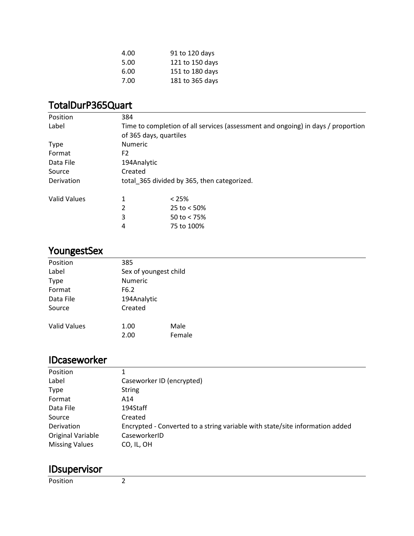| 4.00 | 91 to 120 days  |
|------|-----------------|
| 5.00 | 121 to 150 days |
| 6.00 | 151 to 180 days |
| 7.00 | 181 to 365 days |

#### TotalDurP365Quart

| Position            | 384                                         |                                                                                  |  |  |
|---------------------|---------------------------------------------|----------------------------------------------------------------------------------|--|--|
| Label               |                                             | Time to completion of all services (assessment and ongoing) in days / proportion |  |  |
|                     |                                             | of 365 days, quartiles                                                           |  |  |
| <b>Type</b>         |                                             | <b>Numeric</b>                                                                   |  |  |
| Format              | F <sub>2</sub>                              |                                                                                  |  |  |
| Data File           |                                             | 194Analytic                                                                      |  |  |
| Source              | Created                                     |                                                                                  |  |  |
| Derivation          | total 365 divided by 365, then categorized. |                                                                                  |  |  |
| <b>Valid Values</b> |                                             | $< 25\%$                                                                         |  |  |
|                     | 2                                           | 25 to $< 50\%$                                                                   |  |  |
|                     | 3                                           | 50 to $< 75\%$                                                                   |  |  |
|                     | 4                                           | 75 to 100%                                                                       |  |  |

# YoungestSex

| Position            | 385                   |        |  |
|---------------------|-----------------------|--------|--|
| Label               | Sex of youngest child |        |  |
| <b>Type</b>         | Numeric               |        |  |
| Format              | F6.2                  |        |  |
| Data File           | 194Analytic           |        |  |
| Source              | Created               |        |  |
| <b>Valid Values</b> | 1.00                  | Male   |  |
|                     | 2.00                  | Female |  |

#### IDcaseworker

| Position              |                                                                              |
|-----------------------|------------------------------------------------------------------------------|
| Label                 | Caseworker ID (encrypted)                                                    |
| <b>Type</b>           | String                                                                       |
| Format                | A14                                                                          |
| Data File             | 194Staff                                                                     |
| Source                | Created                                                                      |
| Derivation            | Encrypted - Converted to a string variable with state/site information added |
| Original Variable     | CaseworkerID                                                                 |
| <b>Missing Values</b> | CO, IL, OH                                                                   |

# IDsupervisor

Position 2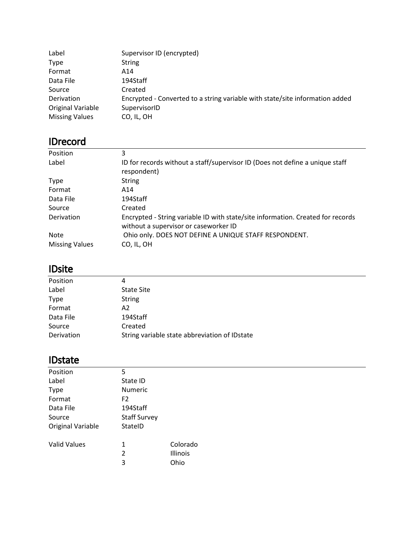| Label                 | Supervisor ID (encrypted)                                                    |
|-----------------------|------------------------------------------------------------------------------|
| <b>Type</b>           | <b>String</b>                                                                |
| Format                | A14                                                                          |
| Data File             | 194Staff                                                                     |
| Source                | Created                                                                      |
| Derivation            | Encrypted - Converted to a string variable with state/site information added |
| Original Variable     | SupervisorID                                                                 |
| <b>Missing Values</b> | CO, IL, OH                                                                   |

# IDrecord

| Position              | 3                                                                                                                        |
|-----------------------|--------------------------------------------------------------------------------------------------------------------------|
| Label                 | ID for records without a staff/supervisor ID (Does not define a unique staff<br>respondent)                              |
| <b>Type</b>           | <b>String</b>                                                                                                            |
| Format                | A14                                                                                                                      |
| Data File             | 194Staff                                                                                                                 |
| Source                | Created                                                                                                                  |
| Derivation            | Encrypted - String variable ID with state/site information. Created for records<br>without a supervisor or caseworker ID |
| <b>Note</b>           | Ohio only. DOES NOT DEFINE A UNIQUE STAFF RESPONDENT.                                                                    |
| <b>Missing Values</b> | CO, IL, OH                                                                                                               |

### IDsite

| Position    | 4                                             |  |
|-------------|-----------------------------------------------|--|
| Label       | <b>State Site</b>                             |  |
| <b>Type</b> | <b>String</b>                                 |  |
| Format      | A2                                            |  |
| Data File   | 194Staff                                      |  |
| Source      | Created                                       |  |
| Derivation  | String variable state abbreviation of IDstate |  |

#### IDstate

| Position            | 5                   |          |
|---------------------|---------------------|----------|
| Label               | State ID            |          |
| <b>Type</b>         | <b>Numeric</b>      |          |
| Format              | F <sub>2</sub>      |          |
| Data File           | 194Staff            |          |
| Source              | <b>Staff Survey</b> |          |
| Original Variable   | StateID             |          |
|                     |                     |          |
| <b>Valid Values</b> | 1                   | Colorado |
|                     | 2                   | Illinois |
|                     | 3                   | Ohio     |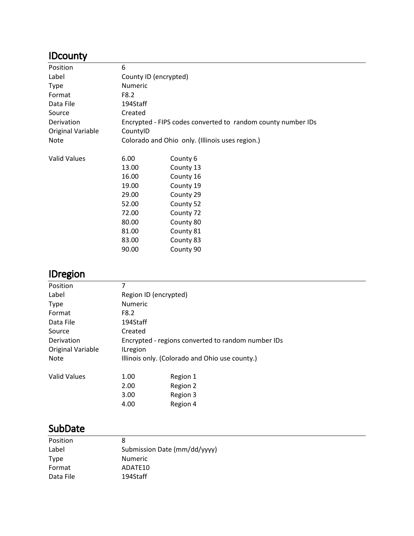# **IDcounty**

| Position            | 6                                               |                                                              |
|---------------------|-------------------------------------------------|--------------------------------------------------------------|
| Label               | County ID (encrypted)                           |                                                              |
| <b>Type</b>         | <b>Numeric</b>                                  |                                                              |
| Format              | F8.2                                            |                                                              |
| Data File           | 194Staff                                        |                                                              |
| Source              | Created                                         |                                                              |
| Derivation          |                                                 | Encrypted - FIPS codes converted to random county number IDs |
| Original Variable   | CountyID                                        |                                                              |
| Note                | Colorado and Ohio only. (Illinois uses region.) |                                                              |
|                     |                                                 |                                                              |
| <b>Valid Values</b> | 6.00                                            | County 6                                                     |
|                     | 13.00                                           | County 13                                                    |
|                     | 16.00                                           | County 16                                                    |
|                     | 19.00                                           | County 19                                                    |
|                     | 29.00                                           | County 29                                                    |
|                     | 52.00                                           | County 52                                                    |
|                     | 72.00                                           | County 72                                                    |
|                     | 80.00                                           | County 80                                                    |
|                     | 81.00                                           | County 81                                                    |
|                     | 83.00                                           | County 83                                                    |
|                     | 90.00                                           | County 90                                                    |

#### IDregion

| ີ                   |                                                    |          |  |  |
|---------------------|----------------------------------------------------|----------|--|--|
| Position            | 7                                                  |          |  |  |
| Label               | Region ID (encrypted)                              |          |  |  |
| <b>Type</b>         | <b>Numeric</b>                                     |          |  |  |
| Format              | F8.2                                               |          |  |  |
| Data File           | 194Staff                                           |          |  |  |
| Source              | Created                                            |          |  |  |
| Derivation          | Encrypted - regions converted to random number IDs |          |  |  |
| Original Variable   | <b>ILregion</b>                                    |          |  |  |
| <b>Note</b>         | Illinois only. (Colorado and Ohio use county.)     |          |  |  |
| <b>Valid Values</b> | 1.00                                               | Region 1 |  |  |
|                     | 2.00                                               | Region 2 |  |  |
|                     | 3.00                                               | Region 3 |  |  |
|                     | 4.00                                               | Region 4 |  |  |
|                     |                                                    |          |  |  |

## SubDate

| 8                            |
|------------------------------|
| Submission Date (mm/dd/yyyy) |
| <b>Numeric</b>               |
| ADATE10                      |
| 194Staff                     |
|                              |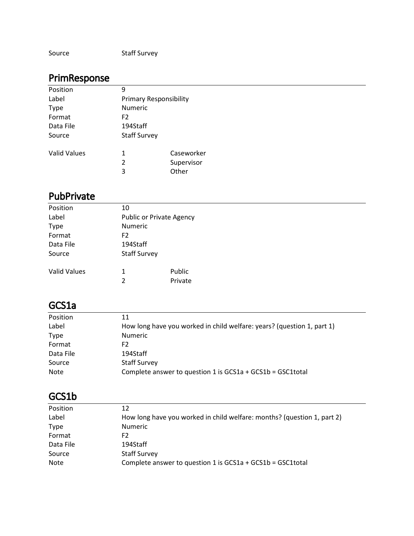| Source | <b>Staff Survey</b> |
|--------|---------------------|
|--------|---------------------|

# PrimResponse

| Position     | 9                             |            |  |
|--------------|-------------------------------|------------|--|
| Label        | <b>Primary Responsibility</b> |            |  |
| <b>Type</b>  | Numeric                       |            |  |
| Format       | F <sub>2</sub>                |            |  |
| Data File    | 194Staff                      |            |  |
| Source       | <b>Staff Survey</b>           |            |  |
| Valid Values | 1                             | Caseworker |  |
|              | $\overline{2}$                | Supervisor |  |
|              | 3                             | Other      |  |

#### PubPrivate

| Position            | 10                  |                          |  |  |  |
|---------------------|---------------------|--------------------------|--|--|--|
| Label               |                     | Public or Private Agency |  |  |  |
| <b>Type</b>         | Numeric             |                          |  |  |  |
| Format              | F <sub>2</sub>      |                          |  |  |  |
| Data File           |                     | 194Staff                 |  |  |  |
| Source              | <b>Staff Survey</b> |                          |  |  |  |
| <b>Valid Values</b> | 1                   | Public                   |  |  |  |
|                     | $\overline{2}$      | Private                  |  |  |  |
|                     |                     |                          |  |  |  |

#### GCS1a

| Position    | 11                                                                     |
|-------------|------------------------------------------------------------------------|
| Label       | How long have you worked in child welfare: years? (question 1, part 1) |
| <b>Type</b> | <b>Numeric</b>                                                         |
| Format      | F2.                                                                    |
| Data File   | 194Staff                                                               |
| Source      | <b>Staff Survey</b>                                                    |
| <b>Note</b> | Complete answer to question 1 is $GCS1a + GCS1b = GSC1total$           |

#### GCS1b

| Position    | 12                                                                      |
|-------------|-------------------------------------------------------------------------|
| Label       | How long have you worked in child welfare: months? (question 1, part 2) |
| <b>Type</b> | <b>Numeric</b>                                                          |
| Format      | F2                                                                      |
| Data File   | 194Staff                                                                |
| Source      | <b>Staff Survey</b>                                                     |
| <b>Note</b> | Complete answer to question 1 is $GCS1a + GCS1b = GSC1total$            |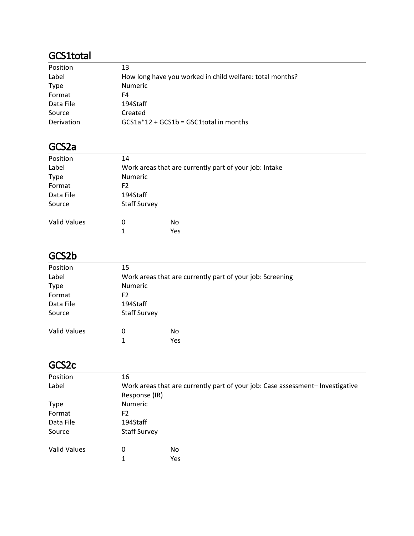### GCS1total

| Position    | 13                                                       |
|-------------|----------------------------------------------------------|
| Label       | How long have you worked in child welfare: total months? |
| <b>Type</b> | <b>Numeric</b>                                           |
| Format      | F4                                                       |
| Data File   | 194Staff                                                 |
| Source      | Created                                                  |
| Derivation  | $GCS1a*12 + GCS1b = GSC1total$ in months                 |

#### GCS2a

| Position            | 14                  |                                                        |  |
|---------------------|---------------------|--------------------------------------------------------|--|
| Label               |                     | Work areas that are currently part of your job: Intake |  |
| <b>Type</b>         | Numeric             |                                                        |  |
| Format              | F2                  |                                                        |  |
| Data File           | 194Staff            |                                                        |  |
| Source              | <b>Staff Survey</b> |                                                        |  |
| <b>Valid Values</b> | 0                   | N <sub>0</sub>                                         |  |
|                     | 1                   | Yes                                                    |  |

### GCS2b

| Position            | 15                                                        |     |  |
|---------------------|-----------------------------------------------------------|-----|--|
| Label               | Work areas that are currently part of your job: Screening |     |  |
| <b>Type</b>         | Numeric                                                   |     |  |
| Format              | F2                                                        |     |  |
| Data File           | 194Staff                                                  |     |  |
| Source              | <b>Staff Survey</b>                                       |     |  |
| <b>Valid Values</b> | 0                                                         | No  |  |
|                     | 1                                                         | Yes |  |

#### GCS2c

| Position            | 16                  |                                                                                |  |
|---------------------|---------------------|--------------------------------------------------------------------------------|--|
| Label               |                     | Work areas that are currently part of your job: Case assessment- Investigative |  |
|                     | Response (IR)       |                                                                                |  |
| <b>Type</b>         | <b>Numeric</b>      |                                                                                |  |
| Format              | F <sub>2</sub>      |                                                                                |  |
| Data File           | 194Staff            |                                                                                |  |
| Source              | <b>Staff Survey</b> |                                                                                |  |
| <b>Valid Values</b> | 0                   | No                                                                             |  |
|                     |                     |                                                                                |  |
|                     | 1                   | Yes                                                                            |  |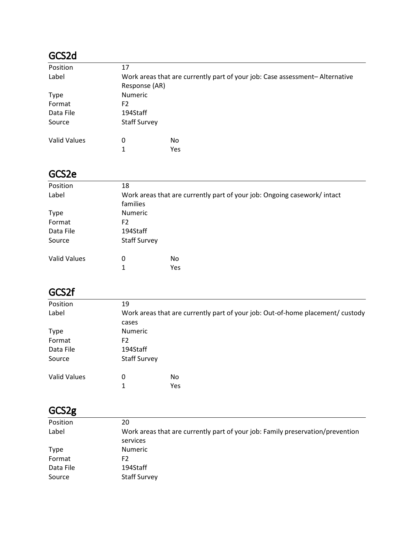# GCS2d

| Position            | 17                  |     |                                                                             |
|---------------------|---------------------|-----|-----------------------------------------------------------------------------|
| Label               |                     |     | Work areas that are currently part of your job: Case assessment-Alternative |
|                     | Response (AR)       |     |                                                                             |
| <b>Type</b>         | <b>Numeric</b>      |     |                                                                             |
| Format              | F2                  |     |                                                                             |
| Data File           | 194Staff            |     |                                                                             |
| Source              | <b>Staff Survey</b> |     |                                                                             |
| <b>Valid Values</b> | 0                   | No  |                                                                             |
|                     | 1                   | Yes |                                                                             |

### GCS2e

| Position<br>Label   | 18                  | Work areas that are currently part of your job: Ongoing casework/intact |  |
|---------------------|---------------------|-------------------------------------------------------------------------|--|
|                     |                     |                                                                         |  |
|                     |                     |                                                                         |  |
|                     | families            |                                                                         |  |
| <b>Type</b>         | <b>Numeric</b>      |                                                                         |  |
| Format              | F <sub>2</sub>      |                                                                         |  |
| Data File           | 194Staff            |                                                                         |  |
| Source              | <b>Staff Survey</b> |                                                                         |  |
| <b>Valid Values</b> | 0                   | No                                                                      |  |
|                     |                     | Yes                                                                     |  |

# GCS2f

| 19       |         |                                                                                                      |
|----------|---------|------------------------------------------------------------------------------------------------------|
|          |         |                                                                                                      |
| cases    |         |                                                                                                      |
|          |         |                                                                                                      |
| F2       |         |                                                                                                      |
| 194Staff |         |                                                                                                      |
|          |         |                                                                                                      |
| 0        | No.     |                                                                                                      |
| 1        | Yes     |                                                                                                      |
|          | Numeric | Work areas that are currently part of your job: Out-of-home placement/custody<br><b>Staff Survey</b> |

### GCS2g

| Position    | 20                                                                             |
|-------------|--------------------------------------------------------------------------------|
| Label       | Work areas that are currently part of your job: Family preservation/prevention |
|             | services                                                                       |
| <b>Type</b> | <b>Numeric</b>                                                                 |
| Format      | F2                                                                             |
| Data File   | 194Staff                                                                       |
| Source      | <b>Staff Survey</b>                                                            |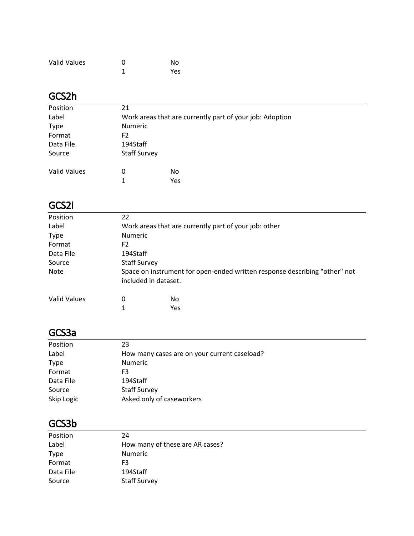| <b>Valid Values</b> | O | No  |
|---------------------|---|-----|
|                     |   | Yes |

# GCS2h

| Position            | 21                                                       |     |  |
|---------------------|----------------------------------------------------------|-----|--|
| Label               | Work areas that are currently part of your job: Adoption |     |  |
| <b>Type</b>         | <b>Numeric</b>                                           |     |  |
| Format              | F <sub>2</sub>                                           |     |  |
| Data File           | 194Staff                                                 |     |  |
| Source              | <b>Staff Survey</b>                                      |     |  |
| <b>Valid Values</b> | 0                                                        | No  |  |
|                     | 1                                                        | Yes |  |

# GCS2i

| Position            | 22 |                                                                            |  |  |
|---------------------|----|----------------------------------------------------------------------------|--|--|
| Label               |    | Work areas that are currently part of your job: other                      |  |  |
| <b>Type</b>         |    | <b>Numeric</b>                                                             |  |  |
| Format              | F2 |                                                                            |  |  |
| Data File           |    | 194Staff                                                                   |  |  |
| Source              |    | <b>Staff Survey</b>                                                        |  |  |
| Note                |    | Space on instrument for open-ended written response describing "other" not |  |  |
|                     |    | included in dataset.                                                       |  |  |
| <b>Valid Values</b> | 0  | No                                                                         |  |  |
|                     | 1  | Yes                                                                        |  |  |

#### GCS3a

| Position    | 23                                           |
|-------------|----------------------------------------------|
| Label       | How many cases are on your current caseload? |
| <b>Type</b> | <b>Numeric</b>                               |
| Format      | F3                                           |
| Data File   | 194Staff                                     |
| Source      | <b>Staff Survey</b>                          |
| Skip Logic  | Asked only of caseworkers                    |

### GCS3b

| Position    | 24                              |
|-------------|---------------------------------|
| Label       | How many of these are AR cases? |
| <b>Type</b> | <b>Numeric</b>                  |
| Format      | F3                              |
| Data File   | 194Staff                        |
| Source      | <b>Staff Survey</b>             |
|             |                                 |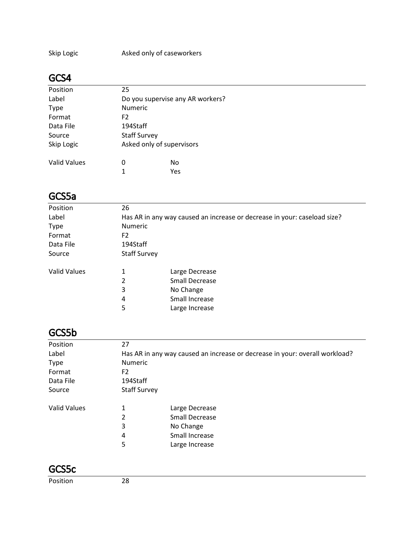Skip Logic **Asked only of caseworkers** 

#### GCS4

| Position            | 25                  |                                  |
|---------------------|---------------------|----------------------------------|
| Label               |                     | Do you supervise any AR workers? |
| <b>Type</b>         | <b>Numeric</b>      |                                  |
| Format              | F <sub>2</sub>      |                                  |
| Data File           | 194Staff            |                                  |
| Source              | <b>Staff Survey</b> |                                  |
| Skip Logic          |                     | Asked only of supervisors        |
| <b>Valid Values</b> | O                   | No                               |
|                     | 1                   | Yes                              |

#### GCS5a

| Position            | 26                  |                                                                          |
|---------------------|---------------------|--------------------------------------------------------------------------|
| Label               |                     | Has AR in any way caused an increase or decrease in your: caseload size? |
| <b>Type</b>         | <b>Numeric</b>      |                                                                          |
| Format              | F <sub>2</sub>      |                                                                          |
| Data File           | 194Staff            |                                                                          |
| Source              | <b>Staff Survey</b> |                                                                          |
| <b>Valid Values</b> | 1                   | Large Decrease                                                           |
|                     | 2                   | <b>Small Decrease</b>                                                    |
|                     | 3                   | No Change                                                                |
|                     | 4                   | Small Increase                                                           |
|                     | 5                   | Large Increase                                                           |
|                     |                     |                                                                          |

#### GCS5b

| Position            | 27                  |                                                                             |
|---------------------|---------------------|-----------------------------------------------------------------------------|
| Label               |                     | Has AR in any way caused an increase or decrease in your: overall workload? |
| <b>Type</b>         | <b>Numeric</b>      |                                                                             |
| Format              | F <sub>2</sub>      |                                                                             |
| Data File           | 194Staff            |                                                                             |
| Source              | <b>Staff Survey</b> |                                                                             |
| <b>Valid Values</b> | 1                   | Large Decrease                                                              |
|                     | 2                   | <b>Small Decrease</b>                                                       |
|                     | 3                   | No Change                                                                   |
|                     | 4                   | Small Increase                                                              |
|                     | 5                   | Large Increase                                                              |

-

#### GCS5c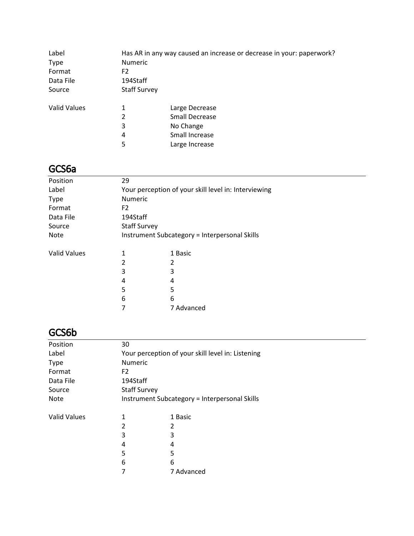| Label               |                     | Has AR in any way caused an increase or decrease in your: paperwork? |
|---------------------|---------------------|----------------------------------------------------------------------|
| <b>Type</b>         | <b>Numeric</b>      |                                                                      |
| Format              | F2                  |                                                                      |
| Data File           | 194Staff            |                                                                      |
| Source              | <b>Staff Survey</b> |                                                                      |
| <b>Valid Values</b> | 1                   | Large Decrease                                                       |
|                     | 2                   | <b>Small Decrease</b>                                                |
|                     | 3                   | No Change                                                            |
|                     | 4                   | Small Increase                                                       |
|                     | 5                   | Large Increase                                                       |

# GCS6a

| Position            | 29                                            |                                                      |  |  |
|---------------------|-----------------------------------------------|------------------------------------------------------|--|--|
| Label               |                                               | Your perception of your skill level in: Interviewing |  |  |
| <b>Type</b>         | Numeric                                       |                                                      |  |  |
| Format              | F <sub>2</sub>                                |                                                      |  |  |
| Data File           | 194Staff                                      |                                                      |  |  |
| Source              | <b>Staff Survey</b>                           |                                                      |  |  |
| <b>Note</b>         | Instrument Subcategory = Interpersonal Skills |                                                      |  |  |
| <b>Valid Values</b> | 1                                             | 1 Basic                                              |  |  |
|                     | 2                                             | 2                                                    |  |  |
|                     | 3                                             | 3                                                    |  |  |
|                     | 4                                             | 4                                                    |  |  |
|                     | 5                                             | 5                                                    |  |  |
|                     | 6                                             | 6                                                    |  |  |
|                     |                                               | 7 Advanced                                           |  |  |

# GCS6b

| Position            | 30                  |                                                   |
|---------------------|---------------------|---------------------------------------------------|
| Label               |                     | Your perception of your skill level in: Listening |
| <b>Type</b>         | <b>Numeric</b>      |                                                   |
| Format              | F <sub>2</sub>      |                                                   |
| Data File           | 194Staff            |                                                   |
| Source              | <b>Staff Survey</b> |                                                   |
| <b>Note</b>         |                     | Instrument Subcategory = Interpersonal Skills     |
|                     |                     |                                                   |
| <b>Valid Values</b> | 1                   | 1 Basic                                           |
|                     | 2                   | 2                                                 |
|                     | 3                   | 3                                                 |
|                     | 4                   | 4                                                 |
|                     | 5                   | 5                                                 |
|                     | 6                   | 6                                                 |
|                     | 7                   | 7 Advanced                                        |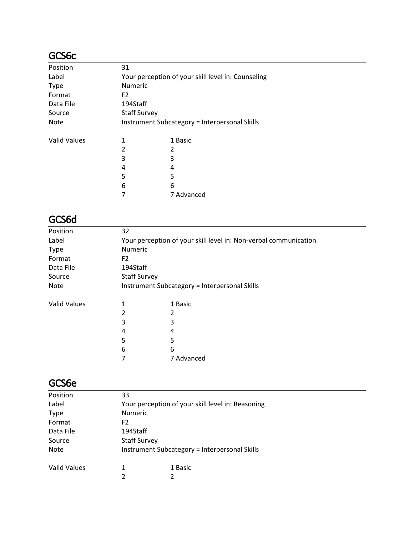### GCS6c

| Position            | 31                  |                                                    |
|---------------------|---------------------|----------------------------------------------------|
| Label               |                     | Your perception of your skill level in: Counseling |
| <b>Type</b>         | <b>Numeric</b>      |                                                    |
| Format              | F <sub>2</sub>      |                                                    |
| Data File           | 194Staff            |                                                    |
| Source              | <b>Staff Survey</b> |                                                    |
| <b>Note</b>         |                     | Instrument Subcategory = Interpersonal Skills      |
|                     |                     |                                                    |
| <b>Valid Values</b> |                     | 1 Basic                                            |
|                     | 2                   | 2                                                  |
|                     | 3                   | 3                                                  |
|                     | 4                   | 4                                                  |
|                     | 5                   | 5                                                  |
|                     | 6                   | 6                                                  |
|                     |                     | 7 Advanced                                         |

# GCS6d

| Position            | 32                  |                                                                  |  |  |
|---------------------|---------------------|------------------------------------------------------------------|--|--|
| Label               |                     | Your perception of your skill level in: Non-verbal communication |  |  |
| <b>Type</b>         | <b>Numeric</b>      |                                                                  |  |  |
| Format              | F <sub>2</sub>      |                                                                  |  |  |
| Data File           | 194Staff            |                                                                  |  |  |
| Source              | <b>Staff Survey</b> |                                                                  |  |  |
| Note                |                     | Instrument Subcategory = Interpersonal Skills                    |  |  |
| <b>Valid Values</b> |                     | 1 Basic                                                          |  |  |
|                     | 2                   |                                                                  |  |  |
|                     | 3                   | 3                                                                |  |  |
|                     | 4                   | 4                                                                |  |  |
|                     | 5                   | 5                                                                |  |  |
|                     | 6                   | 6                                                                |  |  |
|                     | 7                   | 7 Advanced                                                       |  |  |
|                     |                     |                                                                  |  |  |

#### GCS6e

| Position            | 33                  |                                                   |  |
|---------------------|---------------------|---------------------------------------------------|--|
| Label               |                     | Your perception of your skill level in: Reasoning |  |
| <b>Type</b>         | <b>Numeric</b>      |                                                   |  |
| Format              | F <sub>2</sub>      |                                                   |  |
| Data File           | 194Staff            |                                                   |  |
| Source              | <b>Staff Survey</b> |                                                   |  |
| <b>Note</b>         |                     | Instrument Subcategory = Interpersonal Skills     |  |
| <b>Valid Values</b> | 1                   | 1 Basic                                           |  |
|                     | າ                   | 2                                                 |  |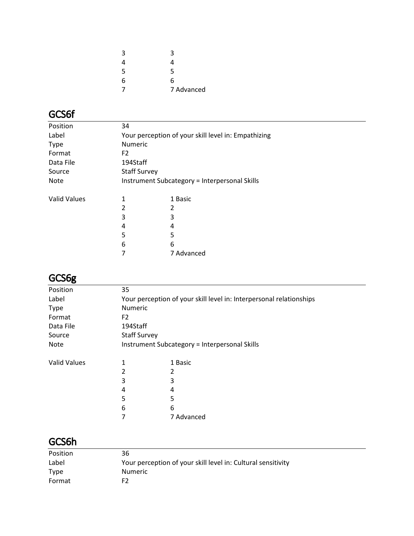| 3 | 3          |
|---|------------|
| 4 | 4          |
| 5 | 5          |
| 6 | 6          |
|   | 7 Advanced |

# GCS6f

| Position            | 34                                                  |                                               |  |
|---------------------|-----------------------------------------------------|-----------------------------------------------|--|
| Label               | Your perception of your skill level in: Empathizing |                                               |  |
| <b>Type</b>         | <b>Numeric</b>                                      |                                               |  |
| Format              | F <sub>2</sub>                                      |                                               |  |
| Data File           | 194Staff                                            |                                               |  |
| Source              | <b>Staff Survey</b>                                 |                                               |  |
| <b>Note</b>         |                                                     | Instrument Subcategory = Interpersonal Skills |  |
| <b>Valid Values</b> | 1                                                   | 1 Basic                                       |  |
|                     |                                                     | 2                                             |  |
|                     | 3                                                   | 3                                             |  |
|                     | 4                                                   | 4                                             |  |
|                     | 5                                                   | 5                                             |  |
|                     | 6                                                   | 6                                             |  |
|                     |                                                     | 7 Advanced                                    |  |
|                     |                                                     |                                               |  |

# GCS6g

| ----                |                                                                     |            |  |
|---------------------|---------------------------------------------------------------------|------------|--|
| Position            | 35                                                                  |            |  |
| Label               | Your perception of your skill level in: Interpersonal relationships |            |  |
| <b>Type</b>         | <b>Numeric</b>                                                      |            |  |
| Format              | F <sub>2</sub>                                                      |            |  |
| Data File           | 194Staff                                                            |            |  |
| Source              | <b>Staff Survey</b>                                                 |            |  |
| Note                | Instrument Subcategory = Interpersonal Skills                       |            |  |
| <b>Valid Values</b> | 1                                                                   | 1 Basic    |  |
|                     |                                                                     |            |  |
|                     | 3                                                                   | 3          |  |
|                     | 4                                                                   | 4          |  |
|                     | 5                                                                   | 5          |  |
|                     | 6                                                                   | 6          |  |
|                     | 7                                                                   | 7 Advanced |  |
|                     |                                                                     |            |  |

### GCS6h

| Position    | 36                                                           |
|-------------|--------------------------------------------------------------|
| Label       | Your perception of your skill level in: Cultural sensitivity |
| <b>Type</b> | <b>Numeric</b>                                               |
| Format      | F2                                                           |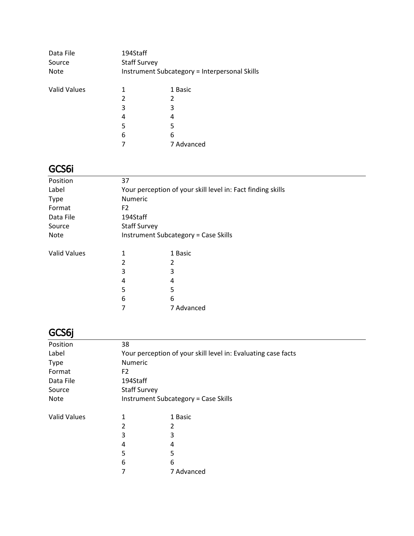| Data File<br>Source<br><b>Note</b> | 194Staff<br><b>Staff Survey</b> | Instrument Subcategory = Interpersonal Skills |
|------------------------------------|---------------------------------|-----------------------------------------------|
| <b>Valid Values</b>                | 1                               | 1 Basic                                       |
|                                    | 2                               | 2                                             |
|                                    | 3                               | 3                                             |
|                                    | 4                               | 4                                             |
|                                    | 5                               | 5                                             |
|                                    | 6                               | 6                                             |
|                                    |                                 | 7 Advanced                                    |

# GCS6i

| Position            | 37                                                          |                                             |  |
|---------------------|-------------------------------------------------------------|---------------------------------------------|--|
|                     |                                                             |                                             |  |
| Label               | Your perception of your skill level in: Fact finding skills |                                             |  |
| <b>Type</b>         | Numeric                                                     |                                             |  |
| Format              | F <sub>2</sub>                                              |                                             |  |
| Data File           | 194Staff                                                    |                                             |  |
| Source              | <b>Staff Survey</b>                                         |                                             |  |
| Note                |                                                             | <b>Instrument Subcategory = Case Skills</b> |  |
| <b>Valid Values</b> | 1                                                           | 1 Basic                                     |  |
|                     | 2                                                           | 2                                           |  |
|                     | 3                                                           | 3                                           |  |
|                     | 4                                                           | 4                                           |  |
|                     | 5                                                           | 5                                           |  |
|                     | 6                                                           | 6                                           |  |
|                     | 7                                                           | 7 Advanced                                  |  |

# GCS6j

| 38                                                            |                                             |  |
|---------------------------------------------------------------|---------------------------------------------|--|
| Your perception of your skill level in: Evaluating case facts |                                             |  |
| <b>Numeric</b>                                                |                                             |  |
| F <sub>2</sub>                                                |                                             |  |
| 194Staff                                                      |                                             |  |
| <b>Staff Survey</b>                                           |                                             |  |
|                                                               | <b>Instrument Subcategory = Case Skills</b> |  |
| 1                                                             | 1 Basic                                     |  |
| 2                                                             | 2                                           |  |
| 3                                                             | 3                                           |  |
| 4                                                             | 4                                           |  |
| 5                                                             | 5                                           |  |
| 6                                                             | 6                                           |  |
|                                                               | 7 Advanced                                  |  |
|                                                               |                                             |  |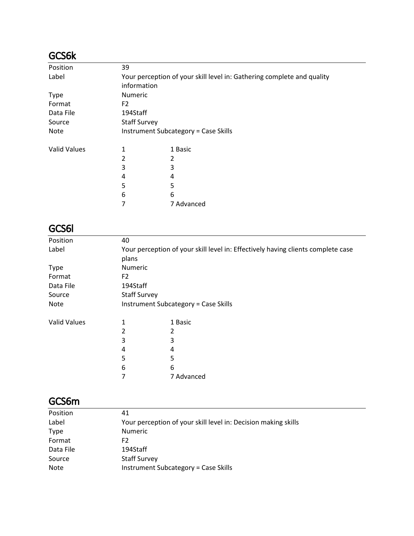# GCS6k

| Position            | 39                  |                                                                        |  |  |
|---------------------|---------------------|------------------------------------------------------------------------|--|--|
| Label               |                     | Your perception of your skill level in: Gathering complete and quality |  |  |
|                     | information         |                                                                        |  |  |
| Type                | Numeric             |                                                                        |  |  |
| Format              | F <sub>2</sub>      |                                                                        |  |  |
| Data File           | 194Staff            |                                                                        |  |  |
| Source              | <b>Staff Survey</b> |                                                                        |  |  |
| <b>Note</b>         |                     | <b>Instrument Subcategory = Case Skills</b>                            |  |  |
| <b>Valid Values</b> | 1                   | 1 Basic                                                                |  |  |
|                     | 2                   | 2                                                                      |  |  |
|                     | 3                   | 3                                                                      |  |  |
|                     | 4                   | 4                                                                      |  |  |
|                     | 5                   | 5                                                                      |  |  |
|                     | 6                   | 6                                                                      |  |  |
|                     |                     | 7 Advanced                                                             |  |  |

# GCS6l

| Position            | 40                  |                                                                                  |  |
|---------------------|---------------------|----------------------------------------------------------------------------------|--|
| Label               |                     | Your perception of your skill level in: Effectively having clients complete case |  |
|                     | plans               |                                                                                  |  |
| <b>Type</b>         | Numeric             |                                                                                  |  |
| Format              | F <sub>2</sub>      |                                                                                  |  |
| Data File           | 194Staff            |                                                                                  |  |
| Source              | <b>Staff Survey</b> |                                                                                  |  |
| Note                |                     | Instrument Subcategory = Case Skills                                             |  |
| <b>Valid Values</b> | 1                   | 1 Basic                                                                          |  |
|                     | 2                   | 2                                                                                |  |
|                     | 3                   | 3                                                                                |  |
|                     | 4                   | 4                                                                                |  |
|                     | 5                   | 5                                                                                |  |
|                     | 6                   | 6                                                                                |  |
|                     |                     | 7 Advanced                                                                       |  |

### GCS6m

| Position    | 41                                                             |
|-------------|----------------------------------------------------------------|
| Label       | Your perception of your skill level in: Decision making skills |
| <b>Type</b> | <b>Numeric</b>                                                 |
| Format      | F2                                                             |
| Data File   | 194Staff                                                       |
| Source      | <b>Staff Survey</b>                                            |
| <b>Note</b> | Instrument Subcategory = Case Skills                           |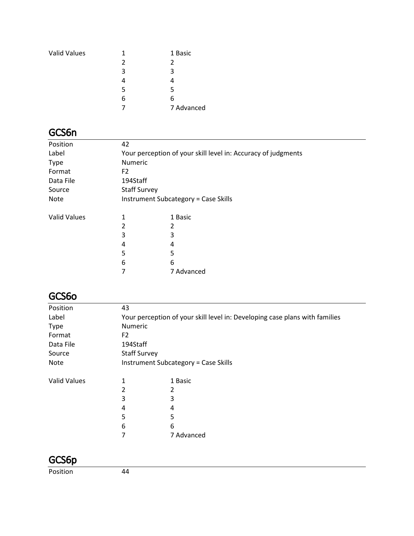| 1             | 1 Basic    |
|---------------|------------|
| $\mathcal{P}$ | 2          |
| 3             | κ          |
|               |            |
| 5             | 5          |
| 6             | 6          |
|               | 7 Advanced |
|               |            |

### GCS6n

| Position            | 42                                                            |            |  |
|---------------------|---------------------------------------------------------------|------------|--|
| Label               | Your perception of your skill level in: Accuracy of judgments |            |  |
| <b>Type</b>         | <b>Numeric</b>                                                |            |  |
| Format              | F <sub>2</sub>                                                |            |  |
| Data File           | 194Staff                                                      |            |  |
| Source              | <b>Staff Survey</b>                                           |            |  |
| <b>Note</b>         | <b>Instrument Subcategory = Case Skills</b>                   |            |  |
| <b>Valid Values</b> | 1                                                             | 1 Basic    |  |
|                     | 2                                                             | 2          |  |
|                     | 3                                                             | 3          |  |
|                     | 4                                                             | 4          |  |
|                     | 5                                                             | 5          |  |
|                     | 6                                                             | 6          |  |
|                     |                                                               | 7 Advanced |  |

### GCS6o

| Position            | 43                                                                          |            |  |
|---------------------|-----------------------------------------------------------------------------|------------|--|
| Label               | Your perception of your skill level in: Developing case plans with families |            |  |
| <b>Type</b>         | Numeric                                                                     |            |  |
| Format              | F <sub>2</sub>                                                              |            |  |
| Data File           | 194Staff                                                                    |            |  |
| Source              | <b>Staff Survey</b>                                                         |            |  |
| Note                | <b>Instrument Subcategory = Case Skills</b>                                 |            |  |
| <b>Valid Values</b> | 1                                                                           | 1 Basic    |  |
|                     | 2                                                                           | 2          |  |
|                     | 3                                                                           | 3          |  |
|                     | 4                                                                           | 4          |  |
|                     | 5                                                                           | 5          |  |
|                     | 6                                                                           | 6          |  |
|                     | 7                                                                           | 7 Advanced |  |
|                     |                                                                             |            |  |

### GCS6p

Position 44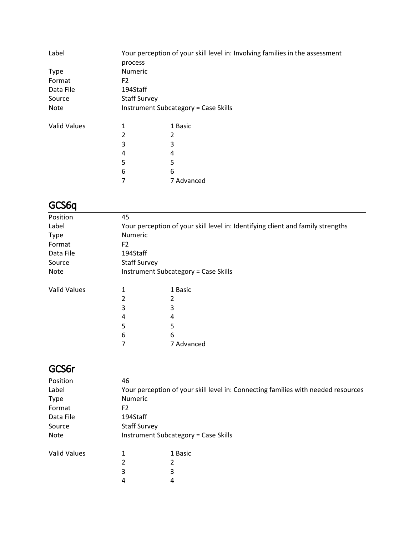| Label               | process             | Your perception of your skill level in: Involving families in the assessment |
|---------------------|---------------------|------------------------------------------------------------------------------|
| <b>Type</b>         | Numeric             |                                                                              |
| Format              | F <sub>2</sub>      |                                                                              |
| Data File           | 194Staff            |                                                                              |
| Source              | <b>Staff Survey</b> |                                                                              |
| <b>Note</b>         |                     | <b>Instrument Subcategory = Case Skills</b>                                  |
| <b>Valid Values</b> | 1                   | 1 Basic                                                                      |
|                     | 2                   | 2                                                                            |
|                     | 3                   | 3                                                                            |
|                     | 4                   | 4                                                                            |
|                     | 5                   | 5                                                                            |
|                     | 6                   | 6                                                                            |
|                     | 7                   | 7 Advanced                                                                   |

# GCS6q

| Position            | 45                                                                              |            |  |
|---------------------|---------------------------------------------------------------------------------|------------|--|
| Label               | Your perception of your skill level in: Identifying client and family strengths |            |  |
| <b>Type</b>         | <b>Numeric</b>                                                                  |            |  |
| Format              | F <sub>2</sub>                                                                  |            |  |
| Data File           | 194Staff                                                                        |            |  |
| Source              | <b>Staff Survey</b>                                                             |            |  |
| <b>Note</b>         | <b>Instrument Subcategory = Case Skills</b>                                     |            |  |
| <b>Valid Values</b> | 1                                                                               | 1 Basic    |  |
|                     | 2                                                                               | 2          |  |
|                     | 3                                                                               | 3          |  |
|                     | 4                                                                               | 4          |  |
|                     | 5                                                                               | 5          |  |
|                     | 6                                                                               | 6          |  |
|                     |                                                                                 | 7 Advanced |  |

#### GCS6r

| Position            | 46                  |                                                                                   |  |
|---------------------|---------------------|-----------------------------------------------------------------------------------|--|
| Label               |                     | Your perception of your skill level in: Connecting families with needed resources |  |
| <b>Type</b>         | <b>Numeric</b>      |                                                                                   |  |
| Format              | F2                  |                                                                                   |  |
| Data File           | 194Staff            |                                                                                   |  |
| Source              | <b>Staff Survey</b> |                                                                                   |  |
| <b>Note</b>         |                     | <b>Instrument Subcategory = Case Skills</b>                                       |  |
| <b>Valid Values</b> | 1                   | 1 Basic                                                                           |  |
|                     | 2                   | 2                                                                                 |  |
|                     | 3                   | 3                                                                                 |  |
|                     | 4                   | 4                                                                                 |  |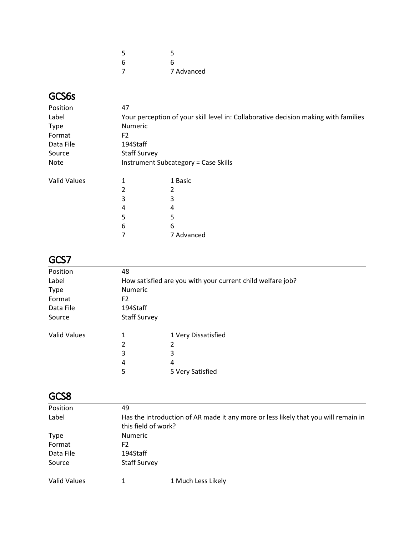| 5 | 5          |
|---|------------|
| 6 | 6          |
|   | 7 Advanced |

# GCS6s

| Position            | 47                                                                                  |                     |  |  |
|---------------------|-------------------------------------------------------------------------------------|---------------------|--|--|
| Label               | Your perception of your skill level in: Collaborative decision making with families |                     |  |  |
| <b>Type</b>         |                                                                                     | Numeric             |  |  |
| Format              | F <sub>2</sub>                                                                      |                     |  |  |
| Data File           | 194Staff                                                                            |                     |  |  |
| Source              |                                                                                     | <b>Staff Survey</b> |  |  |
| Note                | Instrument Subcategory = Case Skills                                                |                     |  |  |
| <b>Valid Values</b> | 1                                                                                   | 1 Basic             |  |  |
|                     | 2                                                                                   |                     |  |  |
|                     | 3                                                                                   | 3                   |  |  |
|                     | 4                                                                                   | 4                   |  |  |
|                     | 5                                                                                   | 5                   |  |  |
|                     | 6                                                                                   | 6                   |  |  |
|                     |                                                                                     | 7 Advanced          |  |  |

# GCS7

| Position     | 48                  |                                                            |
|--------------|---------------------|------------------------------------------------------------|
| Label        |                     | How satisfied are you with your current child welfare job? |
| <b>Type</b>  | Numeric             |                                                            |
| Format       | F2                  |                                                            |
| Data File    | 194Staff            |                                                            |
| Source       | <b>Staff Survey</b> |                                                            |
| Valid Values | 1                   | 1 Very Dissatisfied                                        |
|              | 2                   | 2                                                          |
|              | 3                   | 3                                                          |
|              | 4                   | 4                                                          |
|              | 5                   | 5 Very Satisfied                                           |
|              |                     |                                                            |

### GCS8

| 49                                                                                 |  |  |
|------------------------------------------------------------------------------------|--|--|
| Has the introduction of AR made it any more or less likely that you will remain in |  |  |
| this field of work?                                                                |  |  |
| <b>Numeric</b>                                                                     |  |  |
| F2                                                                                 |  |  |
| 194Staff                                                                           |  |  |
| <b>Staff Survey</b>                                                                |  |  |
| 1 Much Less Likely                                                                 |  |  |
|                                                                                    |  |  |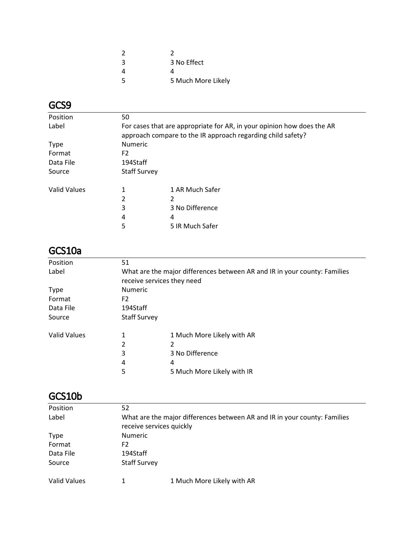| 2  |                    |
|----|--------------------|
| 3  | 3 No Effect        |
| 4  | Δ                  |
| .5 | 5 Much More Likely |

# GCS9

| Position            | 50                                                                                                                                    |                 |  |
|---------------------|---------------------------------------------------------------------------------------------------------------------------------------|-----------------|--|
| Label               | For cases that are appropriate for AR, in your opinion how does the AR<br>approach compare to the IR approach regarding child safety? |                 |  |
| <b>Type</b>         | <b>Numeric</b>                                                                                                                        |                 |  |
| Format              | F <sub>2</sub>                                                                                                                        |                 |  |
| Data File           | 194Staff                                                                                                                              |                 |  |
| Source              | <b>Staff Survey</b>                                                                                                                   |                 |  |
| <b>Valid Values</b> | 1                                                                                                                                     | 1 AR Much Safer |  |
|                     | 2                                                                                                                                     | 2               |  |
|                     | 3                                                                                                                                     | 3 No Difference |  |
|                     | 4                                                                                                                                     | 4               |  |
|                     | 5                                                                                                                                     | 5 IR Much Safer |  |

### GCS10a

| Position            | 51                                                                        |                            |  |
|---------------------|---------------------------------------------------------------------------|----------------------------|--|
| Label               | What are the major differences between AR and IR in your county: Families |                            |  |
|                     | receive services they need                                                |                            |  |
| <b>Type</b>         | Numeric                                                                   |                            |  |
| Format              | F <sub>2</sub>                                                            |                            |  |
| Data File           | 194Staff                                                                  |                            |  |
| Source              | <b>Staff Survey</b>                                                       |                            |  |
| <b>Valid Values</b> | 1                                                                         | 1 Much More Likely with AR |  |
|                     | 2                                                                         | 2                          |  |
|                     | 3                                                                         | 3 No Difference            |  |
|                     | 4                                                                         | 4                          |  |
|                     | 5                                                                         | 5 Much More Likely with IR |  |

# GCS10b

| Position     | 52                                                                        |  |  |
|--------------|---------------------------------------------------------------------------|--|--|
| Label        | What are the major differences between AR and IR in your county: Families |  |  |
|              | receive services quickly                                                  |  |  |
| <b>Type</b>  | <b>Numeric</b>                                                            |  |  |
| Format       | F2                                                                        |  |  |
| Data File    | 194Staff                                                                  |  |  |
| Source       | <b>Staff Survey</b>                                                       |  |  |
| Valid Values | 1 Much More Likely with AR                                                |  |  |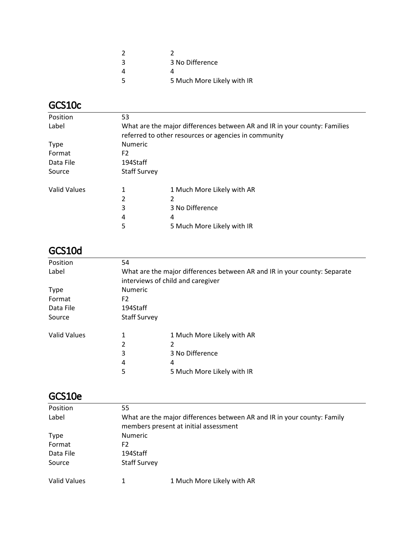| -3 | 3 No Difference            |
|----|----------------------------|
|    |                            |
| -5 | 5 Much More Likely with IR |

# GCS10c

| Position            | 53                                                                        |                            |  |
|---------------------|---------------------------------------------------------------------------|----------------------------|--|
| Label               | What are the major differences between AR and IR in your county: Families |                            |  |
|                     | referred to other resources or agencies in community                      |                            |  |
| <b>Type</b>         | Numeric                                                                   |                            |  |
| Format              | F <sub>2</sub>                                                            |                            |  |
| Data File           | 194Staff                                                                  |                            |  |
| Source              | <b>Staff Survey</b>                                                       |                            |  |
| <b>Valid Values</b> | 1                                                                         | 1 Much More Likely with AR |  |
|                     | 2                                                                         | 2                          |  |
|                     | 3                                                                         | 3 No Difference            |  |
|                     | 4                                                                         | 4                          |  |
|                     | 5                                                                         | 5 Much More Likely with IR |  |

### GCS10d

| Position            | 54                                                                                                             |                            |  |
|---------------------|----------------------------------------------------------------------------------------------------------------|----------------------------|--|
| Label               | What are the major differences between AR and IR in your county: Separate<br>interviews of child and caregiver |                            |  |
| <b>Type</b>         | Numeric                                                                                                        |                            |  |
| Format              | F <sub>2</sub>                                                                                                 |                            |  |
| Data File           | 194Staff                                                                                                       |                            |  |
| Source              | <b>Staff Survey</b>                                                                                            |                            |  |
| <b>Valid Values</b> |                                                                                                                | 1 Much More Likely with AR |  |
|                     | 2                                                                                                              |                            |  |
|                     | 3                                                                                                              | 3 No Difference            |  |
|                     | 4                                                                                                              | 4                          |  |
|                     | 5                                                                                                              | 5 Much More Likely with IR |  |

#### GCS10e

| Position     | 55                                                                      |                                       |  |
|--------------|-------------------------------------------------------------------------|---------------------------------------|--|
| Label        | What are the major differences between AR and IR in your county: Family |                                       |  |
|              |                                                                         | members present at initial assessment |  |
| <b>Type</b>  | <b>Numeric</b>                                                          |                                       |  |
| Format       | F2                                                                      |                                       |  |
| Data File    | 194Staff                                                                |                                       |  |
| Source       | <b>Staff Survey</b>                                                     |                                       |  |
| Valid Values |                                                                         | 1 Much More Likely with AR            |  |
|              |                                                                         |                                       |  |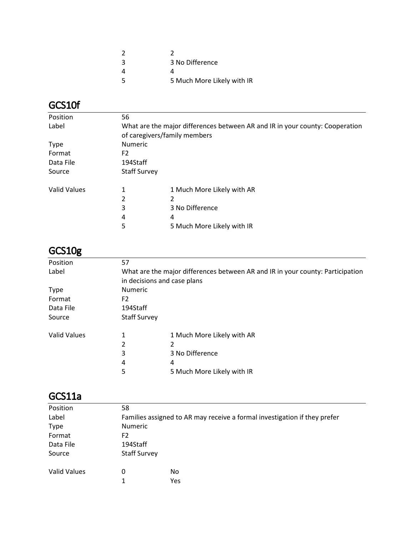| -3 | 3 No Difference            |
|----|----------------------------|
|    |                            |
| -5 | 5 Much More Likely with IR |

# GCS10f

| Position            | 56                                                                           |                            |  |
|---------------------|------------------------------------------------------------------------------|----------------------------|--|
| Label               | What are the major differences between AR and IR in your county: Cooperation |                            |  |
|                     | of caregivers/family members                                                 |                            |  |
| <b>Type</b>         | <b>Numeric</b>                                                               |                            |  |
| Format              | F2                                                                           |                            |  |
| Data File           | 194Staff                                                                     |                            |  |
| Source              | <b>Staff Survey</b>                                                          |                            |  |
| <b>Valid Values</b> |                                                                              | 1 Much More Likely with AR |  |
|                     | 2                                                                            | 2                          |  |
|                     | 3                                                                            | 3 No Difference            |  |
|                     | 4                                                                            | 4                          |  |
|                     | 5                                                                            | 5 Much More Likely with IR |  |

### GCS10g

| Position     | 57                                                                             |                            |  |
|--------------|--------------------------------------------------------------------------------|----------------------------|--|
| Label        | What are the major differences between AR and IR in your county: Participation |                            |  |
|              | in decisions and case plans                                                    |                            |  |
| <b>Type</b>  | <b>Numeric</b>                                                                 |                            |  |
| Format       | F <sub>2</sub>                                                                 |                            |  |
| Data File    | 194Staff                                                                       |                            |  |
| Source       | <b>Staff Survey</b>                                                            |                            |  |
| Valid Values | 1                                                                              | 1 Much More Likely with AR |  |
|              | 2                                                                              | 2                          |  |
|              | 3                                                                              | 3 No Difference            |  |
|              | 4                                                                              | 4                          |  |
|              | 5                                                                              | 5 Much More Likely with IR |  |
|              |                                                                                |                            |  |

#### GCS11a

| Position     | 58                                                                        |     |  |
|--------------|---------------------------------------------------------------------------|-----|--|
| Label        | Families assigned to AR may receive a formal investigation if they prefer |     |  |
| <b>Type</b>  | <b>Numeric</b>                                                            |     |  |
| Format       | F <sub>2</sub>                                                            |     |  |
| Data File    | 194Staff                                                                  |     |  |
| Source       | <b>Staff Survey</b>                                                       |     |  |
| Valid Values | 0                                                                         | No  |  |
|              | 1                                                                         | Yes |  |
|              |                                                                           |     |  |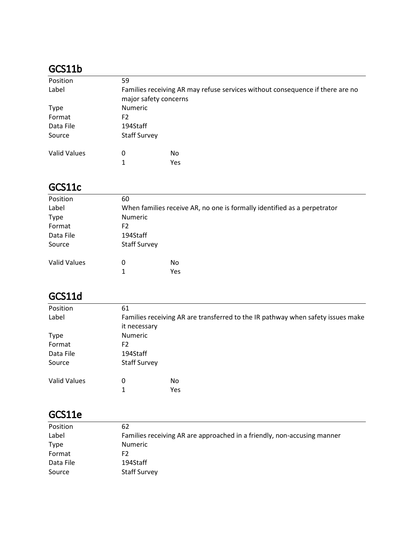# GCS11b

| Position            | 59                                                                                                     |     |  |  |
|---------------------|--------------------------------------------------------------------------------------------------------|-----|--|--|
| Label               | Families receiving AR may refuse services without consequence if there are no<br>major safety concerns |     |  |  |
| <b>Type</b>         | <b>Numeric</b>                                                                                         |     |  |  |
| Format              | F2                                                                                                     |     |  |  |
| Data File           | 194Staff                                                                                               |     |  |  |
| Source              | <b>Staff Survey</b>                                                                                    |     |  |  |
| <b>Valid Values</b> | 0                                                                                                      | No  |  |  |
|                     | 1                                                                                                      | Yes |  |  |

### GCS11c

| Position            | 60                                                                       |     |  |
|---------------------|--------------------------------------------------------------------------|-----|--|
| Label               | When families receive AR, no one is formally identified as a perpetrator |     |  |
| <b>Type</b>         | <b>Numeric</b>                                                           |     |  |
| Format              | F <sub>2</sub>                                                           |     |  |
| Data File           | 194Staff                                                                 |     |  |
| Source              | <b>Staff Survey</b>                                                      |     |  |
| <b>Valid Values</b> | 0                                                                        | No  |  |
|                     | 1                                                                        | Yes |  |

# GCS11d

| Position            | 61                                                                              |     |  |
|---------------------|---------------------------------------------------------------------------------|-----|--|
| Label               | Families receiving AR are transferred to the IR pathway when safety issues make |     |  |
|                     | it necessary                                                                    |     |  |
| <b>Type</b>         | <b>Numeric</b>                                                                  |     |  |
| Format              | F <sub>2</sub>                                                                  |     |  |
| Data File           | 194Staff                                                                        |     |  |
| Source              | <b>Staff Survey</b>                                                             |     |  |
| <b>Valid Values</b> | 0                                                                               | No  |  |
|                     | 1                                                                               | Yes |  |

# GCS11e

| Position    | 62                                                                      |
|-------------|-------------------------------------------------------------------------|
| Label       | Families receiving AR are approached in a friendly, non-accusing manner |
| <b>Type</b> | Numeric                                                                 |
| Format      | F <sub>2</sub>                                                          |
| Data File   | 194Staff                                                                |
| Source      | <b>Staff Survey</b>                                                     |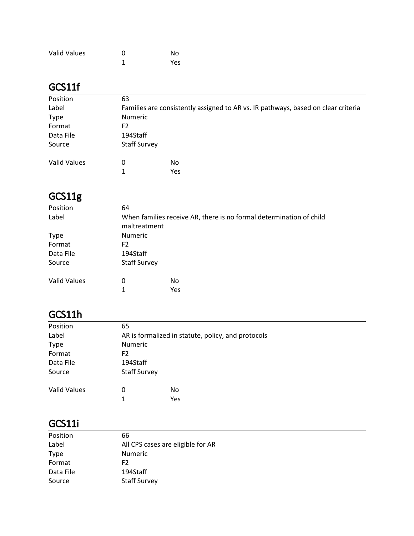| Valid Values | ŋ | No  |
|--------------|---|-----|
|              |   | Yes |

### GCS11f

| Position            | 63                                                                                |     |  |
|---------------------|-----------------------------------------------------------------------------------|-----|--|
| Label               | Families are consistently assigned to AR vs. IR pathways, based on clear criteria |     |  |
| <b>Type</b>         | <b>Numeric</b>                                                                    |     |  |
| Format              | F2                                                                                |     |  |
| Data File           | 194Staff                                                                          |     |  |
| Source              | <b>Staff Survey</b>                                                               |     |  |
| <b>Valid Values</b> | 0                                                                                 | No  |  |
|                     | 1.                                                                                | Yes |  |

# GCS11g

| Position            | 64                                                                                  |     |  |
|---------------------|-------------------------------------------------------------------------------------|-----|--|
| Label               | When families receive AR, there is no formal determination of child<br>maltreatment |     |  |
| <b>Type</b>         | <b>Numeric</b>                                                                      |     |  |
| Format              | F <sub>2</sub>                                                                      |     |  |
| Data File           | 194Staff                                                                            |     |  |
| Source              | <b>Staff Survey</b>                                                                 |     |  |
| <b>Valid Values</b> | 0                                                                                   | No. |  |
|                     | 1                                                                                   | Yes |  |

# GCS11h

| Position            | 65                                                 |     |  |
|---------------------|----------------------------------------------------|-----|--|
| Label               | AR is formalized in statute, policy, and protocols |     |  |
| <b>Type</b>         | Numeric                                            |     |  |
| Format              | F <sub>2</sub>                                     |     |  |
| Data File           | 194Staff                                           |     |  |
| Source              | <b>Staff Survey</b>                                |     |  |
| <b>Valid Values</b> | 0                                                  | No  |  |
|                     | 1                                                  | Yes |  |

# GCS11i

| Position    | 66                                |
|-------------|-----------------------------------|
| Label       | All CPS cases are eligible for AR |
| <b>Type</b> | <b>Numeric</b>                    |
| Format      | F2.                               |
| Data File   | 194Staff                          |
| Source      | <b>Staff Survey</b>               |
|             |                                   |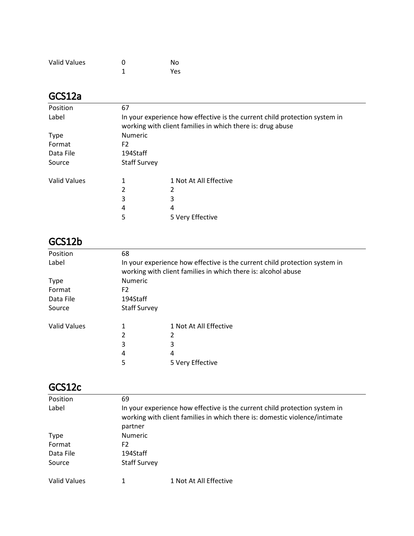| <b>Valid Values</b> | O | No  |
|---------------------|---|-----|
|                     |   | Yes |

### GCS12a

| Position            | 67                                                                                                                                       |                        |  |
|---------------------|------------------------------------------------------------------------------------------------------------------------------------------|------------------------|--|
| Label               | In your experience how effective is the current child protection system in<br>working with client families in which there is: drug abuse |                        |  |
| <b>Type</b>         | <b>Numeric</b>                                                                                                                           |                        |  |
| Format              | F <sub>2</sub>                                                                                                                           |                        |  |
| Data File           | 194Staff                                                                                                                                 |                        |  |
| Source              | <b>Staff Survey</b>                                                                                                                      |                        |  |
| <b>Valid Values</b> | 1                                                                                                                                        | 1 Not At All Effective |  |
|                     | 2                                                                                                                                        |                        |  |
|                     | 3                                                                                                                                        | 3                      |  |
|                     | 4                                                                                                                                        | 4                      |  |
|                     | 5                                                                                                                                        | 5 Very Effective       |  |

# GCS12b

| Position            | 68                                                                                                                                          |                        |  |
|---------------------|---------------------------------------------------------------------------------------------------------------------------------------------|------------------------|--|
| Label               | In your experience how effective is the current child protection system in<br>working with client families in which there is: alcohol abuse |                        |  |
| <b>Type</b>         | <b>Numeric</b>                                                                                                                              |                        |  |
| Format              | F2                                                                                                                                          |                        |  |
| Data File           | 194Staff                                                                                                                                    |                        |  |
| Source              | <b>Staff Survey</b>                                                                                                                         |                        |  |
| <b>Valid Values</b> |                                                                                                                                             | 1 Not At All Effective |  |
|                     | 2                                                                                                                                           |                        |  |
|                     | 3                                                                                                                                           | 3                      |  |
|                     | 4                                                                                                                                           | 4                      |  |
|                     | 5                                                                                                                                           | 5 Very Effective       |  |

#### GCS12c

| Position     | 69                                                                                                                                                                  |                        |  |
|--------------|---------------------------------------------------------------------------------------------------------------------------------------------------------------------|------------------------|--|
| Label        | In your experience how effective is the current child protection system in<br>working with client families in which there is: domestic violence/intimate<br>partner |                        |  |
| <b>Type</b>  | <b>Numeric</b>                                                                                                                                                      |                        |  |
| Format       | F <sub>2</sub>                                                                                                                                                      |                        |  |
| Data File    | 194Staff                                                                                                                                                            |                        |  |
| Source       | <b>Staff Survey</b>                                                                                                                                                 |                        |  |
| Valid Values | 1                                                                                                                                                                   | 1 Not At All Effective |  |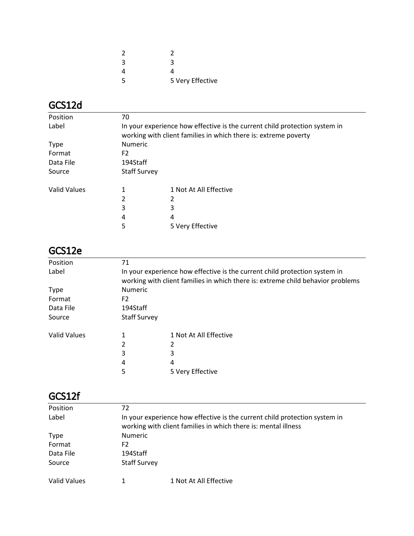| 2 |                  |
|---|------------------|
| 3 | З                |
| 4 | Δ                |
| 5 | 5 Very Effective |

# GCS12d

| Position     | 70                                                                                                                                            |                        |  |
|--------------|-----------------------------------------------------------------------------------------------------------------------------------------------|------------------------|--|
| Label        | In your experience how effective is the current child protection system in<br>working with client families in which there is: extreme poverty |                        |  |
| <b>Type</b>  | <b>Numeric</b>                                                                                                                                |                        |  |
| Format       | F <sub>2</sub>                                                                                                                                |                        |  |
| Data File    | 194Staff                                                                                                                                      |                        |  |
| Source       | <b>Staff Survey</b>                                                                                                                           |                        |  |
| Valid Values |                                                                                                                                               | 1 Not At All Effective |  |
|              | 2                                                                                                                                             |                        |  |
|              | 3                                                                                                                                             | 3                      |  |
|              | 4                                                                                                                                             | 4                      |  |
|              | 5                                                                                                                                             | 5 Very Effective       |  |

#### GCS12e

| Position            | 71                                                                                                                                                            |                        |  |
|---------------------|---------------------------------------------------------------------------------------------------------------------------------------------------------------|------------------------|--|
| Label               | In your experience how effective is the current child protection system in<br>working with client families in which there is: extreme child behavior problems |                        |  |
| <b>Type</b>         | <b>Numeric</b>                                                                                                                                                |                        |  |
| Format              | F2                                                                                                                                                            |                        |  |
| Data File           | 194Staff                                                                                                                                                      |                        |  |
| Source              | <b>Staff Survey</b>                                                                                                                                           |                        |  |
| <b>Valid Values</b> |                                                                                                                                                               | 1 Not At All Effective |  |
|                     | 2                                                                                                                                                             |                        |  |
|                     | 3                                                                                                                                                             | 3                      |  |
|                     | 4                                                                                                                                                             | 4                      |  |
|                     | 5                                                                                                                                                             | 5 Very Effective       |  |

#### GCS12f

| 72                                                                                                                                           |                        |  |
|----------------------------------------------------------------------------------------------------------------------------------------------|------------------------|--|
| In your experience how effective is the current child protection system in<br>working with client families in which there is: mental illness |                        |  |
|                                                                                                                                              |                        |  |
|                                                                                                                                              |                        |  |
| F2                                                                                                                                           |                        |  |
| 194Staff                                                                                                                                     |                        |  |
| <b>Staff Survey</b>                                                                                                                          |                        |  |
|                                                                                                                                              | 1 Not At All Effective |  |
|                                                                                                                                              | <b>Numeric</b>         |  |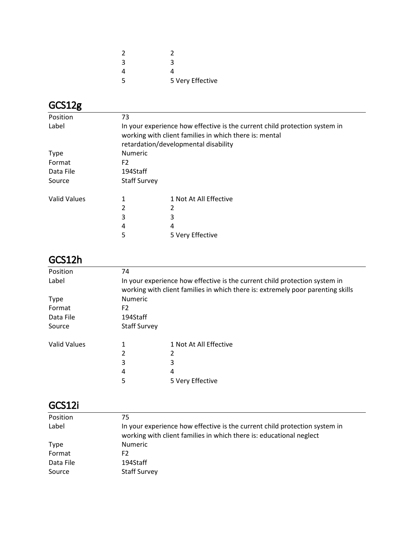| 2 |                  |
|---|------------------|
| 3 | З                |
| 4 | Δ                |
| 5 | 5 Very Effective |

# GCS12g

| Position            | 73                                                                                                                                                                           |                        |  |
|---------------------|------------------------------------------------------------------------------------------------------------------------------------------------------------------------------|------------------------|--|
| Label               | In your experience how effective is the current child protection system in<br>working with client families in which there is: mental<br>retardation/developmental disability |                        |  |
| <b>Type</b>         | Numeric                                                                                                                                                                      |                        |  |
| Format              | F <sub>2</sub>                                                                                                                                                               |                        |  |
| Data File           | 194Staff                                                                                                                                                                     |                        |  |
| Source              | <b>Staff Survey</b>                                                                                                                                                          |                        |  |
| <b>Valid Values</b> | 1                                                                                                                                                                            | 1 Not At All Effective |  |
|                     | 2                                                                                                                                                                            |                        |  |
|                     | 3                                                                                                                                                                            | 3                      |  |
|                     | 4                                                                                                                                                                            | 4                      |  |
|                     | 5                                                                                                                                                                            | 5 Very Effective       |  |

## GCS12h

| Position     | 74                                                                                                                                                            |                        |  |
|--------------|---------------------------------------------------------------------------------------------------------------------------------------------------------------|------------------------|--|
| Label        | In your experience how effective is the current child protection system in<br>working with client families in which there is: extremely poor parenting skills |                        |  |
| <b>Type</b>  | <b>Numeric</b>                                                                                                                                                |                        |  |
| Format       | F2                                                                                                                                                            |                        |  |
| Data File    | 194Staff                                                                                                                                                      |                        |  |
| Source       | <b>Staff Survey</b>                                                                                                                                           |                        |  |
| Valid Values |                                                                                                                                                               | 1 Not At All Effective |  |
|              |                                                                                                                                                               |                        |  |
|              | 3                                                                                                                                                             | 3                      |  |
|              | 4                                                                                                                                                             | 4                      |  |
|              | 5                                                                                                                                                             | 5 Very Effective       |  |

## GCS12i

| Position    | 75                                                                                                                                                |
|-------------|---------------------------------------------------------------------------------------------------------------------------------------------------|
| Label       | In your experience how effective is the current child protection system in<br>working with client families in which there is: educational neglect |
| <b>Type</b> | <b>Numeric</b>                                                                                                                                    |
| Format      | F2                                                                                                                                                |
| Data File   | 194Staff                                                                                                                                          |
| Source      | <b>Staff Survey</b>                                                                                                                               |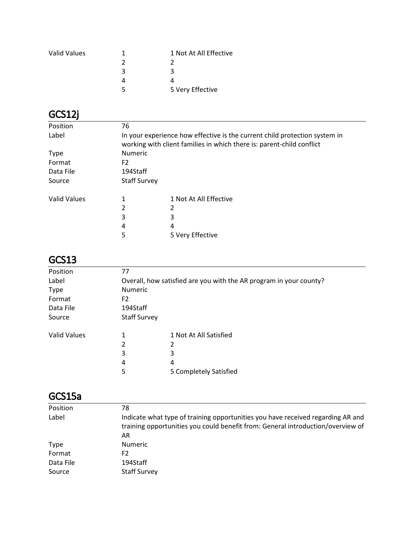| <b>Valid Values</b> |   | 1 Not At All Effective |
|---------------------|---|------------------------|
|                     |   |                        |
|                     | 3 | ર                      |
|                     |   |                        |
|                     |   | 5 Very Effective       |

# GCS12j

| Position            | 76                                                                                                                                                  |                        |  |
|---------------------|-----------------------------------------------------------------------------------------------------------------------------------------------------|------------------------|--|
| Label               | In your experience how effective is the current child protection system in<br>working with client families in which there is: parent-child conflict |                        |  |
| <b>Type</b>         | <b>Numeric</b>                                                                                                                                      |                        |  |
| Format              | F <sub>2</sub>                                                                                                                                      |                        |  |
| Data File           | 194Staff                                                                                                                                            |                        |  |
| Source              | <b>Staff Survey</b>                                                                                                                                 |                        |  |
| <b>Valid Values</b> | 1                                                                                                                                                   | 1 Not At All Effective |  |
|                     | 2                                                                                                                                                   |                        |  |
|                     | 3                                                                                                                                                   | 3                      |  |
|                     | 4                                                                                                                                                   | 4                      |  |
|                     | 5                                                                                                                                                   | 5 Very Effective       |  |
|                     |                                                                                                                                                     |                        |  |

# GCS13

| Position            | 77                  |                                                                    |  |  |
|---------------------|---------------------|--------------------------------------------------------------------|--|--|
| Label               |                     | Overall, how satisfied are you with the AR program in your county? |  |  |
| <b>Type</b>         | Numeric             |                                                                    |  |  |
| Format              | F <sub>2</sub>      |                                                                    |  |  |
| Data File           | 194Staff            |                                                                    |  |  |
| Source              | <b>Staff Survey</b> |                                                                    |  |  |
| <b>Valid Values</b> |                     | 1 Not At All Satisfied                                             |  |  |
|                     | 2                   | 2                                                                  |  |  |
|                     | 3                   | 3                                                                  |  |  |
|                     | 4                   | 4                                                                  |  |  |
|                     | 5                   | 5 Completely Satisfied                                             |  |  |
|                     |                     |                                                                    |  |  |

### GCS15a

| Position<br>78<br>Label<br>AR<br><b>Numeric</b><br><b>Type</b><br>Format<br>F2<br>194Staff<br>Data File<br><b>Staff Survey</b><br>Source |                                                                                                                                                                    |
|------------------------------------------------------------------------------------------------------------------------------------------|--------------------------------------------------------------------------------------------------------------------------------------------------------------------|
|                                                                                                                                          |                                                                                                                                                                    |
|                                                                                                                                          | Indicate what type of training opportunities you have received regarding AR and<br>training opportunities you could benefit from: General introduction/overview of |
|                                                                                                                                          |                                                                                                                                                                    |
|                                                                                                                                          |                                                                                                                                                                    |
|                                                                                                                                          |                                                                                                                                                                    |
|                                                                                                                                          |                                                                                                                                                                    |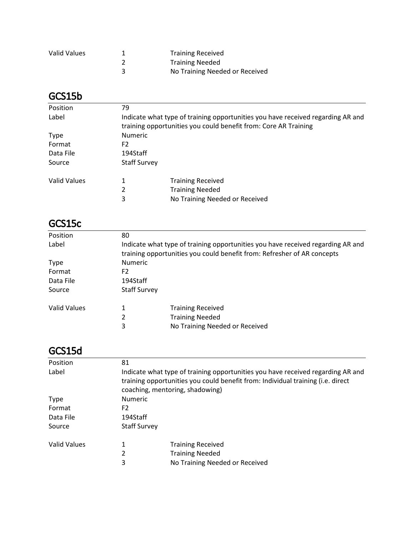| Valid Values | <b>Training Received</b>       |
|--------------|--------------------------------|
|              | <b>Training Needed</b>         |
|              | No Training Needed or Received |

#### GCS15b

| Position            | 79                  |                                                                                                                                                    |  |
|---------------------|---------------------|----------------------------------------------------------------------------------------------------------------------------------------------------|--|
| Label               |                     | Indicate what type of training opportunities you have received regarding AR and<br>training opportunities you could benefit from: Core AR Training |  |
| <b>Type</b>         | <b>Numeric</b>      |                                                                                                                                                    |  |
| Format              | F <sub>2</sub>      |                                                                                                                                                    |  |
| Data File           | 194Staff            |                                                                                                                                                    |  |
| Source              | <b>Staff Survey</b> |                                                                                                                                                    |  |
| <b>Valid Values</b> | 1                   | <b>Training Received</b>                                                                                                                           |  |
|                     | 2                   | <b>Training Needed</b>                                                                                                                             |  |
|                     | 3                   | No Training Needed or Received                                                                                                                     |  |

#### GCS15c

| Position     | 80                                                                              |                                |  |
|--------------|---------------------------------------------------------------------------------|--------------------------------|--|
|              |                                                                                 |                                |  |
| Label        | Indicate what type of training opportunities you have received regarding AR and |                                |  |
|              | training opportunities you could benefit from: Refresher of AR concepts         |                                |  |
| <b>Type</b>  | <b>Numeric</b>                                                                  |                                |  |
| Format       | F2                                                                              |                                |  |
| Data File    | 194Staff                                                                        |                                |  |
| Source       | <b>Staff Survey</b>                                                             |                                |  |
| Valid Values |                                                                                 | <b>Training Received</b>       |  |
|              | 2                                                                               | <b>Training Needed</b>         |  |
|              | 3                                                                               | No Training Needed or Received |  |

### GCS15d

| Position     | 81                                                                                                                                                                                                    |                                |  |
|--------------|-------------------------------------------------------------------------------------------------------------------------------------------------------------------------------------------------------|--------------------------------|--|
| Label        | Indicate what type of training opportunities you have received regarding AR and<br>training opportunities you could benefit from: Individual training (i.e. direct<br>coaching, mentoring, shadowing) |                                |  |
| <b>Type</b>  | <b>Numeric</b>                                                                                                                                                                                        |                                |  |
| Format       | F2                                                                                                                                                                                                    |                                |  |
| Data File    | 194Staff                                                                                                                                                                                              |                                |  |
| Source       | <b>Staff Survey</b>                                                                                                                                                                                   |                                |  |
| Valid Values |                                                                                                                                                                                                       | <b>Training Received</b>       |  |
|              | 2                                                                                                                                                                                                     | <b>Training Needed</b>         |  |
|              | 3                                                                                                                                                                                                     | No Training Needed or Received |  |
|              |                                                                                                                                                                                                       |                                |  |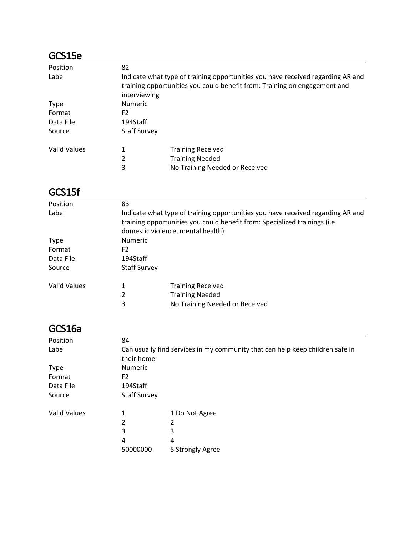### GCS15e

| 82                                                                              |                                |  |  |
|---------------------------------------------------------------------------------|--------------------------------|--|--|
| Indicate what type of training opportunities you have received regarding AR and |                                |  |  |
| training opportunities you could benefit from: Training on engagement and       |                                |  |  |
| interviewing                                                                    |                                |  |  |
| <b>Numeric</b>                                                                  |                                |  |  |
| F2                                                                              |                                |  |  |
| 194Staff                                                                        |                                |  |  |
| <b>Staff Survey</b>                                                             |                                |  |  |
|                                                                                 | <b>Training Received</b>       |  |  |
| 2                                                                               | <b>Training Needed</b>         |  |  |
| 3                                                                               | No Training Needed or Received |  |  |
|                                                                                 |                                |  |  |

#### GCS15f

| Position     | 83                                                                                                                                                                                                 |                                |  |  |
|--------------|----------------------------------------------------------------------------------------------------------------------------------------------------------------------------------------------------|--------------------------------|--|--|
| Label        | Indicate what type of training opportunities you have received regarding AR and<br>training opportunities you could benefit from: Specialized trainings (i.e.<br>domestic violence, mental health) |                                |  |  |
| <b>Type</b>  | <b>Numeric</b>                                                                                                                                                                                     |                                |  |  |
| Format       | F2                                                                                                                                                                                                 |                                |  |  |
| Data File    | 194Staff                                                                                                                                                                                           |                                |  |  |
| Source       | <b>Staff Survey</b>                                                                                                                                                                                |                                |  |  |
| Valid Values | 1                                                                                                                                                                                                  | <b>Training Received</b>       |  |  |
|              | 2                                                                                                                                                                                                  | <b>Training Needed</b>         |  |  |
|              | 3                                                                                                                                                                                                  | No Training Needed or Received |  |  |

### GCS16a

| Position     | 84                  |                                                                               |  |
|--------------|---------------------|-------------------------------------------------------------------------------|--|
| Label        |                     | Can usually find services in my community that can help keep children safe in |  |
|              | their home          |                                                                               |  |
| <b>Type</b>  | <b>Numeric</b>      |                                                                               |  |
| Format       | F <sub>2</sub>      |                                                                               |  |
| Data File    | 194Staff            |                                                                               |  |
| Source       | <b>Staff Survey</b> |                                                                               |  |
| Valid Values | 1                   | 1 Do Not Agree                                                                |  |
|              | 2                   | 2                                                                             |  |
|              | 3                   | 3                                                                             |  |
|              | 4                   | 4                                                                             |  |
|              | 50000000            | 5 Strongly Agree                                                              |  |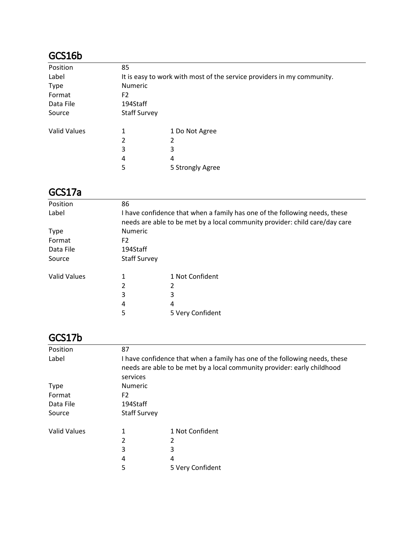# GCS16b

| Position            | 85                                                                     |                  |  |
|---------------------|------------------------------------------------------------------------|------------------|--|
| Label               | It is easy to work with most of the service providers in my community. |                  |  |
| <b>Type</b>         | <b>Numeric</b>                                                         |                  |  |
| Format              | F <sub>2</sub>                                                         |                  |  |
| Data File           | 194Staff                                                               |                  |  |
| Source              | <b>Staff Survey</b>                                                    |                  |  |
| <b>Valid Values</b> | 1                                                                      | 1 Do Not Agree   |  |
|                     | 2                                                                      | 2                |  |
|                     | 3                                                                      | 3                |  |
|                     | 4                                                                      | 4                |  |
|                     | 5                                                                      | 5 Strongly Agree |  |

#### GCS17a

| I have confidence that when a family has one of the following needs, these<br>needs are able to be met by a local community provider: child care/day care |  |  |
|-----------------------------------------------------------------------------------------------------------------------------------------------------------|--|--|
| <b>Numeric</b>                                                                                                                                            |  |  |
| F <sub>2</sub>                                                                                                                                            |  |  |
| 194Staff                                                                                                                                                  |  |  |
|                                                                                                                                                           |  |  |
|                                                                                                                                                           |  |  |
|                                                                                                                                                           |  |  |
|                                                                                                                                                           |  |  |
|                                                                                                                                                           |  |  |
|                                                                                                                                                           |  |  |
|                                                                                                                                                           |  |  |

### GCS17b

| Position            | 87                                                                         |                  |  |  |
|---------------------|----------------------------------------------------------------------------|------------------|--|--|
| Label               | I have confidence that when a family has one of the following needs, these |                  |  |  |
|                     | needs are able to be met by a local community provider: early childhood    |                  |  |  |
|                     | services                                                                   |                  |  |  |
| <b>Type</b>         |                                                                            | <b>Numeric</b>   |  |  |
| Format              | F2                                                                         |                  |  |  |
| Data File           | 194Staff                                                                   |                  |  |  |
| Source              | <b>Staff Survey</b>                                                        |                  |  |  |
| <b>Valid Values</b> | 1                                                                          | 1 Not Confident  |  |  |
|                     | 2                                                                          | 2                |  |  |
|                     | 3                                                                          | 3                |  |  |
|                     | 4                                                                          | 4                |  |  |
|                     | 5                                                                          | 5 Very Confident |  |  |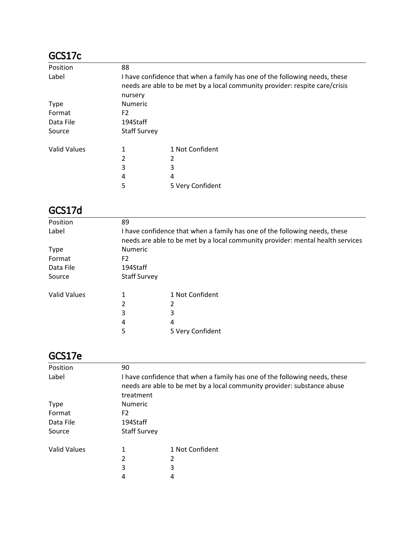### GCS17c

| Position            | 88                  |                                                                                                                                                           |  |
|---------------------|---------------------|-----------------------------------------------------------------------------------------------------------------------------------------------------------|--|
| Label               |                     | I have confidence that when a family has one of the following needs, these<br>needs are able to be met by a local community provider: respite care/crisis |  |
|                     | nursery             |                                                                                                                                                           |  |
| <b>Type</b>         | <b>Numeric</b>      |                                                                                                                                                           |  |
| Format              | F <sub>2</sub>      |                                                                                                                                                           |  |
| Data File           | 194Staff            |                                                                                                                                                           |  |
| Source              | <b>Staff Survey</b> |                                                                                                                                                           |  |
| <b>Valid Values</b> | 1                   | 1 Not Confident                                                                                                                                           |  |
|                     | 2                   | 2                                                                                                                                                         |  |
|                     | 3                   | 3                                                                                                                                                         |  |
|                     | 4                   | 4                                                                                                                                                         |  |
|                     | 5                   | 5 Very Confident                                                                                                                                          |  |

#### GCS17d

| Position            | 89                                                                                                                                                           |                  |  |  |
|---------------------|--------------------------------------------------------------------------------------------------------------------------------------------------------------|------------------|--|--|
| Label               | I have confidence that when a family has one of the following needs, these<br>needs are able to be met by a local community provider: mental health services |                  |  |  |
| <b>Type</b>         |                                                                                                                                                              | Numeric          |  |  |
| Format              | F <sub>2</sub>                                                                                                                                               |                  |  |  |
| Data File           | 194Staff                                                                                                                                                     |                  |  |  |
| Source              | <b>Staff Survey</b>                                                                                                                                          |                  |  |  |
| <b>Valid Values</b> |                                                                                                                                                              | 1 Not Confident  |  |  |
|                     | 2                                                                                                                                                            | 2                |  |  |
|                     | 3                                                                                                                                                            | 3                |  |  |
|                     | 4                                                                                                                                                            | 4                |  |  |
|                     | 5                                                                                                                                                            | 5 Very Confident |  |  |
|                     |                                                                                                                                                              |                  |  |  |

#### GCS17e

| Position            | 90                                                                                                                                                                 |                 |  |
|---------------------|--------------------------------------------------------------------------------------------------------------------------------------------------------------------|-----------------|--|
| Label               | I have confidence that when a family has one of the following needs, these<br>needs are able to be met by a local community provider: substance abuse<br>treatment |                 |  |
| <b>Type</b>         | <b>Numeric</b>                                                                                                                                                     |                 |  |
| Format              | F2                                                                                                                                                                 |                 |  |
| Data File           | 194Staff                                                                                                                                                           |                 |  |
| Source              | <b>Staff Survey</b>                                                                                                                                                |                 |  |
| <b>Valid Values</b> | 1                                                                                                                                                                  | 1 Not Confident |  |
|                     | 2                                                                                                                                                                  | 2               |  |
|                     | 3                                                                                                                                                                  | 3               |  |
|                     | 4                                                                                                                                                                  | 4               |  |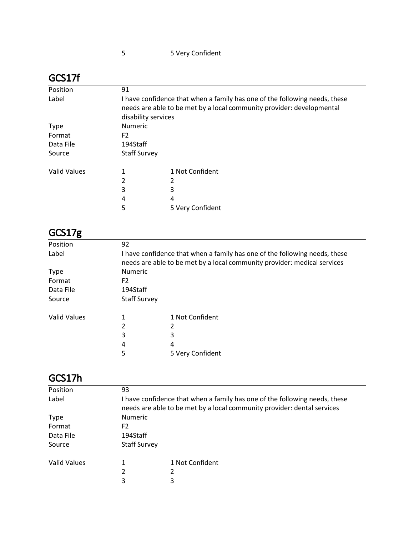| ו ונטט              |                                                                                                                                                                            |                  |  |
|---------------------|----------------------------------------------------------------------------------------------------------------------------------------------------------------------------|------------------|--|
| Position            | 91                                                                                                                                                                         |                  |  |
| Label               | I have confidence that when a family has one of the following needs, these<br>needs are able to be met by a local community provider: developmental<br>disability services |                  |  |
| <b>Type</b>         | <b>Numeric</b>                                                                                                                                                             |                  |  |
| Format              | F <sub>2</sub>                                                                                                                                                             |                  |  |
| Data File           | 194Staff                                                                                                                                                                   |                  |  |
| Source              | <b>Staff Survey</b>                                                                                                                                                        |                  |  |
| <b>Valid Values</b> | 1                                                                                                                                                                          | 1 Not Confident  |  |
|                     | 2                                                                                                                                                                          | 2                |  |
|                     | 3                                                                                                                                                                          | 3                |  |
|                     | 4                                                                                                                                                                          | 4                |  |
|                     | 5                                                                                                                                                                          | 5 Very Confident |  |

| GCS17g              |                     |                                                                                                                                                        |
|---------------------|---------------------|--------------------------------------------------------------------------------------------------------------------------------------------------------|
| Position            | 92                  |                                                                                                                                                        |
| Label               |                     | I have confidence that when a family has one of the following needs, these<br>needs are able to be met by a local community provider: medical services |
| <b>Type</b>         | <b>Numeric</b>      |                                                                                                                                                        |
| Format              | F <sub>2</sub>      |                                                                                                                                                        |
| Data File           | 194Staff            |                                                                                                                                                        |
| Source              | <b>Staff Survey</b> |                                                                                                                                                        |
| <b>Valid Values</b> | 1                   | 1 Not Confident                                                                                                                                        |
|                     | 2                   | 2                                                                                                                                                      |
|                     | 3                   | 3                                                                                                                                                      |
|                     | 4                   | 4                                                                                                                                                      |
|                     | 5                   | 5 Very Confident                                                                                                                                       |

| GCS17h       |                     |                                                                                                                                                       |
|--------------|---------------------|-------------------------------------------------------------------------------------------------------------------------------------------------------|
| Position     | 93                  |                                                                                                                                                       |
| Label        |                     | I have confidence that when a family has one of the following needs, these<br>needs are able to be met by a local community provider: dental services |
| <b>Type</b>  | Numeric             |                                                                                                                                                       |
| Format       | F <sub>2</sub>      |                                                                                                                                                       |
| Data File    | 194Staff            |                                                                                                                                                       |
| Source       | <b>Staff Survey</b> |                                                                                                                                                       |
| Valid Values |                     | 1 Not Confident                                                                                                                                       |
|              | 2                   | 2                                                                                                                                                     |
|              | 3                   | 3                                                                                                                                                     |

#### GCS17f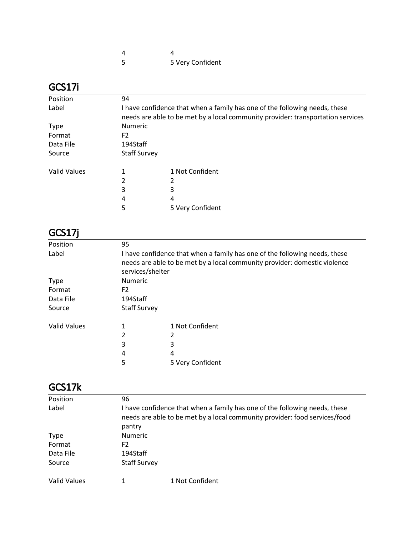| -5 | 5 Very Confident |
|----|------------------|

### GCS17i

| Position            | 94                                                                                                                                                            |                  |  |
|---------------------|---------------------------------------------------------------------------------------------------------------------------------------------------------------|------------------|--|
| Label               | I have confidence that when a family has one of the following needs, these<br>needs are able to be met by a local community provider: transportation services |                  |  |
| <b>Type</b>         | Numeric                                                                                                                                                       |                  |  |
| Format              | F <sub>2</sub>                                                                                                                                                |                  |  |
| Data File           | 194Staff                                                                                                                                                      |                  |  |
| Source              | <b>Staff Survey</b>                                                                                                                                           |                  |  |
| <b>Valid Values</b> |                                                                                                                                                               | 1 Not Confident  |  |
|                     | 2                                                                                                                                                             |                  |  |
|                     | 3                                                                                                                                                             | 3                |  |
|                     | 4                                                                                                                                                             | 4                |  |
|                     | 5                                                                                                                                                             | 5 Very Confident |  |

GCS17j

| Position            | 95                                                                                                                                                                          |                  |  |
|---------------------|-----------------------------------------------------------------------------------------------------------------------------------------------------------------------------|------------------|--|
| Label               | I have confidence that when a family has one of the following needs, these<br>needs are able to be met by a local community provider: domestic violence<br>services/shelter |                  |  |
| <b>Type</b>         | Numeric                                                                                                                                                                     |                  |  |
| Format              | F <sub>2</sub>                                                                                                                                                              |                  |  |
| Data File           | 194Staff                                                                                                                                                                    |                  |  |
| Source              | <b>Staff Survey</b>                                                                                                                                                         |                  |  |
| <b>Valid Values</b> | 1                                                                                                                                                                           | 1 Not Confident  |  |
|                     | 2                                                                                                                                                                           | 2                |  |
|                     | 3                                                                                                                                                                           | 3                |  |
|                     | 4                                                                                                                                                                           | 4                |  |
|                     | 5                                                                                                                                                                           | 5 Very Confident |  |

### GCS17k

| Position     | 96                                                                                                                                                                 |                 |  |
|--------------|--------------------------------------------------------------------------------------------------------------------------------------------------------------------|-----------------|--|
| Label        | I have confidence that when a family has one of the following needs, these<br>needs are able to be met by a local community provider: food services/food<br>pantry |                 |  |
| <b>Type</b>  | <b>Numeric</b>                                                                                                                                                     |                 |  |
| Format       | F2                                                                                                                                                                 |                 |  |
| Data File    | 194Staff                                                                                                                                                           |                 |  |
| Source       | <b>Staff Survey</b>                                                                                                                                                |                 |  |
| Valid Values |                                                                                                                                                                    | 1 Not Confident |  |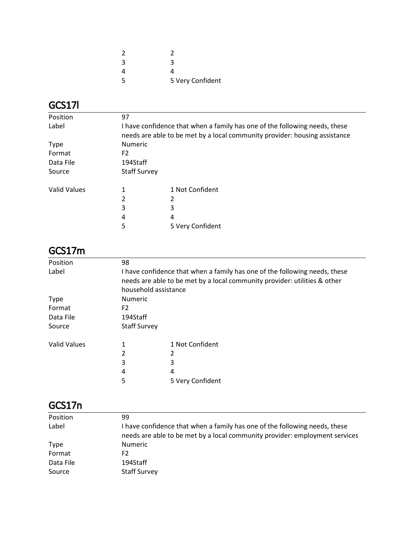| 2  |                  |
|----|------------------|
| 3  | З                |
| Δ  |                  |
| .5 | 5 Very Confident |

# GCS17l

| Position            | 97                                                                                                                                                       |                  |  |
|---------------------|----------------------------------------------------------------------------------------------------------------------------------------------------------|------------------|--|
| Label               | I have confidence that when a family has one of the following needs, these<br>needs are able to be met by a local community provider: housing assistance |                  |  |
| <b>Type</b>         | Numeric                                                                                                                                                  |                  |  |
| Format              | F2                                                                                                                                                       |                  |  |
| Data File           | 194Staff                                                                                                                                                 |                  |  |
| Source              | <b>Staff Survey</b>                                                                                                                                      |                  |  |
| <b>Valid Values</b> | 1                                                                                                                                                        | 1 Not Confident  |  |
|                     | 2                                                                                                                                                        |                  |  |
|                     | 3                                                                                                                                                        | 3                |  |
|                     | 4                                                                                                                                                        | 4                |  |
|                     | 5                                                                                                                                                        | 5 Very Confident |  |

### GCS17m

| Position            | 98                                                                         |                  |  |  |
|---------------------|----------------------------------------------------------------------------|------------------|--|--|
| Label               | I have confidence that when a family has one of the following needs, these |                  |  |  |
|                     | needs are able to be met by a local community provider: utilities & other  |                  |  |  |
|                     | household assistance                                                       |                  |  |  |
| <b>Type</b>         | <b>Numeric</b>                                                             |                  |  |  |
| Format              | F <sub>2</sub>                                                             |                  |  |  |
| Data File           | 194Staff                                                                   |                  |  |  |
| Source              | <b>Staff Survey</b>                                                        |                  |  |  |
| <b>Valid Values</b> | 1                                                                          | 1 Not Confident  |  |  |
|                     | 2                                                                          | 2                |  |  |
|                     | 3                                                                          | 3                |  |  |
|                     | 4                                                                          | 4                |  |  |
|                     | 5                                                                          | 5 Very Confident |  |  |

# GCS17n

| Position    | 99                                                                                                                                                        |
|-------------|-----------------------------------------------------------------------------------------------------------------------------------------------------------|
| Label       | I have confidence that when a family has one of the following needs, these<br>needs are able to be met by a local community provider: employment services |
| <b>Type</b> | <b>Numeric</b>                                                                                                                                            |
| Format      | F2                                                                                                                                                        |
| Data File   | 194Staff                                                                                                                                                  |
| Source      | <b>Staff Survey</b>                                                                                                                                       |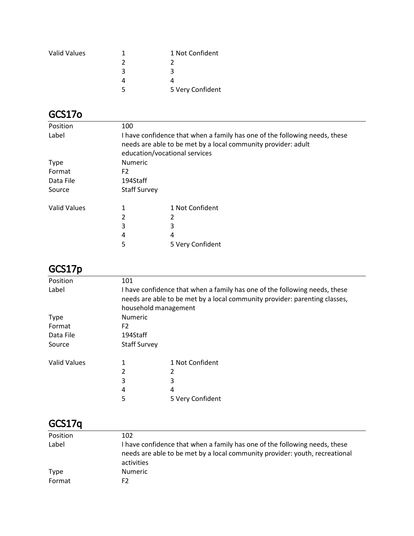| <b>Valid Values</b> |   | 1 Not Confident  |
|---------------------|---|------------------|
|                     |   |                  |
|                     | ર | ₹                |
|                     |   |                  |
|                     |   | 5 Very Confident |

## GCS17o

| Position            | 100                                                                                                                                                                          |                  |  |
|---------------------|------------------------------------------------------------------------------------------------------------------------------------------------------------------------------|------------------|--|
| Label               | I have confidence that when a family has one of the following needs, these<br>needs are able to be met by a local community provider: adult<br>education/vocational services |                  |  |
| <b>Type</b>         | <b>Numeric</b>                                                                                                                                                               |                  |  |
| Format              | F <sub>2</sub>                                                                                                                                                               |                  |  |
| Data File           | 194Staff                                                                                                                                                                     |                  |  |
| Source              | <b>Staff Survey</b>                                                                                                                                                          |                  |  |
| <b>Valid Values</b> | 1                                                                                                                                                                            | 1 Not Confident  |  |
|                     | 2                                                                                                                                                                            |                  |  |
|                     | 3                                                                                                                                                                            | 3                |  |
|                     | 4                                                                                                                                                                            | 4                |  |
|                     | 5                                                                                                                                                                            | 5 Very Confident |  |
|                     |                                                                                                                                                                              |                  |  |

### GCS17p

| Position            | 101                                                                                                                                                                              |                  |  |
|---------------------|----------------------------------------------------------------------------------------------------------------------------------------------------------------------------------|------------------|--|
| Label               | I have confidence that when a family has one of the following needs, these<br>needs are able to be met by a local community provider: parenting classes,<br>household management |                  |  |
| <b>Type</b>         | Numeric                                                                                                                                                                          |                  |  |
| Format              | F <sub>2</sub>                                                                                                                                                                   |                  |  |
| Data File           | 194Staff                                                                                                                                                                         |                  |  |
| Source              | <b>Staff Survey</b>                                                                                                                                                              |                  |  |
| <b>Valid Values</b> | 1                                                                                                                                                                                | 1 Not Confident  |  |
|                     | 2                                                                                                                                                                                |                  |  |
|                     | 3                                                                                                                                                                                | 3                |  |
|                     | 4                                                                                                                                                                                | 4                |  |
|                     | 5                                                                                                                                                                                | 5 Very Confident |  |
|                     |                                                                                                                                                                                  |                  |  |

# GCS17q

| Position | 102                                                                                                                                                                     |
|----------|-------------------------------------------------------------------------------------------------------------------------------------------------------------------------|
| Label    | I have confidence that when a family has one of the following needs, these<br>needs are able to be met by a local community provider: youth, recreational<br>activities |
| Type     | <b>Numeric</b>                                                                                                                                                          |
| Format   | F2                                                                                                                                                                      |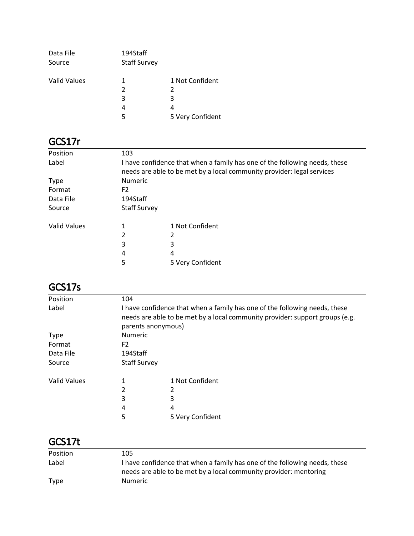| Data File<br>Source | 194Staff<br><b>Staff Survey</b> |                  |
|---------------------|---------------------------------|------------------|
| <b>Valid Values</b> | 1                               | 1 Not Confident  |
|                     | 2                               | 2                |
|                     | 3                               | 3                |
|                     | 4                               | 4                |
|                     | 5                               | 5 Very Confident |

# GCS17r

| Position     | 103                                                                                                                                                  |                  |  |
|--------------|------------------------------------------------------------------------------------------------------------------------------------------------------|------------------|--|
| Label        | I have confidence that when a family has one of the following needs, these<br>needs are able to be met by a local community provider: legal services |                  |  |
| <b>Type</b>  | Numeric                                                                                                                                              |                  |  |
| Format       | F <sub>2</sub>                                                                                                                                       |                  |  |
| Data File    | 194Staff                                                                                                                                             |                  |  |
| Source       | <b>Staff Survey</b>                                                                                                                                  |                  |  |
| Valid Values |                                                                                                                                                      | 1 Not Confident  |  |
|              | 2                                                                                                                                                    | 2                |  |
|              | 3                                                                                                                                                    | 3                |  |
|              | 4                                                                                                                                                    | 4                |  |
|              | 5                                                                                                                                                    | 5 Very Confident |  |

## GCS17s

| Position     | 104                                                                                                                                                                              |                  |  |
|--------------|----------------------------------------------------------------------------------------------------------------------------------------------------------------------------------|------------------|--|
| Label        | I have confidence that when a family has one of the following needs, these<br>needs are able to be met by a local community provider: support groups (e.g.<br>parents anonymous) |                  |  |
| <b>Type</b>  | <b>Numeric</b>                                                                                                                                                                   |                  |  |
| Format       | F <sub>2</sub>                                                                                                                                                                   |                  |  |
| Data File    | 194Staff                                                                                                                                                                         |                  |  |
| Source       | <b>Staff Survey</b>                                                                                                                                                              |                  |  |
| Valid Values | 1                                                                                                                                                                                | 1 Not Confident  |  |
|              | 2                                                                                                                                                                                |                  |  |
|              | 3                                                                                                                                                                                | 3                |  |
|              | 4                                                                                                                                                                                | 4                |  |
|              | 5                                                                                                                                                                                | 5 Very Confident |  |

## GCS17t

| Position | 105                                                                                                                                             |
|----------|-------------------------------------------------------------------------------------------------------------------------------------------------|
| Label    | I have confidence that when a family has one of the following needs, these<br>needs are able to be met by a local community provider: mentoring |
| Type     | <b>Numeric</b>                                                                                                                                  |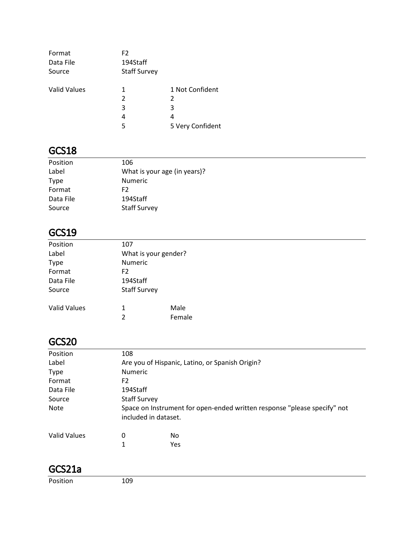| Format<br>Data File<br>Source | F <sub>2</sub><br>194Staff<br><b>Staff Survey</b> |                  |
|-------------------------------|---------------------------------------------------|------------------|
| <b>Valid Values</b>           | 1                                                 | 1 Not Confident  |
|                               | 2                                                 | 2                |
|                               | 3                                                 | 3                |
|                               | 4                                                 | 4                |
|                               | 5                                                 | 5 Very Confident |

### GCS18

| Position    | 106                          |
|-------------|------------------------------|
| Label       | What is your age (in years)? |
| <b>Type</b> | <b>Numeric</b>               |
| Format      | F2                           |
| Data File   | 194Staff                     |
| Source      | <b>Staff Survey</b>          |

# GCS19

| Position            | 107                  |        |  |
|---------------------|----------------------|--------|--|
| Label               | What is your gender? |        |  |
| Type                | Numeric              |        |  |
| Format              | F <sub>2</sub>       |        |  |
| Data File           | 194Staff             |        |  |
| Source              | <b>Staff Survey</b>  |        |  |
| <b>Valid Values</b> | 1                    | Male   |  |
|                     | $\overline{2}$       | Female |  |
|                     |                      |        |  |

### GCS20

| Position            | 108                  |                                                                          |
|---------------------|----------------------|--------------------------------------------------------------------------|
| Label               |                      | Are you of Hispanic, Latino, or Spanish Origin?                          |
| <b>Type</b>         | <b>Numeric</b>       |                                                                          |
| Format              | F <sub>2</sub>       |                                                                          |
| Data File           | 194Staff             |                                                                          |
| Source              | <b>Staff Survey</b>  |                                                                          |
| <b>Note</b>         | included in dataset. | Space on Instrument for open-ended written response "please specify" not |
| <b>Valid Values</b> | 0                    | No.                                                                      |
|                     | 1                    | Yes                                                                      |

### GCS21a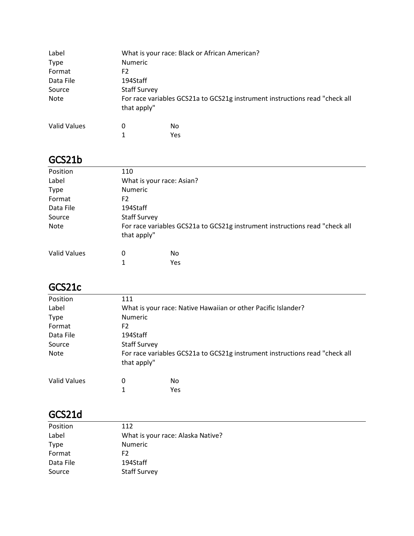| Label        | What is your race: Black or African American?                                              |     |  |
|--------------|--------------------------------------------------------------------------------------------|-----|--|
| <b>Type</b>  | <b>Numeric</b>                                                                             |     |  |
| Format       | F2                                                                                         |     |  |
| Data File    | 194Staff                                                                                   |     |  |
| Source       | <b>Staff Survey</b>                                                                        |     |  |
| <b>Note</b>  | For race variables GCS21a to GCS21g instrument instructions read "check all<br>that apply" |     |  |
| Valid Values | 0                                                                                          | No. |  |
|              | 1                                                                                          | Yes |  |

#### GCS21b

| Position            | 110                                                                                        |     |  |  |
|---------------------|--------------------------------------------------------------------------------------------|-----|--|--|
| Label               | What is your race: Asian?                                                                  |     |  |  |
| <b>Type</b>         | <b>Numeric</b>                                                                             |     |  |  |
| Format              | F <sub>2</sub>                                                                             |     |  |  |
| Data File           | 194Staff                                                                                   |     |  |  |
| Source              | <b>Staff Survey</b>                                                                        |     |  |  |
| Note                | For race variables GCS21a to GCS21g instrument instructions read "check all<br>that apply" |     |  |  |
| <b>Valid Values</b> | 0                                                                                          | No  |  |  |
|                     |                                                                                            | Yes |  |  |

### GCS21c

| Position            | 111                                                                                        |           |  |
|---------------------|--------------------------------------------------------------------------------------------|-----------|--|
| Label               | What is your race: Native Hawaiian or other Pacific Islander?                              |           |  |
| <b>Type</b>         | <b>Numeric</b>                                                                             |           |  |
| Format              | F <sub>2</sub>                                                                             |           |  |
| Data File           | 194Staff                                                                                   |           |  |
| Source              | <b>Staff Survey</b>                                                                        |           |  |
| <b>Note</b>         | For race variables GCS21a to GCS21g instrument instructions read "check all<br>that apply" |           |  |
| <b>Valid Values</b> | 0<br>1                                                                                     | No<br>Yes |  |

# GCS21d

| Position  | 112                               |
|-----------|-----------------------------------|
| Label     | What is your race: Alaska Native? |
| Type      | Numeric                           |
| Format    | F2                                |
| Data File | 194Staff                          |
| Source    | <b>Staff Survey</b>               |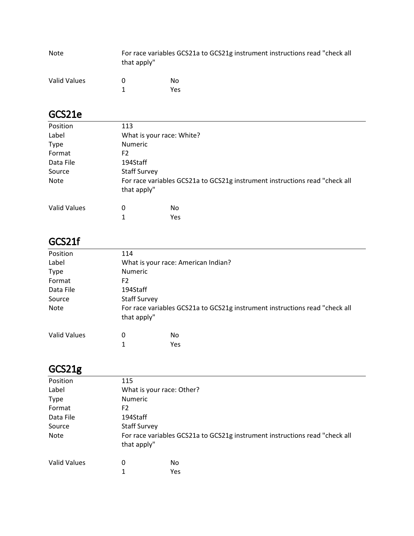| Note         | For race variables GCS21a to GCS21g instrument instructions read "check all<br>that apply" |     |
|--------------|--------------------------------------------------------------------------------------------|-----|
| Valid Values |                                                                                            | No. |
|              |                                                                                            | Yes |

| Υe |
|----|

# GCS21e

| Position            | 113                       |                                                                             |  |
|---------------------|---------------------------|-----------------------------------------------------------------------------|--|
| Label               | What is your race: White? |                                                                             |  |
| <b>Type</b>         | <b>Numeric</b>            |                                                                             |  |
| Format              | F2                        |                                                                             |  |
| Data File           | 194Staff                  |                                                                             |  |
| Source              | <b>Staff Survey</b>       |                                                                             |  |
| Note                | that apply"               | For race variables GCS21a to GCS21g instrument instructions read "check all |  |
| <b>Valid Values</b> | 0                         | No                                                                          |  |
|                     | 1                         | Yes                                                                         |  |

# GCS21f

| Position     | 114                                 |                                                                             |  |
|--------------|-------------------------------------|-----------------------------------------------------------------------------|--|
| Label        | What is your race: American Indian? |                                                                             |  |
| <b>Type</b>  | <b>Numeric</b>                      |                                                                             |  |
| Format       | F2                                  |                                                                             |  |
| Data File    | 194Staff                            |                                                                             |  |
| Source       | <b>Staff Survey</b>                 |                                                                             |  |
| Note         | that apply"                         | For race variables GCS21a to GCS21g instrument instructions read "check all |  |
| Valid Values | 0                                   | No                                                                          |  |
|              | 1                                   | Yes                                                                         |  |

# GCS21g

| Position            | 115                                                                         |     |  |
|---------------------|-----------------------------------------------------------------------------|-----|--|
| Label               | What is your race: Other?                                                   |     |  |
| <b>Type</b>         | <b>Numeric</b>                                                              |     |  |
| Format              | F2                                                                          |     |  |
| Data File           | 194Staff                                                                    |     |  |
| Source              | <b>Staff Survey</b>                                                         |     |  |
| Note                | For race variables GCS21a to GCS21g instrument instructions read "check all |     |  |
|                     | that apply"                                                                 |     |  |
| <b>Valid Values</b> | 0                                                                           | No  |  |
|                     | 1                                                                           | Yes |  |
|                     |                                                                             |     |  |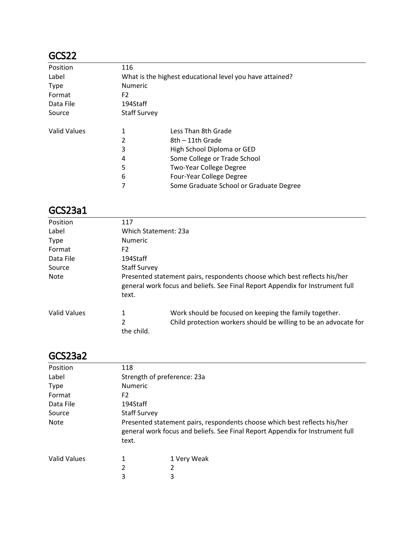### GCS22

| Position            | 116                                                      |                                         |  |
|---------------------|----------------------------------------------------------|-----------------------------------------|--|
| Label               | What is the highest educational level you have attained? |                                         |  |
| <b>Type</b>         | <b>Numeric</b>                                           |                                         |  |
| Format              | F <sub>2</sub>                                           |                                         |  |
| Data File           | 194Staff                                                 |                                         |  |
| Source              | <b>Staff Survey</b>                                      |                                         |  |
| <b>Valid Values</b> | 1                                                        | Less Than 8th Grade                     |  |
|                     | 2                                                        | 8th – 11th Grade                        |  |
|                     | 3                                                        | High School Diploma or GED              |  |
|                     | 4                                                        | Some College or Trade School            |  |
|                     | 5                                                        | Two-Year College Degree                 |  |
|                     | 6                                                        | Four-Year College Degree                |  |
|                     |                                                          | Some Graduate School or Graduate Degree |  |

### GCS23a1

| 117                  |                                                                                                                                                            |  |  |
|----------------------|------------------------------------------------------------------------------------------------------------------------------------------------------------|--|--|
| Which Statement: 23a |                                                                                                                                                            |  |  |
| <b>Numeric</b>       |                                                                                                                                                            |  |  |
| F2                   |                                                                                                                                                            |  |  |
| 194Staff             |                                                                                                                                                            |  |  |
| <b>Staff Survey</b>  |                                                                                                                                                            |  |  |
| text.                | Presented statement pairs, respondents choose which best reflects his/her<br>general work focus and beliefs. See Final Report Appendix for Instrument full |  |  |
| 1<br>2               | Work should be focused on keeping the family together.<br>Child protection workers should be willing to be an advocate for                                 |  |  |
|                      | the child.                                                                                                                                                 |  |  |

#### GCS23a2

| 118                                                                                                                                                                 |             |  |
|---------------------------------------------------------------------------------------------------------------------------------------------------------------------|-------------|--|
| Strength of preference: 23a                                                                                                                                         |             |  |
| <b>Numeric</b>                                                                                                                                                      |             |  |
| F <sub>2</sub>                                                                                                                                                      |             |  |
| 194Staff                                                                                                                                                            |             |  |
| <b>Staff Survey</b>                                                                                                                                                 |             |  |
| Presented statement pairs, respondents choose which best reflects his/her<br>general work focus and beliefs. See Final Report Appendix for Instrument full<br>text. |             |  |
| 1                                                                                                                                                                   | 1 Very Weak |  |
| 2                                                                                                                                                                   | 2           |  |
| 3                                                                                                                                                                   | 3           |  |
|                                                                                                                                                                     |             |  |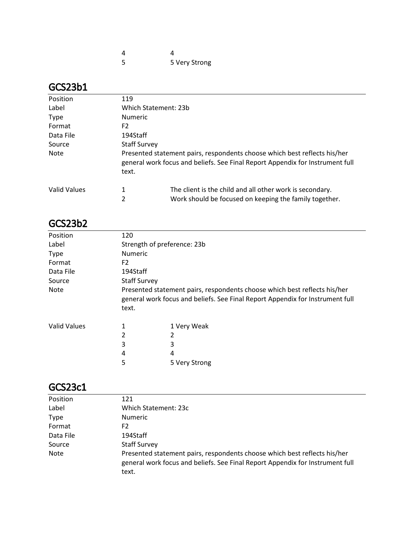| 5 | 5 Very Strong |
|---|---------------|

### GCS23b1

| Position            | 119                 |                                                                                                                                                            |  |  |
|---------------------|---------------------|------------------------------------------------------------------------------------------------------------------------------------------------------------|--|--|
| Label               |                     | Which Statement: 23b                                                                                                                                       |  |  |
| <b>Type</b>         | <b>Numeric</b>      |                                                                                                                                                            |  |  |
| Format              | F2                  |                                                                                                                                                            |  |  |
| Data File           | 194Staff            |                                                                                                                                                            |  |  |
| Source              | <b>Staff Survey</b> |                                                                                                                                                            |  |  |
| Note                | text.               | Presented statement pairs, respondents choose which best reflects his/her<br>general work focus and beliefs. See Final Report Appendix for Instrument full |  |  |
| <b>Valid Values</b> | 1                   | The client is the child and all other work is secondary.                                                                                                   |  |  |
|                     | 2                   | Work should be focused on keeping the family together.                                                                                                     |  |  |

### GCS23b2

| Position            | 120            |                                                                                                                                                            |  |  |
|---------------------|----------------|------------------------------------------------------------------------------------------------------------------------------------------------------------|--|--|
| Label               |                | Strength of preference: 23b                                                                                                                                |  |  |
| <b>Type</b>         | <b>Numeric</b> |                                                                                                                                                            |  |  |
| Format              | F <sub>2</sub> |                                                                                                                                                            |  |  |
| Data File           | 194Staff       |                                                                                                                                                            |  |  |
| Source              |                | <b>Staff Survey</b>                                                                                                                                        |  |  |
| <b>Note</b>         | text.          | Presented statement pairs, respondents choose which best reflects his/her<br>general work focus and beliefs. See Final Report Appendix for Instrument full |  |  |
| <b>Valid Values</b> | 1              | 1 Very Weak                                                                                                                                                |  |  |
|                     | 2              |                                                                                                                                                            |  |  |
|                     | 3              | 3                                                                                                                                                          |  |  |
|                     | 4              | 4                                                                                                                                                          |  |  |
|                     | 5              | 5 Very Strong                                                                                                                                              |  |  |

### GCS23c1

| Position    | 121                                                                                                                                                                 |
|-------------|---------------------------------------------------------------------------------------------------------------------------------------------------------------------|
| Label       | Which Statement: 23c                                                                                                                                                |
| <b>Type</b> | <b>Numeric</b>                                                                                                                                                      |
| Format      | F2                                                                                                                                                                  |
| Data File   | 194Staff                                                                                                                                                            |
| Source      | <b>Staff Survey</b>                                                                                                                                                 |
| <b>Note</b> | Presented statement pairs, respondents choose which best reflects his/her<br>general work focus and beliefs. See Final Report Appendix for Instrument full<br>text. |
|             |                                                                                                                                                                     |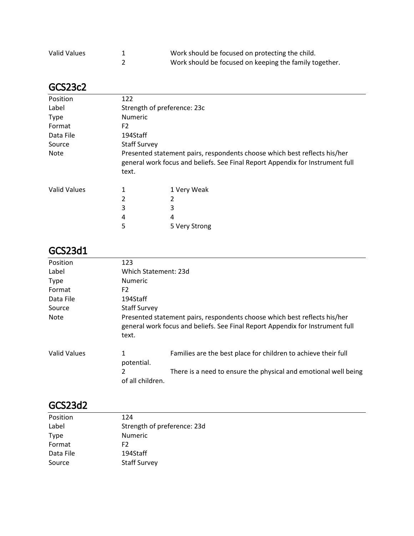| Valid Values | Work should be focused on protecting the child.        |
|--------------|--------------------------------------------------------|
|              | Work should be focused on keeping the family together. |

#### GCS23c2

| Position            | 122            |                                                                                                                                                            |  |  |
|---------------------|----------------|------------------------------------------------------------------------------------------------------------------------------------------------------------|--|--|
| Label               |                | Strength of preference: 23c                                                                                                                                |  |  |
| <b>Type</b>         | <b>Numeric</b> |                                                                                                                                                            |  |  |
| Format              | F <sub>2</sub> |                                                                                                                                                            |  |  |
| Data File           | 194Staff       |                                                                                                                                                            |  |  |
| Source              |                | <b>Staff Survey</b>                                                                                                                                        |  |  |
| <b>Note</b>         | text.          | Presented statement pairs, respondents choose which best reflects his/her<br>general work focus and beliefs. See Final Report Appendix for Instrument full |  |  |
| <b>Valid Values</b> | 1              | 1 Very Weak                                                                                                                                                |  |  |
|                     | 2              |                                                                                                                                                            |  |  |
|                     | 3              | 3                                                                                                                                                          |  |  |
|                     | 4              | 4                                                                                                                                                          |  |  |
|                     | 5              | 5 Very Strong                                                                                                                                              |  |  |

#### GCS23d1

| Position            | 123                   |                                                                                                                                                            |  |
|---------------------|-----------------------|------------------------------------------------------------------------------------------------------------------------------------------------------------|--|
| Label               | Which Statement: 23d  |                                                                                                                                                            |  |
| <b>Type</b>         | <b>Numeric</b>        |                                                                                                                                                            |  |
| Format              | F <sub>2</sub>        |                                                                                                                                                            |  |
| Data File           | 194Staff              |                                                                                                                                                            |  |
| Source              | <b>Staff Survey</b>   |                                                                                                                                                            |  |
| <b>Note</b>         | text.                 | Presented statement pairs, respondents choose which best reflects his/her<br>general work focus and beliefs. See Final Report Appendix for Instrument full |  |
| <b>Valid Values</b> | 1<br>potential.       | Families are the best place for children to achieve their full                                                                                             |  |
|                     | 2<br>of all children. | There is a need to ensure the physical and emotional well being                                                                                            |  |

### GCS23d2

| Position  | 124                         |
|-----------|-----------------------------|
| Label     | Strength of preference: 23d |
| Type      | Numeric                     |
| Format    | F <sub>2</sub>              |
| Data File | 194Staff                    |
| Source    | <b>Staff Survey</b>         |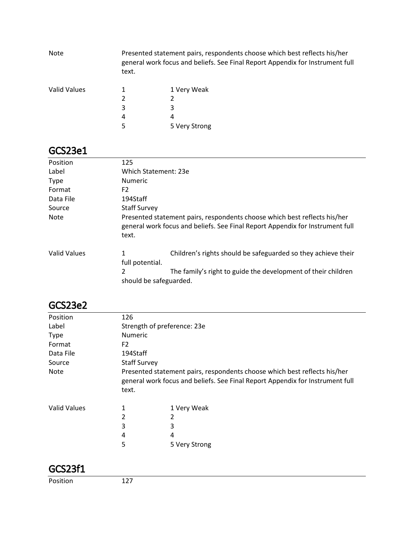| <b>Note</b>  | text. | Presented statement pairs, respondents choose which best reflects his/her<br>general work focus and beliefs. See Final Report Appendix for Instrument full |  |
|--------------|-------|------------------------------------------------------------------------------------------------------------------------------------------------------------|--|
| Valid Values |       | 1 Very Weak                                                                                                                                                |  |
|              |       |                                                                                                                                                            |  |
|              | 3     |                                                                                                                                                            |  |
|              | 4     | 4                                                                                                                                                          |  |
|              |       | 5 Very Strong                                                                                                                                              |  |

### GCS23e1

| Position     | 125                                                                                                                                                                 |  |  |
|--------------|---------------------------------------------------------------------------------------------------------------------------------------------------------------------|--|--|
| Label        | Which Statement: 23e                                                                                                                                                |  |  |
| <b>Type</b>  | <b>Numeric</b>                                                                                                                                                      |  |  |
| Format       | F2                                                                                                                                                                  |  |  |
| Data File    | 194Staff                                                                                                                                                            |  |  |
| Source       | <b>Staff Survey</b>                                                                                                                                                 |  |  |
| <b>Note</b>  | Presented statement pairs, respondents choose which best reflects his/her<br>general work focus and beliefs. See Final Report Appendix for Instrument full<br>text. |  |  |
| Valid Values | Children's rights should be safeguarded so they achieve their<br>1<br>full potential.                                                                               |  |  |
|              | The family's right to guide the development of their children<br>2<br>should be safeguarded.                                                                        |  |  |

### GCS23e2

| Position            | 126                         |                                                                                                                                                            |  |
|---------------------|-----------------------------|------------------------------------------------------------------------------------------------------------------------------------------------------------|--|
| Label               | Strength of preference: 23e |                                                                                                                                                            |  |
| <b>Type</b>         | Numeric                     |                                                                                                                                                            |  |
| Format              | F <sub>2</sub>              |                                                                                                                                                            |  |
| Data File           | 194Staff                    |                                                                                                                                                            |  |
| Source              | <b>Staff Survey</b>         |                                                                                                                                                            |  |
| <b>Note</b>         | text.                       | Presented statement pairs, respondents choose which best reflects his/her<br>general work focus and beliefs. See Final Report Appendix for Instrument full |  |
| <b>Valid Values</b> | 1                           | 1 Very Weak                                                                                                                                                |  |
|                     | 2                           | 2                                                                                                                                                          |  |
|                     | 3                           | 3                                                                                                                                                          |  |
|                     | 4                           | 4                                                                                                                                                          |  |
|                     | 5                           | 5 Very Strong                                                                                                                                              |  |

### GCS23f1

Position 127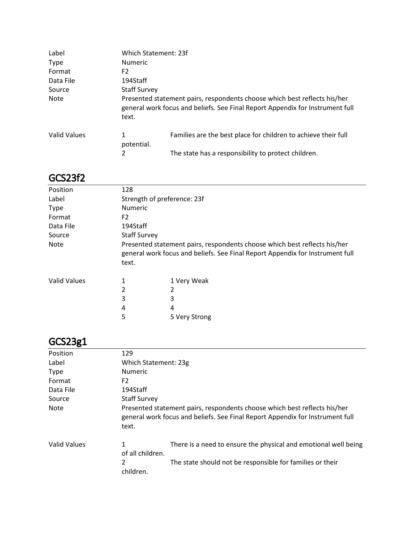| Label               | Which Statement: 23f |                                                                                                                                                            |  |
|---------------------|----------------------|------------------------------------------------------------------------------------------------------------------------------------------------------------|--|
| <b>Type</b>         | <b>Numeric</b>       |                                                                                                                                                            |  |
| Format              | F <sub>2</sub>       |                                                                                                                                                            |  |
| Data File           | 194Staff             |                                                                                                                                                            |  |
| Source              | <b>Staff Survey</b>  |                                                                                                                                                            |  |
| Note                | text.                | Presented statement pairs, respondents choose which best reflects his/her<br>general work focus and beliefs. See Final Report Appendix for Instrument full |  |
| <b>Valid Values</b> | 1<br>potential.      | Families are the best place for children to achieve their full                                                                                             |  |
|                     | 2                    | The state has a responsibility to protect children.                                                                                                        |  |

### GCS23f2

| Position            | 128                         |                                                                                                                                                            |  |  |
|---------------------|-----------------------------|------------------------------------------------------------------------------------------------------------------------------------------------------------|--|--|
| Label               | Strength of preference: 23f |                                                                                                                                                            |  |  |
| <b>Type</b>         | Numeric                     |                                                                                                                                                            |  |  |
| Format              | F <sub>2</sub>              |                                                                                                                                                            |  |  |
| Data File           | 194Staff                    |                                                                                                                                                            |  |  |
| Source              |                             | <b>Staff Survey</b>                                                                                                                                        |  |  |
| <b>Note</b>         | text.                       | Presented statement pairs, respondents choose which best reflects his/her<br>general work focus and beliefs. See Final Report Appendix for Instrument full |  |  |
| <b>Valid Values</b> | 1                           | 1 Very Weak                                                                                                                                                |  |  |
|                     | 2                           | 2                                                                                                                                                          |  |  |
|                     | 3                           | 3                                                                                                                                                          |  |  |
|                     | 4                           | 4                                                                                                                                                          |  |  |
|                     | 5                           | 5 Very Strong                                                                                                                                              |  |  |

# GCS23g1

| Position     | 129                   |                                                                                                                                                            |  |
|--------------|-----------------------|------------------------------------------------------------------------------------------------------------------------------------------------------------|--|
| Label        | Which Statement: 23g  |                                                                                                                                                            |  |
| <b>Type</b>  | <b>Numeric</b>        |                                                                                                                                                            |  |
| Format       | F <sub>2</sub>        |                                                                                                                                                            |  |
| Data File    | 194Staff              |                                                                                                                                                            |  |
| Source       | <b>Staff Survey</b>   |                                                                                                                                                            |  |
| <b>Note</b>  | text.                 | Presented statement pairs, respondents choose which best reflects his/her<br>general work focus and beliefs. See Final Report Appendix for Instrument full |  |
| Valid Values | 1<br>of all children. | There is a need to ensure the physical and emotional well being                                                                                            |  |
|              | 2<br>children.        | The state should not be responsible for families or their                                                                                                  |  |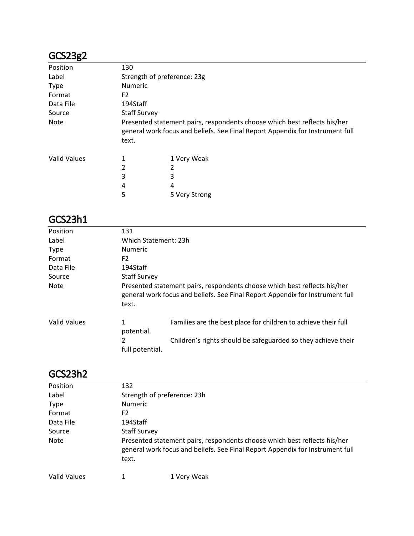## GCS23g2

| GCS23g2             |                |                                                                                                                                                            |  |  |
|---------------------|----------------|------------------------------------------------------------------------------------------------------------------------------------------------------------|--|--|
| Position            | 130            |                                                                                                                                                            |  |  |
| Label               |                | Strength of preference: 23g                                                                                                                                |  |  |
| <b>Type</b>         | <b>Numeric</b> |                                                                                                                                                            |  |  |
| Format              | F <sub>2</sub> |                                                                                                                                                            |  |  |
| Data File           | 194Staff       |                                                                                                                                                            |  |  |
| Source              |                | <b>Staff Survey</b>                                                                                                                                        |  |  |
| <b>Note</b>         | text.          | Presented statement pairs, respondents choose which best reflects his/her<br>general work focus and beliefs. See Final Report Appendix for Instrument full |  |  |
| <b>Valid Values</b> |                | 1 Very Weak                                                                                                                                                |  |  |
|                     | 2              |                                                                                                                                                            |  |  |
|                     | 3              | 3                                                                                                                                                          |  |  |
|                     | 4              | 4                                                                                                                                                          |  |  |
|                     | 5              | 5 Very Strong                                                                                                                                              |  |  |

### GCS23h1

| Position            | 131                  |                                                                                                                                                            |  |  |
|---------------------|----------------------|------------------------------------------------------------------------------------------------------------------------------------------------------------|--|--|
| Label               |                      | Which Statement: 23h                                                                                                                                       |  |  |
| <b>Type</b>         | <b>Numeric</b>       |                                                                                                                                                            |  |  |
| Format              | F <sub>2</sub>       |                                                                                                                                                            |  |  |
| Data File           | 194Staff             |                                                                                                                                                            |  |  |
| Source              | <b>Staff Survey</b>  |                                                                                                                                                            |  |  |
| Note                | text.                | Presented statement pairs, respondents choose which best reflects his/her<br>general work focus and beliefs. See Final Report Appendix for Instrument full |  |  |
| <b>Valid Values</b> | 1<br>potential.      | Families are the best place for children to achieve their full                                                                                             |  |  |
|                     | 2<br>full potential. | Children's rights should be safeguarded so they achieve their                                                                                              |  |  |

### GCS23h2

| Position     | 132                                                                                                                                                                 |             |  |
|--------------|---------------------------------------------------------------------------------------------------------------------------------------------------------------------|-------------|--|
| Label        | Strength of preference: 23h                                                                                                                                         |             |  |
| <b>Type</b>  | <b>Numeric</b>                                                                                                                                                      |             |  |
| Format       | F <sub>2</sub>                                                                                                                                                      |             |  |
| Data File    | 194Staff                                                                                                                                                            |             |  |
| Source       | <b>Staff Survey</b>                                                                                                                                                 |             |  |
| <b>Note</b>  | Presented statement pairs, respondents choose which best reflects his/her<br>general work focus and beliefs. See Final Report Appendix for Instrument full<br>text. |             |  |
| Valid Values |                                                                                                                                                                     | 1 Very Weak |  |